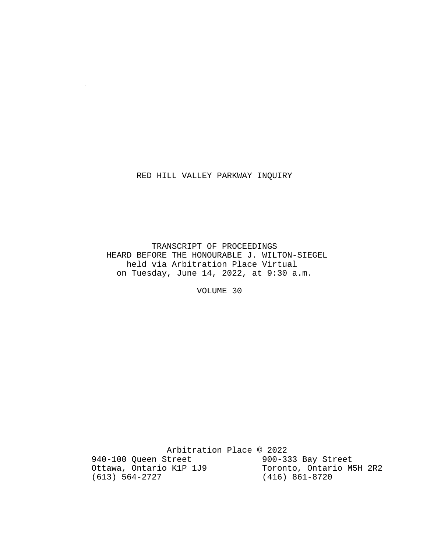### RED HILL VALLEY PARKWAY INQUIRY

 $\sim 10^7$ 

 TRANSCRIPT OF PROCEEDINGS HEARD BEFORE THE HONOURABLE J. WILTON-SIEGEL held via Arbitration Place Virtual on Tuesday, June 14, 2022, at 9:30 a.m.

VOLUME 30

Arbitration Place © 2022<br>Street 900-333 Bay Street 940-100 Queen Street 900-333 Bay Street<br>Ottawa, Ontario K1P 1J9 Toronto, Ontario M5H 2R2 Ottawa, Ontario K1P 1J9<br>(613) 564-2727 (416) 861-8720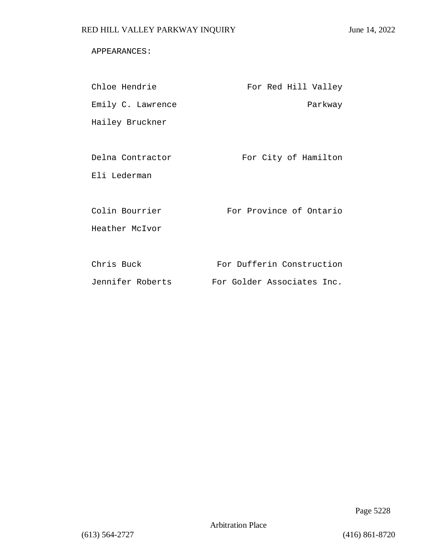### APPEARANCES:

| Chloe Hendrie     | For Red Hill Valley        |
|-------------------|----------------------------|
| Emily C. Lawrence | Parkway                    |
| Hailey Bruckner   |                            |
|                   |                            |
| Delna Contractor  | For City of Hamilton       |
| Eli Lederman      |                            |
|                   |                            |
| Colin Bourrier    | For Province of Ontario    |
| Heather McIvor    |                            |
|                   |                            |
| Chris Buck        | For Dufferin Construction  |
| Jennifer Roberts  | For Golder Associates Inc. |

Page 5228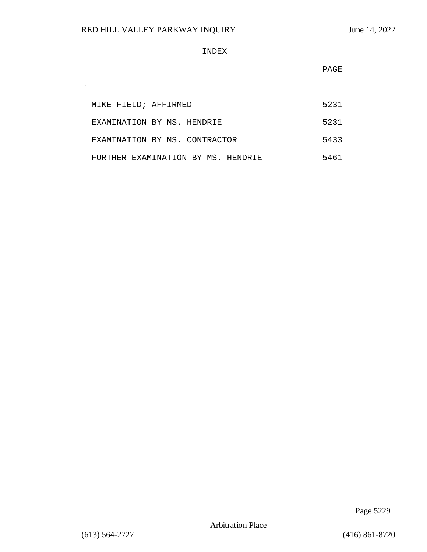$\sim$ 

#### INDEX

**PAGE** 

| MIKE FIELD; AFFIRMED               | 5231 |
|------------------------------------|------|
| EXAMINATION BY MS. HENDRIE         | 5231 |
| EXAMINATION BY MS. CONTRACTOR      | 5433 |
| FURTHER EXAMINATION BY MS. HENDRIE | 5461 |

Page 5229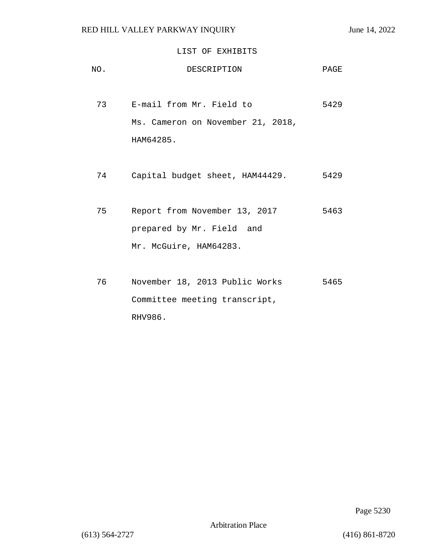# LIST OF EXHIBITS

| NO. | DESCRIPTION                       | PAGE |
|-----|-----------------------------------|------|
| 73  | E-mail from Mr. Field to          | 5429 |
|     | Ms. Cameron on November 21, 2018, |      |
|     | HAM64285.                         |      |
|     |                                   |      |
| 74  | Capital budget sheet, HAM44429.   | 5429 |
|     |                                   |      |
| 75  | Report from November 13, 2017     | 5463 |
|     | prepared by Mr. Field and         |      |
|     | Mr. McGuire, HAM64283.            |      |
|     |                                   |      |
| 76  | November 18, 2013 Public Works    | 5465 |
|     | Committee meeting transcript,     |      |
|     | RHV986.                           |      |

Page 5230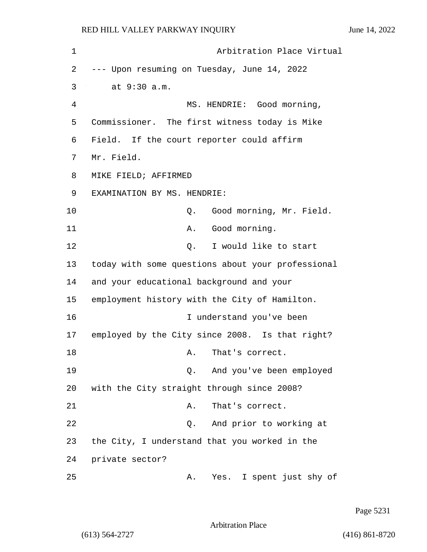| 1  | Arbitration Place Virtual                         |
|----|---------------------------------------------------|
| 2  | --- Upon resuming on Tuesday, June 14, 2022       |
| 3  | at 9:30 a.m.                                      |
| 4  | MS. HENDRIE: Good morning,                        |
| 5  | Commissioner. The first witness today is Mike     |
| 6  | Field. If the court reporter could affirm         |
| 7  | Mr. Field.                                        |
| 8  | MIKE FIELD; AFFIRMED                              |
| 9  | EXAMINATION BY MS. HENDRIE:                       |
| 10 | Good morning, Mr. Field.<br>Q.                    |
| 11 | Good morning.<br>Α.                               |
| 12 | I would like to start<br>Q.                       |
| 13 | today with some questions about your professional |
| 14 | and your educational background and your          |
| 15 | employment history with the City of Hamilton.     |
| 16 | I understand you've been                          |
| 17 | employed by the City since 2008. Is that right?   |
| 18 | That's correct.<br>Α.                             |
| 19 | And you've been employed<br>Q.                    |
| 20 | with the City straight through since 2008?        |
| 21 | That's correct.<br>Α.                             |
| 22 | And prior to working at<br>Q.                     |
| 23 | the City, I understand that you worked in the     |
| 24 | private sector?                                   |
| 25 | Yes. I spent just shy of<br>Α.                    |

Page 5231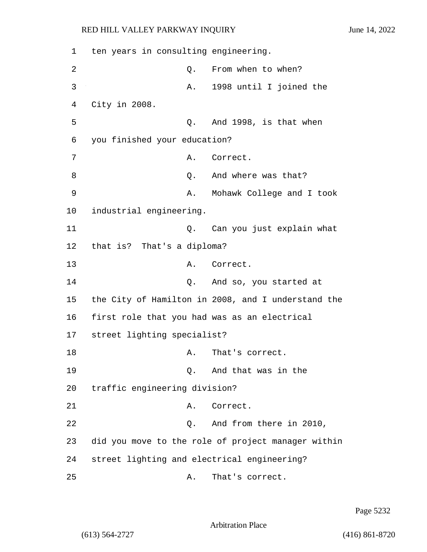1 ten years in consulting engineering. 2 Q. From when to when? 3 A. 1998 until I joined the 4 City in 2008. 5 Q. And 1998, is that when 6 you finished your education? 7 A. Correct. 8 and where was that? 9 A. Mohawk College and I took 10 industrial engineering. 11 Q. Can you just explain what 12 that is? That's a diploma? 13 A. Correct. 14 Q. And so, you started at 15 the City of Hamilton in 2008, and I understand the 16 first role that you had was as an electrical 17 street lighting specialist? 18 A. That's correct. 19 Q. And that was in the 20 traffic engineering division? 21 A. Correct. 22 Q. And from there in 2010, 23 did you move to the role of project manager within 24 street lighting and electrical engineering? 25 A. That's correct.

Page 5232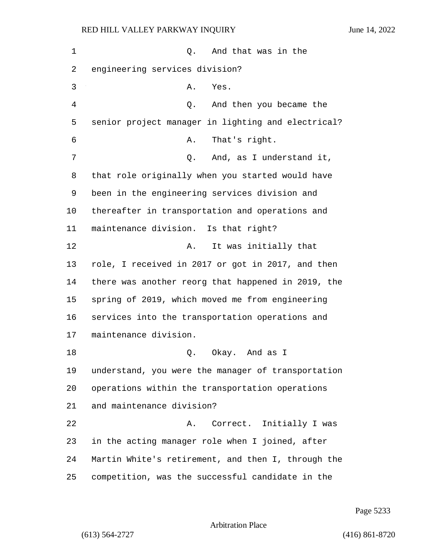| 1  | And that was in the<br>Q.                          |
|----|----------------------------------------------------|
| 2  | engineering services division?                     |
| 3  | Yes.<br>Α.                                         |
| 4  | Q. And then you became the                         |
| 5  | senior project manager in lighting and electrical? |
| 6  | That's right.<br>Α.                                |
| 7  | And, as I understand it,<br>Q.                     |
| 8  | that role originally when you started would have   |
| 9  | been in the engineering services division and      |
| 10 | thereafter in transportation and operations and    |
| 11 | maintenance division. Is that right?               |
| 12 | It was initially that<br>Α.                        |
| 13 | role, I received in 2017 or got in 2017, and then  |
| 14 | there was another reorg that happened in 2019, the |
| 15 | spring of 2019, which moved me from engineering    |
| 16 | services into the transportation operations and    |
| 17 | maintenance division.                              |
| 18 | Okay. And as I<br>Q.                               |
| 19 | understand, you were the manager of transportation |
| 20 | operations within the transportation operations    |
| 21 | and maintenance division?                          |
| 22 | A. Correct. Initially I was                        |
| 23 | in the acting manager role when I joined, after    |
| 24 | Martin White's retirement, and then I, through the |
| 25 | competition, was the successful candidate in the   |

Page 5233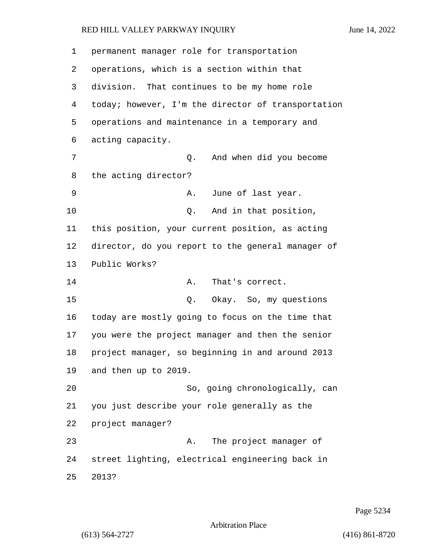| 1  | permanent manager role for transportation          |
|----|----------------------------------------------------|
| 2  | operations, which is a section within that         |
| 3  | division. That continues to be my home role        |
| 4  | today; however, I'm the director of transportation |
| 5  | operations and maintenance in a temporary and      |
| 6  | acting capacity.                                   |
| 7  | And when did you become<br>Q.                      |
| 8  | the acting director?                               |
| 9  | June of last year.<br>Α.                           |
| 10 | And in that position,<br>Q.                        |
| 11 | this position, your current position, as acting    |
| 12 | director, do you report to the general manager of  |
| 13 | Public Works?                                      |
| 14 | Α.<br>That's correct.                              |
| 15 | Okay. So, my questions<br>Q.                       |
| 16 | today are mostly going to focus on the time that   |
| 17 | you were the project manager and then the senior   |
| 18 | project manager, so beginning in and around 2013   |
| 19 | and then up to 2019.                               |
| 20 | So, going chronologically, can                     |
| 21 | you just describe your role generally as the       |
| 22 | project manager?                                   |
| 23 | The project manager of<br>Α.                       |
| 24 | street lighting, electrical engineering back in    |
| 25 | 2013?                                              |

Page 5234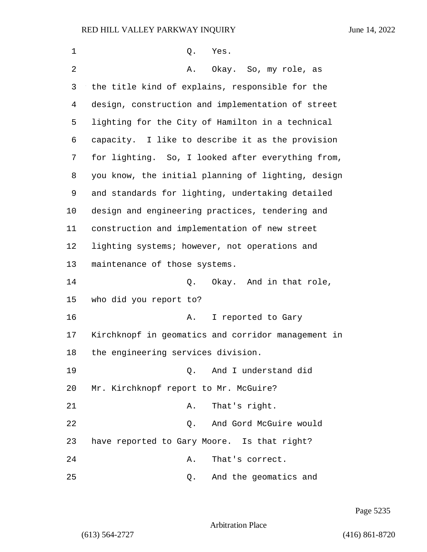| 1              | Q.<br>Yes.                                         |
|----------------|----------------------------------------------------|
| $\overline{2}$ | Okay. So, my role, as<br>Α.                        |
| 3              | the title kind of explains, responsible for the    |
| 4              | design, construction and implementation of street  |
| 5              | lighting for the City of Hamilton in a technical   |
| 6              | capacity. I like to describe it as the provision   |
| 7              | for lighting. So, I looked after everything from,  |
| 8              | you know, the initial planning of lighting, design |
| 9              | and standards for lighting, undertaking detailed   |
| $10 \,$        | design and engineering practices, tendering and    |
| 11             | construction and implementation of new street      |
| 12             | lighting systems; however, not operations and      |
| 13             | maintenance of those systems.                      |
| 14             | Q. Okay. And in that role,                         |
| 15             | who did you report to?                             |
| 16             | I reported to Gary<br>Α.                           |
| 17             | Kirchknopf in geomatics and corridor management in |
| 18             | the engineering services division.                 |
| 19             | 0. And I understand did                            |
| 20             | Mr. Kirchknopf report to Mr. McGuire?              |
| 21             | That's right.<br>Α.                                |
| 22             | And Gord McGuire would<br>Q.                       |
| 23             | have reported to Gary Moore. Is that right?        |
| 24             | That's correct.<br>Α.                              |
| 25             | And the geomatics and<br>Q.                        |

Page 5235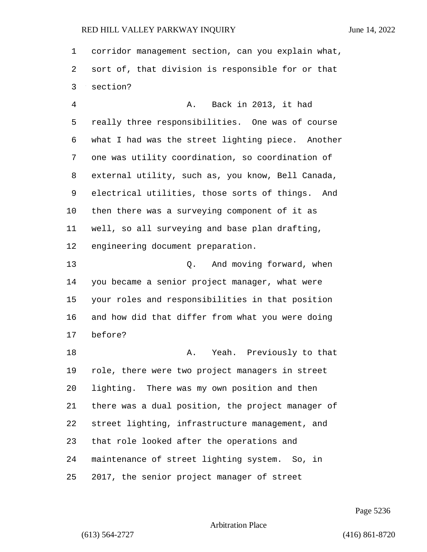corridor management section, can you explain what, sort of, that division is responsible for or that section?

4 A. Back in 2013, it had really three responsibilities. One was of course what I had was the street lighting piece. Another one was utility coordination, so coordination of external utility, such as, you know, Bell Canada, electrical utilities, those sorts of things. And then there was a surveying component of it as well, so all surveying and base plan drafting, engineering document preparation.

13 Q. And moving forward, when you became a senior project manager, what were your roles and responsibilities in that position and how did that differ from what you were doing before?

**A.** Yeah. Previously to that role, there were two project managers in street lighting. There was my own position and then there was a dual position, the project manager of street lighting, infrastructure management, and that role looked after the operations and maintenance of street lighting system. So, in 2017, the senior project manager of street

Page 5236

Arbitration Place

(613) 564-2727 (416) 861-8720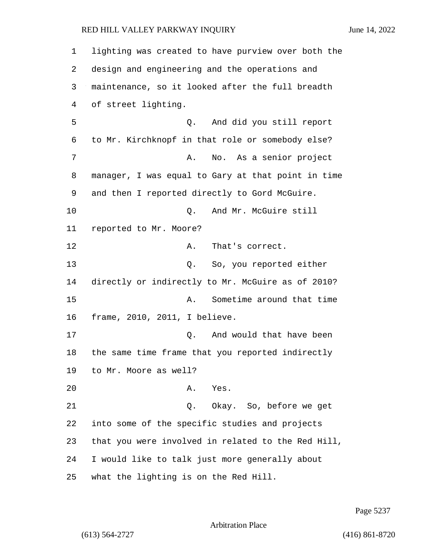lighting was created to have purview over both the design and engineering and the operations and maintenance, so it looked after the full breadth of street lighting. 5 Q. And did you still report to Mr. Kirchknopf in that role or somebody else? 7 A. No. As a senior project manager, I was equal to Gary at that point in time and then I reported directly to Gord McGuire. 10 Q. And Mr. McGuire still reported to Mr. Moore? 12 A. That's correct. 13 Q. So, you reported either directly or indirectly to Mr. McGuire as of 2010? 15 A. Sometime around that time frame, 2010, 2011, I believe. 17 and would that have been the same time frame that you reported indirectly to Mr. Moore as well? 20 A. Yes. 21 Q. Okay. So, before we get into some of the specific studies and projects that you were involved in related to the Red Hill, I would like to talk just more generally about what the lighting is on the Red Hill.

Page 5237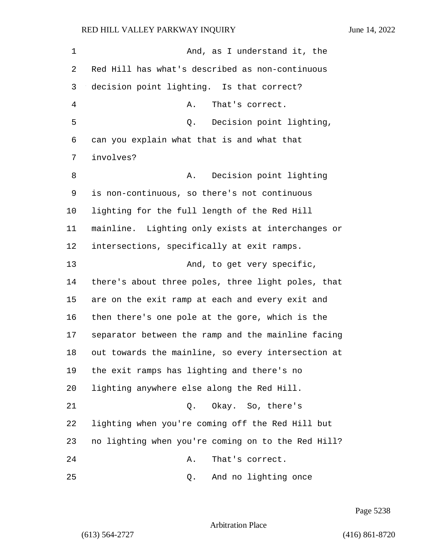1 And, as I understand it, the Red Hill has what's described as non-continuous decision point lighting. Is that correct? 4 A. That's correct. 5 Q. Decision point lighting, can you explain what that is and what that involves? 8 A. Decision point lighting is non-continuous, so there's not continuous lighting for the full length of the Red Hill mainline. Lighting only exists at interchanges or intersections, specifically at exit ramps. 13 And, to get very specific, there's about three poles, three light poles, that are on the exit ramp at each and every exit and then there's one pole at the gore, which is the separator between the ramp and the mainline facing out towards the mainline, so every intersection at the exit ramps has lighting and there's no lighting anywhere else along the Red Hill. 21 C. Okay. So, there's lighting when you're coming off the Red Hill but no lighting when you're coming on to the Red Hill? 24 A. That's correct. 25 Q. And no lighting once

Page 5238

Arbitration Place

(613) 564-2727 (416) 861-8720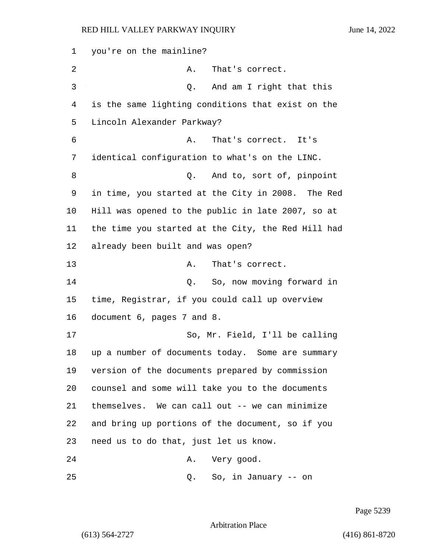you're on the mainline? 2 A. That's correct. 3 Q. And am I right that this is the same lighting conditions that exist on the Lincoln Alexander Parkway? 6 A. That's correct. It's identical configuration to what's on the LINC. 8 and to, sort of, pinpoint in time, you started at the City in 2008. The Red Hill was opened to the public in late 2007, so at the time you started at the City, the Red Hill had already been built and was open? 13 A. That's correct. 14 Q. So, now moving forward in time, Registrar, if you could call up overview document 6, pages 7 and 8. 17 So, Mr. Field, I'll be calling up a number of documents today. Some are summary version of the documents prepared by commission counsel and some will take you to the documents themselves. We can call out -- we can minimize and bring up portions of the document, so if you need us to do that, just let us know. 24 A. Very good.

Page 5239

Arbitration Place

25 Q. So, in January -- on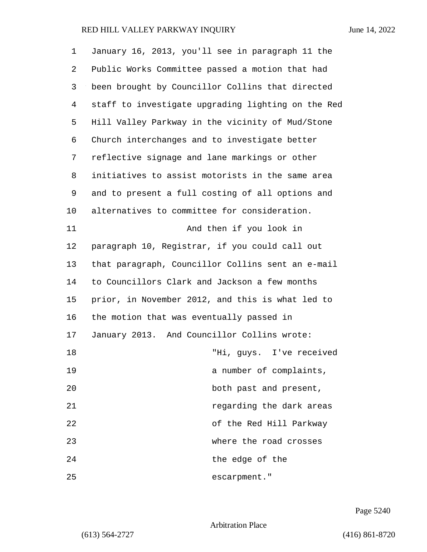| 1  | January 16, 2013, you'll see in paragraph 11 the   |
|----|----------------------------------------------------|
| 2  | Public Works Committee passed a motion that had    |
| 3  | been brought by Councillor Collins that directed   |
| 4  | staff to investigate upgrading lighting on the Red |
| 5  | Hill Valley Parkway in the vicinity of Mud/Stone   |
| 6  | Church interchanges and to investigate better      |
| 7  | reflective signage and lane markings or other      |
| 8  | initiatives to assist motorists in the same area   |
| 9  | and to present a full costing of all options and   |
| 10 | alternatives to committee for consideration.       |
| 11 | And then if you look in                            |
| 12 | paragraph 10, Registrar, if you could call out     |
| 13 | that paragraph, Councillor Collins sent an e-mail  |
| 14 | to Councillors Clark and Jackson a few months      |
| 15 | prior, in November 2012, and this is what led to   |
| 16 | the motion that was eventually passed in           |
| 17 | January 2013. And Councillor Collins wrote:        |
| 18 | "Hi, guys. I've received                           |
| 19 | a number of complaints,                            |
| 20 | both past and present,                             |
| 21 | regarding the dark areas                           |
| 22 | of the Red Hill Parkway                            |
| 23 | where the road crosses                             |
| 24 | the edge of the                                    |
| 25 | escarpment."                                       |

Page 5240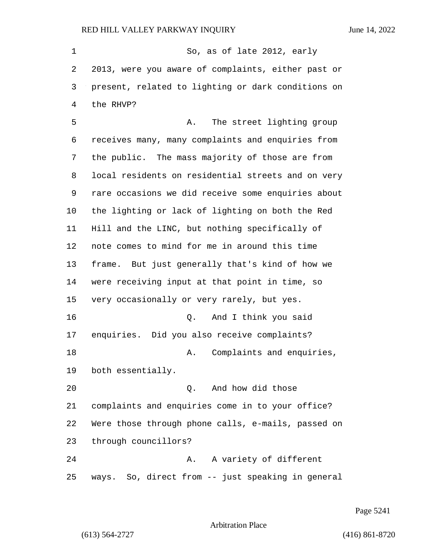1 So, as of late 2012, early 2013, were you aware of complaints, either past or present, related to lighting or dark conditions on the RHVP? 5 A. The street lighting group receives many, many complaints and enquiries from the public. The mass majority of those are from local residents on residential streets and on very rare occasions we did receive some enquiries about the lighting or lack of lighting on both the Red Hill and the LINC, but nothing specifically of note comes to mind for me in around this time frame. But just generally that's kind of how we were receiving input at that point in time, so very occasionally or very rarely, but yes. 16 Q. And I think you said enquiries. Did you also receive complaints? 18 A. Complaints and enquiries, both essentially. 20 Q. And how did those complaints and enquiries come in to your office? Were those through phone calls, e-mails, passed on through councillors? 24 A. A variety of different ways. So, direct from -- just speaking in general

Page 5241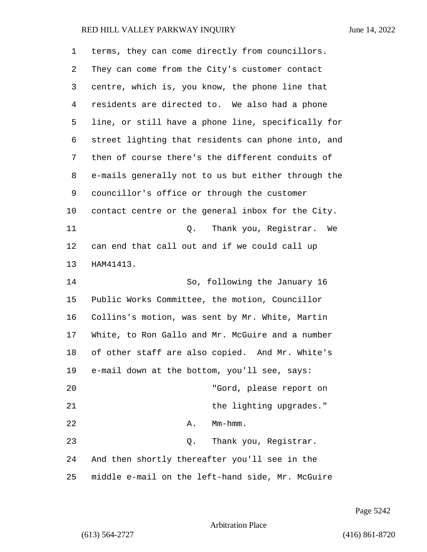| 1  | terms, they can come directly from councillors.    |
|----|----------------------------------------------------|
| 2  | They can come from the City's customer contact     |
| 3  | centre, which is, you know, the phone line that    |
| 4  | residents are directed to. We also had a phone     |
| 5  | line, or still have a phone line, specifically for |
| 6  | street lighting that residents can phone into, and |
| 7  | then of course there's the different conduits of   |
| 8  | e-mails generally not to us but either through the |
| 9  | councillor's office or through the customer        |
| 10 | contact centre or the general inbox for the City.  |
| 11 | Thank you, Registrar.<br>Q.<br>We                  |
| 12 | can end that call out and if we could call up      |
| 13 | HAM41413.                                          |
| 14 | So, following the January 16                       |
| 15 | Public Works Committee, the motion, Councillor     |
| 16 | Collins's motion, was sent by Mr. White, Martin    |
| 17 | White, to Ron Gallo and Mr. McGuire and a number   |
| 18 | of other staff are also copied. And Mr. White's    |
| 19 | e-mail down at the bottom, you'll see, says:       |
| 20 | "Gord, please report on                            |
| 21 | the lighting upgrades."                            |
| 22 | $Mm-hmm$ .<br>Α.                                   |
| 23 | Thank you, Registrar.<br>Q.                        |
| 24 | And then shortly thereafter you'll see in the      |
| 25 | middle e-mail on the left-hand side, Mr. McGuire   |

Page 5242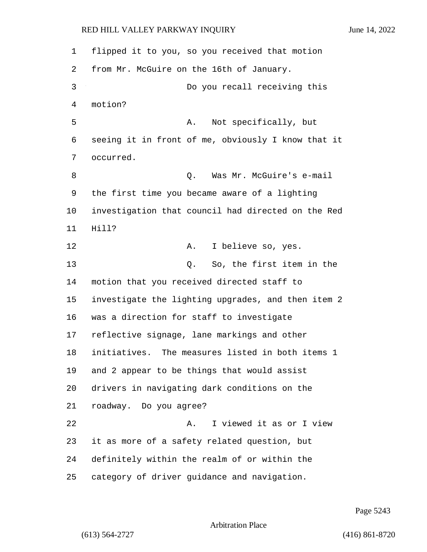flipped it to you, so you received that motion from Mr. McGuire on the 16th of January. 3 Do you recall receiving this motion? 5 A. Not specifically, but seeing it in front of me, obviously I know that it occurred. 8 Q. Was Mr. McGuire's e-mail the first time you became aware of a lighting investigation that council had directed on the Red Hill? 12 A. I believe so, yes. 13 Q. So, the first item in the motion that you received directed staff to investigate the lighting upgrades, and then item 2 was a direction for staff to investigate reflective signage, lane markings and other initiatives. The measures listed in both items 1 and 2 appear to be things that would assist drivers in navigating dark conditions on the roadway. Do you agree? 22 A. I viewed it as or I view it as more of a safety related question, but definitely within the realm of or within the category of driver guidance and navigation.

Page 5243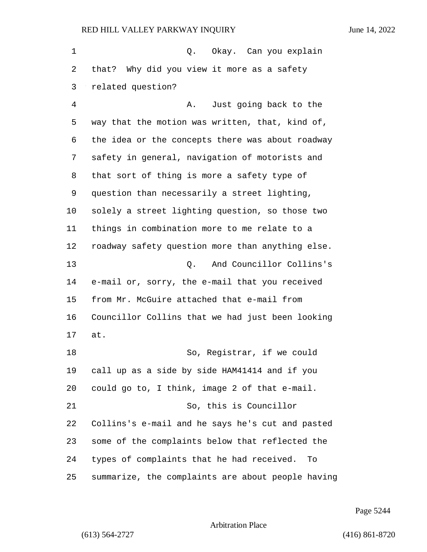| $\mathbf 1$ | Q. Okay. Can you explain                          |
|-------------|---------------------------------------------------|
| 2           | that? Why did you view it more as a safety        |
| 3           | related question?                                 |
| 4           | Just going back to the<br>Α.                      |
| 5           | way that the motion was written, that, kind of,   |
| 6           | the idea or the concepts there was about roadway  |
| 7           | safety in general, navigation of motorists and    |
| 8           | that sort of thing is more a safety type of       |
| 9           | question than necessarily a street lighting,      |
| 10          | solely a street lighting question, so those two   |
| 11          | things in combination more to me relate to a      |
| 12          | roadway safety question more than anything else.  |
| 13          | And Councillor Collins's<br>Q.                    |
| 14          | e-mail or, sorry, the e-mail that you received    |
| 15          | from Mr. McGuire attached that e-mail from        |
| 16          | Councillor Collins that we had just been looking  |
| 17          | at.                                               |
| 18          | So, Registrar, if we could                        |
| 19          | call up as a side by side HAM41414 and if you     |
| 20          | could go to, I think, image 2 of that e-mail.     |
| 21          | So, this is Councillor                            |
| 22          | Collins's e-mail and he says he's cut and pasted  |
| 23          | some of the complaints below that reflected the   |
| 24          | types of complaints that he had received. To      |
| 25          | summarize, the complaints are about people having |

Page 5244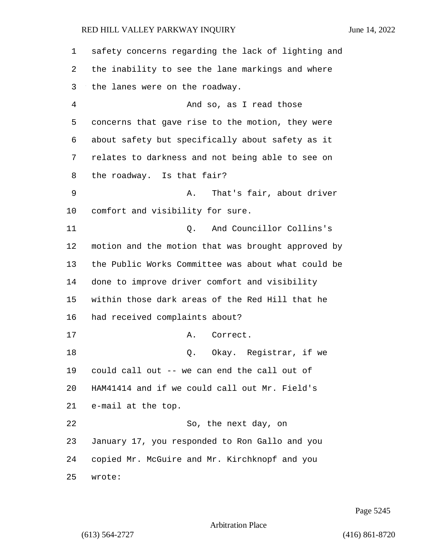safety concerns regarding the lack of lighting and the inability to see the lane markings and where the lanes were on the roadway. 4 And so, as I read those concerns that gave rise to the motion, they were about safety but specifically about safety as it relates to darkness and not being able to see on the roadway. Is that fair? 9 A. That's fair, about driver comfort and visibility for sure. 11 Q. And Councillor Collins's motion and the motion that was brought approved by the Public Works Committee was about what could be done to improve driver comfort and visibility within those dark areas of the Red Hill that he had received complaints about? 17 A. Correct. 18 O. Okay. Registrar, if we could call out -- we can end the call out of HAM41414 and if we could call out Mr. Field's e-mail at the top. 22 So, the next day, on January 17, you responded to Ron Gallo and you copied Mr. McGuire and Mr. Kirchknopf and you wrote:

Page 5245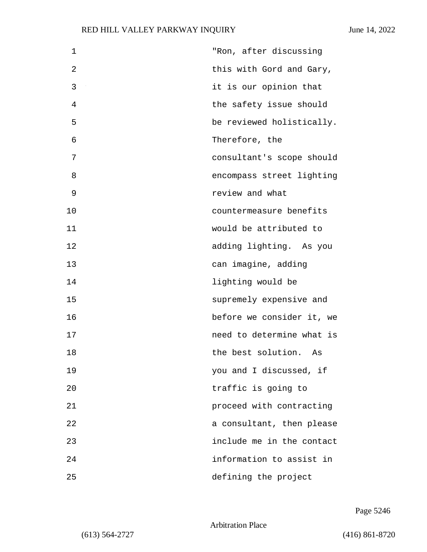| 1  | "Ron, after discussing    |
|----|---------------------------|
| 2  | this with Gord and Gary,  |
| 3  | it is our opinion that    |
| 4  | the safety issue should   |
| 5  | be reviewed holistically. |
| 6  | Therefore, the            |
| 7  | consultant's scope should |
| 8  | encompass street lighting |
| 9  | review and what           |
| 10 | countermeasure benefits   |
| 11 | would be attributed to    |
| 12 | adding lighting. As you   |
| 13 | can imagine, adding       |
| 14 | lighting would be         |
| 15 | supremely expensive and   |
| 16 | before we consider it, we |
| 17 | need to determine what is |
| 18 | the best solution. As     |
| 19 | you and I discussed, if   |
| 20 | traffic is going to       |
| 21 | proceed with contracting  |
| 22 | a consultant, then please |
| 23 | include me in the contact |
| 24 | information to assist in  |
| 25 | defining the project      |

Page 5246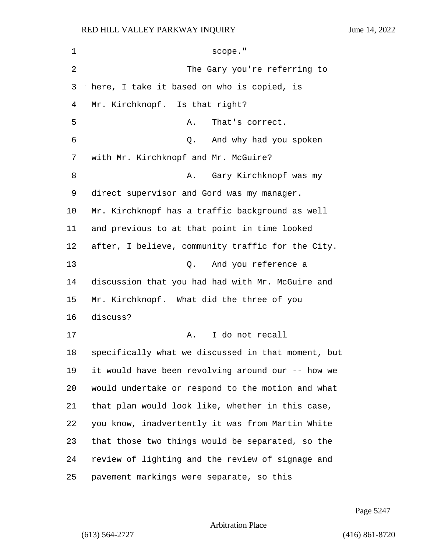| 1  | scope."                                            |
|----|----------------------------------------------------|
| 2  | The Gary you're referring to                       |
| 3  | here, I take it based on who is copied, is         |
| 4  | Mr. Kirchknopf. Is that right?                     |
| 5  | That's correct.<br>Α.                              |
| 6  | And why had you spoken<br>Q.                       |
| 7  | with Mr. Kirchknopf and Mr. McGuire?               |
| 8  | Gary Kirchknopf was my<br>Α.                       |
| 9  | direct supervisor and Gord was my manager.         |
| 10 | Mr. Kirchknopf has a traffic background as well    |
| 11 | and previous to at that point in time looked       |
| 12 | after, I believe, community traffic for the City.  |
| 13 | Q. And you reference a                             |
| 14 | discussion that you had had with Mr. McGuire and   |
| 15 | Mr. Kirchknopf. What did the three of you          |
| 16 | discuss?                                           |
| 17 | I do not recall<br>Α.                              |
| 18 | specifically what we discussed in that moment, but |
| 19 | it would have been revolving around our -- how we  |
| 20 | would undertake or respond to the motion and what  |
| 21 | that plan would look like, whether in this case,   |
| 22 | you know, inadvertently it was from Martin White   |
| 23 | that those two things would be separated, so the   |
| 24 | review of lighting and the review of signage and   |
| 25 | pavement markings were separate, so this           |

Page 5247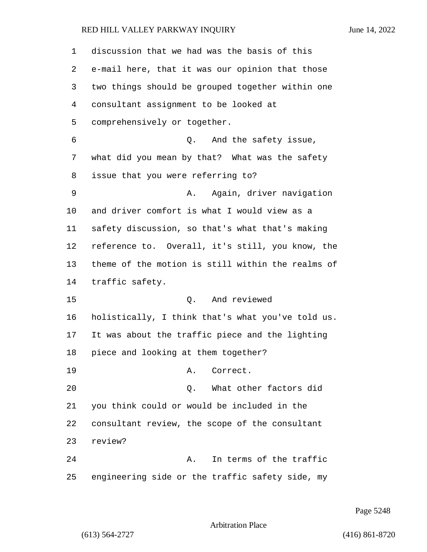| 1  | discussion that we had was the basis of this      |
|----|---------------------------------------------------|
| 2  | e-mail here, that it was our opinion that those   |
| 3  | two things should be grouped together within one  |
| 4  | consultant assignment to be looked at             |
| 5  | comprehensively or together.                      |
| 6  | And the safety issue,<br>Q.                       |
| 7  | what did you mean by that? What was the safety    |
| 8  | issue that you were referring to?                 |
| 9  | Again, driver navigation<br>Α.                    |
| 10 | and driver comfort is what I would view as a      |
| 11 | safety discussion, so that's what that's making   |
| 12 | reference to. Overall, it's still, you know, the  |
| 13 | theme of the motion is still within the realms of |
| 14 | traffic safety.                                   |
| 15 | And reviewed<br>Q.                                |
| 16 | holistically, I think that's what you've told us. |
| 17 | It was about the traffic piece and the lighting   |
| 18 | piece and looking at them together?               |
| 19 | Correct.<br>Α.                                    |
| 20 | What other factors did<br>Q.                      |
| 21 | you think could or would be included in the       |
| 22 | consultant review, the scope of the consultant    |
| 23 | review?                                           |
| 24 | In terms of the traffic<br>Α.                     |
| 25 | engineering side or the traffic safety side, my   |

Page 5248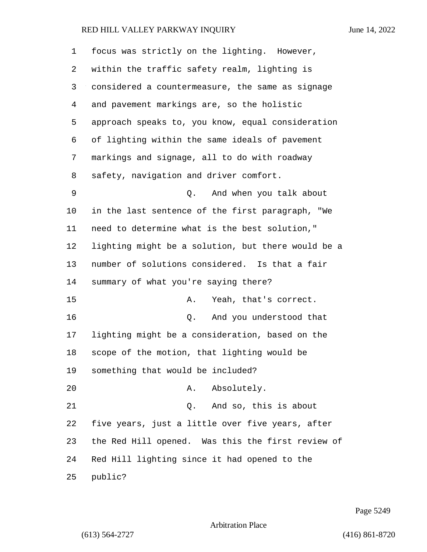| $\mathbf 1$ | focus was strictly on the lighting. However,       |
|-------------|----------------------------------------------------|
| 2           | within the traffic safety realm, lighting is       |
| 3           | considered a countermeasure, the same as signage   |
| 4           | and pavement markings are, so the holistic         |
| 5           | approach speaks to, you know, equal consideration  |
| 6           | of lighting within the same ideals of pavement     |
| 7           | markings and signage, all to do with roadway       |
| 8           | safety, navigation and driver comfort.             |
| 9           | And when you talk about<br>0.                      |
| 10          | in the last sentence of the first paragraph, "We   |
| 11          | need to determine what is the best solution,"      |
| 12          | lighting might be a solution, but there would be a |
| 13          | number of solutions considered. Is that a fair     |
| 14          | summary of what you're saying there?               |
| 15          | Yeah, that's correct.<br>Α.                        |
| 16          | And you understood that<br>Q.                      |
| 17          | lighting might be a consideration, based on the    |
| 18          | scope of the motion, that lighting would be        |
| 19          | something that would be included?                  |
| 20          | Absolutely.<br>Α.                                  |
| 21          | Q. And so, this is about                           |
| 22          | five years, just a little over five years, after   |
| 23          | the Red Hill opened. Was this the first review of  |
| 24          | Red Hill lighting since it had opened to the       |
| 25          | public?                                            |

Page 5249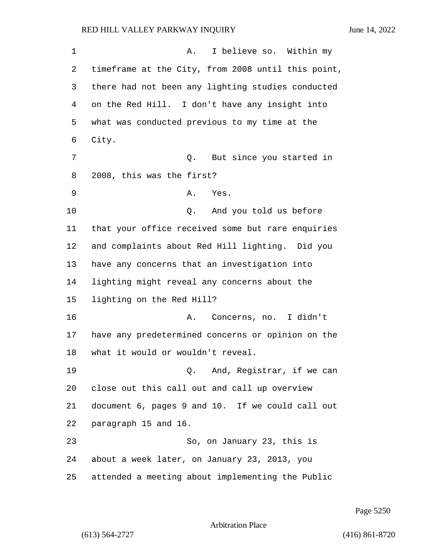1 A. I believe so. Within my timeframe at the City, from 2008 until this point, there had not been any lighting studies conducted on the Red Hill. I don't have any insight into what was conducted previous to my time at the City. 7 Q. But since you started in 2008, this was the first? 9 A. Yes. 10 Q. And you told us before that your office received some but rare enquiries and complaints about Red Hill lighting. Did you have any concerns that an investigation into lighting might reveal any concerns about the lighting on the Red Hill? 16 A. Concerns, no. I didn't have any predetermined concerns or opinion on the what it would or wouldn't reveal. 19 Q. And, Registrar, if we can close out this call out and call up overview document 6, pages 9 and 10. If we could call out paragraph 15 and 16. 23 So, on January 23, this is about a week later, on January 23, 2013, you attended a meeting about implementing the Public

Page 5250

Arbitration Place

(613) 564-2727 (416) 861-8720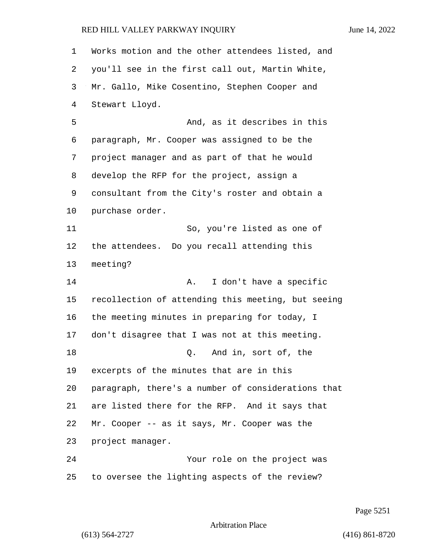Works motion and the other attendees listed, and you'll see in the first call out, Martin White, Mr. Gallo, Mike Cosentino, Stephen Cooper and Stewart Lloyd. 5 And, as it describes in this paragraph, Mr. Cooper was assigned to be the project manager and as part of that he would develop the RFP for the project, assign a consultant from the City's roster and obtain a purchase order. 11 So, you're listed as one of the attendees. Do you recall attending this meeting? **A.** I don't have a specific recollection of attending this meeting, but seeing the meeting minutes in preparing for today, I don't disagree that I was not at this meeting. 18 Q. And in, sort of, the excerpts of the minutes that are in this paragraph, there's a number of considerations that are listed there for the RFP. And it says that Mr. Cooper -- as it says, Mr. Cooper was the project manager. 24 Your role on the project was to oversee the lighting aspects of the review?

Page 5251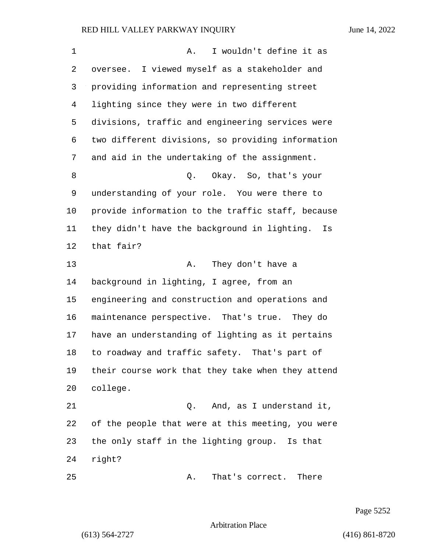| 1  | I wouldn't define it as<br>Α.                      |
|----|----------------------------------------------------|
| 2  | oversee. I viewed myself as a stakeholder and      |
| 3  | providing information and representing street      |
| 4  | lighting since they were in two different          |
| 5  | divisions, traffic and engineering services were   |
| 6  | two different divisions, so providing information  |
| 7  | and aid in the undertaking of the assignment.      |
| 8  | Okay. So, that's your<br>Q.                        |
| 9  | understanding of your role. You were there to      |
| 10 | provide information to the traffic staff, because  |
| 11 | they didn't have the background in lighting.<br>Is |
| 12 | that fair?                                         |
| 13 | They don't have a<br>Α.                            |
| 14 | background in lighting, I agree, from an           |
| 15 | engineering and construction and operations and    |
| 16 | maintenance perspective. That's true. They do      |
| 17 | have an understanding of lighting as it pertains   |
| 18 | to roadway and traffic safety. That's part of      |
| 19 | their course work that they take when they attend  |
| 20 | college.                                           |
| 21 | Q. And, as I understand it,                        |
| 22 | of the people that were at this meeting, you were  |
| 23 | the only staff in the lighting group. Is that      |
| 24 | right?                                             |
| 25 | That's correct. There<br>Α.                        |

Page 5252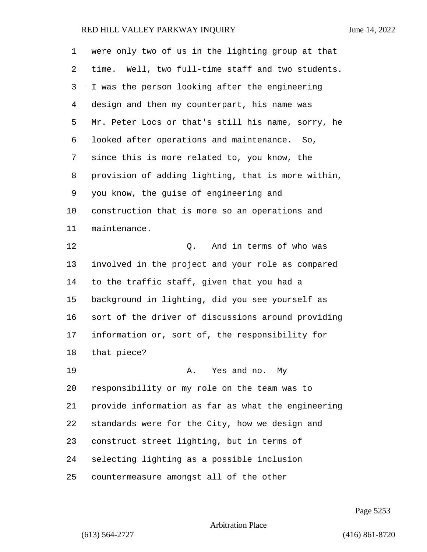| 1  | were only two of us in the lighting group at that  |
|----|----------------------------------------------------|
| 2  | time. Well, two full-time staff and two students.  |
| 3  | I was the person looking after the engineering     |
| 4  | design and then my counterpart, his name was       |
| 5  | Mr. Peter Locs or that's still his name, sorry, he |
| 6  | looked after operations and maintenance. So,       |
| 7  | since this is more related to, you know, the       |
| 8  | provision of adding lighting, that is more within, |
| 9  | you know, the guise of engineering and             |
| 10 | construction that is more so an operations and     |
| 11 | maintenance.                                       |
| 12 | And in terms of who was<br>Q.                      |
| 13 | involved in the project and your role as compared  |
| 14 | to the traffic staff, given that you had a         |
| 15 | background in lighting, did you see yourself as    |
| 16 | sort of the driver of discussions around providing |
| 17 | information or, sort of, the responsibility for    |
| 18 | that piece?                                        |
| 19 | A. Yes and no. My                                  |
| 20 | responsibility or my role on the team was to       |
| 21 | provide information as far as what the engineering |
| 22 | standards were for the City, how we design and     |
| 23 | construct street lighting, but in terms of         |
| 24 | selecting lighting as a possible inclusion         |
| 25 | countermeasure amongst all of the other            |

Page 5253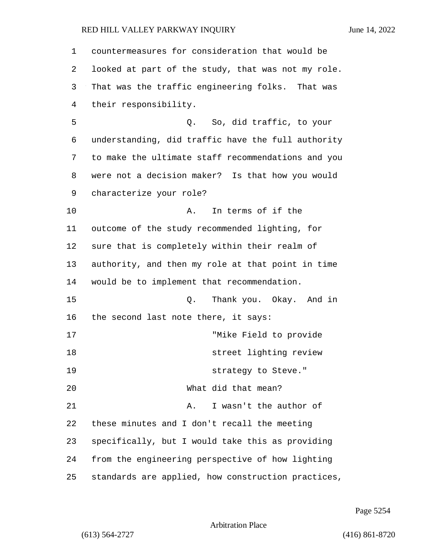| 1  | countermeasures for consideration that would be    |
|----|----------------------------------------------------|
| 2  | looked at part of the study, that was not my role. |
| 3  | That was the traffic engineering folks. That was   |
| 4  | their responsibility.                              |
| 5  | Q. So, did traffic, to your                        |
| 6  | understanding, did traffic have the full authority |
| 7  | to make the ultimate staff recommendations and you |
| 8  | were not a decision maker? Is that how you would   |
| 9  | characterize your role?                            |
| 10 | In terms of if the<br>Α.                           |
| 11 | outcome of the study recommended lighting, for     |
| 12 | sure that is completely within their realm of      |
| 13 | authority, and then my role at that point in time  |
| 14 | would be to implement that recommendation.         |
| 15 | Thank you. Okay. And in<br>Q.                      |
| 16 | the second last note there, it says:               |
| 17 | "Mike Field to provide                             |
| 18 | street lighting review                             |
| 19 | strategy to Steve."                                |
| 20 | What did that mean?                                |
| 21 | I wasn't the author of<br>Α.                       |
| 22 | these minutes and I don't recall the meeting       |
| 23 | specifically, but I would take this as providing   |
| 24 | from the engineering perspective of how lighting   |
| 25 | standards are applied, how construction practices, |

Page 5254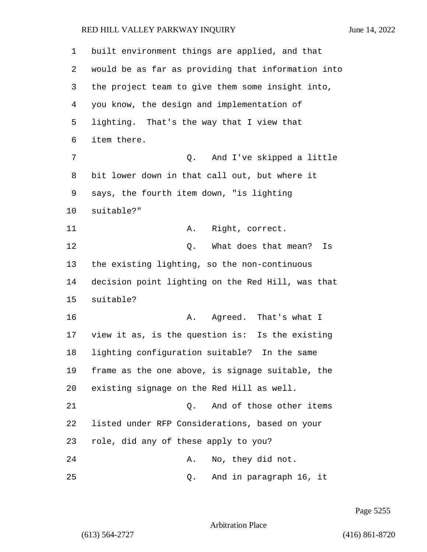built environment things are applied, and that would be as far as providing that information into the project team to give them some insight into, you know, the design and implementation of lighting. That's the way that I view that item there. 7 Q. And I've skipped a little bit lower down in that call out, but where it says, the fourth item down, "is lighting suitable?" 11 A. Right, correct. 12 C. What does that mean? Is the existing lighting, so the non-continuous decision point lighting on the Red Hill, was that suitable? 16 A. Agreed. That's what I view it as, is the question is: Is the existing lighting configuration suitable? In the same frame as the one above, is signage suitable, the existing signage on the Red Hill as well. 21 C. And of those other items listed under RFP Considerations, based on your role, did any of these apply to you? 24 A. No, they did not. 25 Q. And in paragraph 16, it

Page 5255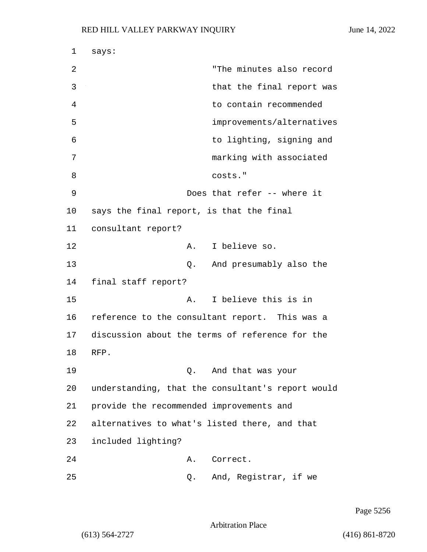| 1  | says:                                             |  |
|----|---------------------------------------------------|--|
| 2  | "The minutes also record                          |  |
| 3  | that the final report was                         |  |
| 4  | to contain recommended                            |  |
| 5  | improvements/alternatives                         |  |
| 6  | to lighting, signing and                          |  |
| 7  | marking with associated                           |  |
| 8  | costs."                                           |  |
| 9  | Does that refer -- where it                       |  |
| 10 | says the final report, is that the final          |  |
| 11 | consultant report?                                |  |
| 12 | A. I believe so.                                  |  |
| 13 | And presumably also the<br>Q.                     |  |
| 14 | final staff report?                               |  |
| 15 | I believe this is in<br>Α.                        |  |
| 16 | reference to the consultant report. This was a    |  |
| 17 | discussion about the terms of reference for the   |  |
| 18 | RFP.                                              |  |
| 19 | Q. And that was your                              |  |
| 20 | understanding, that the consultant's report would |  |
| 21 | provide the recommended improvements and          |  |
| 22 | alternatives to what's listed there, and that     |  |
| 23 | included lighting?                                |  |
| 24 | Α.<br>Correct.                                    |  |
| 25 | And, Registrar, if we<br>Q.                       |  |

Page 5256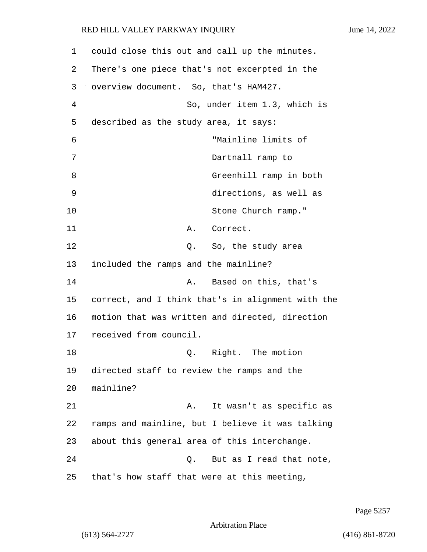| $\mathbf 1$ | could close this out and call up the minutes.     |
|-------------|---------------------------------------------------|
| 2           | There's one piece that's not excerpted in the     |
| 3           | overview document. So, that's HAM427.             |
| 4           | So, under item 1.3, which is                      |
| 5           | described as the study area, it says:             |
| 6           | "Mainline limits of                               |
| 7           | Dartnall ramp to                                  |
| 8           | Greenhill ramp in both                            |
| 9           | directions, as well as                            |
| 10          | Stone Church ramp."                               |
| 11          | Correct.<br>Α.                                    |
| 12          | Q. So, the study area                             |
| 13          | included the ramps and the mainline?              |
| 14          | Based on this, that's<br>Α.                       |
| 15          | correct, and I think that's in alignment with the |
| 16          | motion that was written and directed, direction   |
| 17          | received from council.                            |
| 18          | Right. The motion<br>Q.                           |
| 19          | directed staff to review the ramps and the        |
| 20          | mainline?                                         |
| 21          | It wasn't as specific as<br>Α.                    |
| 22          | ramps and mainline, but I believe it was talking  |
| 23          | about this general area of this interchange.      |
| 24          | Q. But as I read that note,                       |
| 25          | that's how staff that were at this meeting,       |

Page 5257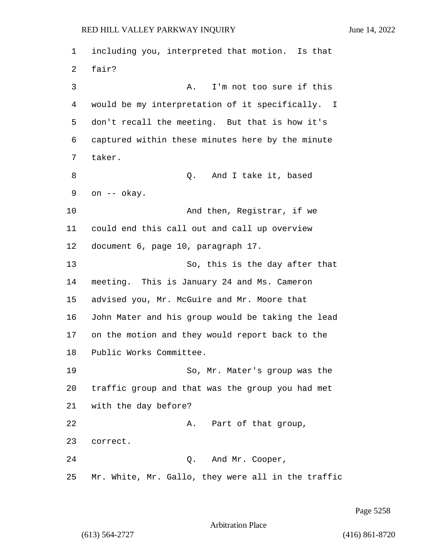including you, interpreted that motion. Is that fair? 3 A. I'm not too sure if this would be my interpretation of it specifically. I don't recall the meeting. But that is how it's captured within these minutes here by the minute taker. 8 and I take it, based on -- okay. 10 And then, Registrar, if we could end this call out and call up overview document 6, page 10, paragraph 17. 13 So, this is the day after that meeting. This is January 24 and Ms. Cameron advised you, Mr. McGuire and Mr. Moore that John Mater and his group would be taking the lead on the motion and they would report back to the Public Works Committee. 19 So, Mr. Mater's group was the traffic group and that was the group you had met with the day before? 22 A. Part of that group, correct. 24 Q. And Mr. Cooper, Mr. White, Mr. Gallo, they were all in the traffic

Page 5258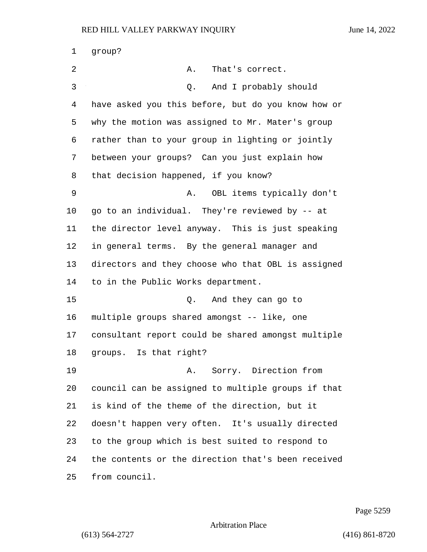| 1  | group?                                             |
|----|----------------------------------------------------|
| 2  | Α.<br>That's correct.                              |
| 3  | And I probably should<br>Q.                        |
| 4  | have asked you this before, but do you know how or |
| 5  | why the motion was assigned to Mr. Mater's group   |
| 6  | rather than to your group in lighting or jointly   |
| 7  | between your groups? Can you just explain how      |
| 8  | that decision happened, if you know?               |
| 9  | OBL items typically don't<br>Α.                    |
| 10 | go to an individual. They're reviewed by -- at     |
| 11 | the director level anyway. This is just speaking   |
| 12 | in general terms. By the general manager and       |
| 13 | directors and they choose who that OBL is assigned |
| 14 | to in the Public Works department.                 |
| 15 | And they can go to<br>Q.                           |
| 16 | multiple groups shared amongst -- like, one        |
| 17 | consultant report could be shared amongst multiple |
| 18 | groups. Is that right?                             |
| 19 | Sorry. Direction from<br>Α.                        |
| 20 | council can be assigned to multiple groups if that |
| 21 | is kind of the theme of the direction, but it      |
| 22 | doesn't happen very often. It's usually directed   |
| 23 | to the group which is best suited to respond to    |
| 24 | the contents or the direction that's been received |
| 25 | from council.                                      |

Page 5259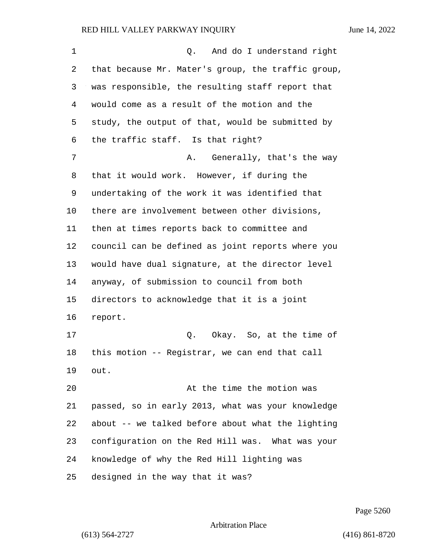| $\mathbf 1$ | Q. And do I understand right                       |
|-------------|----------------------------------------------------|
| 2           | that because Mr. Mater's group, the traffic group, |
| 3           | was responsible, the resulting staff report that   |
| 4           | would come as a result of the motion and the       |
| 5           | study, the output of that, would be submitted by   |
| 6           | the traffic staff. Is that right?                  |
| 7           | A. Generally, that's the way                       |
| 8           | that it would work. However, if during the         |
| 9           | undertaking of the work it was identified that     |
| 10          | there are involvement between other divisions,     |
| 11          | then at times reports back to committee and        |
| 12          | council can be defined as joint reports where you  |
| 13          | would have dual signature, at the director level   |
| 14          | anyway, of submission to council from both         |
| 15          | directors to acknowledge that it is a joint        |
| 16          | report.                                            |
| 17          | Q. Okay. So, at the time of                        |
| 18          | this motion -- Registrar, we can end that call     |
| 19          | out.                                               |
| 20          | At the time the motion was                         |
| 21          | passed, so in early 2013, what was your knowledge  |
| 22          | about -- we talked before about what the lighting  |
| 23          | configuration on the Red Hill was. What was your   |
| 24          | knowledge of why the Red Hill lighting was         |
| 25          | designed in the way that it was?                   |

Page 5260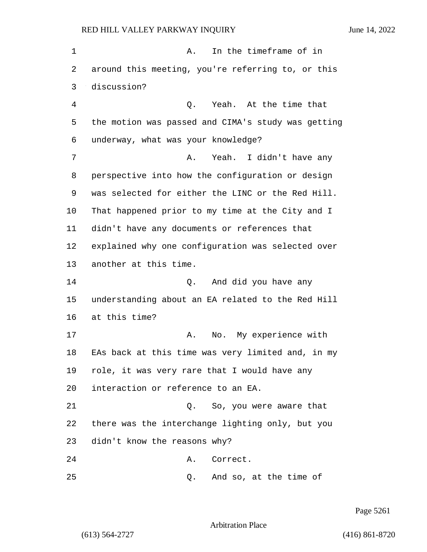1 a. In the timeframe of in around this meeting, you're referring to, or this discussion? 4 Q. Yeah. At the time that the motion was passed and CIMA's study was getting underway, what was your knowledge? 7 A. Yeah. I didn't have any perspective into how the configuration or design was selected for either the LINC or the Red Hill. That happened prior to my time at the City and I didn't have any documents or references that explained why one configuration was selected over another at this time. 14 Q. And did you have any understanding about an EA related to the Red Hill at this time? 17 A. No. My experience with EAs back at this time was very limited and, in my role, it was very rare that I would have any interaction or reference to an EA. 21 Q. So, you were aware that there was the interchange lighting only, but you didn't know the reasons why? 24 A. Correct. 25 Q. And so, at the time of

Page 5261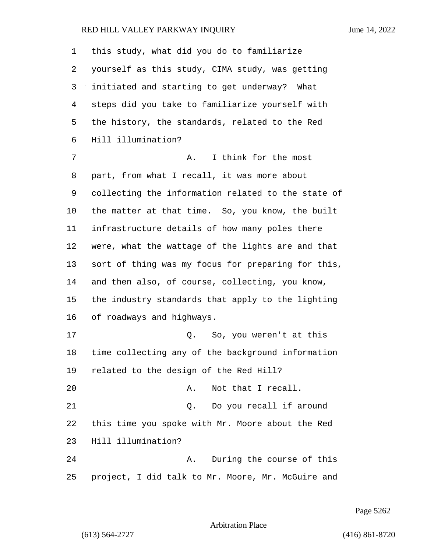| 1       | this study, what did you do to familiarize         |
|---------|----------------------------------------------------|
| 2       | yourself as this study, CIMA study, was getting    |
| 3       | initiated and starting to get underway? What       |
| 4       | steps did you take to familiarize yourself with    |
| 5       | the history, the standards, related to the Red     |
| 6       | Hill illumination?                                 |
| 7       | I think for the most<br>Α.                         |
| 8       | part, from what I recall, it was more about        |
| 9       | collecting the information related to the state of |
| $10 \,$ | the matter at that time. So, you know, the built   |
| 11      | infrastructure details of how many poles there     |
| 12      | were, what the wattage of the lights are and that  |
| 13      | sort of thing was my focus for preparing for this, |
| 14      | and then also, of course, collecting, you know,    |
| 15      | the industry standards that apply to the lighting  |
| 16      | of roadways and highways.                          |
| 17      | Q. So, you weren't at this                         |
| 18      | time collecting any of the background information  |
| 19      | related to the design of the Red Hill?             |
| 20      | Not that I recall.<br>Α.                           |
| 21      | Do you recall if around<br>Q.                      |
| 22      | this time you spoke with Mr. Moore about the Red   |
| 23      | Hill illumination?                                 |
| 24      | During the course of this<br>Α.                    |
| 25      | project, I did talk to Mr. Moore, Mr. McGuire and  |

Page 5262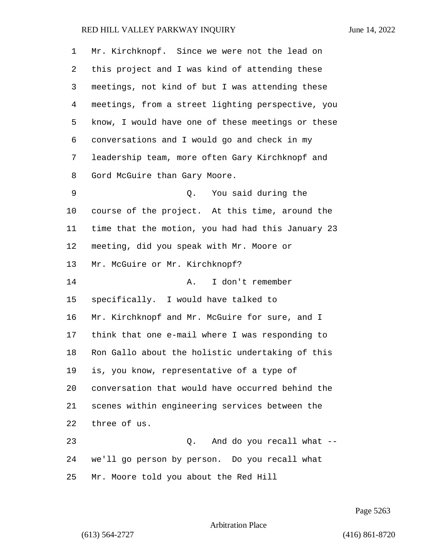| 1  | Mr. Kirchknopf. Since we were not the lead on     |
|----|---------------------------------------------------|
| 2  | this project and I was kind of attending these    |
| 3  | meetings, not kind of but I was attending these   |
| 4  | meetings, from a street lighting perspective, you |
| 5  | know, I would have one of these meetings or these |
| 6  | conversations and I would go and check in my      |
| 7  | leadership team, more often Gary Kirchknopf and   |
| 8  | Gord McGuire than Gary Moore.                     |
| 9  | You said during the<br>Q.                         |
| 10 | course of the project. At this time, around the   |
| 11 | time that the motion, you had had this January 23 |
| 12 | meeting, did you speak with Mr. Moore or          |
| 13 | Mr. McGuire or Mr. Kirchknopf?                    |
| 14 | I don't remember<br>Α.                            |
| 15 | specifically. I would have talked to              |
| 16 | Mr. Kirchknopf and Mr. McGuire for sure, and I    |
| 17 | think that one e-mail where I was responding to   |
| 18 | Ron Gallo about the holistic undertaking of this  |
| 19 | is, you know, representative of a type of         |
| 20 | conversation that would have occurred behind the  |
| 21 | scenes within engineering services between the    |
| 22 | three of us.                                      |
| 23 | And do you recall what --<br>Q.                   |
| 24 | we'll go person by person. Do you recall what     |
| 25 | Mr. Moore told you about the Red Hill             |

Page 5263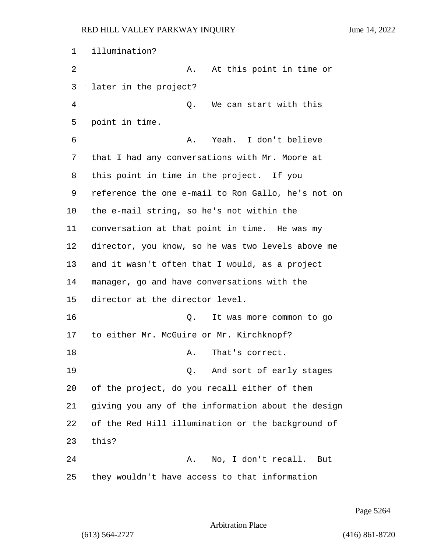illumination? 2 A. At this point in time or later in the project? 4 Q. We can start with this point in time. 6 A. Yeah. I don't believe that I had any conversations with Mr. Moore at this point in time in the project. If you reference the one e-mail to Ron Gallo, he's not on the e-mail string, so he's not within the conversation at that point in time. He was my director, you know, so he was two levels above me and it wasn't often that I would, as a project manager, go and have conversations with the director at the director level. 16 Q. It was more common to go to either Mr. McGuire or Mr. Kirchknopf? 18 A. That's correct. 19 Q. And sort of early stages of the project, do you recall either of them giving you any of the information about the design of the Red Hill illumination or the background of this? 24 A. No, I don't recall. But they wouldn't have access to that information

Page 5264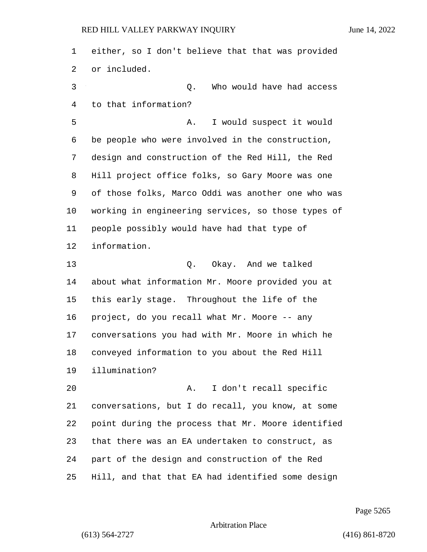either, so I don't believe that that was provided or included. 3 Q. Who would have had access to that information? 5 A. I would suspect it would be people who were involved in the construction, design and construction of the Red Hill, the Red Hill project office folks, so Gary Moore was one of those folks, Marco Oddi was another one who was working in engineering services, so those types of people possibly would have had that type of information. 13 Q. Okay. And we talked about what information Mr. Moore provided you at this early stage. Throughout the life of the project, do you recall what Mr. Moore -- any conversations you had with Mr. Moore in which he conveyed information to you about the Red Hill illumination? 20 A. I don't recall specific conversations, but I do recall, you know, at some point during the process that Mr. Moore identified that there was an EA undertaken to construct, as part of the design and construction of the Red Hill, and that that EA had identified some design

Page 5265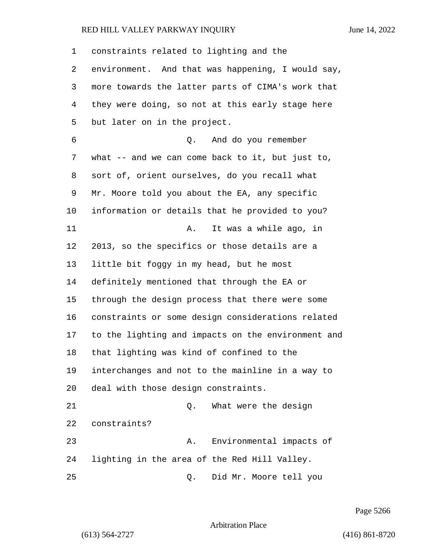constraints related to lighting and the environment. And that was happening, I would say, more towards the latter parts of CIMA's work that they were doing, so not at this early stage here but later on in the project. 6 Q. And do you remember what -- and we can come back to it, but just to, sort of, orient ourselves, do you recall what Mr. Moore told you about the EA, any specific information or details that he provided to you? 11 A. It was a while ago, in 2013, so the specifics or those details are a little bit foggy in my head, but he most definitely mentioned that through the EA or through the design process that there were some constraints or some design considerations related to the lighting and impacts on the environment and that lighting was kind of confined to the interchanges and not to the mainline in a way to deal with those design constraints. 21 Q. What were the design constraints? 23 A. Environmental impacts of lighting in the area of the Red Hill Valley. 25 Q. Did Mr. Moore tell you

Page 5266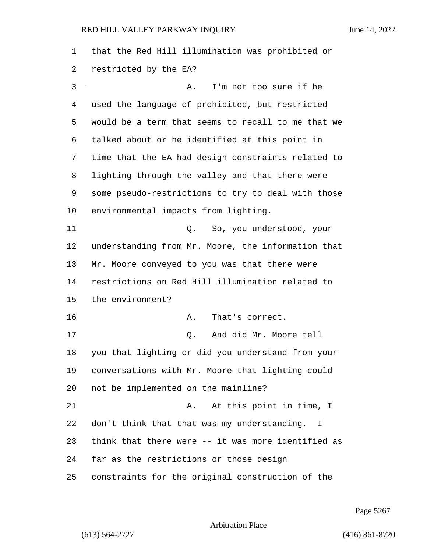that the Red Hill illumination was prohibited or restricted by the EA? 3 A. I'm not too sure if he used the language of prohibited, but restricted would be a term that seems to recall to me that we talked about or he identified at this point in time that the EA had design constraints related to lighting through the valley and that there were some pseudo-restrictions to try to deal with those environmental impacts from lighting. 11 Q. So, you understood, your understanding from Mr. Moore, the information that Mr. Moore conveyed to you was that there were restrictions on Red Hill illumination related to the environment? 16 A. That's correct. 17 Q. And did Mr. Moore tell you that lighting or did you understand from your conversations with Mr. Moore that lighting could not be implemented on the mainline? 21 A. At this point in time, I don't think that that was my understanding. I think that there were -- it was more identified as far as the restrictions or those design constraints for the original construction of the

Page 5267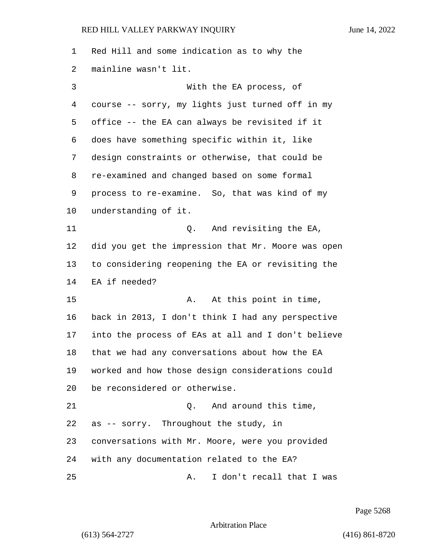| 1  | Red Hill and some indication as to why the         |
|----|----------------------------------------------------|
| 2  | mainline wasn't lit.                               |
| 3  | With the EA process, of                            |
| 4  | course -- sorry, my lights just turned off in my   |
| 5  | office -- the EA can always be revisited if it     |
| 6  | does have something specific within it, like       |
| 7  | design constraints or otherwise, that could be     |
| 8  | re-examined and changed based on some formal       |
| 9  | process to re-examine. So, that was kind of my     |
| 10 | understanding of it.                               |
| 11 | And revisiting the EA,<br>Q.                       |
| 12 | did you get the impression that Mr. Moore was open |
| 13 | to considering reopening the EA or revisiting the  |
| 14 | EA if needed?                                      |
| 15 | At this point in time,<br>Α.                       |
| 16 | back in 2013, I don't think I had any perspective  |
| 17 | into the process of EAs at all and I don't believe |
| 18 | that we had any conversations about how the EA     |
| 19 | worked and how those design considerations could   |
| 20 | be reconsidered or otherwise.                      |
| 21 | And around this time,<br>Q.                        |
| 22 | as -- sorry. Throughout the study, in              |
| 23 | conversations with Mr. Moore, were you provided    |
| 24 | with any documentation related to the EA?          |
| 25 | I don't recall that I was<br>Α.                    |

Page 5268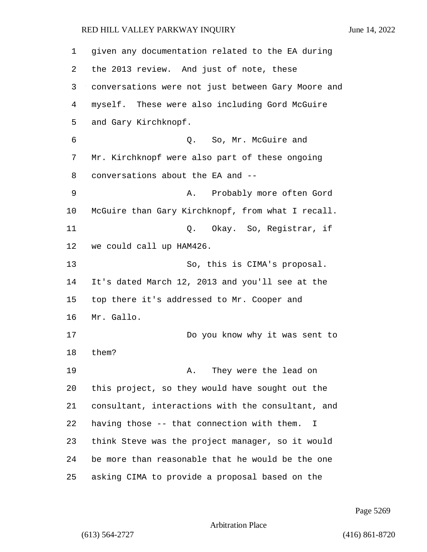| 1  | given any documentation related to the EA during   |
|----|----------------------------------------------------|
| 2  | the 2013 review. And just of note, these           |
| 3  | conversations were not just between Gary Moore and |
| 4  | myself. These were also including Gord McGuire     |
| 5  | and Gary Kirchknopf.                               |
| 6  | Q. So, Mr. McGuire and                             |
| 7  | Mr. Kirchknopf were also part of these ongoing     |
| 8  | conversations about the EA and --                  |
| 9  | Probably more often Gord<br>Α.                     |
| 10 | McGuire than Gary Kirchknopf, from what I recall.  |
| 11 | Q. Okay. So, Registrar, if                         |
| 12 | we could call up HAM426.                           |
| 13 | So, this is CIMA's proposal.                       |
| 14 | It's dated March 12, 2013 and you'll see at the    |
| 15 | top there it's addressed to Mr. Cooper and         |
| 16 | Mr. Gallo.                                         |
| 17 | Do you know why it was sent to                     |
| 18 | them?                                              |
| 19 | They were the lead on<br>Α.                        |
| 20 | this project, so they would have sought out the    |
| 21 | consultant, interactions with the consultant, and  |
| 22 | having those -- that connection with them.<br>I    |
| 23 | think Steve was the project manager, so it would   |
| 24 | be more than reasonable that he would be the one   |
| 25 | asking CIMA to provide a proposal based on the     |

Page 5269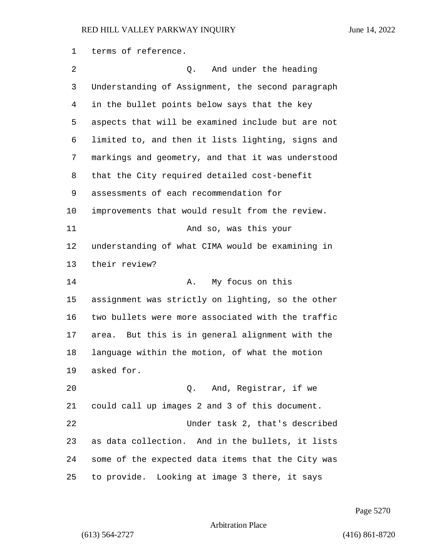terms of reference.

2 and under the heading Understanding of Assignment, the second paragraph in the bullet points below says that the key aspects that will be examined include but are not limited to, and then it lists lighting, signs and markings and geometry, and that it was understood that the City required detailed cost-benefit assessments of each recommendation for improvements that would result from the review. 11 And so, was this your understanding of what CIMA would be examining in their review? 14 A. My focus on this assignment was strictly on lighting, so the other two bullets were more associated with the traffic area. But this is in general alignment with the language within the motion, of what the motion asked for. 20 Q. And, Registrar, if we could call up images 2 and 3 of this document. 22 Under task 2, that's described as data collection. And in the bullets, it lists some of the expected data items that the City was to provide. Looking at image 3 there, it says

Page 5270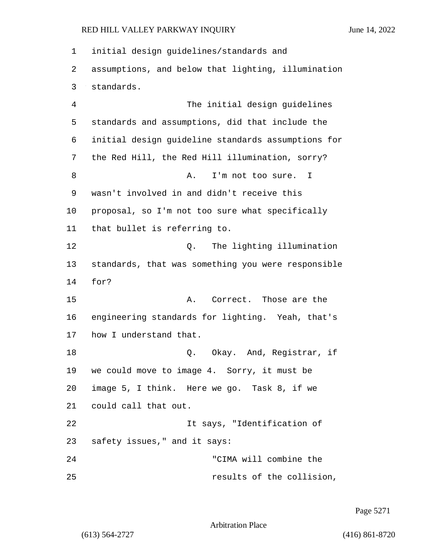initial design guidelines/standards and assumptions, and below that lighting, illumination standards. 4 The initial design guidelines standards and assumptions, did that include the initial design guideline standards assumptions for the Red Hill, the Red Hill illumination, sorry? 8 A. I'm not too sure. I wasn't involved in and didn't receive this proposal, so I'm not too sure what specifically that bullet is referring to. 12 C. The lighting illumination standards, that was something you were responsible 14 for? 15 A. Correct. Those are the engineering standards for lighting. Yeah, that's how I understand that. 18 Q. Okay. And, Registrar, if we could move to image 4. Sorry, it must be image 5, I think. Here we go. Task 8, if we could call that out. 22 It says, "Identification of safety issues," and it says: 24 "CIMA will combine the 25 results of the collision,

Page 5271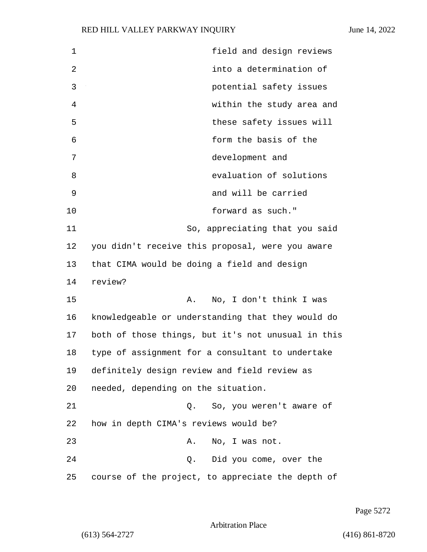| 1  | field and design reviews                           |
|----|----------------------------------------------------|
| 2  | into a determination of                            |
| 3  | potential safety issues                            |
| 4  | within the study area and                          |
| 5  | these safety issues will                           |
| 6  | form the basis of the                              |
| 7  | development and                                    |
| 8  | evaluation of solutions                            |
| 9  | and will be carried                                |
| 10 | forward as such."                                  |
| 11 | So, appreciating that you said                     |
| 12 | you didn't receive this proposal, were you aware   |
| 13 | that CIMA would be doing a field and design        |
| 14 | review?                                            |
| 15 | No, I don't think I was<br>Α.                      |
| 16 | knowledgeable or understanding that they would do  |
| 17 | both of those things, but it's not unusual in this |
| 18 | type of assignment for a consultant to undertake   |
| 19 | definitely design review and field review as       |
| 20 | needed, depending on the situation.                |
| 21 | So, you weren't aware of<br>Q.                     |
| 22 | how in depth CIMA's reviews would be?              |
| 23 | No, I was not.<br>Α.                               |
| 24 | Q. Did you come, over the                          |
| 25 | course of the project, to appreciate the depth of  |

Page 5272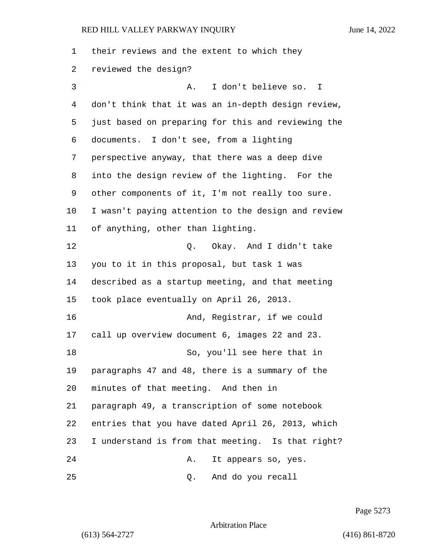their reviews and the extent to which they reviewed the design? 3 A. I don't believe so. I don't think that it was an in-depth design review, just based on preparing for this and reviewing the documents. I don't see, from a lighting perspective anyway, that there was a deep dive into the design review of the lighting. For the other components of it, I'm not really too sure. I wasn't paying attention to the design and review of anything, other than lighting. 12 C. Okay. And I didn't take you to it in this proposal, but task 1 was described as a startup meeting, and that meeting took place eventually on April 26, 2013. 16 And, Registrar, if we could call up overview document 6, images 22 and 23. 18 So, you'll see here that in paragraphs 47 and 48, there is a summary of the minutes of that meeting. And then in paragraph 49, a transcription of some notebook entries that you have dated April 26, 2013, which I understand is from that meeting. Is that right? 24 A. It appears so, yes. 25 Q. And do you recall

Page 5273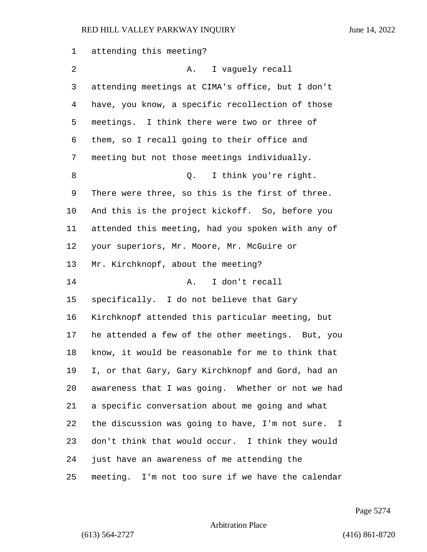| 1  | attending this meeting?                           |
|----|---------------------------------------------------|
| 2  | I vaguely recall<br>A.                            |
| 3  | attending meetings at CIMA's office, but I don't  |
| 4  | have, you know, a specific recollection of those  |
| 5  | meetings. I think there were two or three of      |
| 6  | them, so I recall going to their office and       |
| 7  | meeting but not those meetings individually.      |
| 8  | I think you're right.<br>Q.                       |
| 9  | There were three, so this is the first of three.  |
| 10 | And this is the project kickoff. So, before you   |
| 11 | attended this meeting, had you spoken with any of |
| 12 | your superiors, Mr. Moore, Mr. McGuire or         |
| 13 | Mr. Kirchknopf, about the meeting?                |
| 14 | I don't recall<br>Α.                              |
| 15 | specifically. I do not believe that Gary          |
| 16 | Kirchknopf attended this particular meeting, but  |
| 17 | he attended a few of the other meetings. But, you |
| 18 | know, it would be reasonable for me to think that |
| 19 | I, or that Gary, Gary Kirchknopf and Gord, had an |
| 20 | awareness that I was going. Whether or not we had |
| 21 | a specific conversation about me going and what   |
| 22 | the discussion was going to have, I'm not sure. I |
| 23 | don't think that would occur. I think they would  |
| 24 | just have an awareness of me attending the        |
| 25 | meeting. I'm not too sure if we have the calendar |

Page 5274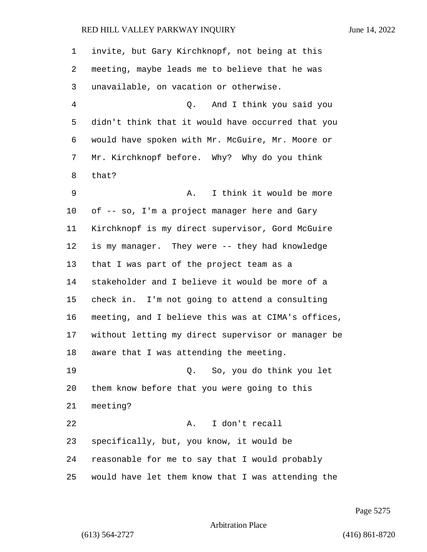invite, but Gary Kirchknopf, not being at this meeting, maybe leads me to believe that he was unavailable, on vacation or otherwise. 4 Q. And I think you said you didn't think that it would have occurred that you would have spoken with Mr. McGuire, Mr. Moore or Mr. Kirchknopf before. Why? Why do you think that? 9 A. I think it would be more of -- so, I'm a project manager here and Gary Kirchknopf is my direct supervisor, Gord McGuire is my manager. They were -- they had knowledge that I was part of the project team as a stakeholder and I believe it would be more of a check in. I'm not going to attend a consulting meeting, and I believe this was at CIMA's offices, without letting my direct supervisor or manager be aware that I was attending the meeting. 19 Q. So, you do think you let them know before that you were going to this meeting? 22 A. I don't recall specifically, but, you know, it would be reasonable for me to say that I would probably would have let them know that I was attending the

Page 5275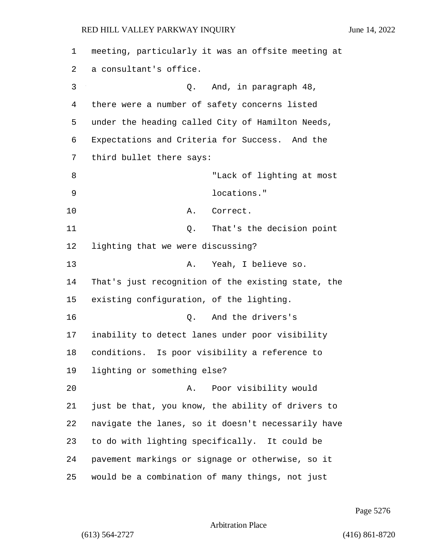| 1  | meeting, particularly it was an offsite meeting at |
|----|----------------------------------------------------|
| 2  | a consultant's office.                             |
| 3  | And, in paragraph 48,<br>Q.                        |
| 4  | there were a number of safety concerns listed      |
| 5  | under the heading called City of Hamilton Needs,   |
| 6  | Expectations and Criteria for Success. And the     |
| 7  | third bullet there says:                           |
| 8  | "Lack of lighting at most                          |
| 9  | locations."                                        |
| 10 | Correct.<br>Α.                                     |
| 11 | That's the decision point<br>Q.                    |
| 12 | lighting that we were discussing?                  |
| 13 | Yeah, I believe so.<br>Α.                          |
| 14 | That's just recognition of the existing state, the |
| 15 | existing configuration, of the lighting.           |
| 16 | And the drivers's<br>Q.                            |
| 17 | inability to detect lanes under poor visibility    |
| 18 | conditions. Is poor visibility a reference to      |
| 19 | lighting or something else?                        |
| 20 | Poor visibility would<br>Α.                        |
| 21 | just be that, you know, the ability of drivers to  |
| 22 | navigate the lanes, so it doesn't necessarily have |
| 23 | to do with lighting specifically. It could be      |
| 24 | pavement markings or signage or otherwise, so it   |
| 25 | would be a combination of many things, not just    |

Page 5276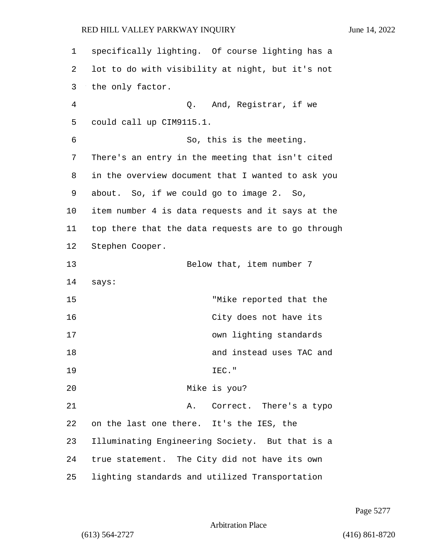1 specifically lighting. Of course lighting has a 2 lot to do with visibility at night, but it's not 3 the only factor. 4 Q. And, Registrar, if we 5 could call up CIM9115.1. 6 So, this is the meeting. 7 There's an entry in the meeting that isn't cited 8 in the overview document that I wanted to ask you 9 about. So, if we could go to image 2. So, 10 item number 4 is data requests and it says at the 11 top there that the data requests are to go through 12 Stephen Cooper. 13 Below that, item number 7 14 says: 15 "Mike reported that the 16 City does not have its 17 own lighting standards 18 and instead uses TAC and 19 IEC." 20 Mike is you? 21 A. Correct. There's a typo 22 on the last one there. It's the IES, the 23 Illuminating Engineering Society. But that is a 24 true statement. The City did not have its own 25 lighting standards and utilized Transportation

Page 5277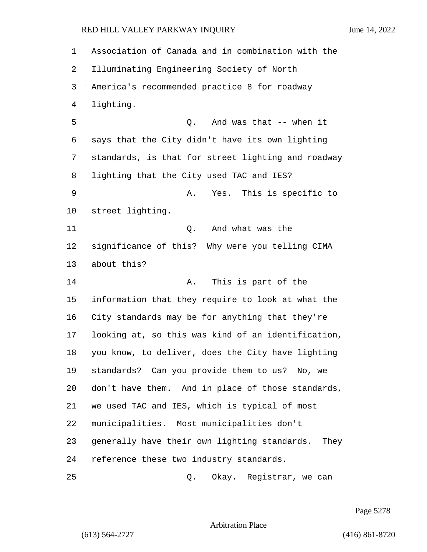Association of Canada and in combination with the Illuminating Engineering Society of North America's recommended practice 8 for roadway lighting. 5 Q. And was that -- when it says that the City didn't have its own lighting standards, is that for street lighting and roadway lighting that the City used TAC and IES? 9 A. Yes. This is specific to street lighting. 11 Q. And what was the significance of this? Why were you telling CIMA about this? 14 A. This is part of the information that they require to look at what the City standards may be for anything that they're looking at, so this was kind of an identification, you know, to deliver, does the City have lighting standards? Can you provide them to us? No, we don't have them. And in place of those standards, we used TAC and IES, which is typical of most municipalities. Most municipalities don't generally have their own lighting standards. They reference these two industry standards. 25 Q. Okay. Registrar, we can

Page 5278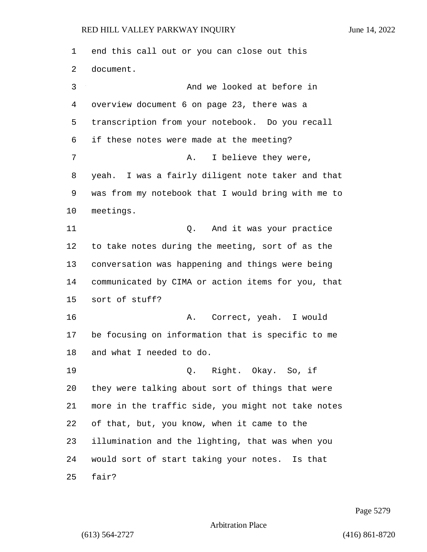end this call out or you can close out this document. 3 And we looked at before in overview document 6 on page 23, there was a transcription from your notebook. Do you recall if these notes were made at the meeting? 7 A. I believe they were, yeah. I was a fairly diligent note taker and that was from my notebook that I would bring with me to meetings. 11 Q. And it was your practice to take notes during the meeting, sort of as the conversation was happening and things were being communicated by CIMA or action items for you, that sort of stuff? 16 A. Correct, yeah. I would be focusing on information that is specific to me and what I needed to do. 19 Q. Right. Okay. So, if they were talking about sort of things that were more in the traffic side, you might not take notes of that, but, you know, when it came to the illumination and the lighting, that was when you would sort of start taking your notes. Is that fair?

Page 5279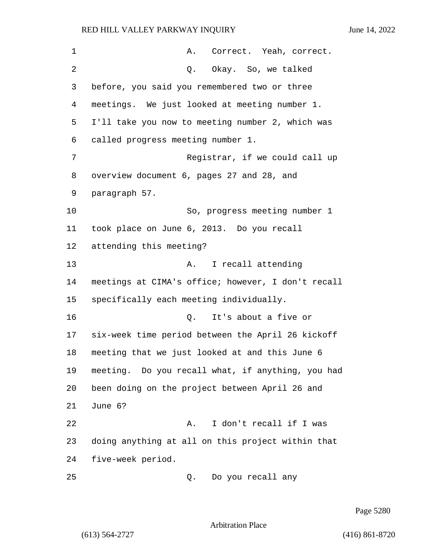1 A. Correct. Yeah, correct. 2 Q. Okay. So, we talked before, you said you remembered two or three meetings. We just looked at meeting number 1. I'll take you now to meeting number 2, which was called progress meeting number 1. 7 Registrar, if we could call up overview document 6, pages 27 and 28, and paragraph 57. 10 So, progress meeting number 1 took place on June 6, 2013. Do you recall attending this meeting? 13 A. I recall attending meetings at CIMA's office; however, I don't recall specifically each meeting individually. 16 Q. It's about a five or six-week time period between the April 26 kickoff meeting that we just looked at and this June 6 meeting. Do you recall what, if anything, you had been doing on the project between April 26 and 21 June 6? 22 A. I don't recall if I was doing anything at all on this project within that five-week period. 25 Q. Do you recall any

Page 5280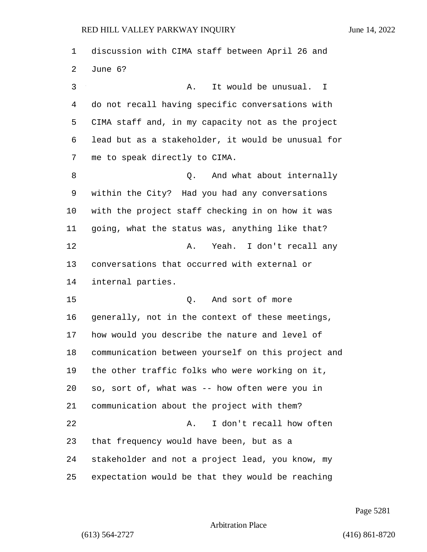discussion with CIMA staff between April 26 and June 6? 3 A. It would be unusual. I do not recall having specific conversations with CIMA staff and, in my capacity not as the project lead but as a stakeholder, it would be unusual for me to speak directly to CIMA. 8 and what about internally within the City? Had you had any conversations with the project staff checking in on how it was going, what the status was, anything like that? 12 A. Yeah. I don't recall any conversations that occurred with external or internal parties. 15 Q. And sort of more generally, not in the context of these meetings, how would you describe the nature and level of communication between yourself on this project and the other traffic folks who were working on it, so, sort of, what was -- how often were you in communication about the project with them? 22 A. I don't recall how often that frequency would have been, but as a stakeholder and not a project lead, you know, my expectation would be that they would be reaching

Page 5281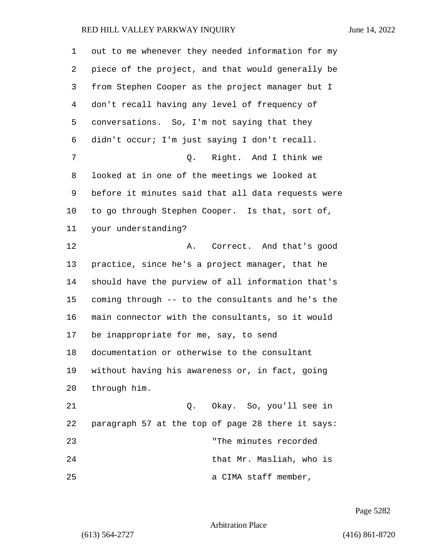| 1  | out to me whenever they needed information for my  |
|----|----------------------------------------------------|
| 2  | piece of the project, and that would generally be  |
| 3  | from Stephen Cooper as the project manager but I   |
| 4  | don't recall having any level of frequency of      |
| 5  | conversations. So, I'm not saying that they        |
| 6  | didn't occur; I'm just saying I don't recall.      |
| 7  | Right. And I think we<br>Q.                        |
| 8  | looked at in one of the meetings we looked at      |
| 9  | before it minutes said that all data requests were |
| 10 | to go through Stephen Cooper. Is that, sort of,    |
| 11 | your understanding?                                |
| 12 | Correct. And that's good<br>Α.                     |
| 13 | practice, since he's a project manager, that he    |
| 14 | should have the purview of all information that's  |
| 15 | coming through -- to the consultants and he's the  |
| 16 | main connector with the consultants, so it would   |
| 17 | be inappropriate for me, say, to send              |
| 18 | documentation or otherwise to the consultant       |
| 19 | without having his awareness or, in fact, going    |
| 20 | through him.                                       |
| 21 | Q. Okay. So, you'll see in                         |
| 22 | paragraph 57 at the top of page 28 there it says:  |
| 23 | "The minutes recorded                              |
| 24 | that Mr. Masliah, who is                           |
| 25 | a CIMA staff member,                               |

Page 5282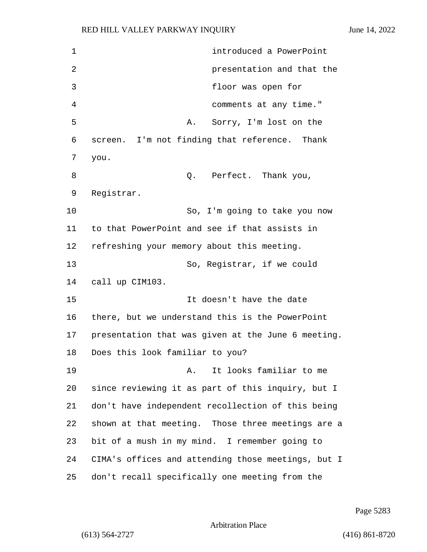1 introduced a PowerPoint 2 presentation and that the 3 floor was open for 4 comments at any time." 5 A. Sorry, I'm lost on the 6 screen. I'm not finding that reference. Thank 7 you. 8 a Q. Perfect. Thank you, 9 Registrar. 10 So, I'm going to take you now 11 to that PowerPoint and see if that assists in 12 refreshing your memory about this meeting. 13 So, Registrar, if we could 14 call up CIM103. 15 It doesn't have the date 16 there, but we understand this is the PowerPoint 17 presentation that was given at the June 6 meeting. 18 Does this look familiar to you? 19 A. It looks familiar to me 20 since reviewing it as part of this inquiry, but I 21 don't have independent recollection of this being 22 shown at that meeting. Those three meetings are a 23 bit of a mush in my mind. I remember going to 24 CIMA's offices and attending those meetings, but I 25 don't recall specifically one meeting from the

Page 5283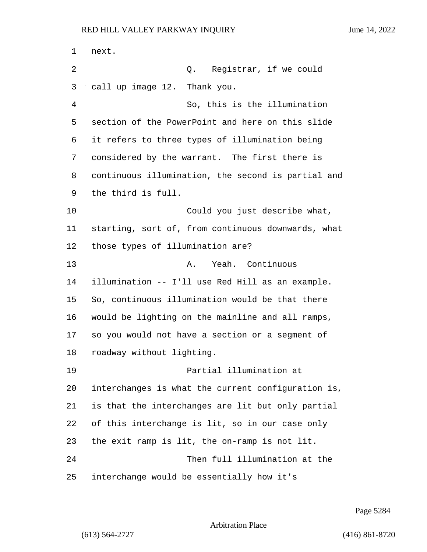next. 2 Q. Registrar, if we could call up image 12. Thank you. 4 So, this is the illumination section of the PowerPoint and here on this slide it refers to three types of illumination being considered by the warrant. The first there is continuous illumination, the second is partial and the third is full. 10 Could you just describe what, starting, sort of, from continuous downwards, what those types of illumination are? 13 A. Yeah. Continuous illumination -- I'll use Red Hill as an example. So, continuous illumination would be that there would be lighting on the mainline and all ramps, so you would not have a section or a segment of roadway without lighting. 19 Partial illumination at interchanges is what the current configuration is, is that the interchanges are lit but only partial of this interchange is lit, so in our case only the exit ramp is lit, the on-ramp is not lit. 24 Then full illumination at the interchange would be essentially how it's

Page 5284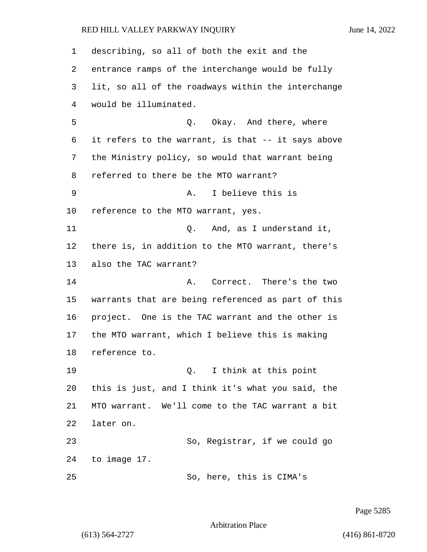describing, so all of both the exit and the entrance ramps of the interchange would be fully lit, so all of the roadways within the interchange would be illuminated. 5 Q. Okay. And there, where it refers to the warrant, is that -- it says above the Ministry policy, so would that warrant being referred to there be the MTO warrant? 9 A. I believe this is reference to the MTO warrant, yes. 11 C. And, as I understand it, there is, in addition to the MTO warrant, there's also the TAC warrant? 14 A. Correct. There's the two warrants that are being referenced as part of this project. One is the TAC warrant and the other is the MTO warrant, which I believe this is making reference to. 19 Q. I think at this point this is just, and I think it's what you said, the MTO warrant. We'll come to the TAC warrant a bit later on. 23 So, Registrar, if we could go to image 17. 25 So, here, this is CIMA's

Page 5285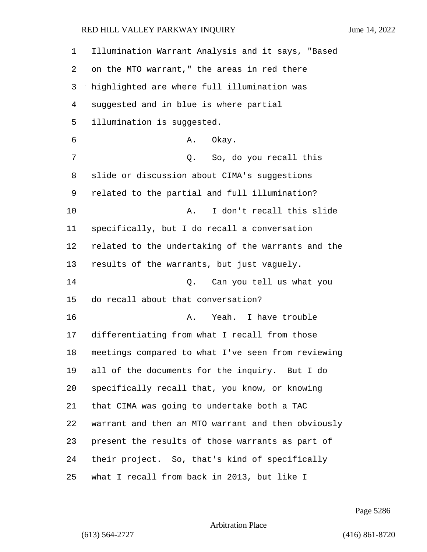| 1  | Illumination Warrant Analysis and it says, "Based  |
|----|----------------------------------------------------|
| 2  | on the MTO warrant," the areas in red there        |
| 3  | highlighted are where full illumination was        |
| 4  | suggested and in blue is where partial             |
| 5  | illumination is suggested.                         |
| 6  | Okay.<br>Α.                                        |
| 7  | Q. So, do you recall this                          |
| 8  | slide or discussion about CIMA's suggestions       |
| 9  | related to the partial and full illumination?      |
| 10 | I don't recall this slide<br>Α.                    |
| 11 | specifically, but I do recall a conversation       |
| 12 | related to the undertaking of the warrants and the |
| 13 | results of the warrants, but just vaguely.         |
| 14 | Q. Can you tell us what you                        |
| 15 | do recall about that conversation?                 |
| 16 | Yeah. I have trouble<br>Α.                         |
| 17 | differentiating from what I recall from those      |
| 18 | meetings compared to what I've seen from reviewing |
| 19 | all of the documents for the inquiry. But I do     |
| 20 | specifically recall that, you know, or knowing     |
| 21 | that CIMA was going to undertake both a TAC        |
| 22 | warrant and then an MTO warrant and then obviously |
| 23 | present the results of those warrants as part of   |
| 24 | their project. So, that's kind of specifically     |
| 25 | what I recall from back in 2013, but like I        |

Page 5286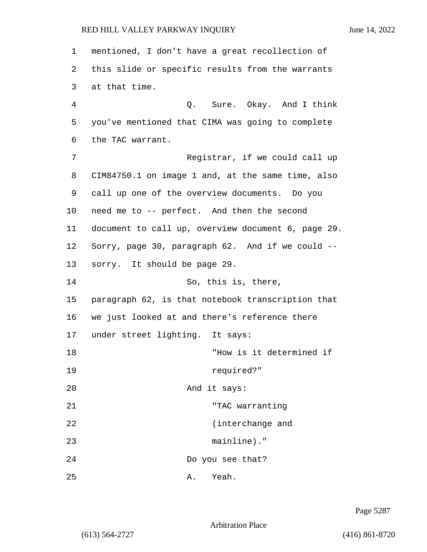| 1  | mentioned, I don't have a great recollection of    |
|----|----------------------------------------------------|
| 2  | this slide or specific results from the warrants   |
| 3  | at that time.                                      |
| 4  | Q. Sure. Okay. And I think                         |
| 5  | you've mentioned that CIMA was going to complete   |
| 6  | the TAC warrant.                                   |
| 7  | Registrar, if we could call up                     |
| 8  | CIM84750.1 on image 1 and, at the same time, also  |
| 9  | call up one of the overview documents. Do you      |
| 10 | need me to -- perfect. And then the second         |
| 11 | document to call up, overview document 6, page 29. |
| 12 | Sorry, page 30, paragraph 62. And if we could --   |
| 13 | sorry. It should be page 29.                       |
| 14 | So, this is, there,                                |
| 15 | paragraph 62, is that notebook transcription that  |
| 16 | we just looked at and there's reference there      |
| 17 | under street lighting. It says:                    |
| 18 | "How is it determined if                           |
| 19 | required?"                                         |
| 20 | And it says:                                       |
| 21 | "TAC warranting                                    |
| 22 | (interchange and                                   |
| 23 | mainline)."                                        |
| 24 | Do you see that?                                   |
| 25 | Yeah.<br>Α.                                        |

Page 5287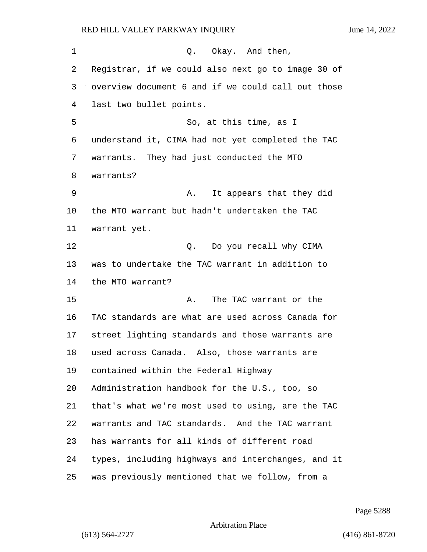| 1  | Q. Okay. And then,                                 |
|----|----------------------------------------------------|
| 2  | Registrar, if we could also next go to image 30 of |
| 3  | overview document 6 and if we could call out those |
| 4  | last two bullet points.                            |
| 5  | So, at this time, as I                             |
| 6  | understand it, CIMA had not yet completed the TAC  |
| 7  | warrants. They had just conducted the MTO          |
| 8  | warrants?                                          |
| 9  | It appears that they did<br>Α.                     |
| 10 | the MTO warrant but hadn't undertaken the TAC      |
| 11 | warrant yet.                                       |
| 12 | Q. Do you recall why CIMA                          |
| 13 | was to undertake the TAC warrant in addition to    |
| 14 | the MTO warrant?                                   |
| 15 | The TAC warrant or the<br>Α.                       |
| 16 | TAC standards are what are used across Canada for  |
| 17 | street lighting standards and those warrants are   |
| 18 | used across Canada. Also, those warrants are       |
| 19 | contained within the Federal Highway               |
| 20 | Administration handbook for the U.S., too, so      |
| 21 | that's what we're most used to using, are the TAC  |
| 22 | warrants and TAC standards. And the TAC warrant    |
| 23 | has warrants for all kinds of different road       |
| 24 | types, including highways and interchanges, and it |
| 25 | was previously mentioned that we follow, from a    |

Page 5288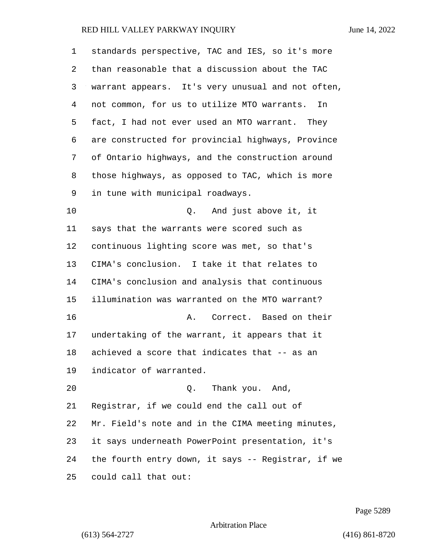| 1  | standards perspective, TAC and IES, so it's more   |
|----|----------------------------------------------------|
| 2  | than reasonable that a discussion about the TAC    |
| 3  | warrant appears. It's very unusual and not often,  |
| 4  | not common, for us to utilize MTO warrants.<br>In  |
| 5  | fact, I had not ever used an MTO warrant. They     |
| 6  | are constructed for provincial highways, Province  |
| 7  | of Ontario highways, and the construction around   |
| 8  | those highways, as opposed to TAC, which is more   |
| 9  | in tune with municipal roadways.                   |
| 10 | And just above it, it<br>Q.                        |
| 11 | says that the warrants were scored such as         |
| 12 | continuous lighting score was met, so that's       |
| 13 | CIMA's conclusion. I take it that relates to       |
| 14 | CIMA's conclusion and analysis that continuous     |
| 15 | illumination was warranted on the MTO warrant?     |
| 16 | Correct. Based on their<br>Α.                      |
| 17 | undertaking of the warrant, it appears that it     |
| 18 | achieved a score that indicates that -- as an      |
| 19 | indicator of warranted.                            |
| 20 | Q. Thank you. And,                                 |
| 21 | Registrar, if we could end the call out of         |
| 22 | Mr. Field's note and in the CIMA meeting minutes,  |
| 23 | it says underneath PowerPoint presentation, it's   |
| 24 | the fourth entry down, it says -- Registrar, if we |
| 25 | could call that out:                               |

Page 5289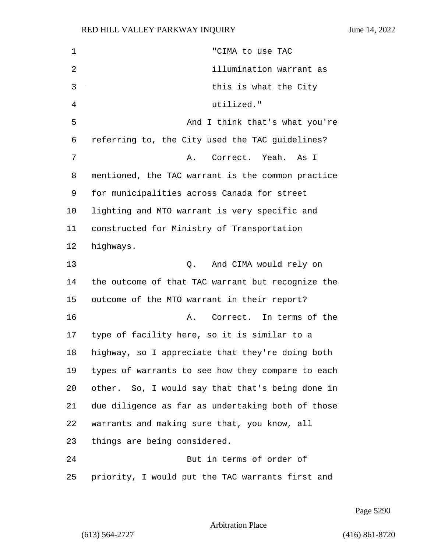1 "CIMA to use TAC 2 illumination warrant as 3 this is what the City 4 utilized." 5 And I think that's what you're referring to, the City used the TAC guidelines? 7 A. Correct. Yeah. As I mentioned, the TAC warrant is the common practice for municipalities across Canada for street lighting and MTO warrant is very specific and constructed for Ministry of Transportation highways. 13 Q. And CIMA would rely on the outcome of that TAC warrant but recognize the outcome of the MTO warrant in their report? 16 A. Correct. In terms of the type of facility here, so it is similar to a highway, so I appreciate that they're doing both types of warrants to see how they compare to each other. So, I would say that that's being done in due diligence as far as undertaking both of those warrants and making sure that, you know, all things are being considered. 24 But in terms of order of priority, I would put the TAC warrants first and

Page 5290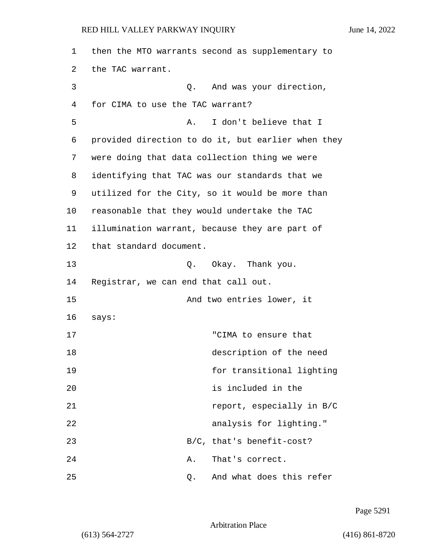| 1  | then the MTO warrants second as supplementary to   |
|----|----------------------------------------------------|
| 2  | the TAC warrant.                                   |
| 3  | And was your direction,<br>Q.                      |
| 4  | for CIMA to use the TAC warrant?                   |
| 5  | I don't believe that I<br>Α.                       |
| 6  | provided direction to do it, but earlier when they |
| 7  | were doing that data collection thing we were      |
| 8  | identifying that TAC was our standards that we     |
| 9  | utilized for the City, so it would be more than    |
| 10 | reasonable that they would undertake the TAC       |
| 11 | illumination warrant, because they are part of     |
| 12 | that standard document.                            |
| 13 | Okay. Thank you.<br>Q.                             |
| 14 | Registrar, we can end that call out.               |
| 15 | And two entries lower, it                          |
| 16 | says:                                              |
| 17 | "CIMA to ensure that                               |
| 18 | description of the need                            |
| 19 | for transitional lighting                          |
| 20 | is included in the                                 |
| 21 | report, especially in B/C                          |
| 22 | analysis for lighting."                            |
| 23 | B/C, that's benefit-cost?                          |
| 24 | That's correct.<br>Α.                              |
| 25 | And what does this refer<br>Q.                     |

Page 5291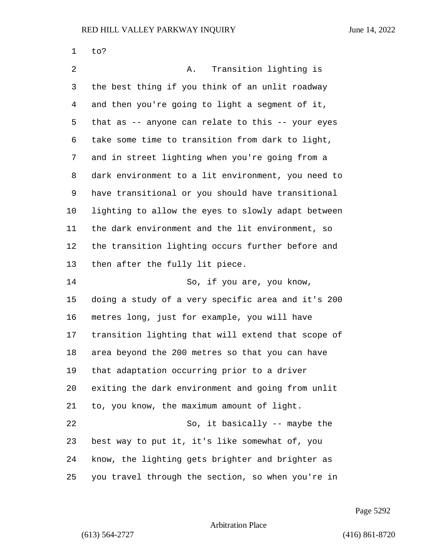| 1  | to?                                                |
|----|----------------------------------------------------|
| 2  | Transition lighting is<br>Α.                       |
| 3  | the best thing if you think of an unlit roadway    |
| 4  | and then you're going to light a segment of it,    |
| 5  | that as -- anyone can relate to this -- your eyes  |
| 6  | take some time to transition from dark to light,   |
| 7  | and in street lighting when you're going from a    |
| 8  | dark environment to a lit environment, you need to |
| 9  | have transitional or you should have transitional  |
| 10 | lighting to allow the eyes to slowly adapt between |
| 11 | the dark environment and the lit environment, so   |
| 12 | the transition lighting occurs further before and  |
| 13 | then after the fully lit piece.                    |
| 14 | So, if you are, you know,                          |
| 15 | doing a study of a very specific area and it's 200 |
| 16 | metres long, just for example, you will have       |
| 17 | transition lighting that will extend that scope of |
| 18 | area beyond the 200 metres so that you can have    |
| 19 | that adaptation occurring prior to a driver        |
| 20 | exiting the dark environment and going from unlit  |
| 21 | to, you know, the maximum amount of light.         |
| 22 | So, it basically -- maybe the                      |
| 23 | best way to put it, it's like somewhat of, you     |
| 24 | know, the lighting gets brighter and brighter as   |
| 25 | you travel through the section, so when you're in  |

Page 5292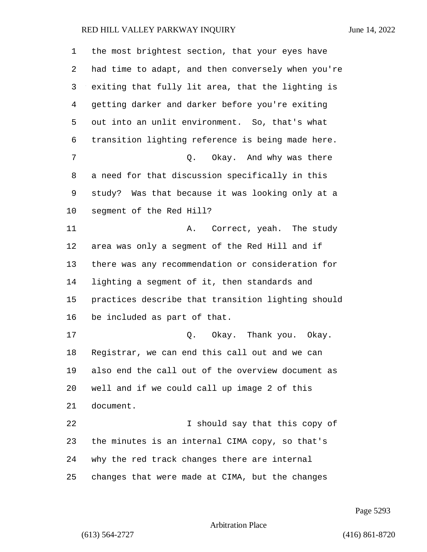| $\mathbf 1$ | the most brightest section, that your eyes have    |
|-------------|----------------------------------------------------|
| 2           | had time to adapt, and then conversely when you're |
| 3           | exiting that fully lit area, that the lighting is  |
| 4           | getting darker and darker before you're exiting    |
| 5           | out into an unlit environment. So, that's what     |
| 6           | transition lighting reference is being made here.  |
| 7           | Q. Okay. And why was there                         |
| 8           | a need for that discussion specifically in this    |
| 9           | study? Was that because it was looking only at a   |
| 10          | segment of the Red Hill?                           |
| 11          | A. Correct, yeah. The study                        |
| 12          | area was only a segment of the Red Hill and if     |
| 13          | there was any recommendation or consideration for  |
| 14          | lighting a segment of it, then standards and       |
| 15          | practices describe that transition lighting should |
| 16          | be included as part of that.                       |
| 17          | Q. Okay. Thank you. Okay.                          |
| 18          | Registrar, we can end this call out and we can     |
| 19          | also end the call out of the overview document as  |
| 20          | well and if we could call up image 2 of this       |
| 21          | document.                                          |
| 22          | I should say that this copy of                     |
| 23          | the minutes is an internal CIMA copy, so that's    |
| 24          | why the red track changes there are internal       |
| 25          | changes that were made at CIMA, but the changes    |

Page 5293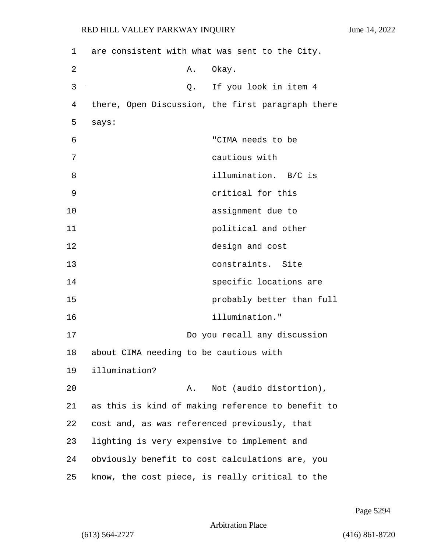| 1  | are consistent with what was sent to the City.  |                                                   |
|----|-------------------------------------------------|---------------------------------------------------|
| 2  | Α.                                              | Okay.                                             |
| 3  | Q.                                              | If you look in item 4                             |
| 4  |                                                 | there, Open Discussion, the first paragraph there |
| 5  | says:                                           |                                                   |
| 6  |                                                 | "CIMA needs to be                                 |
| 7  |                                                 | cautious with                                     |
| 8  |                                                 | illumination. B/C is                              |
| 9  |                                                 | critical for this                                 |
| 10 |                                                 | assignment due to                                 |
| 11 |                                                 | political and other                               |
| 12 |                                                 | design and cost                                   |
| 13 |                                                 | constraints. Site                                 |
| 14 |                                                 | specific locations are                            |
| 15 |                                                 | probably better than full                         |
| 16 |                                                 | illumination."                                    |
| 17 |                                                 | Do you recall any discussion                      |
| 18 | about CIMA needing to be cautious with          |                                                   |
| 19 | illumination?                                   |                                                   |
| 20 | Α.                                              | Not (audio distortion),                           |
| 21 |                                                 | as this is kind of making reference to benefit to |
| 22 | cost and, as was referenced previously, that    |                                                   |
| 23 | lighting is very expensive to implement and     |                                                   |
| 24 |                                                 | obviously benefit to cost calculations are, you   |
| 25 | know, the cost piece, is really critical to the |                                                   |

Page 5294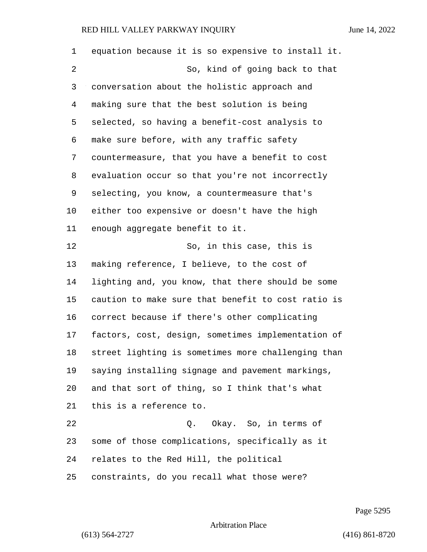equation because it is so expensive to install it. 2 So, kind of going back to that conversation about the holistic approach and making sure that the best solution is being selected, so having a benefit-cost analysis to make sure before, with any traffic safety countermeasure, that you have a benefit to cost evaluation occur so that you're not incorrectly selecting, you know, a countermeasure that's either too expensive or doesn't have the high enough aggregate benefit to it. 12 So, in this case, this is making reference, I believe, to the cost of lighting and, you know, that there should be some caution to make sure that benefit to cost ratio is correct because if there's other complicating factors, cost, design, sometimes implementation of street lighting is sometimes more challenging than saying installing signage and pavement markings, and that sort of thing, so I think that's what this is a reference to. 22 Q. Okay. So, in terms of some of those complications, specifically as it relates to the Red Hill, the political constraints, do you recall what those were?

Page 5295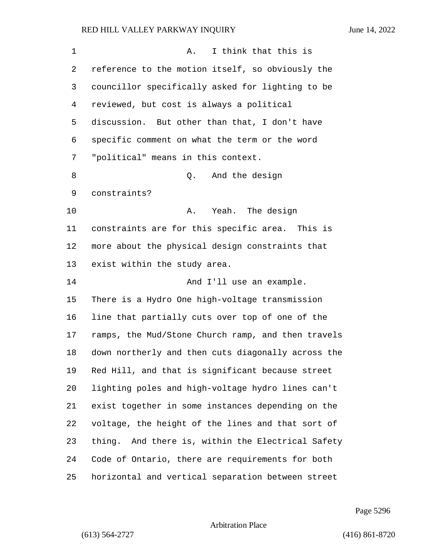| 1              | I think that this is<br>Α.                         |
|----------------|----------------------------------------------------|
| 2              | reference to the motion itself, so obviously the   |
| 3              | councillor specifically asked for lighting to be   |
| $\overline{4}$ | reviewed, but cost is always a political           |
| 5              | discussion. But other than that, I don't have      |
| 6              | specific comment on what the term or the word      |
| 7              | "political" means in this context.                 |
| 8              | And the design<br>Q.                               |
| 9              | constraints?                                       |
| 10             | Yeah.<br>The design<br>Α.                          |
| 11             | constraints are for this specific area. This is    |
| 12             | more about the physical design constraints that    |
| 13             | exist within the study area.                       |
| 14             | And I'll use an example.                           |
| 15             | There is a Hydro One high-voltage transmission     |
| 16             | line that partially cuts over top of one of the    |
| 17             | ramps, the Mud/Stone Church ramp, and then travels |
| 18             | down northerly and then cuts diagonally across the |
| 19             | Red Hill, and that is significant because street   |
| 20             | lighting poles and high-voltage hydro lines can't  |
| 21             | exist together in some instances depending on the  |
| 22             | voltage, the height of the lines and that sort of  |
| 23             | thing. And there is, within the Electrical Safety  |
| 24             | Code of Ontario, there are requirements for both   |
| 25             | horizontal and vertical separation between street  |

Page 5296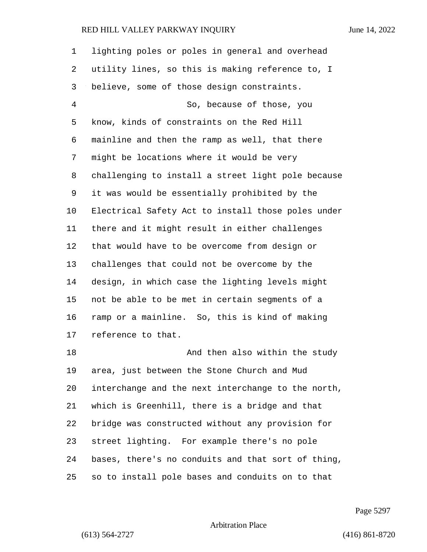lighting poles or poles in general and overhead utility lines, so this is making reference to, I believe, some of those design constraints. 4 So, because of those, you know, kinds of constraints on the Red Hill mainline and then the ramp as well, that there might be locations where it would be very challenging to install a street light pole because it was would be essentially prohibited by the Electrical Safety Act to install those poles under there and it might result in either challenges that would have to be overcome from design or challenges that could not be overcome by the design, in which case the lighting levels might not be able to be met in certain segments of a ramp or a mainline. So, this is kind of making reference to that. 18 And then also within the study area, just between the Stone Church and Mud interchange and the next interchange to the north, which is Greenhill, there is a bridge and that bridge was constructed without any provision for street lighting. For example there's no pole bases, there's no conduits and that sort of thing, so to install pole bases and conduits on to that

Page 5297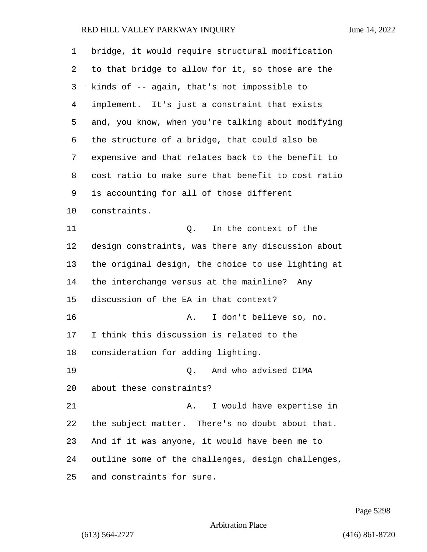| 1              | bridge, it would require structural modification   |
|----------------|----------------------------------------------------|
| 2              | to that bridge to allow for it, so those are the   |
| 3              | kinds of -- again, that's not impossible to        |
| $\overline{4}$ | implement. It's just a constraint that exists      |
| 5              | and, you know, when you're talking about modifying |
| 6              | the structure of a bridge, that could also be      |
| 7              | expensive and that relates back to the benefit to  |
| 8              | cost ratio to make sure that benefit to cost ratio |
| 9              | is accounting for all of those different           |
| 10             | constraints.                                       |
| 11             | In the context of the<br>Q.                        |
| 12             | design constraints, was there any discussion about |
| 13             | the original design, the choice to use lighting at |
| 14             | the interchange versus at the mainline?<br>Any     |
| 15             | discussion of the EA in that context?              |
| 16             | I don't believe so, no.<br>Α.                      |
| 17             | I think this discussion is related to the          |
| 18             | consideration for adding lighting.                 |
| 19             | And who advised CIMA<br>0.                         |
| 20             | about these constraints?                           |
| 21             | I would have expertise in<br>Α.                    |
| 22             | the subject matter. There's no doubt about that.   |
| 23             | And if it was anyone, it would have been me to     |
| 24             | outline some of the challenges, design challenges, |
| 25             | and constraints for sure.                          |

Page 5298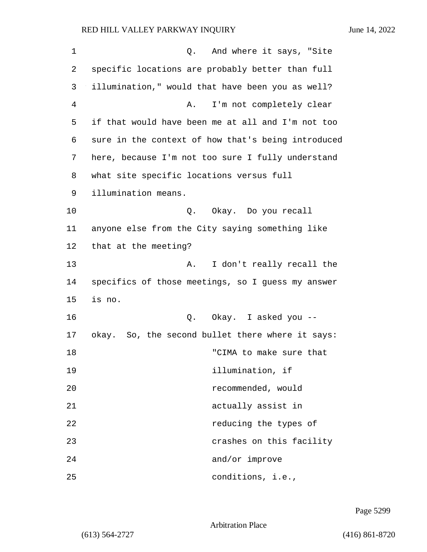| $\mathbf 1$ | Q. And where it says, "Site                        |
|-------------|----------------------------------------------------|
| 2           | specific locations are probably better than full   |
| 3           | illumination," would that have been you as well?   |
| 4           | I'm not completely clear<br>Α.                     |
| 5           | if that would have been me at all and I'm not too  |
| 6           | sure in the context of how that's being introduced |
| 7           | here, because I'm not too sure I fully understand  |
| 8           | what site specific locations versus full           |
| 9           | illumination means.                                |
| 10          | Q. Okay. Do you recall                             |
| 11          | anyone else from the City saying something like    |
| 12          | that at the meeting?                               |
| 13          | I don't really recall the<br>Α.                    |
| 14          | specifics of those meetings, so I guess my answer  |
| 15          | is no.                                             |
| 16          | Q. Okay. I asked you --                            |
| 17          | okay. So, the second bullet there where it says:   |
| 18          | "CIMA to make sure that                            |
| 19          | illumination, if                                   |
| 20          | recommended, would                                 |
| 21          | actually assist in                                 |
| 22          | reducing the types of                              |
| 23          | crashes on this facility                           |
| 24          | and/or improve                                     |
| 25          | conditions, i.e.,                                  |

Page 5299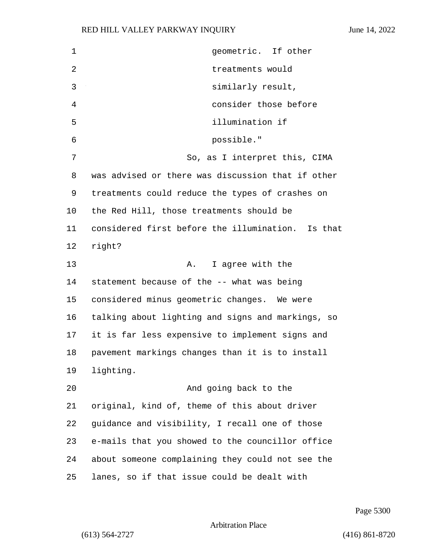| $\mathbf 1$ | geometric. If other                               |
|-------------|---------------------------------------------------|
| 2           | treatments would                                  |
| 3           | similarly result,                                 |
| 4           | consider those before                             |
| 5           | illumination if                                   |
| 6           | possible."                                        |
| 7           | So, as I interpret this, CIMA                     |
| 8           | was advised or there was discussion that if other |
| 9           | treatments could reduce the types of crashes on   |
| 10          | the Red Hill, those treatments should be          |
| 11          | considered first before the illumination. Is that |
| 12          | right?                                            |
| 13          | I agree with the<br>Α.                            |
| 14          | statement because of the -- what was being        |
| 15          | considered minus geometric changes. We were       |
| 16          | talking about lighting and signs and markings, so |
| 17          | it is far less expensive to implement signs and   |
| 18          | pavement markings changes than it is to install   |
| 19          | lighting.                                         |
| 20          | And going back to the                             |
| 21          | original, kind of, theme of this about driver     |
| 22          | guidance and visibility, I recall one of those    |
| 23          | e-mails that you showed to the councillor office  |
| 24          | about someone complaining they could not see the  |
| 25          | lanes, so if that issue could be dealt with       |

Page 5300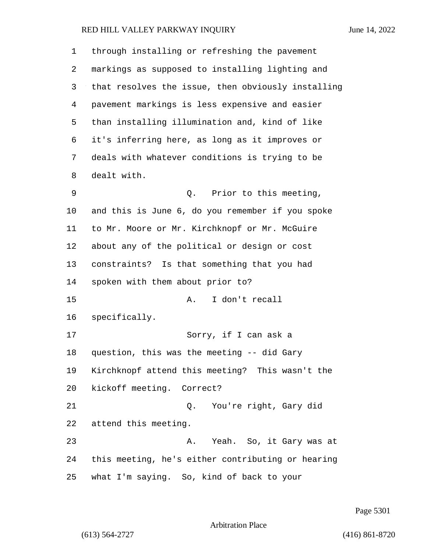| 1  | through installing or refreshing the pavement      |
|----|----------------------------------------------------|
| 2  | markings as supposed to installing lighting and    |
| 3  | that resolves the issue, then obviously installing |
| 4  | pavement markings is less expensive and easier     |
| 5  | than installing illumination and, kind of like     |
| 6  | it's inferring here, as long as it improves or     |
| 7  | deals with whatever conditions is trying to be     |
| 8  | dealt with.                                        |
| 9  | Prior to this meeting,<br>Q.                       |
| 10 | and this is June 6, do you remember if you spoke   |
| 11 | to Mr. Moore or Mr. Kirchknopf or Mr. McGuire      |
| 12 | about any of the political or design or cost       |
| 13 | constraints? Is that something that you had        |
| 14 | spoken with them about prior to?                   |
| 15 | I don't recall<br>Α.                               |
| 16 | specifically.                                      |
| 17 | Sorry, if I can ask a                              |
| 18 | question, this was the meeting -- did Gary         |
| 19 | Kirchknopf attend this meeting? This wasn't the    |
| 20 | kickoff meeting. Correct?                          |
| 21 | Q. You're right, Gary did                          |
| 22 | attend this meeting.                               |
| 23 | A. Yeah. So, it Gary was at                        |
| 24 | this meeting, he's either contributing or hearing  |
| 25 | what I'm saying. So, kind of back to your          |

Page 5301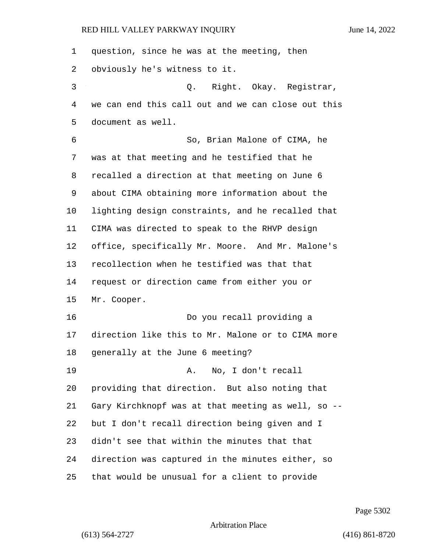| 1  | question, since he was at the meeting, then        |
|----|----------------------------------------------------|
| 2  | obviously he's witness to it.                      |
| 3  | Q. Right. Okay. Registrar,                         |
| 4  | we can end this call out and we can close out this |
| 5  | document as well.                                  |
| 6  | So, Brian Malone of CIMA, he                       |
| 7  | was at that meeting and he testified that he       |
| 8  | recalled a direction at that meeting on June 6     |
| 9  | about CIMA obtaining more information about the    |
| 10 | lighting design constraints, and he recalled that  |
| 11 | CIMA was directed to speak to the RHVP design      |
| 12 | office, specifically Mr. Moore. And Mr. Malone's   |
| 13 | recollection when he testified was that that       |
| 14 | request or direction came from either you or       |
| 15 | Mr. Cooper.                                        |
| 16 | Do you recall providing a                          |
| 17 | direction like this to Mr. Malone or to CIMA more  |
| 18 | generally at the June 6 meeting?                   |
| 19 | A. No, I don't recall                              |
| 20 | providing that direction. But also noting that     |
| 21 | Gary Kirchknopf was at that meeting as well, so -- |
| 22 | but I don't recall direction being given and I     |
| 23 | didn't see that within the minutes that that       |
| 24 | direction was captured in the minutes either, so   |
| 25 | that would be unusual for a client to provide      |

Page 5302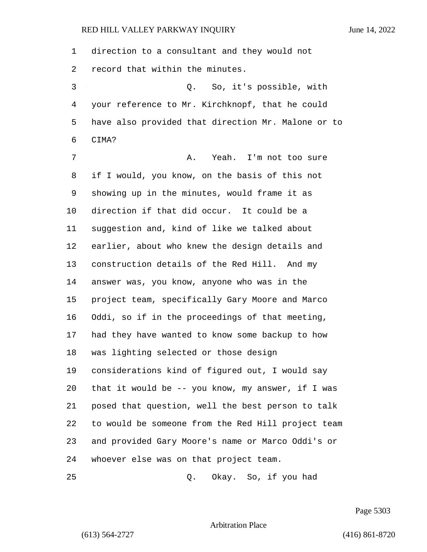direction to a consultant and they would not record that within the minutes.

3 Q. So, it's possible, with your reference to Mr. Kirchknopf, that he could have also provided that direction Mr. Malone or to CIMA?

7 A. Yeah. I'm not too sure if I would, you know, on the basis of this not showing up in the minutes, would frame it as direction if that did occur. It could be a suggestion and, kind of like we talked about earlier, about who knew the design details and construction details of the Red Hill. And my answer was, you know, anyone who was in the project team, specifically Gary Moore and Marco Oddi, so if in the proceedings of that meeting, had they have wanted to know some backup to how was lighting selected or those design considerations kind of figured out, I would say that it would be -- you know, my answer, if I was posed that question, well the best person to talk to would be someone from the Red Hill project team and provided Gary Moore's name or Marco Oddi's or whoever else was on that project team.

25 Q. Okay. So, if you had

Page 5303

Arbitration Place

(613) 564-2727 (416) 861-8720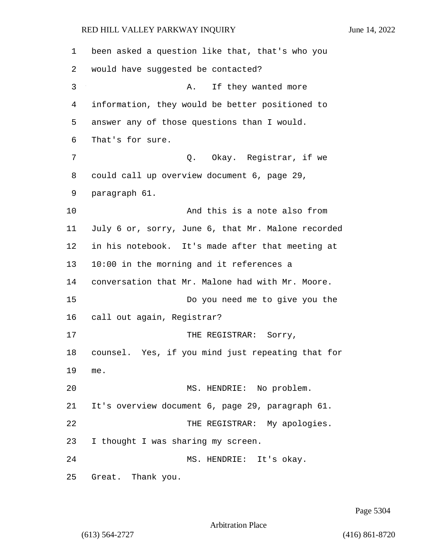| 1  | been asked a question like that, that's who you    |
|----|----------------------------------------------------|
| 2  | would have suggested be contacted?                 |
| 3  | If they wanted more<br>Α.                          |
| 4  | information, they would be better positioned to    |
| 5  | answer any of those questions than I would.        |
| 6  | That's for sure.                                   |
| 7  | Q. Okay. Registrar, if we                          |
| 8  | could call up overview document 6, page 29,        |
| 9  | paragraph 61.                                      |
| 10 | And this is a note also from                       |
| 11 | July 6 or, sorry, June 6, that Mr. Malone recorded |
| 12 | in his notebook. It's made after that meeting at   |
| 13 | 10:00 in the morning and it references a           |
| 14 | conversation that Mr. Malone had with Mr. Moore.   |
| 15 | Do you need me to give you the                     |
| 16 | call out again, Registrar?                         |
| 17 | THE REGISTRAR: Sorry,                              |
| 18 | counsel. Yes, if you mind just repeating that for  |
| 19 | me.                                                |
| 20 | MS. HENDRIE: No problem.                           |
| 21 | It's overview document 6, page 29, paragraph 61.   |
| 22 | THE REGISTRAR: My apologies.                       |
| 23 | I thought I was sharing my screen.                 |
| 24 | MS. HENDRIE: It's okay.                            |
| 25 | Great. Thank you.                                  |

Page 5304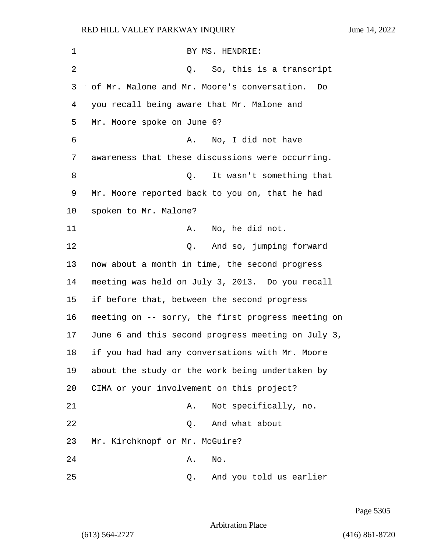| $\mathbf 1$ | BY MS. HENDRIE:                                    |
|-------------|----------------------------------------------------|
| 2           | So, this is a transcript<br>Q.                     |
| 3           | of Mr. Malone and Mr. Moore's conversation.<br>Do  |
| 4           | you recall being aware that Mr. Malone and         |
| 5           | Mr. Moore spoke on June 6?                         |
| 6           | No, I did not have<br>Α.                           |
| 7           | awareness that these discussions were occurring.   |
| 8           | Q.<br>It wasn't something that                     |
| 9           | Mr. Moore reported back to you on, that he had     |
| $10 \,$     | spoken to Mr. Malone?                              |
| 11          | No, he did not.<br>Α.                              |
| 12          | And so, jumping forward<br>Q.                      |
| 13          | now about a month in time, the second progress     |
| 14          | meeting was held on July 3, 2013. Do you recall    |
| 15          | if before that, between the second progress        |
| 16          | meeting on -- sorry, the first progress meeting on |
| 17          | June 6 and this second progress meeting on July 3, |
| 18          | if you had had any conversations with Mr. Moore    |
| 19          | about the study or the work being undertaken by    |
| 20          | CIMA or your involvement on this project?          |
| 21          | Not specifically, no.<br>Α.                        |
| 22          | And what about<br>Q.                               |
| 23          | Mr. Kirchknopf or Mr. McGuire?                     |
| 24          | No.<br>Α.                                          |
| 25          | And you told us earlier<br>Q.                      |

Page 5305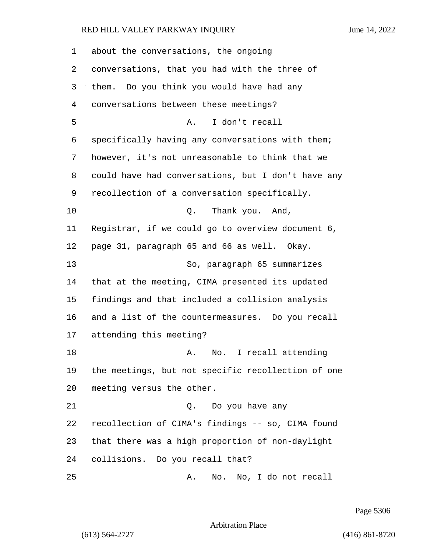| 1  | about the conversations, the ongoing               |
|----|----------------------------------------------------|
| 2  | conversations, that you had with the three of      |
| 3  | them. Do you think you would have had any          |
| 4  | conversations between these meetings?              |
| 5  | I don't recall<br>Α.                               |
| 6  | specifically having any conversations with them;   |
| 7  | however, it's not unreasonable to think that we    |
| 8  | could have had conversations, but I don't have any |
| 9  | recollection of a conversation specifically.       |
| 10 | Q. Thank you. And,                                 |
| 11 | Registrar, if we could go to overview document 6,  |
| 12 | page 31, paragraph 65 and 66 as well. Okay.        |
| 13 | So, paragraph 65 summarizes                        |
| 14 | that at the meeting, CIMA presented its updated    |
| 15 | findings and that included a collision analysis    |
| 16 | and a list of the countermeasures. Do you recall   |
| 17 | attending this meeting?                            |
| 18 | No. I recall attending<br>Α.                       |
| 19 | the meetings, but not specific recollection of one |
| 20 | meeting versus the other.                          |
| 21 | Do you have any<br>Q.                              |
| 22 | recollection of CIMA's findings -- so, CIMA found  |
| 23 | that there was a high proportion of non-daylight   |
| 24 | collisions. Do you recall that?                    |
| 25 | No. No, I do not recall<br>Α.                      |

Page 5306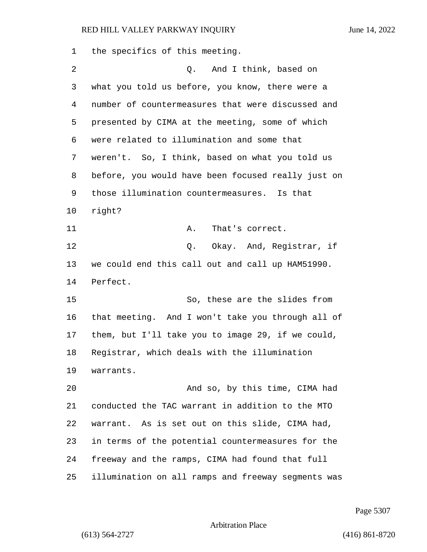the specifics of this meeting. 2 Q. And I think, based on what you told us before, you know, there were a number of countermeasures that were discussed and presented by CIMA at the meeting, some of which were related to illumination and some that weren't. So, I think, based on what you told us before, you would have been focused really just on those illumination countermeasures. Is that right? 11 A. That's correct. 12 C. Okay. And, Registrar, if we could end this call out and call up HAM51990. Perfect. 15 So, these are the slides from that meeting. And I won't take you through all of them, but I'll take you to image 29, if we could, Registrar, which deals with the illumination warrants. 20 And so, by this time, CIMA had conducted the TAC warrant in addition to the MTO warrant. As is set out on this slide, CIMA had, in terms of the potential countermeasures for the freeway and the ramps, CIMA had found that full illumination on all ramps and freeway segments was

Page 5307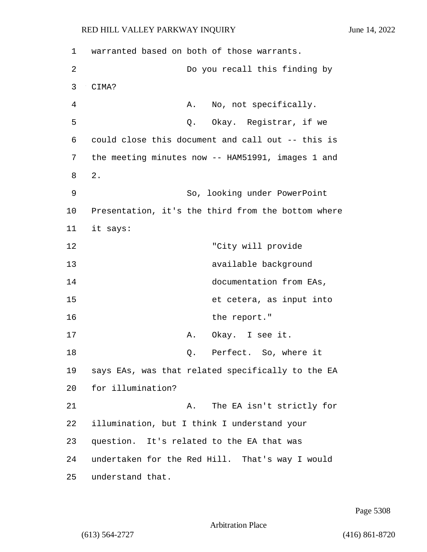1 warranted based on both of those warrants. 2 Do you recall this finding by 3 CIMA? 4 A. No, not specifically. 5 Q. Okay. Registrar, if we 6 could close this document and call out -- this is 7 the meeting minutes now -- HAM51991, images 1 and 8 2. 9 So, looking under PowerPoint 10 Presentation, it's the third from the bottom where 11 it says: 12 "City will provide 13 available background 14 documentation from EAs, 15 et cetera, as input into 16 the report." 17 A. Okay. I see it. 18 0. Perfect. So, where it 19 says EAs, was that related specifically to the EA 20 for illumination? 21 A. The EA isn't strictly for 22 illumination, but I think I understand your 23 question. It's related to the EA that was 24 undertaken for the Red Hill. That's way I would 25 understand that.

Page 5308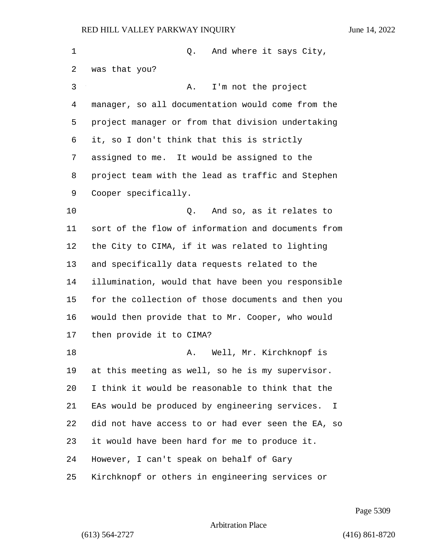| 1  | And where it says City,<br>Q.                       |
|----|-----------------------------------------------------|
| 2  | was that you?                                       |
| 3  | I'm not the project<br>Α.                           |
| 4  | manager, so all documentation would come from the   |
| 5  | project manager or from that division undertaking   |
| 6  | it, so I don't think that this is strictly          |
| 7  | assigned to me. It would be assigned to the         |
| 8  | project team with the lead as traffic and Stephen   |
| 9  | Cooper specifically.                                |
| 10 | And so, as it relates to<br>0.                      |
| 11 | sort of the flow of information and documents from  |
| 12 | the City to CIMA, if it was related to lighting     |
| 13 | and specifically data requests related to the       |
| 14 | illumination, would that have been you responsible  |
| 15 | for the collection of those documents and then you  |
| 16 | would then provide that to Mr. Cooper, who would    |
| 17 | then provide it to CIMA?                            |
| 18 | A. Well, Mr. Kirchknopf is                          |
| 19 | at this meeting as well, so he is my supervisor.    |
| 20 | I think it would be reasonable to think that the    |
| 21 | EAs would be produced by engineering services.<br>T |
| 22 | did not have access to or had ever seen the EA, so  |
| 23 | it would have been hard for me to produce it.       |
| 24 | However, I can't speak on behalf of Gary            |
| 25 | Kirchknopf or others in engineering services or     |

Page 5309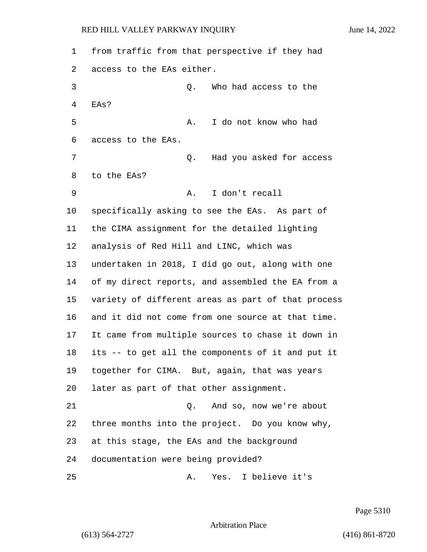from traffic from that perspective if they had access to the EAs either. 3 Q. Who had access to the EAs? 5 A. I do not know who had access to the EAs. 7 Q. Had you asked for access to the EAs? 9 A. I don't recall specifically asking to see the EAs. As part of the CIMA assignment for the detailed lighting analysis of Red Hill and LINC, which was undertaken in 2018, I did go out, along with one of my direct reports, and assembled the EA from a variety of different areas as part of that process and it did not come from one source at that time. It came from multiple sources to chase it down in its -- to get all the components of it and put it together for CIMA. But, again, that was years later as part of that other assignment. 21 Q. And so, now we're about three months into the project. Do you know why, at this stage, the EAs and the background documentation were being provided? 25 A. Yes. I believe it's

Page 5310

Arbitration Place

(613) 564-2727 (416) 861-8720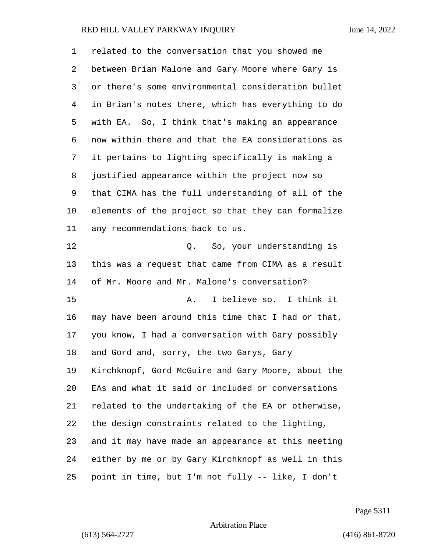| 1  | related to the conversation that you showed me     |
|----|----------------------------------------------------|
| 2  | between Brian Malone and Gary Moore where Gary is  |
| 3  | or there's some environmental consideration bullet |
| 4  | in Brian's notes there, which has everything to do |
| 5  | with EA. So, I think that's making an appearance   |
| 6  | now within there and that the EA considerations as |
| 7  | it pertains to lighting specifically is making a   |
| 8  | justified appearance within the project now so     |
| 9  | that CIMA has the full understanding of all of the |
| 10 | elements of the project so that they can formalize |
| 11 | any recommendations back to us.                    |
| 12 | Q. So, your understanding is                       |
| 13 | this was a request that came from CIMA as a result |
| 14 | of Mr. Moore and Mr. Malone's conversation?        |
| 15 | I believe so. I think it<br>Α.                     |
| 16 | may have been around this time that I had or that, |
| 17 | you know, I had a conversation with Gary possibly  |
| 18 | and Gord and, sorry, the two Garys, Gary           |
| 19 | Kirchknopf, Gord McGuire and Gary Moore, about the |
| 20 | EAs and what it said or included or conversations  |
| 21 | related to the undertaking of the EA or otherwise, |
| 22 | the design constraints related to the lighting,    |
| 23 | and it may have made an appearance at this meeting |
| 24 | either by me or by Gary Kirchknopf as well in this |
| 25 | point in time, but I'm not fully -- like, I don't  |

Page 5311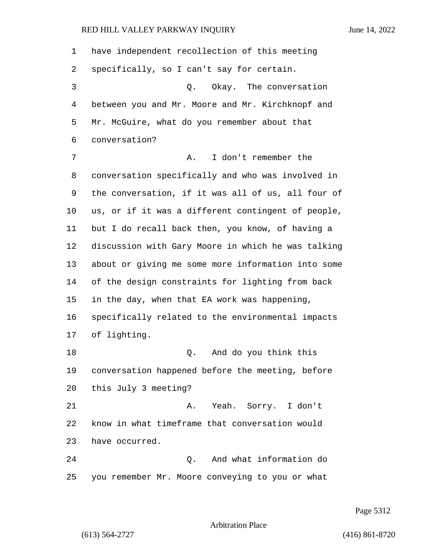have independent recollection of this meeting specifically, so I can't say for certain. 3 Q. Okay. The conversation between you and Mr. Moore and Mr. Kirchknopf and Mr. McGuire, what do you remember about that conversation? 7 A. I don't remember the conversation specifically and who was involved in the conversation, if it was all of us, all four of us, or if it was a different contingent of people, but I do recall back then, you know, of having a discussion with Gary Moore in which he was talking about or giving me some more information into some of the design constraints for lighting from back in the day, when that EA work was happening, specifically related to the environmental impacts of lighting. 18 Q. And do you think this conversation happened before the meeting, before this July 3 meeting? 21 A. Yeah. Sorry. I don't know in what timeframe that conversation would have occurred. 24 Q. And what information do you remember Mr. Moore conveying to you or what

Page 5312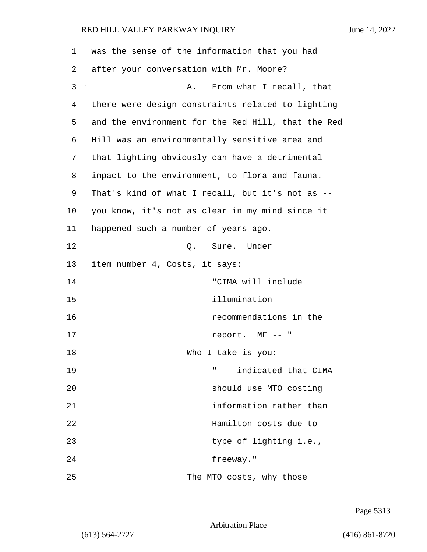| 1  | was the sense of the information that you had      |
|----|----------------------------------------------------|
| 2  | after your conversation with Mr. Moore?            |
| 3  | From what I recall, that<br>Α.                     |
| 4  | there were design constraints related to lighting  |
| 5  | and the environment for the Red Hill, that the Red |
| 6  | Hill was an environmentally sensitive area and     |
| 7  | that lighting obviously can have a detrimental     |
| 8  | impact to the environment, to flora and fauna.     |
| 9  | That's kind of what I recall, but it's not as --   |
| 10 | you know, it's not as clear in my mind since it    |
| 11 | happened such a number of years ago.               |
| 12 | Q. Sure. Under                                     |
| 13 | item number 4, Costs, it says:                     |
| 14 | "CIMA will include                                 |
| 15 | illumination                                       |
| 16 | recommendations in the                             |
| 17 | report. MF -- "                                    |
| 18 | Who I take is you:                                 |
| 19 | " -- indicated that CIMA                           |
| 20 | should use MTO costing                             |
| 21 | information rather than                            |
| 22 | Hamilton costs due to                              |
| 23 | type of lighting i.e.,                             |
| 24 | freeway."                                          |
| 25 | The MTO costs, why those                           |

Page 5313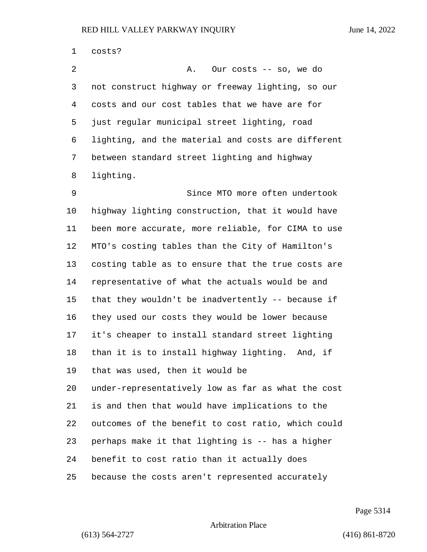costs? 2 A. Our costs -- so, we do not construct highway or freeway lighting, so our costs and our cost tables that we have are for just regular municipal street lighting, road lighting, and the material and costs are different between standard street lighting and highway lighting. 9 Since MTO more often undertook highway lighting construction, that it would have been more accurate, more reliable, for CIMA to use MTO's costing tables than the City of Hamilton's costing table as to ensure that the true costs are representative of what the actuals would be and that they wouldn't be inadvertently -- because if they used our costs they would be lower because it's cheaper to install standard street lighting than it is to install highway lighting. And, if that was used, then it would be under-representatively low as far as what the cost is and then that would have implications to the outcomes of the benefit to cost ratio, which could perhaps make it that lighting is -- has a higher benefit to cost ratio than it actually does because the costs aren't represented accurately

Page 5314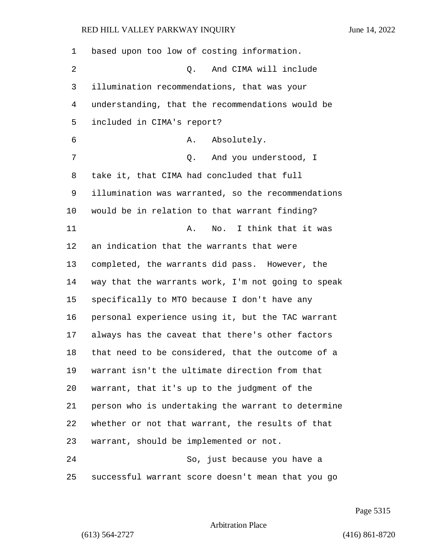| 1  | based upon too low of costing information.         |
|----|----------------------------------------------------|
| 2  | And CIMA will include<br>Q.                        |
| 3  | illumination recommendations, that was your        |
| 4  | understanding, that the recommendations would be   |
| 5  | included in CIMA's report?                         |
| 6  | Absolutely.<br>Α.                                  |
| 7  | And you understood, I<br>Q.                        |
| 8  | take it, that CIMA had concluded that full         |
| 9  | illumination was warranted, so the recommendations |
| 10 | would be in relation to that warrant finding?      |
| 11 | No.<br>I think that it was<br>Α.                   |
| 12 | an indication that the warrants that were          |
| 13 | completed, the warrants did pass. However, the     |
| 14 | way that the warrants work, I'm not going to speak |
| 15 | specifically to MTO because I don't have any       |
| 16 | personal experience using it, but the TAC warrant  |
| 17 | always has the caveat that there's other factors   |
| 18 | that need to be considered, that the outcome of a  |
| 19 | warrant isn't the ultimate direction from that     |
| 20 | warrant, that it's up to the judgment of the       |
| 21 | person who is undertaking the warrant to determine |
| 22 | whether or not that warrant, the results of that   |
| 23 | warrant, should be implemented or not.             |
| 24 | So, just because you have a                        |
| 25 | successful warrant score doesn't mean that you go  |

Page 5315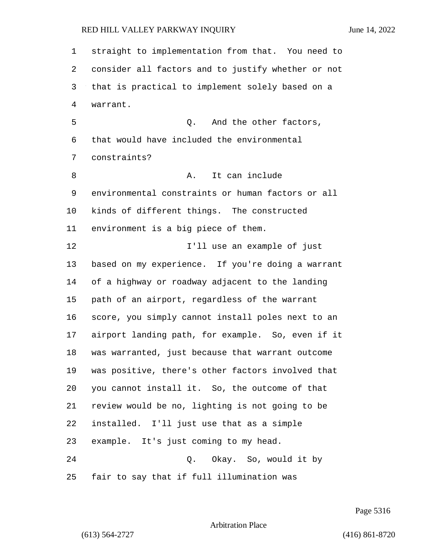straight to implementation from that. You need to consider all factors and to justify whether or not that is practical to implement solely based on a warrant. 5 0. And the other factors, that would have included the environmental constraints? 8 A. It can include environmental constraints or human factors or all kinds of different things. The constructed environment is a big piece of them. 12 I'll use an example of just based on my experience. If you're doing a warrant of a highway or roadway adjacent to the landing path of an airport, regardless of the warrant score, you simply cannot install poles next to an airport landing path, for example. So, even if it was warranted, just because that warrant outcome was positive, there's other factors involved that you cannot install it. So, the outcome of that review would be no, lighting is not going to be installed. I'll just use that as a simple example. It's just coming to my head. 24 Q. Okay. So, would it by fair to say that if full illumination was

Page 5316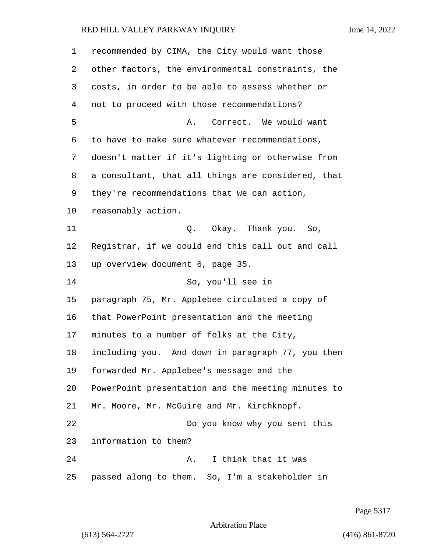| 1  | recommended by CIMA, the City would want those     |
|----|----------------------------------------------------|
| 2  | other factors, the environmental constraints, the  |
| 3  | costs, in order to be able to assess whether or    |
| 4  | not to proceed with those recommendations?         |
| 5  | Correct. We would want<br>Α.                       |
| 6  | to have to make sure whatever recommendations,     |
| 7  | doesn't matter if it's lighting or otherwise from  |
| 8  | a consultant, that all things are considered, that |
| 9  | they're recommendations that we can action,        |
| 10 | reasonably action.                                 |
| 11 | Q. Okay. Thank you. So,                            |
| 12 | Registrar, if we could end this call out and call  |
| 13 | up overview document 6, page 35.                   |
| 14 | So, you'll see in                                  |
| 15 | paragraph 75, Mr. Applebee circulated a copy of    |
| 16 | that PowerPoint presentation and the meeting       |
| 17 | minutes to a number of folks at the City,          |
| 18 | including you. And down in paragraph 77, you then  |
| 19 | forwarded Mr. Applebee's message and the           |
| 20 | PowerPoint presentation and the meeting minutes to |
| 21 | Mr. Moore, Mr. McGuire and Mr. Kirchknopf.         |
| 22 | Do you know why you sent this                      |
| 23 | information to them?                               |
| 24 | I think that it was<br>Α.                          |
| 25 | passed along to them. So, I'm a stakeholder in     |

Page 5317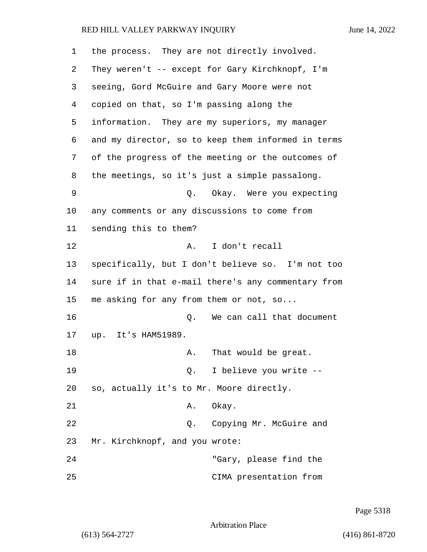| 1  | the process. They are not directly involved.       |
|----|----------------------------------------------------|
| 2  | They weren't -- except for Gary Kirchknopf, I'm    |
| 3  | seeing, Gord McGuire and Gary Moore were not       |
| 4  | copied on that, so I'm passing along the           |
| 5  | information. They are my superiors, my manager     |
| 6  | and my director, so to keep them informed in terms |
| 7  | of the progress of the meeting or the outcomes of  |
| 8  | the meetings, so it's just a simple passalong.     |
| 9  | Okay. Were you expecting<br>Q.                     |
| 10 | any comments or any discussions to come from       |
| 11 | sending this to them?                              |
| 12 | I don't recall<br>Α.                               |
| 13 | specifically, but I don't believe so. I'm not too  |
| 14 | sure if in that e-mail there's any commentary from |
| 15 | me asking for any from them or not, so             |
| 16 | We can call that document<br>Q.                    |
| 17 | up. It's HAM51989.                                 |
| 18 | That would be great.<br>Α.                         |
| 19 | Q. I believe you write --                          |
| 20 | so, actually it's to Mr. Moore directly.           |
| 21 | Okay.<br>Α.                                        |
| 22 | Q. Copying Mr. McGuire and                         |
| 23 | Mr. Kirchknopf, and you wrote:                     |
| 24 | "Gary, please find the                             |
| 25 | CIMA presentation from                             |

Page 5318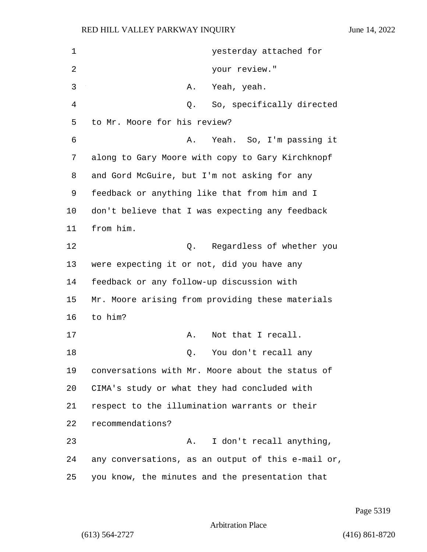| 1  | yesterday attached for                             |
|----|----------------------------------------------------|
| 2  | your review."                                      |
| 3  | Yeah, yeah.<br>Α.                                  |
| 4  | So, specifically directed<br>Q.                    |
| 5  | to Mr. Moore for his review?                       |
| 6  | Yeah. So, I'm passing it<br>Α.                     |
| 7  | along to Gary Moore with copy to Gary Kirchknopf   |
| 8  | and Gord McGuire, but I'm not asking for any       |
| 9  | feedback or anything like that from him and I      |
| 10 | don't believe that I was expecting any feedback    |
| 11 | from him.                                          |
| 12 | Regardless of whether you<br>Q.                    |
| 13 | were expecting it or not, did you have any         |
| 14 | feedback or any follow-up discussion with          |
| 15 | Mr. Moore arising from providing these materials   |
| 16 | to him?                                            |
| 17 | Not that I recall.<br>Α.                           |
| 18 | You don't recall any<br>Q.                         |
| 19 | conversations with Mr. Moore about the status of   |
| 20 | CIMA's study or what they had concluded with       |
| 21 | respect to the illumination warrants or their      |
| 22 | recommendations?                                   |
| 23 | I don't recall anything,<br>Α.                     |
| 24 | any conversations, as an output of this e-mail or, |
| 25 | you know, the minutes and the presentation that    |

Page 5319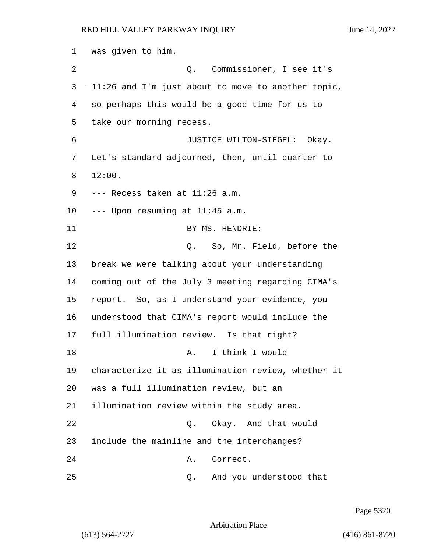was given to him. 2 Q. Commissioner, I see it's 11:26 and I'm just about to move to another topic, so perhaps this would be a good time for us to take our morning recess. 6 JUSTICE WILTON-SIEGEL: Okay. Let's standard adjourned, then, until quarter to 8 12:00. --- Recess taken at 11:26 a.m. --- Upon resuming at 11:45 a.m. 11 BY MS. HENDRIE: 12 C. So, Mr. Field, before the break we were talking about your understanding coming out of the July 3 meeting regarding CIMA's report. So, as I understand your evidence, you understood that CIMA's report would include the full illumination review. Is that right? 18 A. I think I would characterize it as illumination review, whether it was a full illumination review, but an illumination review within the study area. 22 Q. Okay. And that would include the mainline and the interchanges? 24 A. Correct. 25 Q. And you understood that

Page 5320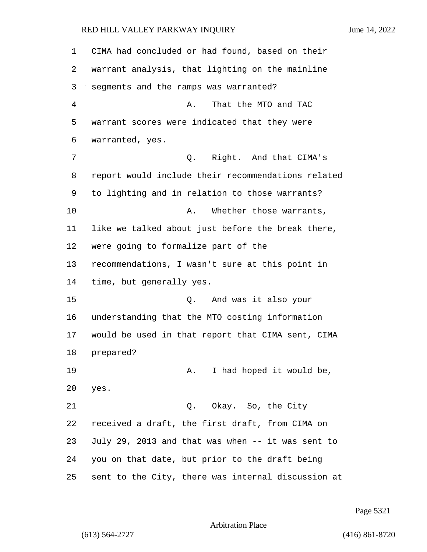CIMA had concluded or had found, based on their warrant analysis, that lighting on the mainline segments and the ramps was warranted? 4 A. That the MTO and TAC warrant scores were indicated that they were warranted, yes. 7 Q. Right. And that CIMA's report would include their recommendations related to lighting and in relation to those warrants? 10 A. Whether those warrants, like we talked about just before the break there, were going to formalize part of the recommendations, I wasn't sure at this point in time, but generally yes. 15 Q. And was it also your understanding that the MTO costing information would be used in that report that CIMA sent, CIMA prepared? 19 A. I had hoped it would be, yes. 21 Q. Okay. So, the City received a draft, the first draft, from CIMA on July 29, 2013 and that was when -- it was sent to you on that date, but prior to the draft being sent to the City, there was internal discussion at

Page 5321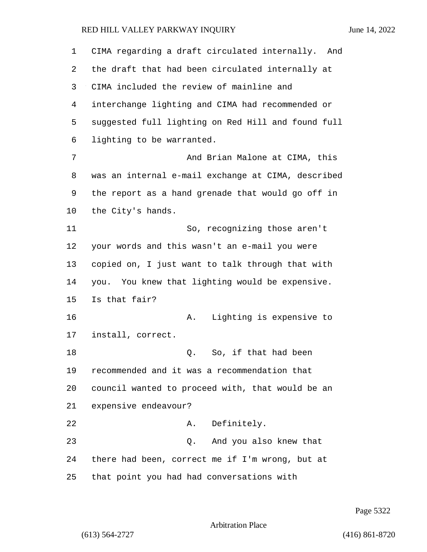| $\mathbf 1$ | CIMA regarding a draft circulated internally. And  |
|-------------|----------------------------------------------------|
| 2           | the draft that had been circulated internally at   |
| 3           | CIMA included the review of mainline and           |
| 4           | interchange lighting and CIMA had recommended or   |
| 5           | suggested full lighting on Red Hill and found full |
| 6           | lighting to be warranted.                          |
| 7           | And Brian Malone at CIMA, this                     |
| 8           | was an internal e-mail exchange at CIMA, described |
| 9           | the report as a hand grenade that would go off in  |
| $10 \,$     | the City's hands.                                  |
| 11          | So, recognizing those aren't                       |
| 12          | your words and this wasn't an e-mail you were      |
| 13          | copied on, I just want to talk through that with   |
| 14          | you. You knew that lighting would be expensive.    |
| 15          | Is that fair?                                      |
| 16          | Lighting is expensive to<br>Α.                     |
| 17          | install, correct.                                  |
| 18          | So, if that had been<br>Q.                         |
| 19          | recommended and it was a recommendation that       |
| 20          | council wanted to proceed with, that would be an   |
| 21          | expensive endeavour?                               |
| 22          | A. Definitely.                                     |
| 23          | And you also knew that<br>Q.                       |
| 24          | there had been, correct me if I'm wrong, but at    |
| 25          | that point you had had conversations with          |

Page 5322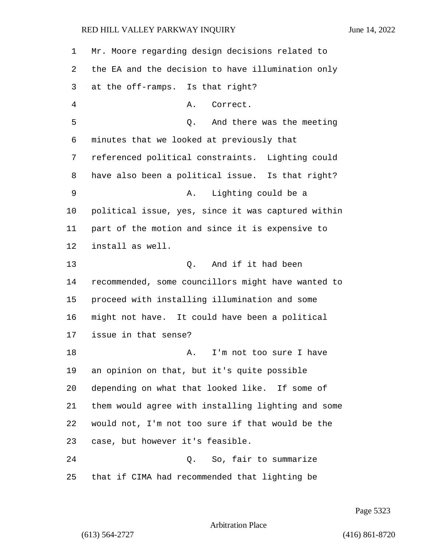| 1  | Mr. Moore regarding design decisions related to    |
|----|----------------------------------------------------|
| 2  | the EA and the decision to have illumination only  |
| 3  | at the off-ramps. Is that right?                   |
| 4  | Correct.<br>Α.                                     |
| 5  | And there was the meeting<br>Q.                    |
| 6  | minutes that we looked at previously that          |
| 7  | referenced political constraints. Lighting could   |
| 8  | have also been a political issue. Is that right?   |
| 9  | Lighting could be a<br>Α.                          |
| 10 | political issue, yes, since it was captured within |
| 11 | part of the motion and since it is expensive to    |
| 12 | install as well.                                   |
| 13 | Q. And if it had been                              |
| 14 | recommended, some councillors might have wanted to |
| 15 | proceed with installing illumination and some      |
| 16 | might not have. It could have been a political     |
| 17 | issue in that sense?                               |
| 18 | I'm not too sure I have<br>Α.                      |
| 19 | an opinion on that, but it's quite possible        |
| 20 | depending on what that looked like. If some of     |
| 21 | them would agree with installing lighting and some |
| 22 | would not, I'm not too sure if that would be the   |
| 23 | case, but however it's feasible.                   |
| 24 | So, fair to summarize<br>Q.                        |
| 25 | that if CIMA had recommended that lighting be      |

Page 5323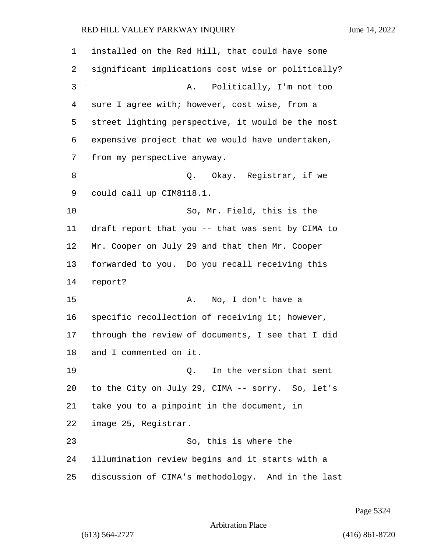| 1  | installed on the Red Hill, that could have some    |
|----|----------------------------------------------------|
| 2  | significant implications cost wise or politically? |
| 3  | Politically, I'm not too<br>Α.                     |
| 4  | sure I agree with; however, cost wise, from a      |
| 5  | street lighting perspective, it would be the most  |
| 6  | expensive project that we would have undertaken,   |
| 7  | from my perspective anyway.                        |
| 8  | Q. Okay. Registrar, if we                          |
| 9  | could call up CIM8118.1.                           |
| 10 | So, Mr. Field, this is the                         |
| 11 | draft report that you -- that was sent by CIMA to  |
| 12 | Mr. Cooper on July 29 and that then Mr. Cooper     |
| 13 | forwarded to you. Do you recall receiving this     |
| 14 | report?                                            |
| 15 | No, I don't have a<br>Α.                           |
| 16 | specific recollection of receiving it; however,    |
| 17 | through the review of documents, I see that I did  |
| 18 | and I commented on it.                             |
| 19 | In the version that sent<br>Q.                     |
| 20 | to the City on July 29, CIMA -- sorry. So, let's   |
| 21 | take you to a pinpoint in the document, in         |
| 22 | image 25, Registrar.                               |
| 23 | So, this is where the                              |
| 24 | illumination review begins and it starts with a    |
| 25 | discussion of CIMA's methodology. And in the last  |

Page 5324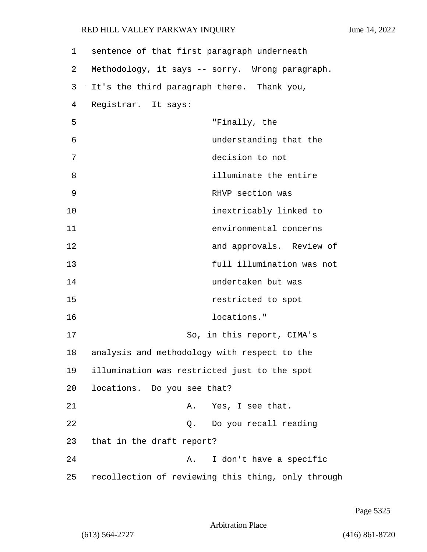| 1  | sentence of that first paragraph underneath        |
|----|----------------------------------------------------|
| 2  | Methodology, it says -- sorry. Wrong paragraph.    |
| 3  | It's the third paragraph there. Thank you,         |
| 4  | Registrar. It says:                                |
| 5  | "Finally, the                                      |
| 6  | understanding that the                             |
| 7  | decision to not                                    |
| 8  | illuminate the entire                              |
| 9  | RHVP section was                                   |
| 10 | inextricably linked to                             |
| 11 | environmental concerns                             |
| 12 | and approvals. Review of                           |
| 13 | full illumination was not                          |
| 14 | undertaken but was                                 |
| 15 | restricted to spot                                 |
| 16 | locations."                                        |
| 17 | So, in this report, CIMA's                         |
| 18 | analysis and methodology with respect to the       |
| 19 | illumination was restricted just to the spot       |
| 20 | locations. Do you see that?                        |
| 21 | Yes, I see that.<br>Α.                             |
| 22 | Do you recall reading<br>Q.                        |
| 23 | that in the draft report?                          |
| 24 | I don't have a specific<br>Α.                      |
| 25 | recollection of reviewing this thing, only through |

Page 5325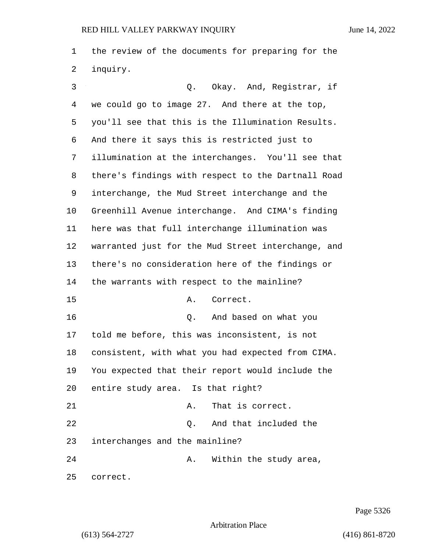the review of the documents for preparing for the inquiry.

3 Q. Okay. And, Registrar, if we could go to image 27. And there at the top, you'll see that this is the Illumination Results. And there it says this is restricted just to illumination at the interchanges. You'll see that there's findings with respect to the Dartnall Road interchange, the Mud Street interchange and the Greenhill Avenue interchange. And CIMA's finding here was that full interchange illumination was warranted just for the Mud Street interchange, and there's no consideration here of the findings or the warrants with respect to the mainline? 15 A. Correct. 16 Q. And based on what you told me before, this was inconsistent, is not consistent, with what you had expected from CIMA. You expected that their report would include the entire study area. Is that right? 21 A. That is correct. 22 Q. And that included the interchanges and the mainline? 24 A. Within the study area, correct.

Page 5326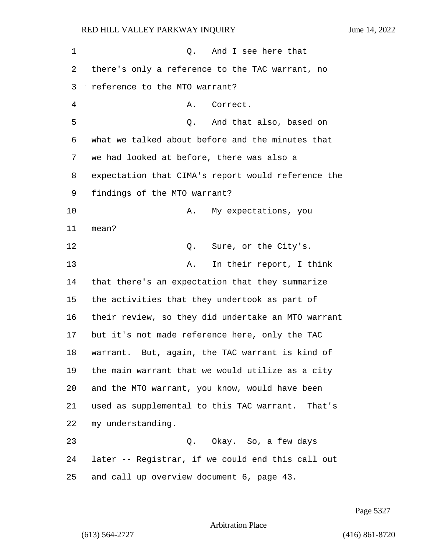1 and I see here that there's only a reference to the TAC warrant, no reference to the MTO warrant? 4 A. Correct. 5 Q. And that also, based on what we talked about before and the minutes that we had looked at before, there was also a expectation that CIMA's report would reference the findings of the MTO warrant? 10 A. My expectations, you mean? 12 O. Sure, or the City's. 13 A. In their report, I think that there's an expectation that they summarize the activities that they undertook as part of their review, so they did undertake an MTO warrant but it's not made reference here, only the TAC warrant. But, again, the TAC warrant is kind of the main warrant that we would utilize as a city and the MTO warrant, you know, would have been used as supplemental to this TAC warrant. That's my understanding. 23 Q. Okay. So, a few days later -- Registrar, if we could end this call out and call up overview document 6, page 43.

Page 5327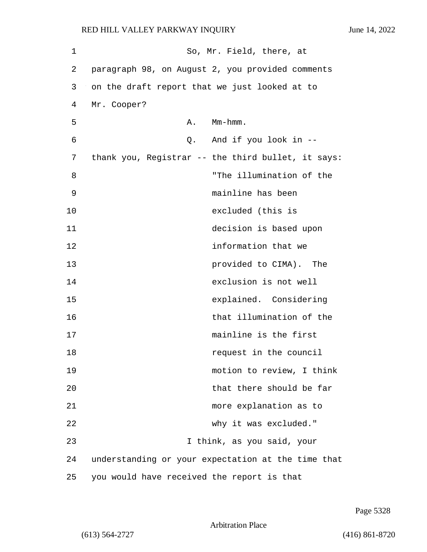1 So, Mr. Field, there, at 2 paragraph 98, on August 2, you provided comments 3 on the draft report that we just looked at to 4 Mr. Cooper? 5 A. Mm-hmm. 6 Q. And if you look in -- 7 thank you, Registrar -- the third bullet, it says: 8 "The illumination of the 9 mainline has been 10 excluded (this is 11 decision is based upon 12 information that we 13 provided to CIMA). The 14 exclusion is not well 15 explained. Considering 16 that illumination of the 17 mainline is the first 18 **request in the council** 19 motion to review, I think 20 that there should be far 21 more explanation as to 22 why it was excluded." 23 I think, as you said, your 24 understanding or your expectation at the time that 25 you would have received the report is that

Arbitration Place

(613) 564-2727 (416) 861-8720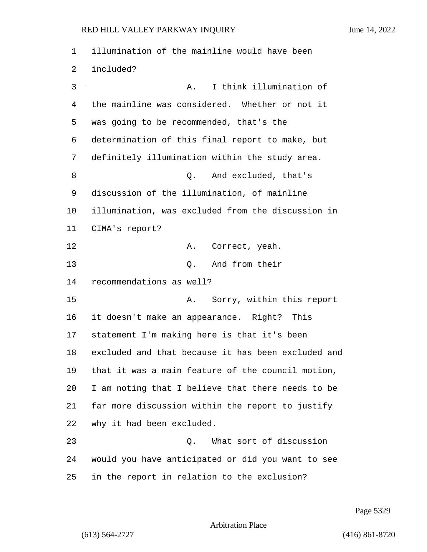illumination of the mainline would have been included? 3 A. I think illumination of the mainline was considered. Whether or not it was going to be recommended, that's the determination of this final report to make, but definitely illumination within the study area. 8 and excluded, that's discussion of the illumination, of mainline illumination, was excluded from the discussion in CIMA's report? 12 A. Correct, yeah. 13 O. And from their recommendations as well? 15 A. Sorry, within this report it doesn't make an appearance. Right? This statement I'm making here is that it's been excluded and that because it has been excluded and that it was a main feature of the council motion, I am noting that I believe that there needs to be far more discussion within the report to justify why it had been excluded. 23 Q. What sort of discussion would you have anticipated or did you want to see in the report in relation to the exclusion?

Page 5329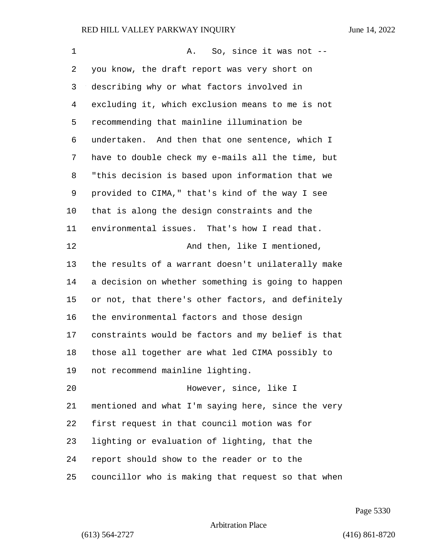| 1  | So, since it was not --<br>Α.                      |
|----|----------------------------------------------------|
| 2  | you know, the draft report was very short on       |
| 3  | describing why or what factors involved in         |
| 4  | excluding it, which exclusion means to me is not   |
| 5  | recommending that mainline illumination be         |
| 6  | undertaken. And then that one sentence, which I    |
| 7  | have to double check my e-mails all the time, but  |
| 8  | "this decision is based upon information that we   |
| 9  | provided to CIMA," that's kind of the way I see    |
| 10 | that is along the design constraints and the       |
| 11 | environmental issues. That's how I read that.      |
| 12 | And then, like I mentioned,                        |
| 13 | the results of a warrant doesn't unilaterally make |
| 14 | a decision on whether something is going to happen |
| 15 | or not, that there's other factors, and definitely |
| 16 | the environmental factors and those design         |
| 17 | constraints would be factors and my belief is that |
| 18 | those all together are what led CIMA possibly to   |
| 19 | not recommend mainline lighting.                   |
| 20 | However, since, like I                             |
| 21 | mentioned and what I'm saying here, since the very |
| 22 | first request in that council motion was for       |
| 23 | lighting or evaluation of lighting, that the       |
| 24 | report should show to the reader or to the         |
| 25 | councillor who is making that request so that when |

Page 5330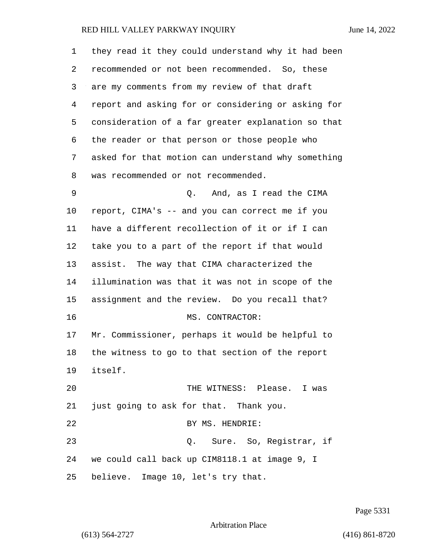| 1  | they read it they could understand why it had been |
|----|----------------------------------------------------|
| 2  | recommended or not been recommended. So, these     |
| 3  | are my comments from my review of that draft       |
| 4  | report and asking for or considering or asking for |
| 5  | consideration of a far greater explanation so that |
| 6  | the reader or that person or those people who      |
| 7  | asked for that motion can understand why something |
| 8  | was recommended or not recommended.                |
| 9  | And, as I read the CIMA<br>Q.                      |
| 10 | report, CIMA's -- and you can correct me if you    |
| 11 | have a different recollection of it or if I can    |
| 12 | take you to a part of the report if that would     |
| 13 | assist. The way that CIMA characterized the        |
| 14 | illumination was that it was not in scope of the   |
| 15 | assignment and the review. Do you recall that?     |
| 16 | MS. CONTRACTOR:                                    |
| 17 | Mr. Commissioner, perhaps it would be helpful to   |
| 18 | the witness to go to that section of the report    |
| 19 | itself.                                            |
| 20 | THE WITNESS: Please. I was                         |
| 21 | just going to ask for that. Thank you.             |
| 22 | BY MS. HENDRIE:                                    |
| 23 | Q. Sure. So, Registrar, if                         |
| 24 | we could call back up CIM8118.1 at image 9, I      |
| 25 | believe. Image 10, let's try that.                 |

Page 5331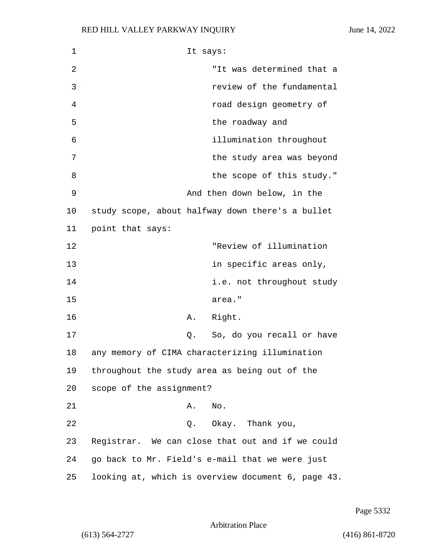| 1  | It says:                                           |
|----|----------------------------------------------------|
| 2  | "It was determined that a                          |
| 3  | review of the fundamental                          |
| 4  | road design geometry of                            |
| 5  | the roadway and                                    |
| 6  | illumination throughout                            |
| 7  | the study area was beyond                          |
| 8  | the scope of this study."                          |
| 9  | And then down below, in the                        |
| 10 | study scope, about halfway down there's a bullet   |
| 11 | point that says:                                   |
| 12 | "Review of illumination                            |
| 13 | in specific areas only,                            |
| 14 | i.e. not throughout study                          |
| 15 | area."                                             |
| 16 | Right.<br>Α.                                       |
| 17 | So, do you recall or have<br>Q.                    |
| 18 | any memory of CIMA characterizing illumination     |
| 19 | throughout the study area as being out of the      |
| 20 | scope of the assignment?                           |
| 21 | Α.<br>No.                                          |
| 22 | Q. Okay. Thank you,                                |
| 23 | Registrar. We can close that out and if we could   |
| 24 | go back to Mr. Field's e-mail that we were just    |
| 25 | looking at, which is overview document 6, page 43. |

Page 5332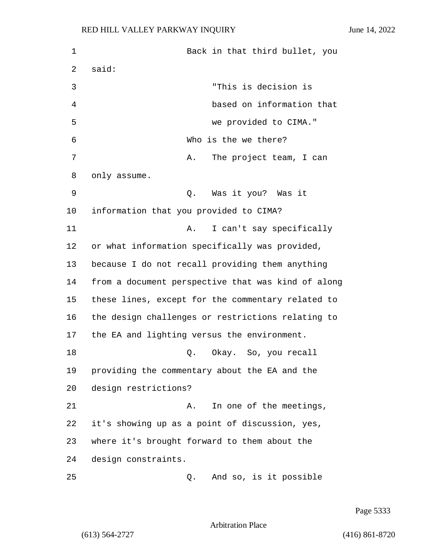1 Back in that third bullet, you 2 said: 3 "This is decision is 4 based on information that 5 we provided to CIMA." 6 Who is the we there? 7 A. The project team, I can 8 only assume. 9 Q. Was it you? Was it 10 information that you provided to CIMA? 11 A. I can't say specifically 12 or what information specifically was provided, 13 because I do not recall providing them anything 14 from a document perspective that was kind of along 15 these lines, except for the commentary related to 16 the design challenges or restrictions relating to 17 the EA and lighting versus the environment. 18 Q. Okay. So, you recall 19 providing the commentary about the EA and the 20 design restrictions? 21 A. In one of the meetings, 22 it's showing up as a point of discussion, yes, 23 where it's brought forward to them about the 24 design constraints. 25 Q. And so, is it possible

Page 5333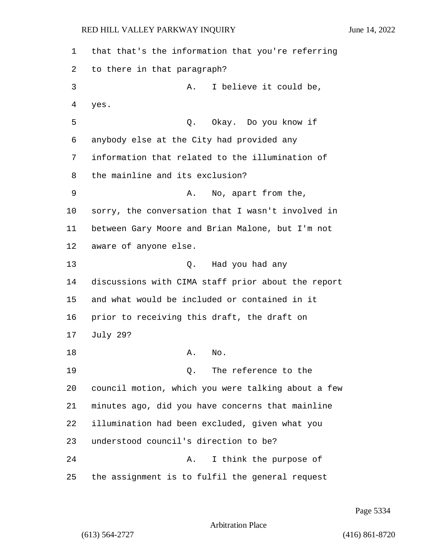that that's the information that you're referring to there in that paragraph? 3 A. I believe it could be, yes. 5 Q. Okay. Do you know if anybody else at the City had provided any information that related to the illumination of the mainline and its exclusion? 9 A. No, apart from the, sorry, the conversation that I wasn't involved in between Gary Moore and Brian Malone, but I'm not aware of anyone else. 13 Q. Had you had any discussions with CIMA staff prior about the report and what would be included or contained in it prior to receiving this draft, the draft on July 29? 18 A. No. 19 Q. The reference to the council motion, which you were talking about a few minutes ago, did you have concerns that mainline illumination had been excluded, given what you understood council's direction to be? 24 A. I think the purpose of the assignment is to fulfil the general request

Page 5334

Arbitration Place

(613) 564-2727 (416) 861-8720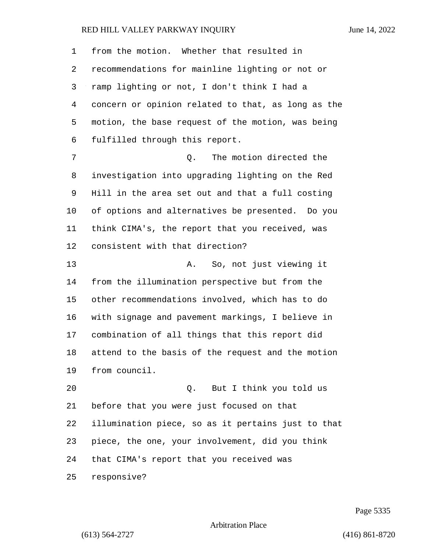from the motion. Whether that resulted in recommendations for mainline lighting or not or ramp lighting or not, I don't think I had a concern or opinion related to that, as long as the motion, the base request of the motion, was being fulfilled through this report. 7 C. The motion directed the investigation into upgrading lighting on the Red Hill in the area set out and that a full costing of options and alternatives be presented. Do you think CIMA's, the report that you received, was consistent with that direction? 13 A. So, not just viewing it from the illumination perspective but from the other recommendations involved, which has to do with signage and pavement markings, I believe in combination of all things that this report did attend to the basis of the request and the motion from council. 20 Q. But I think you told us before that you were just focused on that illumination piece, so as it pertains just to that piece, the one, your involvement, did you think that CIMA's report that you received was responsive?

Page 5335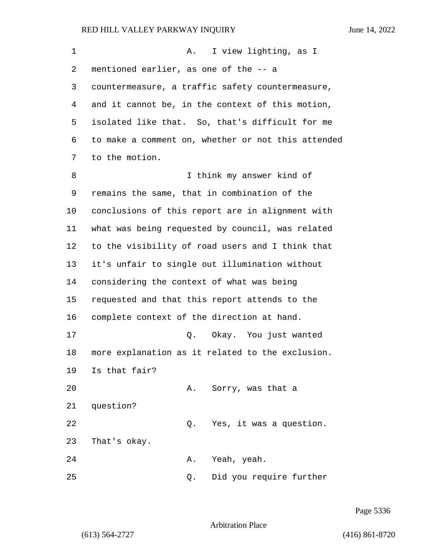| $\mathbf 1$ | I view lighting, as I<br>A.                        |
|-------------|----------------------------------------------------|
| 2           | mentioned earlier, as one of the -- a              |
| 3           | countermeasure, a traffic safety countermeasure,   |
| 4           | and it cannot be, in the context of this motion,   |
| 5           | isolated like that. So, that's difficult for me    |
| 6           | to make a comment on, whether or not this attended |
| 7           | to the motion.                                     |
| 8           | I think my answer kind of                          |
| 9           | remains the same, that in combination of the       |
| 10          | conclusions of this report are in alignment with   |
| 11          | what was being requested by council, was related   |
| 12          | to the visibility of road users and I think that   |
| 13          | it's unfair to single out illumination without     |
| 14          | considering the context of what was being          |
| 15          | requested and that this report attends to the      |
| 16          | complete context of the direction at hand.         |
| 17          | Q. Okay. You just wanted                           |
| 18          | more explanation as it related to the exclusion.   |
| 19          | Is that fair?                                      |
| 20          | Sorry, was that a<br>Α.                            |
| 21          | question?                                          |
| 22          | Yes, it was a question.<br>Q.                      |
| 23          | That's okay.                                       |
| 24          | Yeah, yeah.<br>Α.                                  |
| 25          | Did you require further<br>Q.                      |

Page 5336

Arbitration Place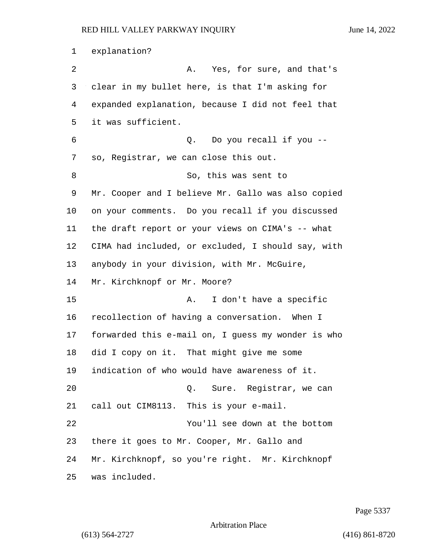explanation? 2 A. Yes, for sure, and that's clear in my bullet here, is that I'm asking for expanded explanation, because I did not feel that it was sufficient. 6 Q. Do you recall if you -- so, Registrar, we can close this out. 8 So, this was sent to Mr. Cooper and I believe Mr. Gallo was also copied on your comments. Do you recall if you discussed the draft report or your views on CIMA's -- what CIMA had included, or excluded, I should say, with anybody in your division, with Mr. McGuire, Mr. Kirchknopf or Mr. Moore? 15 A. I don't have a specific recollection of having a conversation. When I forwarded this e-mail on, I guess my wonder is who did I copy on it. That might give me some indication of who would have awareness of it. 20 Q. Sure. Registrar, we can call out CIM8113. This is your e-mail. 22 You'll see down at the bottom there it goes to Mr. Cooper, Mr. Gallo and Mr. Kirchknopf, so you're right. Mr. Kirchknopf was included.

Page 5337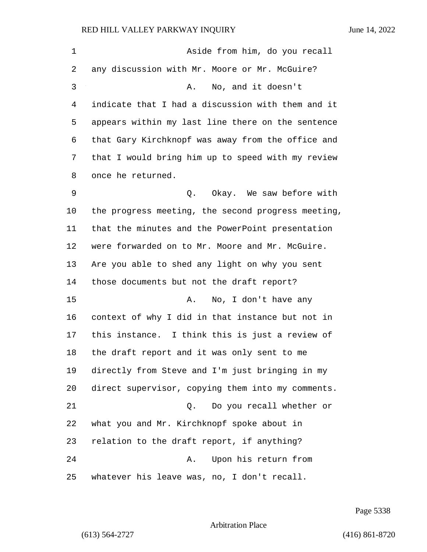| 1  | Aside from him, do you recall                      |
|----|----------------------------------------------------|
| 2  | any discussion with Mr. Moore or Mr. McGuire?      |
| 3  | No, and it doesn't<br>Α.                           |
| 4  | indicate that I had a discussion with them and it  |
| 5  | appears within my last line there on the sentence  |
| 6  | that Gary Kirchknopf was away from the office and  |
| 7  | that I would bring him up to speed with my review  |
| 8  | once he returned.                                  |
| 9  | Okay. We saw before with<br>Q.                     |
| 10 | the progress meeting, the second progress meeting, |
| 11 | that the minutes and the PowerPoint presentation   |
| 12 | were forwarded on to Mr. Moore and Mr. McGuire.    |
| 13 | Are you able to shed any light on why you sent     |
| 14 | those documents but not the draft report?          |
| 15 | No, I don't have any<br>Α.                         |
| 16 | context of why I did in that instance but not in   |
| 17 | this instance. I think this is just a review of    |
| 18 | the draft report and it was only sent to me        |
| 19 | directly from Steve and I'm just bringing in my    |
| 20 | direct supervisor, copying them into my comments.  |
| 21 | Do you recall whether or<br>Q.                     |
| 22 | what you and Mr. Kirchknopf spoke about in         |
| 23 | relation to the draft report, if anything?         |
| 24 | Upon his return from<br>Α.                         |
| 25 | whatever his leave was, no, I don't recall.        |

Page 5338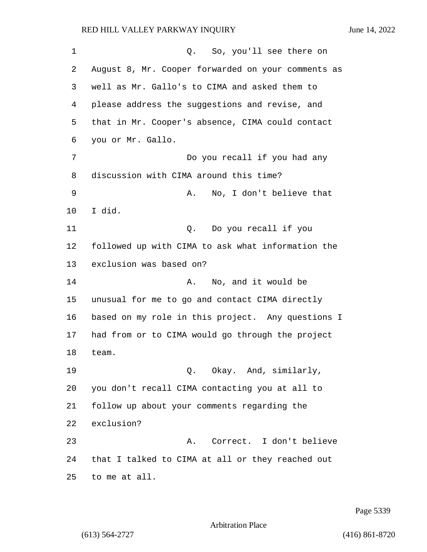1 Q. So, you'll see there on August 8, Mr. Cooper forwarded on your comments as well as Mr. Gallo's to CIMA and asked them to please address the suggestions and revise, and that in Mr. Cooper's absence, CIMA could contact you or Mr. Gallo. 7 Do you recall if you had any discussion with CIMA around this time? 9 A. No, I don't believe that I did. 11 Q. Do you recall if you followed up with CIMA to ask what information the exclusion was based on? 14 A. No, and it would be unusual for me to go and contact CIMA directly based on my role in this project. Any questions I had from or to CIMA would go through the project team. 19 C. Okay. And, similarly, you don't recall CIMA contacting you at all to follow up about your comments regarding the exclusion? 23 A. Correct. I don't believe that I talked to CIMA at all or they reached out to me at all.

Page 5339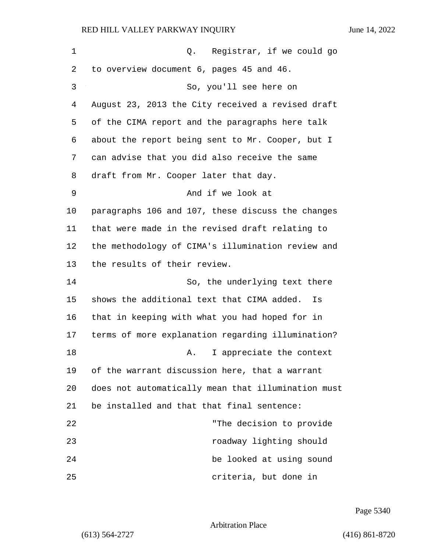| 1  | Q. Registrar, if we could go                       |
|----|----------------------------------------------------|
| 2  | to overview document 6, pages 45 and 46.           |
| 3  | So, you'll see here on                             |
| 4  | August 23, 2013 the City received a revised draft  |
| 5  | of the CIMA report and the paragraphs here talk    |
| 6  | about the report being sent to Mr. Cooper, but I   |
| 7  | can advise that you did also receive the same      |
| 8  | draft from Mr. Cooper later that day.              |
| 9  | And if we look at                                  |
| 10 | paragraphs 106 and 107, these discuss the changes  |
| 11 | that were made in the revised draft relating to    |
| 12 | the methodology of CIMA's illumination review and  |
| 13 | the results of their review.                       |
| 14 | So, the underlying text there                      |
| 15 | shows the additional text that CIMA added.<br>Is   |
| 16 | that in keeping with what you had hoped for in     |
| 17 | terms of more explanation regarding illumination?  |
| 18 | I appreciate the context<br>Α.                     |
| 19 | of the warrant discussion here, that a warrant     |
| 20 | does not automatically mean that illumination must |
| 21 | be installed and that that final sentence:         |
| 22 | "The decision to provide                           |
| 23 | roadway lighting should                            |
| 24 | be looked at using sound                           |
| 25 | criteria, but done in                              |

Page 5340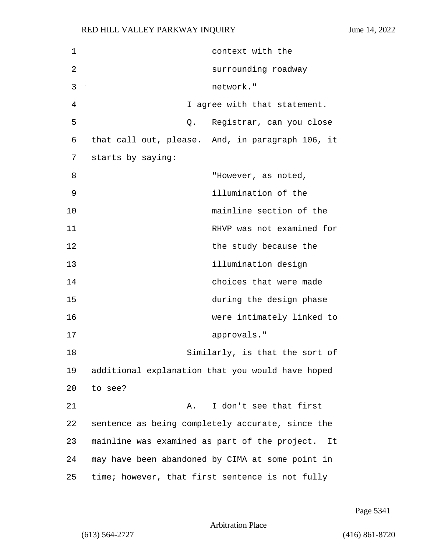| $\mathbf 1$ | context with the                                    |
|-------------|-----------------------------------------------------|
| 2           | surrounding roadway                                 |
| 3           | network."                                           |
| 4           | I agree with that statement.                        |
| 5           | Registrar, can you close<br>Q.                      |
| 6           | that call out, please. And, in paragraph 106, it    |
| 7           | starts by saying:                                   |
| 8           | "However, as noted,                                 |
| 9           | illumination of the                                 |
| 10          | mainline section of the                             |
| 11          | RHVP was not examined for                           |
| 12          | the study because the                               |
| 13          | illumination design                                 |
| 14          | choices that were made                              |
| 15          | during the design phase                             |
| 16          | were intimately linked to                           |
| 17          | approvals."                                         |
| 18          | Similarly, is that the sort of                      |
| 19          | additional explanation that you would have hoped    |
| 20          | to see?                                             |
| 21          | I don't see that first<br>Α.                        |
| 22          | sentence as being completely accurate, since the    |
| 23          | mainline was examined as part of the project.<br>It |
| 24          | may have been abandoned by CIMA at some point in    |
| 25          | time; however, that first sentence is not fully     |

Page 5341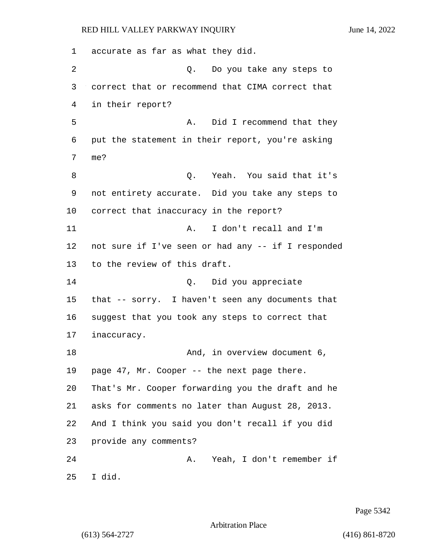accurate as far as what they did. 2 Q. Do you take any steps to correct that or recommend that CIMA correct that in their report? 5 A. Did I recommend that they put the statement in their report, you're asking me? 8 and that it's C. Yeah. You said that it's not entirety accurate. Did you take any steps to correct that inaccuracy in the report? 11 A. I don't recall and I'm not sure if I've seen or had any -- if I responded to the review of this draft. 14 Q. Did you appreciate that -- sorry. I haven't seen any documents that suggest that you took any steps to correct that inaccuracy. 18 And, in overview document 6, page 47, Mr. Cooper -- the next page there. That's Mr. Cooper forwarding you the draft and he asks for comments no later than August 28, 2013. And I think you said you don't recall if you did provide any comments? 24 A. Yeah, I don't remember if I did.

Page 5342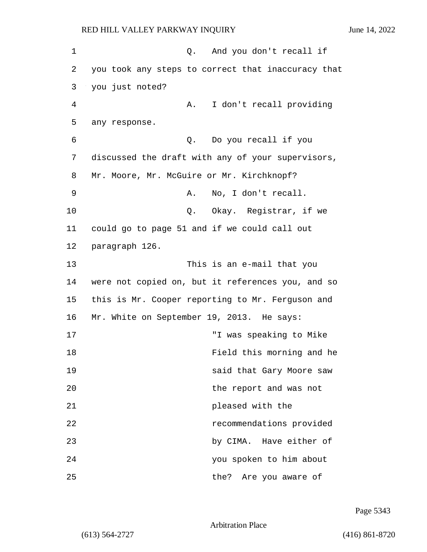1 0. And you don't recall if 2 you took any steps to correct that inaccuracy that 3 you just noted? 4 A. I don't recall providing 5 any response. 6 Q. Do you recall if you 7 discussed the draft with any of your supervisors, 8 Mr. Moore, Mr. McGuire or Mr. Kirchknopf? 9 A. No, I don't recall. 10 Q. Okay. Registrar, if we 11 could go to page 51 and if we could call out 12 paragraph 126. 13 This is an e-mail that you 14 were not copied on, but it references you, and so 15 this is Mr. Cooper reporting to Mr. Ferguson and 16 Mr. White on September 19, 2013. He says: 17 "I was speaking to Mike 18 Field this morning and he 19 said that Gary Moore saw 20 the report and was not 21 **pleased** with the 22 recommendations provided 23 by CIMA. Have either of 24 you spoken to him about 25 the? Are you aware of

Page 5343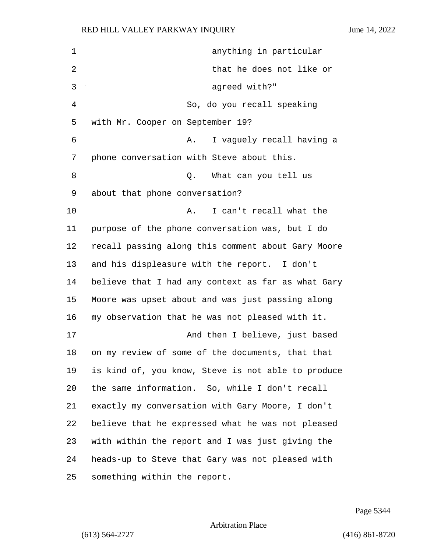| 1  | anything in particular                             |
|----|----------------------------------------------------|
| 2  | that he does not like or                           |
| 3  | agreed with?"                                      |
| 4  | So, do you recall speaking                         |
| 5  | with Mr. Cooper on September 19?                   |
| 6  | I vaguely recall having a<br>Α.                    |
| 7  | phone conversation with Steve about this.          |
| 8  | Q. What can you tell us                            |
| 9  | about that phone conversation?                     |
| 10 | I can't recall what the<br>Α.                      |
| 11 | purpose of the phone conversation was, but I do    |
| 12 | recall passing along this comment about Gary Moore |
| 13 | and his displeasure with the report. I don't       |
| 14 | believe that I had any context as far as what Gary |
| 15 | Moore was upset about and was just passing along   |
| 16 | my observation that he was not pleased with it.    |
| 17 | And then I believe, just based                     |
| 18 | on my review of some of the documents, that that   |
| 19 | is kind of, you know, Steve is not able to produce |
| 20 | the same information. So, while I don't recall     |
| 21 | exactly my conversation with Gary Moore, I don't   |
| 22 | believe that he expressed what he was not pleased  |
| 23 | with within the report and I was just giving the   |
| 24 | heads-up to Steve that Gary was not pleased with   |
| 25 | something within the report.                       |

Page 5344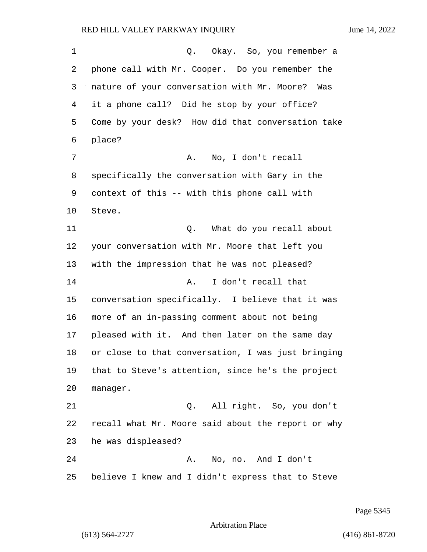1 Q. Okay. So, you remember a phone call with Mr. Cooper. Do you remember the nature of your conversation with Mr. Moore? Was it a phone call? Did he stop by your office? Come by your desk? How did that conversation take place? 7 A. No, I don't recall specifically the conversation with Gary in the context of this -- with this phone call with Steve. 11 Q. What do you recall about your conversation with Mr. Moore that left you with the impression that he was not pleased? 14 A. I don't recall that conversation specifically. I believe that it was more of an in-passing comment about not being pleased with it. And then later on the same day or close to that conversation, I was just bringing that to Steve's attention, since he's the project manager. 21 Q. All right. So, you don't recall what Mr. Moore said about the report or why he was displeased? 24 A. No, no. And I don't believe I knew and I didn't express that to Steve

Page 5345

### Arbitration Place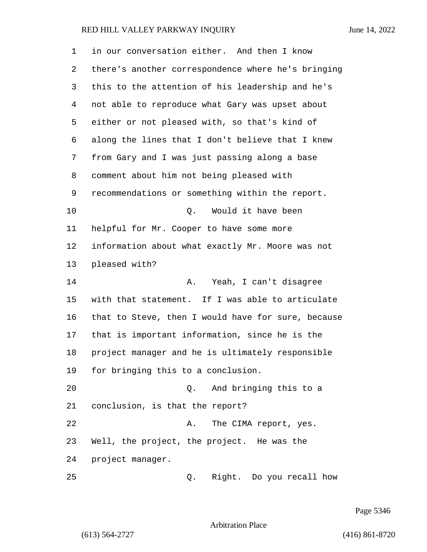| 1  | in our conversation either. And then I know        |
|----|----------------------------------------------------|
| 2  | there's another correspondence where he's bringing |
| 3  | this to the attention of his leadership and he's   |
| 4  | not able to reproduce what Gary was upset about    |
| 5  | either or not pleased with, so that's kind of      |
| 6  | along the lines that I don't believe that I knew   |
| 7  | from Gary and I was just passing along a base      |
| 8  | comment about him not being pleased with           |
| 9  | recommendations or something within the report.    |
| 10 | Would it have been<br>Q.                           |
| 11 | helpful for Mr. Cooper to have some more           |
| 12 | information about what exactly Mr. Moore was not   |
| 13 | pleased with?                                      |
| 14 | Yeah, I can't disagree<br>Α.                       |
| 15 | with that statement. If I was able to articulate   |
| 16 | that to Steve, then I would have for sure, because |
| 17 | that is important information, since he is the     |
| 18 | project manager and he is ultimately responsible   |
| 19 | for bringing this to a conclusion.                 |
| 20 | And bringing this to a<br>Q.                       |
| 21 | conclusion, is that the report?                    |
| 22 | The CIMA report, yes.<br>Α.                        |
| 23 | Well, the project, the project. He was the         |
| 24 | project manager.                                   |
| 25 | Right. Do you recall how<br>Q.                     |

Page 5346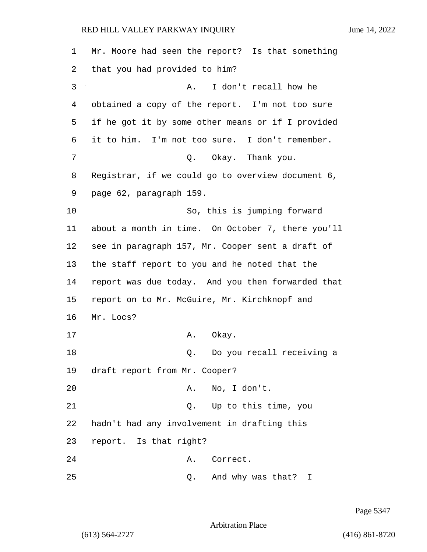Mr. Moore had seen the report? Is that something that you had provided to him? 3 A. I don't recall how he obtained a copy of the report. I'm not too sure if he got it by some other means or if I provided it to him. I'm not too sure. I don't remember. 7 C. Okay. Thank you. Registrar, if we could go to overview document 6, page 62, paragraph 159. 10 So, this is jumping forward about a month in time. On October 7, there you'll see in paragraph 157, Mr. Cooper sent a draft of the staff report to you and he noted that the report was due today. And you then forwarded that report on to Mr. McGuire, Mr. Kirchknopf and Mr. Locs? 17 A. Okay. 18 Q. Do you recall receiving a draft report from Mr. Cooper? 20 A. No, I don't. 21 Q. Up to this time, you hadn't had any involvement in drafting this report. Is that right? 24 A. Correct. 25 Q. And why was that? I

Page 5347

Arbitration Place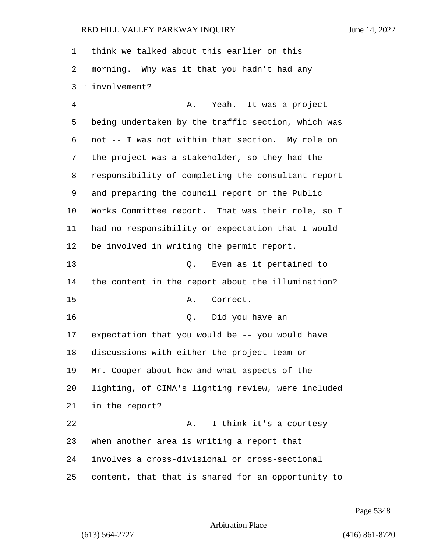think we talked about this earlier on this morning. Why was it that you hadn't had any involvement?

4 A. Yeah. It was a project being undertaken by the traffic section, which was not -- I was not within that section. My role on the project was a stakeholder, so they had the responsibility of completing the consultant report and preparing the council report or the Public Works Committee report. That was their role, so I had no responsibility or expectation that I would be involved in writing the permit report. 13 Q. Even as it pertained to the content in the report about the illumination? 15 A. Correct. 16 Q. Did you have an expectation that you would be -- you would have discussions with either the project team or Mr. Cooper about how and what aspects of the lighting, of CIMA's lighting review, were included in the report? 22 A. I think it's a courtesy when another area is writing a report that involves a cross-divisional or cross-sectional content, that that is shared for an opportunity to

Page 5348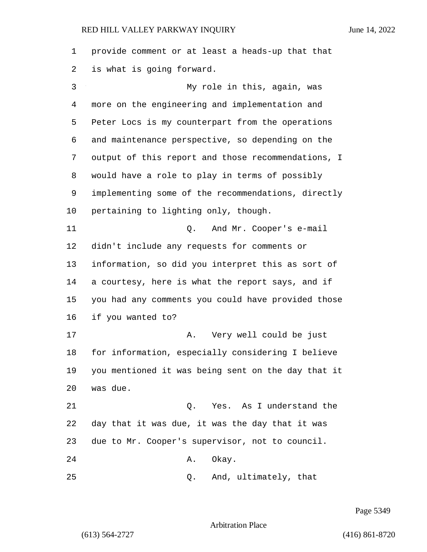provide comment or at least a heads-up that that is what is going forward. 3 My role in this, again, was more on the engineering and implementation and Peter Locs is my counterpart from the operations and maintenance perspective, so depending on the output of this report and those recommendations, I would have a role to play in terms of possibly implementing some of the recommendations, directly pertaining to lighting only, though. 11 Q. And Mr. Cooper's e-mail didn't include any requests for comments or information, so did you interpret this as sort of a courtesy, here is what the report says, and if you had any comments you could have provided those if you wanted to? 17 A. Very well could be just for information, especially considering I believe you mentioned it was being sent on the day that it was due. 21 C. Yes. As I understand the day that it was due, it was the day that it was due to Mr. Cooper's supervisor, not to council. 24 A. Okay. 25 Q. And, ultimately, that

Page 5349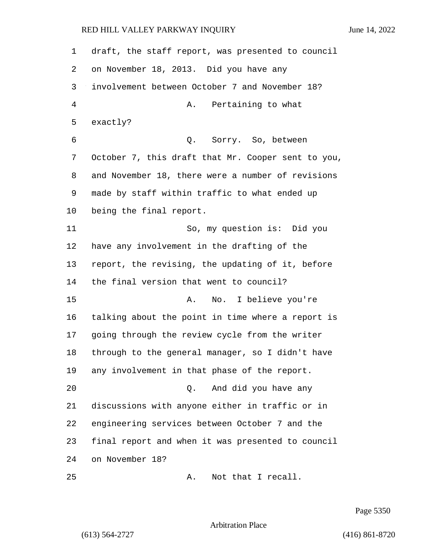draft, the staff report, was presented to council on November 18, 2013. Did you have any involvement between October 7 and November 18? 4 A. Pertaining to what exactly? 6 Q. Sorry. So, between October 7, this draft that Mr. Cooper sent to you, and November 18, there were a number of revisions made by staff within traffic to what ended up being the final report. 11 So, my question is: Did you have any involvement in the drafting of the report, the revising, the updating of it, before the final version that went to council? 15 A. No. I believe you're talking about the point in time where a report is going through the review cycle from the writer through to the general manager, so I didn't have any involvement in that phase of the report. 20 Q. And did you have any discussions with anyone either in traffic or in engineering services between October 7 and the final report and when it was presented to council on November 18? 25 A. Not that I recall.

Page 5350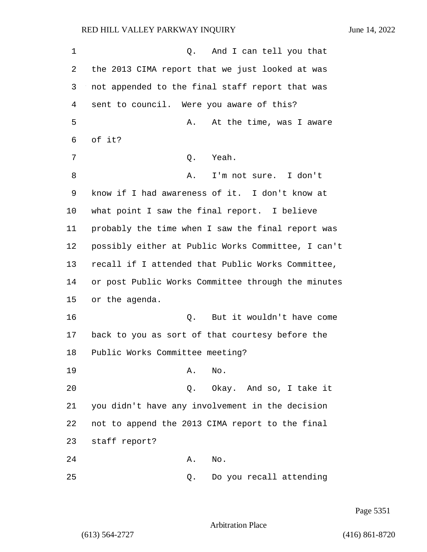1 and I can tell you that 2 the 2013 CIMA report that we just looked at was 3 not appended to the final staff report that was 4 sent to council. Were you aware of this? 5 A. At the time, was I aware 6 of it? 7 Q. Yeah. 8 A. I'm not sure. I don't 9 know if I had awareness of it. I don't know at 10 what point I saw the final report. I believe 11 probably the time when I saw the final report was 12 possibly either at Public Works Committee, I can't 13 recall if I attended that Public Works Committee, 14 or post Public Works Committee through the minutes 15 or the agenda. 16 Q. But it wouldn't have come 17 back to you as sort of that courtesy before the 18 Public Works Committee meeting? 19 A. No. 20 Q. Okay. And so, I take it 21 you didn't have any involvement in the decision 22 not to append the 2013 CIMA report to the final 23 staff report? 24 A. No. 25 Q. Do you recall attending

Page 5351

Arbitration Place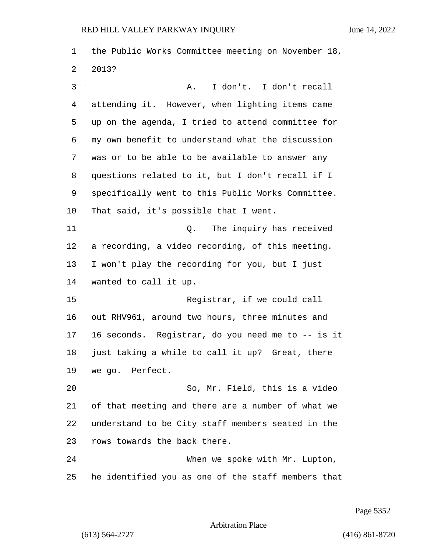the Public Works Committee meeting on November 18, 2013?

3 A. I don't. I don't recall attending it. However, when lighting items came up on the agenda, I tried to attend committee for my own benefit to understand what the discussion was or to be able to be available to answer any questions related to it, but I don't recall if I specifically went to this Public Works Committee. That said, it's possible that I went. 11 Q. The inquiry has received a recording, a video recording, of this meeting. I won't play the recording for you, but I just wanted to call it up.

15 Registrar, if we could call out RHV961, around two hours, three minutes and 16 seconds. Registrar, do you need me to -- is it just taking a while to call it up? Great, there we go. Perfect.

20 So, Mr. Field, this is a video of that meeting and there are a number of what we understand to be City staff members seated in the rows towards the back there.

24 When we spoke with Mr. Lupton, he identified you as one of the staff members that

Page 5352

Arbitration Place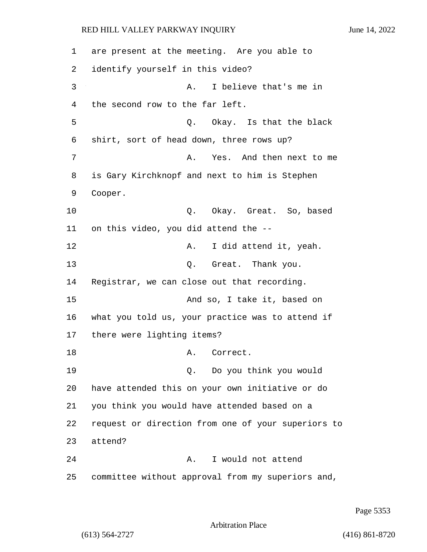1 are present at the meeting. Are you able to 2 identify yourself in this video? 3 A. I believe that's me in 4 the second row to the far left. 5 Q. Okay. Is that the black 6 shirt, sort of head down, three rows up? 7 A. Yes. And then next to me 8 is Gary Kirchknopf and next to him is Stephen 9 Cooper. 10 Q. Okay. Great. So, based 11 on this video, you did attend the -- 12 A. I did attend it, yeah. 13 Q. Great. Thank you. 14 Registrar, we can close out that recording. 15 And so, I take it, based on 16 what you told us, your practice was to attend if 17 there were lighting items? 18 A. Correct. 19 Q. Do you think you would 20 have attended this on your own initiative or do 21 you think you would have attended based on a 22 request or direction from one of your superiors to 23 attend? 24 A. I would not attend 25 committee without approval from my superiors and,

Page 5353

Arbitration Place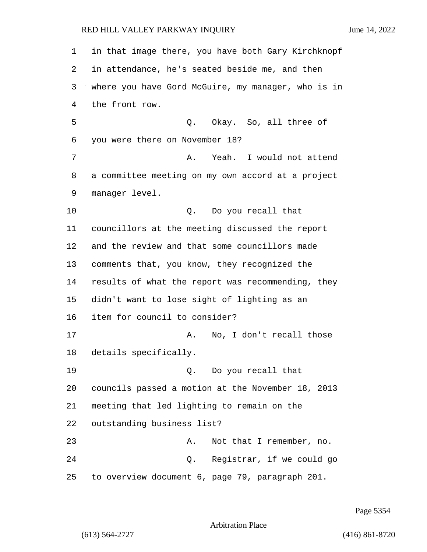in that image there, you have both Gary Kirchknopf in attendance, he's seated beside me, and then where you have Gord McGuire, my manager, who is in the front row. 5 Q. Okay. So, all three of you were there on November 18? 7 A. Yeah. I would not attend a committee meeting on my own accord at a project manager level. 10 Q. Do you recall that councillors at the meeting discussed the report and the review and that some councillors made comments that, you know, they recognized the results of what the report was recommending, they didn't want to lose sight of lighting as an item for council to consider? 17 A. No, I don't recall those details specifically. 19 Q. Do you recall that councils passed a motion at the November 18, 2013 meeting that led lighting to remain on the outstanding business list? 23 A. Not that I remember, no. 24 Q. Registrar, if we could go to overview document 6, page 79, paragraph 201.

Page 5354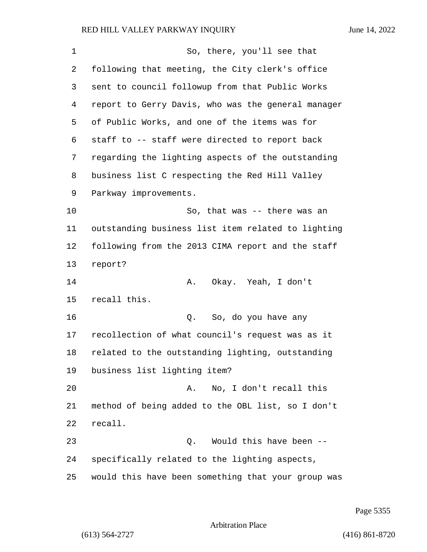| 1  | So, there, you'll see that                         |
|----|----------------------------------------------------|
| 2  | following that meeting, the City clerk's office    |
| 3  | sent to council followup from that Public Works    |
| 4  | report to Gerry Davis, who was the general manager |
| 5  | of Public Works, and one of the items was for      |
| 6  | staff to -- staff were directed to report back     |
| 7  | regarding the lighting aspects of the outstanding  |
| 8  | business list C respecting the Red Hill Valley     |
| 9  | Parkway improvements.                              |
| 10 | So, that was -- there was an                       |
| 11 | outstanding business list item related to lighting |
| 12 | following from the 2013 CIMA report and the staff  |
| 13 | report?                                            |
| 14 | Okay. Yeah, I don't<br>Α.                          |
| 15 | recall this.                                       |
| 16 | So, do you have any<br>Q.                          |
| 17 | recollection of what council's request was as it   |
| 18 | related to the outstanding lighting, outstanding   |
| 19 | business list lighting item?                       |
| 20 | No, I don't recall this<br>Α.                      |
| 21 | method of being added to the OBL list, so I don't  |
| 22 | recall.                                            |
| 23 | Would this have been --<br>Q.                      |
| 24 | specifically related to the lighting aspects,      |
| 25 | would this have been something that your group was |

Page 5355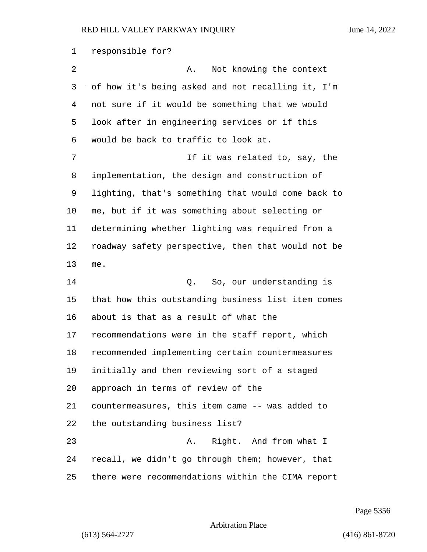responsible for? 2 A. Not knowing the context of how it's being asked and not recalling it, I'm not sure if it would be something that we would look after in engineering services or if this would be back to traffic to look at. 7 If it was related to, say, the implementation, the design and construction of lighting, that's something that would come back to me, but if it was something about selecting or determining whether lighting was required from a roadway safety perspective, then that would not be me. 14 C. So, our understanding is that how this outstanding business list item comes about is that as a result of what the recommendations were in the staff report, which recommended implementing certain countermeasures initially and then reviewing sort of a staged approach in terms of review of the countermeasures, this item came -- was added to the outstanding business list? 23 A. Right. And from what I recall, we didn't go through them; however, that there were recommendations within the CIMA report

Page 5356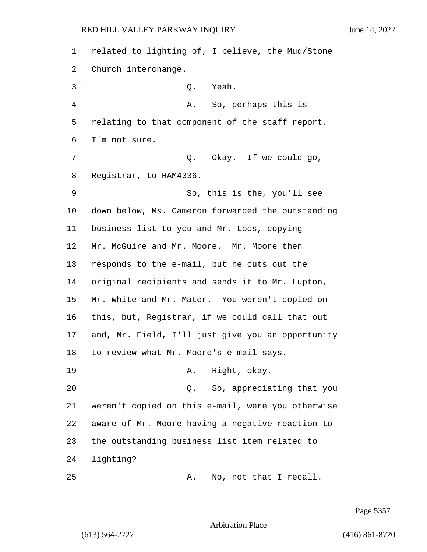related to lighting of, I believe, the Mud/Stone Church interchange. 3 Q. Yeah. 4 A. So, perhaps this is relating to that component of the staff report. I'm not sure. 7 O. Okay. If we could go, Registrar, to HAM4336. 9 So, this is the, you'll see down below, Ms. Cameron forwarded the outstanding business list to you and Mr. Locs, copying Mr. McGuire and Mr. Moore. Mr. Moore then responds to the e-mail, but he cuts out the original recipients and sends it to Mr. Lupton, Mr. White and Mr. Mater. You weren't copied on this, but, Registrar, if we could call that out and, Mr. Field, I'll just give you an opportunity to review what Mr. Moore's e-mail says. 19 A. Right, okay. 20 Q. So, appreciating that you weren't copied on this e-mail, were you otherwise aware of Mr. Moore having a negative reaction to the outstanding business list item related to lighting? 25 A. No, not that I recall.

Page 5357

Arbitration Place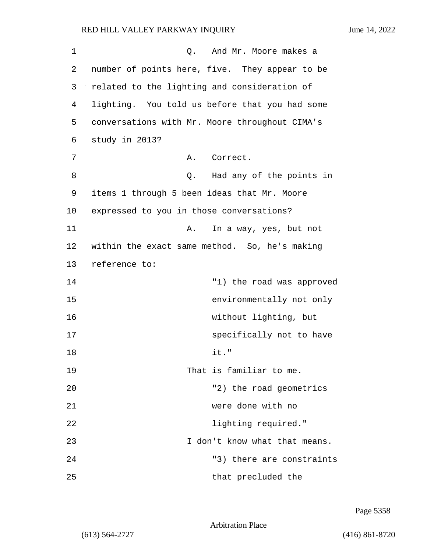1 Q. And Mr. Moore makes a 2 number of points here, five. They appear to be 3 related to the lighting and consideration of 4 lighting. You told us before that you had some 5 conversations with Mr. Moore throughout CIMA's 6 study in 2013? 7 A. Correct. 8 Q. Had any of the points in 9 items 1 through 5 been ideas that Mr. Moore 10 expressed to you in those conversations? 11 A. In a way, yes, but not 12 within the exact same method. So, he's making 13 reference to: 14 "1) the road was approved 15 environmentally not only 16 without lighting, but 17 specifically not to have 18 it." 19 That is familiar to me. 20 The road geometrics and the road geometrics 21 were done with no 22 **lighting required.**" 23 I don't know what that means. 24 "3) there are constraints 25 that precluded the

Page 5358

Arbitration Place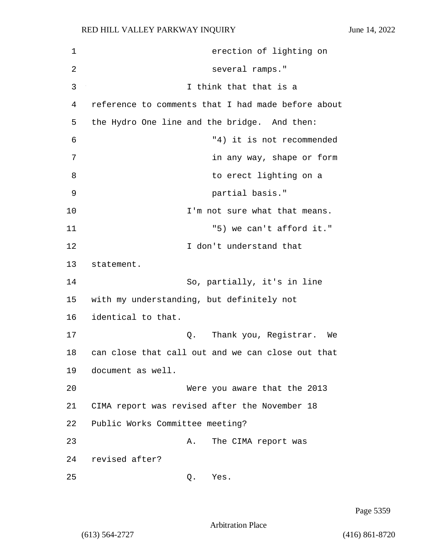1 erection of lighting on 2 several ramps." 3 I think that that is a 4 reference to comments that I had made before about 5 the Hydro One line and the bridge. And then: 6 "4) it is not recommended 7 in any way, shape or form 8 a **b** contract to erect lighting on a 9 partial basis." 10 **I'm not sure what that means.** 11 The same state of the state of the state of the state of the state of the state of the state of the state of the state of the state of the state of the state of the state of the state of the state of the state of the st 12 I don't understand that 13 statement. 14 So, partially, it's in line 15 with my understanding, but definitely not 16 identical to that. 17 Q. Thank you, Registrar. We 18 can close that call out and we can close out that 19 document as well. 20 Were you aware that the 2013 21 CIMA report was revised after the November 18 22 Public Works Committee meeting? 23 A. The CIMA report was 24 revised after? 25 Q. Yes.

Page 5359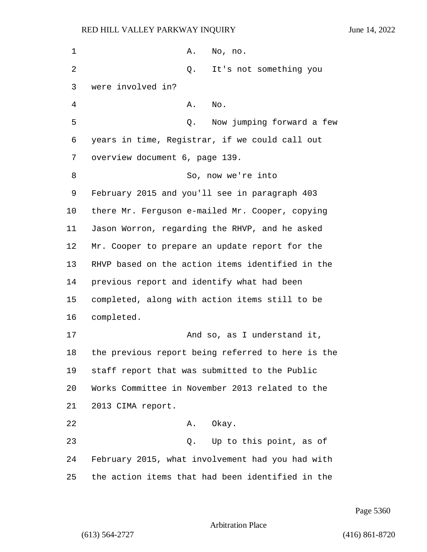| 1  | Α.<br>No, no.                                     |
|----|---------------------------------------------------|
| 2  | It's not something you<br>Q.                      |
| 3  | were involved in?                                 |
| 4  | Α.<br>No.                                         |
| 5  | Now jumping forward a few<br>Q.                   |
| 6  | years in time, Registrar, if we could call out    |
| 7  | overview document 6, page 139.                    |
| 8  | So, now we're into                                |
| 9  | February 2015 and you'll see in paragraph 403     |
| 10 | there Mr. Ferguson e-mailed Mr. Cooper, copying   |
| 11 | Jason Worron, regarding the RHVP, and he asked    |
| 12 | Mr. Cooper to prepare an update report for the    |
| 13 | RHVP based on the action items identified in the  |
| 14 | previous report and identify what had been        |
| 15 | completed, along with action items still to be    |
| 16 | completed.                                        |
| 17 | And so, as I understand it,                       |
| 18 | the previous report being referred to here is the |
| 19 | staff report that was submitted to the Public     |
| 20 | Works Committee in November 2013 related to the   |
| 21 | 2013 CIMA report.                                 |
| 22 | Okay.<br>A.                                       |
| 23 | Up to this point, as of<br>Q.                     |
| 24 | February 2015, what involvement had you had with  |
| 25 | the action items that had been identified in the  |

Page 5360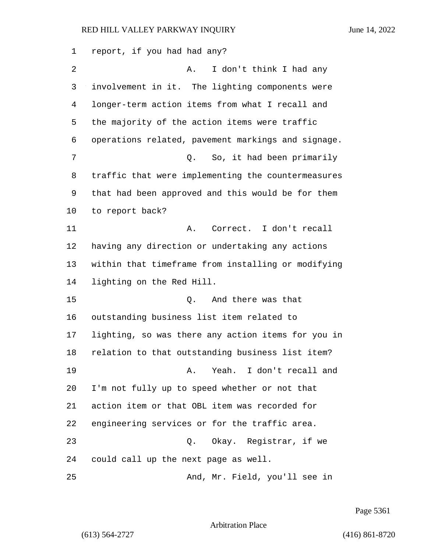report, if you had had any? 2 A. I don't think I had any involvement in it. The lighting components were longer-term action items from what I recall and the majority of the action items were traffic operations related, pavement markings and signage. 7 C. So, it had been primarily traffic that were implementing the countermeasures that had been approved and this would be for them to report back? 11 A. Correct. I don't recall having any direction or undertaking any actions within that timeframe from installing or modifying lighting on the Red Hill. 15 Q. And there was that outstanding business list item related to lighting, so was there any action items for you in relation to that outstanding business list item? 19 A. Yeah. I don't recall and I'm not fully up to speed whether or not that action item or that OBL item was recorded for engineering services or for the traffic area. 23 Q. Okay. Registrar, if we could call up the next page as well. 25 And, Mr. Field, you'll see in

Page 5361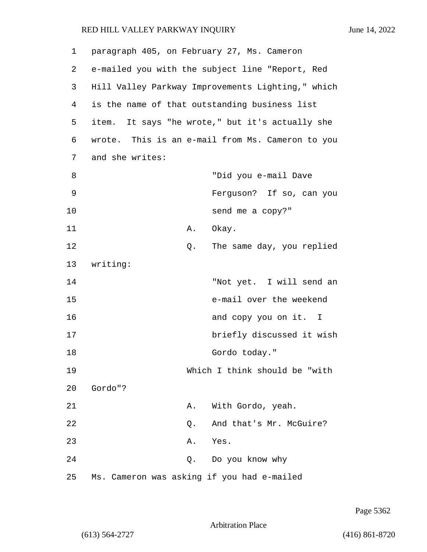1 paragraph 405, on February 27, Ms. Cameron 2 e-mailed you with the subject line "Report, Red 3 Hill Valley Parkway Improvements Lighting," which 4 is the name of that outstanding business list 5 item. It says "he wrote," but it's actually she 6 wrote. This is an e-mail from Ms. Cameron to you 7 and she writes: 8 "Did you e-mail Dave 9 Ferguson? If so, can you 10 send me a copy?" 11 A. Okay. 12 Q. The same day, you replied 13 writing: 14 "Not yet. I will send an 15 e-mail over the weekend 16 and copy you on it. I 17 briefly discussed it wish 18 Gordo today." 19 Which I think should be "with 20 Gordo"? 21 A. With Gordo, yeah. 22 Q. And that's Mr. McGuire? 23 A. Yes. 24 Q. Do you know why 25 Ms. Cameron was asking if you had e-mailed

Arbitration Place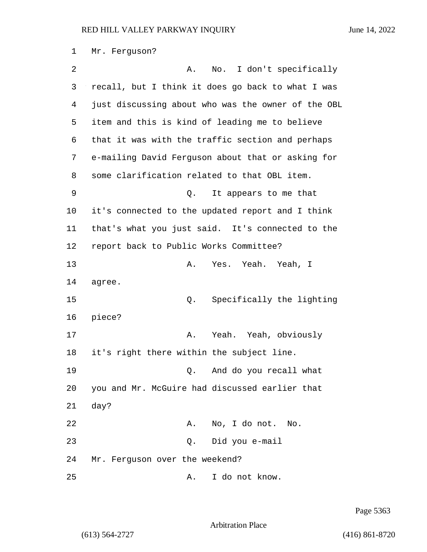1 Mr. Ferguson? 2 A. No. I don't specifically 3 recall, but I think it does go back to what I was 4 just discussing about who was the owner of the OBL 5 item and this is kind of leading me to believe 6 that it was with the traffic section and perhaps 7 e-mailing David Ferguson about that or asking for 8 some clarification related to that OBL item. 9 Q. It appears to me that 10 it's connected to the updated report and I think 11 that's what you just said. It's connected to the 12 report back to Public Works Committee? 13 A. Yes. Yeah. Yeah, I 14 agree. 15 Q. Specifically the lighting 16 piece? 17 A. Yeah. Yeah, obviously 18 it's right there within the subject line. 19 Q. And do you recall what 20 you and Mr. McGuire had discussed earlier that 21 day? 22 A. No, I do not. No. 23 Q. Did you e-mail 24 Mr. Ferguson over the weekend? 25 A. I do not know.

Page 5363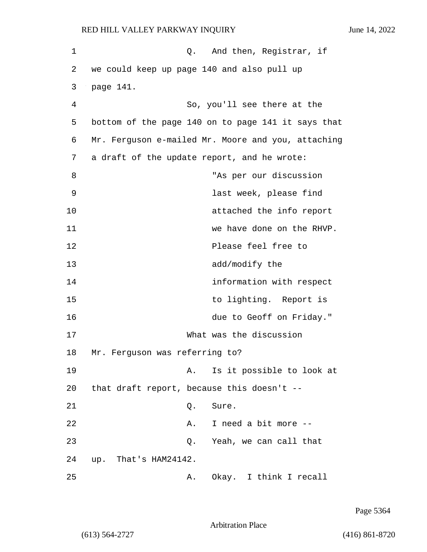| 1  | Q. And then, Registrar, if                         |
|----|----------------------------------------------------|
| 2  | we could keep up page 140 and also pull up         |
| 3  | page 141.                                          |
| 4  | So, you'll see there at the                        |
| 5  | bottom of the page 140 on to page 141 it says that |
| 6  | Mr. Ferguson e-mailed Mr. Moore and you, attaching |
| 7  | a draft of the update report, and he wrote:        |
| 8  | "As per our discussion                             |
| 9  | last week, please find                             |
| 10 | attached the info report                           |
| 11 | we have done on the RHVP.                          |
| 12 | Please feel free to                                |
| 13 | add/modify the                                     |
| 14 | information with respect                           |
| 15 | to lighting. Report is                             |
| 16 | due to Geoff on Friday."                           |
| 17 | What was the discussion                            |
| 18 | Mr. Ferguson was referring to?                     |
| 19 | Is it possible to look at<br>Α.                    |
| 20 | that draft report, because this doesn't --         |
| 21 | Q.<br>Sure.                                        |
| 22 | I need a bit more --<br>Α.                         |
| 23 | Q. Yeah, we can call that                          |
| 24 | up. That's HAM24142.                               |
| 25 | Okay. I think I recall<br>Α.                       |

Page 5364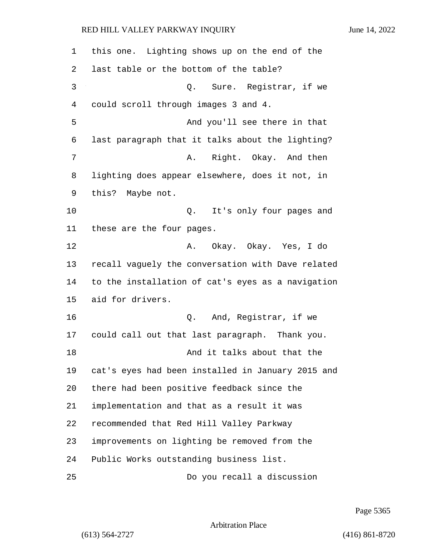| 1  | this one. Lighting shows up on the end of the     |
|----|---------------------------------------------------|
| 2  | last table or the bottom of the table?            |
| 3  | Q. Sure. Registrar, if we                         |
| 4  | could scroll through images 3 and 4.              |
| 5  | And you'll see there in that                      |
| 6  | last paragraph that it talks about the lighting?  |
| 7  | Right. Okay. And then<br>Α.                       |
| 8  | lighting does appear elsewhere, does it not, in   |
| 9  | this? Maybe not.                                  |
| 10 | It's only four pages and<br>Q.                    |
| 11 | these are the four pages.                         |
| 12 | A. Okay. Okay. Yes, I do                          |
| 13 | recall vaguely the conversation with Dave related |
| 14 | to the installation of cat's eyes as a navigation |
| 15 | aid for drivers.                                  |
| 16 | Q. And, Registrar, if we                          |
| 17 | could call out that last paragraph. Thank you.    |
| 18 | And it talks about that the                       |
| 19 | cat's eyes had been installed in January 2015 and |
| 20 | there had been positive feedback since the        |
| 21 | implementation and that as a result it was        |
| 22 | recommended that Red Hill Valley Parkway          |
| 23 | improvements on lighting be removed from the      |
| 24 | Public Works outstanding business list.           |
| 25 | Do you recall a discussion                        |

Page 5365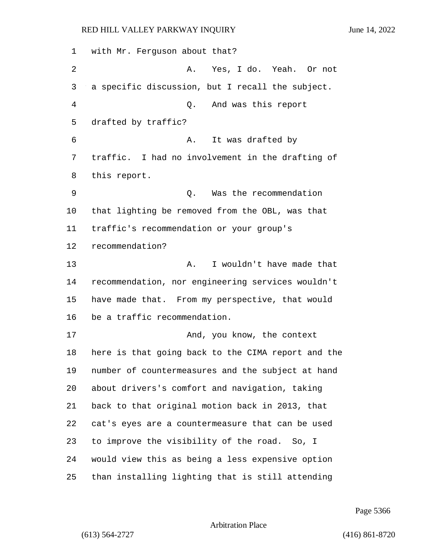with Mr. Ferguson about that? 2 A. Yes, I do. Yeah. Or not a specific discussion, but I recall the subject. 4 Q. And was this report drafted by traffic? 6 A. It was drafted by traffic. I had no involvement in the drafting of this report. 9 Q. Was the recommendation that lighting be removed from the OBL, was that traffic's recommendation or your group's recommendation? 13 A. I wouldn't have made that recommendation, nor engineering services wouldn't have made that. From my perspective, that would be a traffic recommendation. 17 And, you know, the context here is that going back to the CIMA report and the number of countermeasures and the subject at hand about drivers's comfort and navigation, taking back to that original motion back in 2013, that cat's eyes are a countermeasure that can be used to improve the visibility of the road. So, I would view this as being a less expensive option than installing lighting that is still attending

Page 5366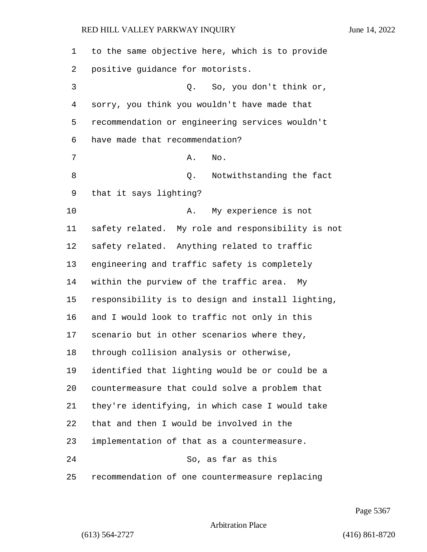| 1  | to the same objective here, which is to provide   |
|----|---------------------------------------------------|
| 2  | positive guidance for motorists.                  |
| 3  | So, you don't think or,<br>Q.                     |
| 4  | sorry, you think you wouldn't have made that      |
| 5  | recommendation or engineering services wouldn't   |
| 6  | have made that recommendation?                    |
| 7  | No.<br>Α.                                         |
| 8  | Notwithstanding the fact<br>Q.                    |
| 9  | that it says lighting?                            |
| 10 | My experience is not<br>Α.                        |
| 11 | safety related. My role and responsibility is not |
| 12 | safety related. Anything related to traffic       |
| 13 | engineering and traffic safety is completely      |
| 14 | within the purview of the traffic area.<br>Мy     |
| 15 | responsibility is to design and install lighting, |
| 16 | and I would look to traffic not only in this      |
| 17 | scenario but in other scenarios where they,       |
| 18 | through collision analysis or otherwise,          |
| 19 | identified that lighting would be or could be a   |
| 20 | countermeasure that could solve a problem that    |
| 21 | they're identifying, in which case I would take   |
| 22 | that and then I would be involved in the          |
| 23 | implementation of that as a countermeasure.       |
| 24 | So, as far as this                                |
| 25 | recommendation of one countermeasure replacing    |

Page 5367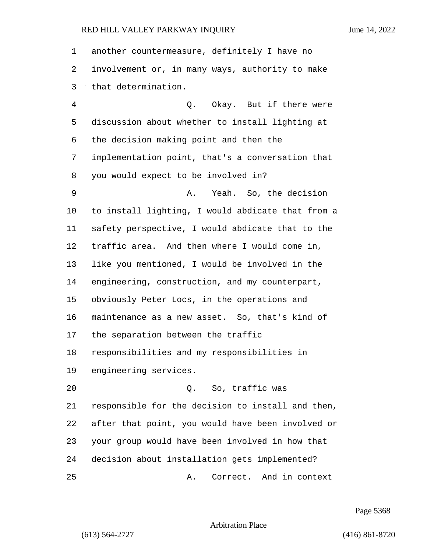| 1  | another countermeasure, definitely I have no      |
|----|---------------------------------------------------|
| 2  | involvement or, in many ways, authority to make   |
| 3  | that determination.                               |
| 4  | Q. Okay. But if there were                        |
| 5  | discussion about whether to install lighting at   |
| 6  | the decision making point and then the            |
| 7  | implementation point, that's a conversation that  |
| 8  | you would expect to be involved in?               |
| 9  | Yeah. So, the decision<br>Α.                      |
| 10 | to install lighting, I would abdicate that from a |
| 11 | safety perspective, I would abdicate that to the  |
| 12 | traffic area. And then where I would come in,     |
| 13 | like you mentioned, I would be involved in the    |
| 14 | engineering, construction, and my counterpart,    |
| 15 | obviously Peter Locs, in the operations and       |
| 16 | maintenance as a new asset. So, that's kind of    |
| 17 | the separation between the traffic                |
| 18 | responsibilities and my responsibilities in       |
| 19 | engineering services.                             |
| 20 | Q. So, traffic was                                |
| 21 | responsible for the decision to install and then, |
| 22 | after that point, you would have been involved or |
| 23 | your group would have been involved in how that   |
| 24 | decision about installation gets implemented?     |
| 25 | Correct. And in context<br>Α.                     |

Page 5368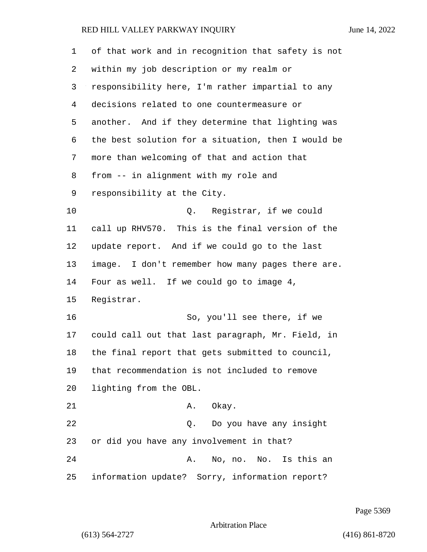| $\mathbf 1$    | of that work and in recognition that safety is not |
|----------------|----------------------------------------------------|
| 2              | within my job description or my realm or           |
| 3              | responsibility here, I'm rather impartial to any   |
| $\overline{4}$ | decisions related to one countermeasure or         |
| 5              | another. And if they determine that lighting was   |
| 6              | the best solution for a situation, then I would be |
| 7              | more than welcoming of that and action that        |
| 8              | from -- in alignment with my role and              |
| 9              | responsibility at the City.                        |
| 10             | Registrar, if we could<br>Q.                       |
| 11             | call up RHV570. This is the final version of the   |
| 12             | update report. And if we could go to the last      |
| 13             | image. I don't remember how many pages there are.  |
| 14             | Four as well. If we could go to image 4,           |
| 15             | Registrar.                                         |
| 16             | So, you'll see there, if we                        |
| 17             | could call out that last paragraph, Mr. Field, in  |
| 18             | the final report that gets submitted to council,   |
| 19             | that recommendation is not included to remove      |
| 20             | lighting from the OBL.                             |
| 21             | Okay.<br>Α.                                        |
| 22             | Do you have any insight<br>Q.                      |
| 23             | or did you have any involvement in that?           |
| 24             | No, no. No. Is this an<br>Α.                       |
| 25             | information update? Sorry, information report?     |

Page 5369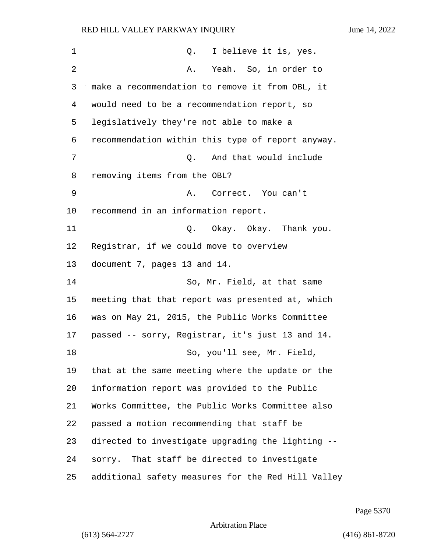| 1  | I believe it is, yes.<br>Q.                        |
|----|----------------------------------------------------|
| 2  | Yeah. So, in order to<br>Α.                        |
| 3  | make a recommendation to remove it from OBL, it    |
| 4  | would need to be a recommendation report, so       |
| 5  | legislatively they're not able to make a           |
| 6  | recommendation within this type of report anyway.  |
| 7  | And that would include<br>Q.                       |
| 8  | removing items from the OBL?                       |
| 9  | A. Correct. You can't                              |
| 10 | recommend in an information report.                |
| 11 | Q. Okay. Okay. Thank you.                          |
| 12 | Registrar, if we could move to overview            |
| 13 | document 7, pages 13 and 14.                       |
| 14 | So, Mr. Field, at that same                        |
| 15 | meeting that that report was presented at, which   |
| 16 | was on May 21, 2015, the Public Works Committee    |
| 17 | passed -- sorry, Registrar, it's just 13 and 14.   |
| 18 | So, you'll see, Mr. Field,                         |
| 19 | that at the same meeting where the update or the   |
| 20 | information report was provided to the Public      |
| 21 | Works Committee, the Public Works Committee also   |
| 22 | passed a motion recommending that staff be         |
| 23 | directed to investigate upgrading the lighting --  |
| 24 | sorry. That staff be directed to investigate       |
| 25 | additional safety measures for the Red Hill Valley |

Page 5370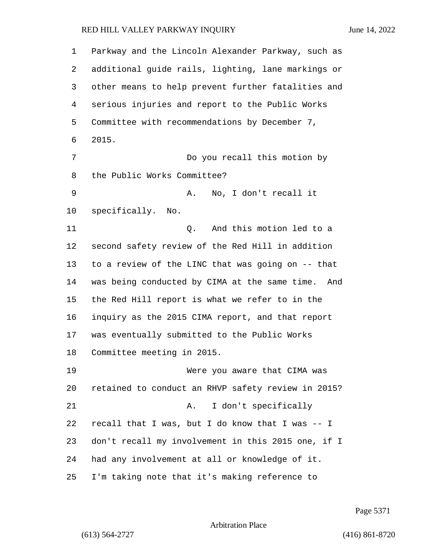Parkway and the Lincoln Alexander Parkway, such as additional guide rails, lighting, lane markings or other means to help prevent further fatalities and serious injuries and report to the Public Works Committee with recommendations by December 7, 2015. 7 Do you recall this motion by the Public Works Committee? 9 A. No, I don't recall it specifically. No. 11 Q. And this motion led to a second safety review of the Red Hill in addition to a review of the LINC that was going on -- that was being conducted by CIMA at the same time. And the Red Hill report is what we refer to in the inquiry as the 2015 CIMA report, and that report was eventually submitted to the Public Works Committee meeting in 2015. 19 Were you aware that CIMA was retained to conduct an RHVP safety review in 2015? 21 A. I don't specifically recall that I was, but I do know that I was -- I don't recall my involvement in this 2015 one, if I had any involvement at all or knowledge of it. I'm taking note that it's making reference to

Page 5371

Arbitration Place

(613) 564-2727 (416) 861-8720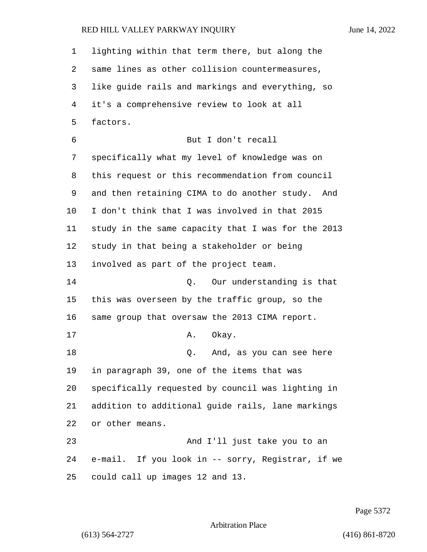| 1       | lighting within that term there, but along the     |
|---------|----------------------------------------------------|
| 2       | same lines as other collision countermeasures,     |
| 3       | like guide rails and markings and everything, so   |
| 4       | it's a comprehensive review to look at all         |
| 5       | factors.                                           |
| 6       | But I don't recall                                 |
| 7       | specifically what my level of knowledge was on     |
| 8       | this request or this recommendation from council   |
| 9       | and then retaining CIMA to do another study. And   |
| $10 \,$ | I don't think that I was involved in that 2015     |
| 11      | study in the same capacity that I was for the 2013 |
| 12      | study in that being a stakeholder or being         |
| 13      | involved as part of the project team.              |
| 14      | Our understanding is that<br>О.                    |
| 15      | this was overseen by the traffic group, so the     |
| 16      | same group that oversaw the 2013 CIMA report.      |
| 17      | Okay.<br>Α.                                        |
| 18      | And, as you can see here<br>Q.                     |
| 19      | in paragraph 39, one of the items that was         |
| 20      | specifically requested by council was lighting in  |
| 21      | addition to additional guide rails, lane markings  |
| 22      | or other means.                                    |
| 23      | And I'll just take you to an                       |
| 24      | e-mail. If you look in -- sorry, Registrar, if we  |
| $25\,$  | could call up images 12 and 13.                    |

Page 5372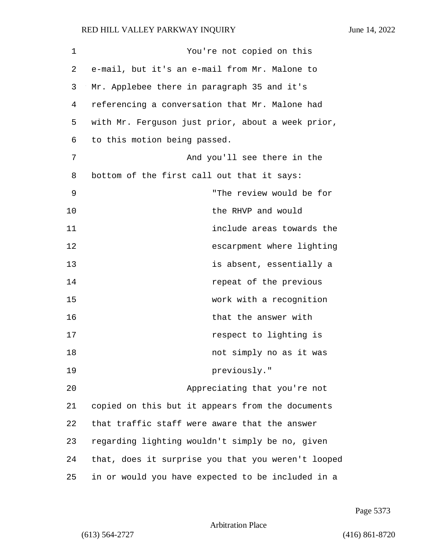1 You're not copied on this 2 e-mail, but it's an e-mail from Mr. Malone to 3 Mr. Applebee there in paragraph 35 and it's 4 referencing a conversation that Mr. Malone had 5 with Mr. Ferguson just prior, about a week prior, 6 to this motion being passed. 7 And you'll see there in the 8 bottom of the first call out that it says: 9 "The review would be for 10 the RHVP and would 11 include areas towards the 12 escarpment where lighting 13 is absent, essentially a 14 **repeat of the previous** 15 work with a recognition 16 that the answer with 17 **respect to lighting is** 18 not simply no as it was 19 **previously.**" 20 Appreciating that you're not 21 copied on this but it appears from the documents 22 that traffic staff were aware that the answer 23 regarding lighting wouldn't simply be no, given 24 that, does it surprise you that you weren't looped 25 in or would you have expected to be included in a

Page 5373

Arbitration Place

(613) 564-2727 (416) 861-8720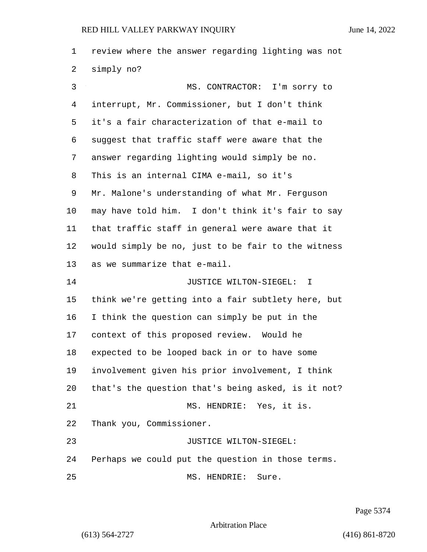review where the answer regarding lighting was not simply no? 3 MS. CONTRACTOR: I'm sorry to interrupt, Mr. Commissioner, but I don't think it's a fair characterization of that e-mail to suggest that traffic staff were aware that the answer regarding lighting would simply be no. This is an internal CIMA e-mail, so it's Mr. Malone's understanding of what Mr. Ferguson may have told him. I don't think it's fair to say that traffic staff in general were aware that it would simply be no, just to be fair to the witness as we summarize that e-mail. **IUSTICE WILTON-SIEGEL:** T think we're getting into a fair subtlety here, but I think the question can simply be put in the context of this proposed review. Would he expected to be looped back in or to have some involvement given his prior involvement, I think that's the question that's being asked, is it not? 21 MS. HENDRIE: Yes, it is. Thank you, Commissioner. 23 JUSTICE WILTON-SIEGEL: Perhaps we could put the question in those terms. 25 MS. HENDRIE: Sure.

Page 5374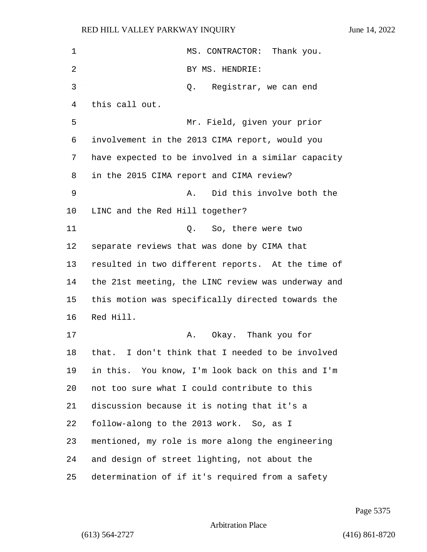| $\mathbf 1$ | MS. CONTRACTOR: Thank you.                         |
|-------------|----------------------------------------------------|
| 2           | BY MS. HENDRIE:                                    |
| 3           | Registrar, we can end<br>Q.                        |
| 4           | this call out.                                     |
| 5           | Mr. Field, given your prior                        |
| 6           | involvement in the 2013 CIMA report, would you     |
| 7           | have expected to be involved in a similar capacity |
| 8           | in the 2015 CIMA report and CIMA review?           |
| 9           | Did this involve both the<br>Α.                    |
| $10 \,$     | LINC and the Red Hill together?                    |
| 11          | So, there were two<br>Q.                           |
| 12          | separate reviews that was done by CIMA that        |
| 13          | resulted in two different reports. At the time of  |
| 14          | the 21st meeting, the LINC review was underway and |
| 15          | this motion was specifically directed towards the  |
| 16          | Red Hill.                                          |
| 17          | Okay. Thank you for<br>Α.                          |
| 18          | that. I don't think that I needed to be involved   |
| 19          | in this. You know, I'm look back on this and I'm   |
| 20          | not too sure what I could contribute to this       |
| 21          | discussion because it is noting that it's a        |
| 22          | follow-along to the 2013 work. So, as I            |
| 23          | mentioned, my role is more along the engineering   |
| 24          | and design of street lighting, not about the       |
| 25          | determination of if it's required from a safety    |

Page 5375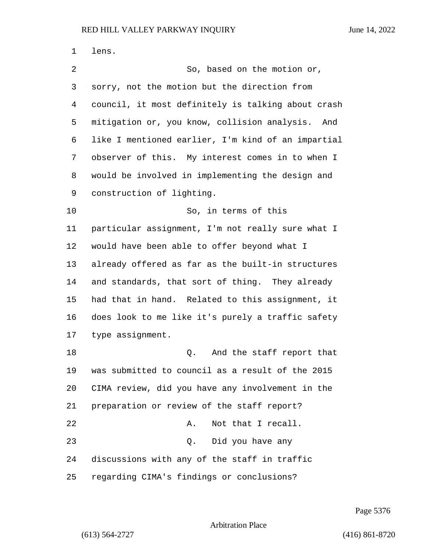lens. 2 So, based on the motion or, sorry, not the motion but the direction from council, it most definitely is talking about crash mitigation or, you know, collision analysis. And like I mentioned earlier, I'm kind of an impartial observer of this. My interest comes in to when I would be involved in implementing the design and construction of lighting. 10 So, in terms of this particular assignment, I'm not really sure what I would have been able to offer beyond what I already offered as far as the built-in structures and standards, that sort of thing. They already had that in hand. Related to this assignment, it does look to me like it's purely a traffic safety type assignment. 18 and the staff report that was submitted to council as a result of the 2015 CIMA review, did you have any involvement in the preparation or review of the staff report? 22 A. Not that I recall. 23 Q. Did you have any discussions with any of the staff in traffic regarding CIMA's findings or conclusions?

Page 5376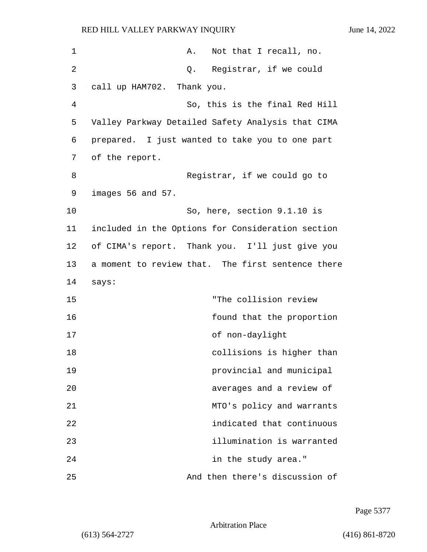| $\mathbf 1$ | Not that I recall, no.<br>Α.                      |
|-------------|---------------------------------------------------|
| 2           | Q. Registrar, if we could                         |
| 3           | call up HAM702. Thank you.                        |
| 4           | So, this is the final Red Hill                    |
| 5           | Valley Parkway Detailed Safety Analysis that CIMA |
| 6           | prepared. I just wanted to take you to one part   |
| 7           | of the report.                                    |
| 8           | Registrar, if we could go to                      |
| 9           | images 56 and 57.                                 |
| 10          | So, here, section 9.1.10 is                       |
| 11          | included in the Options for Consideration section |
| 12          | of CIMA's report. Thank you. I'll just give you   |
| 13          | a moment to review that. The first sentence there |
| 14          | says:                                             |
| 15          | "The collision review                             |
| 16          | found that the proportion                         |
| 17          | of non-daylight                                   |
| 18          | collisions is higher than                         |
| 19          | provincial and municipal                          |
| 20          | averages and a review of                          |
| 21          | MTO's policy and warrants                         |
| 22          | indicated that continuous                         |
| 23          | illumination is warranted                         |
| 24          | in the study area."                               |
| 25          | And then there's discussion of                    |

Page 5377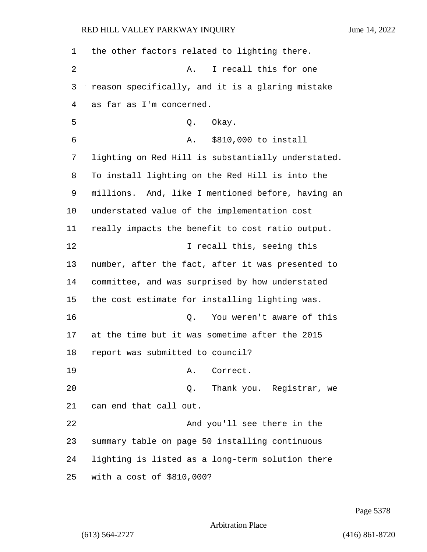| 1  | the other factors related to lighting there.       |
|----|----------------------------------------------------|
| 2  | I recall this for one<br>Α.                        |
| 3  | reason specifically, and it is a glaring mistake   |
| 4  | as far as I'm concerned.                           |
| 5  | Okay.<br>Q.                                        |
| 6  | \$810,000 to install<br>Α.                         |
| 7  | lighting on Red Hill is substantially understated. |
| 8  | To install lighting on the Red Hill is into the    |
| 9  | millions. And, like I mentioned before, having an  |
| 10 | understated value of the implementation cost       |
| 11 | really impacts the benefit to cost ratio output.   |
| 12 | I recall this, seeing this                         |
| 13 | number, after the fact, after it was presented to  |
| 14 | committee, and was surprised by how understated    |
| 15 | the cost estimate for installing lighting was.     |
| 16 | You weren't aware of this<br>Q.                    |
| 17 | at the time but it was sometime after the 2015     |
| 18 | report was submitted to council?                   |
| 19 | A. Correct.                                        |
| 20 | Thank you. Registrar, we<br>Q.                     |
| 21 | can end that call out.                             |
| 22 | And you'll see there in the                        |
| 23 | summary table on page 50 installing continuous     |
| 24 | lighting is listed as a long-term solution there   |
| 25 | with a cost of \$810,000?                          |

Page 5378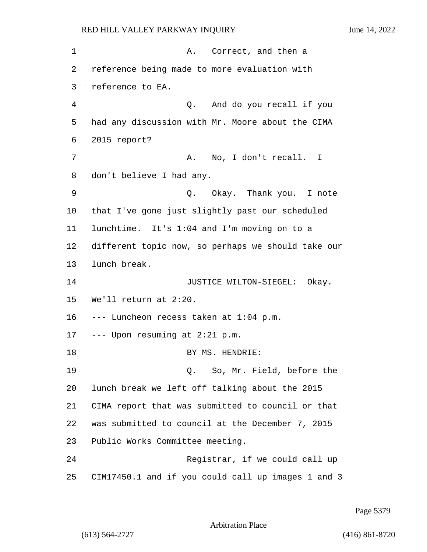| 1  | A. Correct, and then a                             |
|----|----------------------------------------------------|
| 2  | reference being made to more evaluation with       |
| 3  | reference to EA.                                   |
| 4  | Q. And do you recall if you                        |
| 5  | had any discussion with Mr. Moore about the CIMA   |
| 6  | 2015 report?                                       |
| 7  | A. No, I don't recall. I                           |
| 8  | don't believe I had any.                           |
| 9  | Q. Okay. Thank you. I note                         |
| 10 | that I've gone just slightly past our scheduled    |
| 11 | lunchtime. It's 1:04 and I'm moving on to a        |
| 12 | different topic now, so perhaps we should take our |
| 13 | lunch break.                                       |
| 14 | JUSTICE WILTON-SIEGEL: Okay.                       |
| 15 | We'll return at 2:20.                              |
| 16 | --- Luncheon recess taken at 1:04 p.m.             |
| 17 | --- Upon resuming at 2:21 p.m.                     |
| 18 | BY MS. HENDRIE:                                    |
| 19 | Q. So, Mr. Field, before the                       |
| 20 | lunch break we left off talking about the 2015     |
| 21 | CIMA report that was submitted to council or that  |
| 22 | was submitted to council at the December 7, 2015   |
| 23 | Public Works Committee meeting.                    |
| 24 | Registrar, if we could call up                     |
| 25 | CIM17450.1 and if you could call up images 1 and 3 |

Page 5379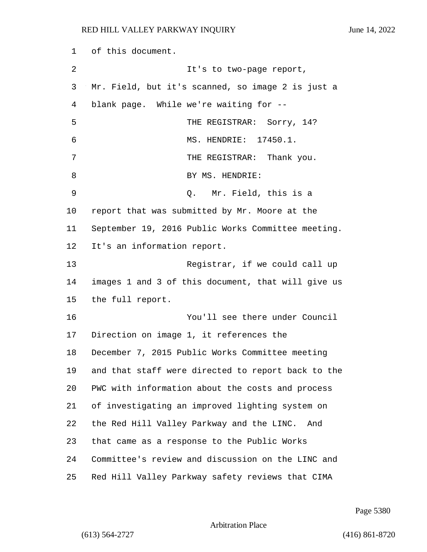of this document. 2 It's to two-page report, Mr. Field, but it's scanned, so image 2 is just a blank page. While we're waiting for -- 5 THE REGISTRAR: Sorry, 14? 6 MS. HENDRIE: 17450.1. 7 THE REGISTRAR: Thank you. 8 BY MS. HENDRIE: 9 Q. Mr. Field, this is a report that was submitted by Mr. Moore at the September 19, 2016 Public Works Committee meeting. It's an information report. 13 Registrar, if we could call up images 1 and 3 of this document, that will give us the full report. 16 You'll see there under Council Direction on image 1, it references the December 7, 2015 Public Works Committee meeting and that staff were directed to report back to the PWC with information about the costs and process of investigating an improved lighting system on the Red Hill Valley Parkway and the LINC. And that came as a response to the Public Works Committee's review and discussion on the LINC and Red Hill Valley Parkway safety reviews that CIMA

Page 5380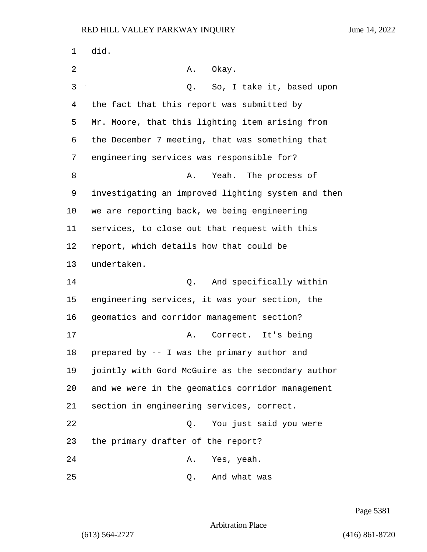1 did. 2 A. Okay. 3 Q. So, I take it, based upon the fact that this report was submitted by Mr. Moore, that this lighting item arising from the December 7 meeting, that was something that engineering services was responsible for? 8 A. Yeah. The process of investigating an improved lighting system and then we are reporting back, we being engineering services, to close out that request with this report, which details how that could be undertaken. 14 O. And specifically within engineering services, it was your section, the geomatics and corridor management section? 17 A. Correct. It's being prepared by -- I was the primary author and jointly with Gord McGuire as the secondary author and we were in the geomatics corridor management section in engineering services, correct. 22 Q. You just said you were the primary drafter of the report? 24 A. Yes, yeah. 25 Q. And what was

Page 5381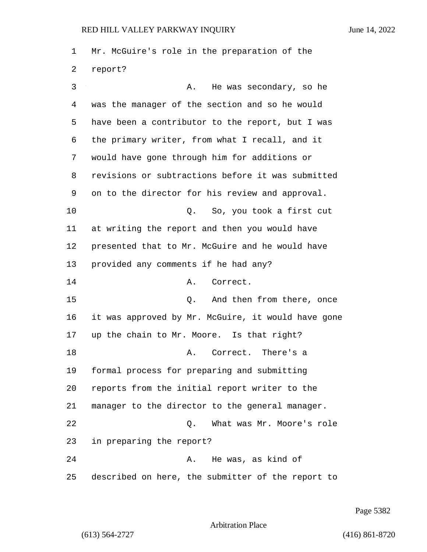Mr. McGuire's role in the preparation of the report? 3 A. He was secondary, so he was the manager of the section and so he would have been a contributor to the report, but I was the primary writer, from what I recall, and it would have gone through him for additions or revisions or subtractions before it was submitted on to the director for his review and approval. 10 Q. So, you took a first cut at writing the report and then you would have presented that to Mr. McGuire and he would have provided any comments if he had any? 14 A. Correct. 15 C. And then from there, once it was approved by Mr. McGuire, it would have gone up the chain to Mr. Moore. Is that right? 18 A. Correct. There's a formal process for preparing and submitting reports from the initial report writer to the manager to the director to the general manager. 22 Q. What was Mr. Moore's role in preparing the report? 24 A. He was, as kind of described on here, the submitter of the report to

Page 5382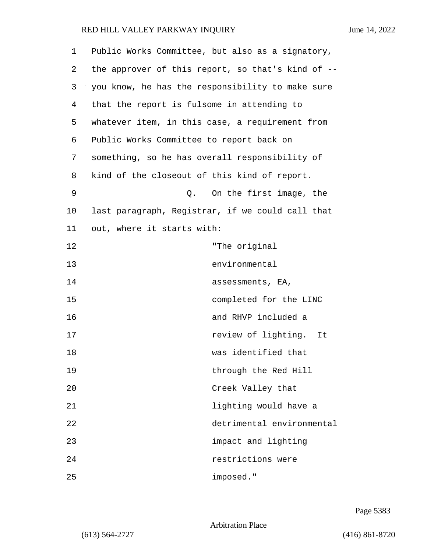| 1  | Public Works Committee, but also as a signatory,  |
|----|---------------------------------------------------|
| 2  | the approver of this report, so that's kind of -- |
| 3  | you know, he has the responsibility to make sure  |
| 4  | that the report is fulsome in attending to        |
| 5  | whatever item, in this case, a requirement from   |
| 6  | Public Works Committee to report back on          |
| 7  | something, so he has overall responsibility of    |
| 8  | kind of the closeout of this kind of report.      |
| 9  | On the first image, the<br>Q.                     |
| 10 | last paragraph, Registrar, if we could call that  |
| 11 | out, where it starts with:                        |
| 12 | "The original                                     |
| 13 | environmental                                     |
| 14 | assessments, EA,                                  |
| 15 | completed for the LINC                            |
| 16 | and RHVP included a                               |
| 17 | review of lighting.<br>It                         |
| 18 | was identified that                               |
| 19 | through the Red Hill                              |
| 20 | Creek Valley that                                 |
| 21 | lighting would have a                             |
| 22 | detrimental environmental                         |
| 23 | impact and lighting                               |
| 24 | restrictions were                                 |
| 25 | imposed."                                         |

Page 5383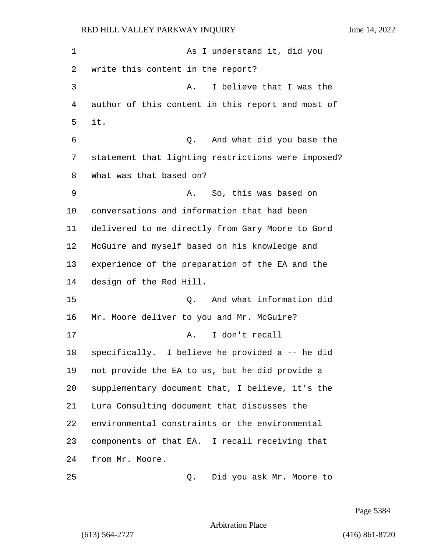1 As I understand it, did you write this content in the report? 3 A. I believe that I was the author of this content in this report and most of 5 it. 6 Q. And what did you base the statement that lighting restrictions were imposed? What was that based on? 9 A. So, this was based on conversations and information that had been delivered to me directly from Gary Moore to Gord McGuire and myself based on his knowledge and experience of the preparation of the EA and the design of the Red Hill. 15 Q. And what information did 16 Mr. Moore deliver to you and Mr. McGuire? 17 A. I don't recall specifically. I believe he provided a -- he did not provide the EA to us, but he did provide a supplementary document that, I believe, it's the Lura Consulting document that discusses the environmental constraints or the environmental components of that EA. I recall receiving that from Mr. Moore. 25 Q. Did you ask Mr. Moore to

Page 5384

Arbitration Place

(613) 564-2727 (416) 861-8720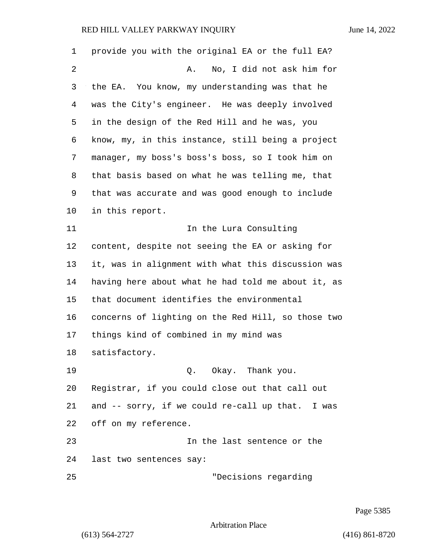provide you with the original EA or the full EA? 2 A. No, I did not ask him for the EA. You know, my understanding was that he was the City's engineer. He was deeply involved in the design of the Red Hill and he was, you know, my, in this instance, still being a project manager, my boss's boss's boss, so I took him on that basis based on what he was telling me, that that was accurate and was good enough to include in this report. **In the Lura Consulting**  content, despite not seeing the EA or asking for it, was in alignment with what this discussion was having here about what he had told me about it, as that document identifies the environmental concerns of lighting on the Red Hill, so those two things kind of combined in my mind was satisfactory. 19 Q. Okay. Thank you. Registrar, if you could close out that call out and -- sorry, if we could re-call up that. I was off on my reference. 23 In the last sentence or the last two sentences say: 25 "Decisions regarding

Page 5385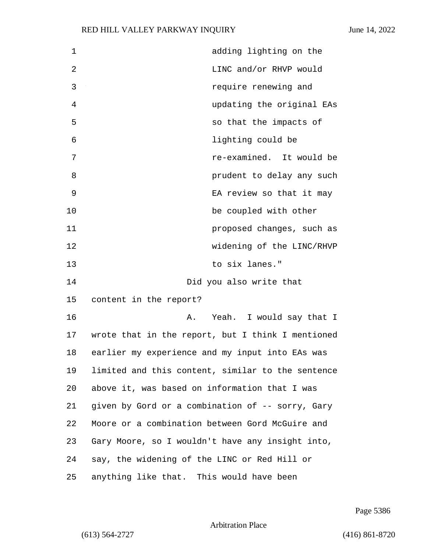| $\mathbf{1}$ | adding lighting on the                            |
|--------------|---------------------------------------------------|
| $\mathbf{2}$ | LINC and/or RHVP would                            |
| 3            | require renewing and                              |
| 4            | updating the original EAs                         |
| 5            | so that the impacts of                            |
| 6            | lighting could be                                 |
| 7            | re-examined. It would be                          |
| 8            | prudent to delay any such                         |
| 9            | EA review so that it may                          |
| 10           | be coupled with other                             |
| 11           | proposed changes, such as                         |
| 12           | widening of the LINC/RHVP                         |
| 13           | to six lanes."                                    |
| 14           | Did you also write that                           |
| 15           | content in the report?                            |
| 16           | Yeah. I would say that I<br>Α.                    |
| 17           | wrote that in the report, but I think I mentioned |
| 18           | earlier my experience and my input into EAs was   |
| 19           | limited and this content, similar to the sentence |
| 20           | above it, was based on information that I was     |
| 21           | given by Gord or a combination of -- sorry, Gary  |
| 22           | Moore or a combination between Gord McGuire and   |
| 23           | Gary Moore, so I wouldn't have any insight into,  |
| 24           | say, the widening of the LINC or Red Hill or      |
| 25           | anything like that. This would have been          |

Page 5386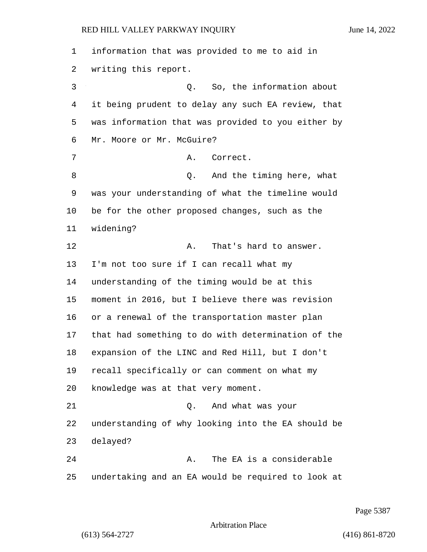information that was provided to me to aid in writing this report. 3 Q. So, the information about it being prudent to delay any such EA review, that was information that was provided to you either by Mr. Moore or Mr. McGuire? 7 A. Correct. 8 and the timing here, what was your understanding of what the timeline would be for the other proposed changes, such as the widening? 12 A. That's hard to answer. I'm not too sure if I can recall what my understanding of the timing would be at this moment in 2016, but I believe there was revision or a renewal of the transportation master plan that had something to do with determination of the expansion of the LINC and Red Hill, but I don't recall specifically or can comment on what my knowledge was at that very moment. 21 Q. And what was your understanding of why looking into the EA should be delayed? 24 A. The EA is a considerable undertaking and an EA would be required to look at

Page 5387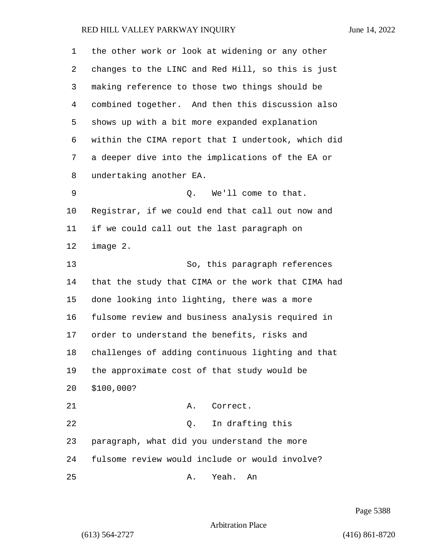| 1  | the other work or look at widening or any other    |
|----|----------------------------------------------------|
| 2  | changes to the LINC and Red Hill, so this is just  |
| 3  | making reference to those two things should be     |
| 4  | combined together. And then this discussion also   |
| 5  | shows up with a bit more expanded explanation      |
| 6  | within the CIMA report that I undertook, which did |
| 7  | a deeper dive into the implications of the EA or   |
| 8  | undertaking another EA.                            |
| 9  | We'll come to that.<br>Q.                          |
| 10 | Registrar, if we could end that call out now and   |
| 11 | if we could call out the last paragraph on         |
| 12 | image 2.                                           |
| 13 | So, this paragraph references                      |
| 14 | that the study that CIMA or the work that CIMA had |
| 15 | done looking into lighting, there was a more       |
| 16 | fulsome review and business analysis required in   |
| 17 | order to understand the benefits, risks and        |
| 18 | challenges of adding continuous lighting and that  |
| 19 | the approximate cost of that study would be        |
| 20 | \$100,000?                                         |
| 21 | Correct.<br>Α.                                     |
| 22 | In drafting this<br>Q.                             |
| 23 | paragraph, what did you understand the more        |
| 24 | fulsome review would include or would involve?     |
| 25 | Yeah.<br>Α.<br>An                                  |

Page 5388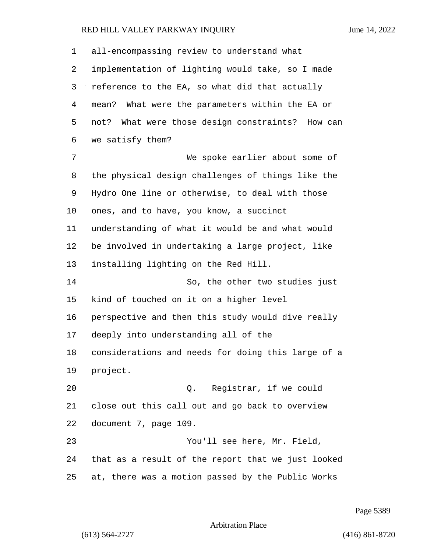| 1  | all-encompassing review to understand what          |
|----|-----------------------------------------------------|
| 2  | implementation of lighting would take, so I made    |
| 3  | reference to the EA, so what did that actually      |
| 4  | mean? What were the parameters within the EA or     |
| 5  | What were those design constraints? How can<br>not? |
| 6  | we satisfy them?                                    |
| 7  | We spoke earlier about some of                      |
| 8  | the physical design challenges of things like the   |
| 9  | Hydro One line or otherwise, to deal with those     |
| 10 | ones, and to have, you know, a succinct             |
| 11 | understanding of what it would be and what would    |
| 12 | be involved in undertaking a large project, like    |
| 13 | installing lighting on the Red Hill.                |
| 14 | So, the other two studies just                      |
| 15 | kind of touched on it on a higher level             |
| 16 | perspective and then this study would dive really   |
| 17 | deeply into understanding all of the                |
| 18 | considerations and needs for doing this large of a  |
| 19 | project.                                            |
| 20 | Q. Registrar, if we could                           |
| 21 | close out this call out and go back to overview     |
| 22 | document 7, page 109.                               |
| 23 | You'll see here, Mr. Field,                         |
| 24 | that as a result of the report that we just looked  |
| 25 | at, there was a motion passed by the Public Works   |

Page 5389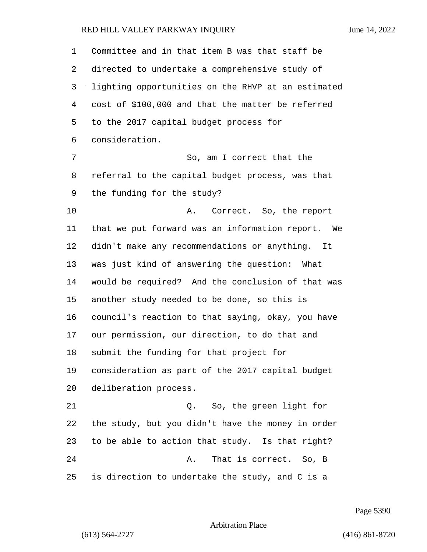Committee and in that item B was that staff be directed to undertake a comprehensive study of lighting opportunities on the RHVP at an estimated cost of \$100,000 and that the matter be referred to the 2017 capital budget process for consideration. 7 So, am I correct that the referral to the capital budget process, was that the funding for the study? 10 A. Correct. So, the report that we put forward was an information report. We didn't make any recommendations or anything. It was just kind of answering the question: What would be required? And the conclusion of that was another study needed to be done, so this is council's reaction to that saying, okay, you have our permission, our direction, to do that and submit the funding for that project for consideration as part of the 2017 capital budget deliberation process. 21 Q. So, the green light for the study, but you didn't have the money in order to be able to action that study. Is that right? 24 A. That is correct. So, B is direction to undertake the study, and C is a

Page 5390

### Arbitration Place

(613) 564-2727 (416) 861-8720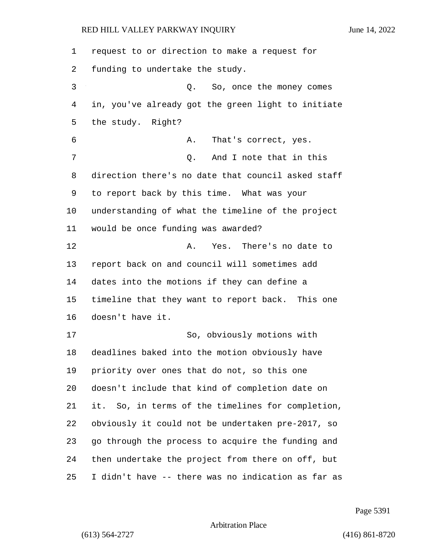request to or direction to make a request for funding to undertake the study. 3 Q. So, once the money comes in, you've already got the green light to initiate the study. Right? 6 A. That's correct, yes. 7 0. And I note that in this direction there's no date that council asked staff to report back by this time. What was your understanding of what the timeline of the project would be once funding was awarded? 12 A. Yes. There's no date to report back on and council will sometimes add dates into the motions if they can define a timeline that they want to report back. This one doesn't have it. 17 So, obviously motions with deadlines baked into the motion obviously have priority over ones that do not, so this one doesn't include that kind of completion date on it. So, in terms of the timelines for completion, obviously it could not be undertaken pre-2017, so go through the process to acquire the funding and then undertake the project from there on off, but I didn't have -- there was no indication as far as

Page 5391

Arbitration Place

(613) 564-2727 (416) 861-8720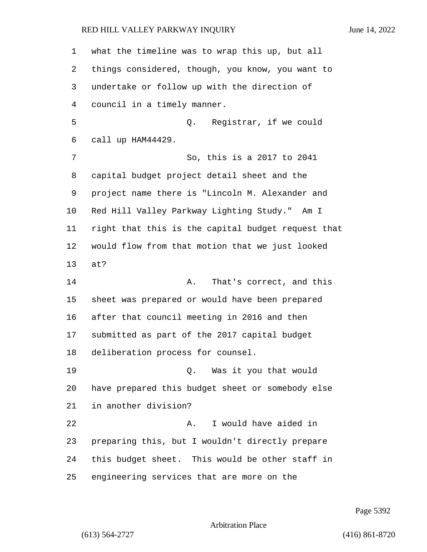what the timeline was to wrap this up, but all things considered, though, you know, you want to undertake or follow up with the direction of council in a timely manner. 5 Q. Registrar, if we could call up HAM44429. 7 So, this is a 2017 to 2041 capital budget project detail sheet and the project name there is "Lincoln M. Alexander and Red Hill Valley Parkway Lighting Study." Am I right that this is the capital budget request that would flow from that motion that we just looked at? **A.** That's correct, and this sheet was prepared or would have been prepared after that council meeting in 2016 and then submitted as part of the 2017 capital budget deliberation process for counsel. 19 Q. Was it you that would have prepared this budget sheet or somebody else in another division? 22 A. I would have aided in preparing this, but I wouldn't directly prepare this budget sheet. This would be other staff in engineering services that are more on the

Page 5392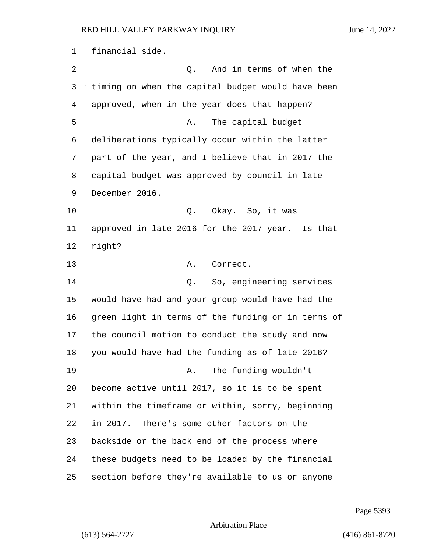financial side. 2 C. And in terms of when the timing on when the capital budget would have been approved, when in the year does that happen? 5 A. The capital budget deliberations typically occur within the latter part of the year, and I believe that in 2017 the capital budget was approved by council in late December 2016. 10 Q. Okay. So, it was approved in late 2016 for the 2017 year. Is that right? 13 A. Correct. 14 Q. So, engineering services would have had and your group would have had the green light in terms of the funding or in terms of the council motion to conduct the study and now you would have had the funding as of late 2016? 19 A. The funding wouldn't become active until 2017, so it is to be spent within the timeframe or within, sorry, beginning in 2017. There's some other factors on the backside or the back end of the process where these budgets need to be loaded by the financial section before they're available to us or anyone

Page 5393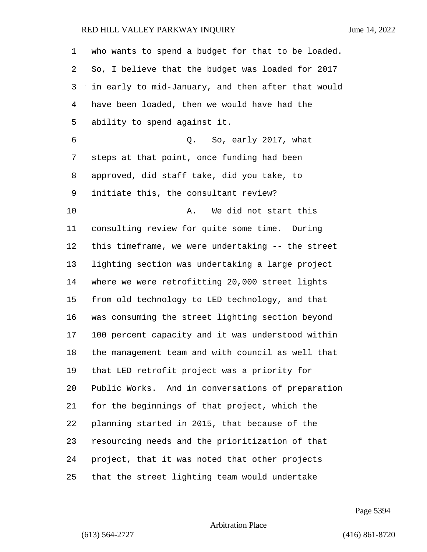| 1  | who wants to spend a budget for that to be loaded. |
|----|----------------------------------------------------|
| 2  | So, I believe that the budget was loaded for 2017  |
| 3  | in early to mid-January, and then after that would |
| 4  | have been loaded, then we would have had the       |
| 5  | ability to spend against it.                       |
| 6  | Q. So, early 2017, what                            |
| 7  | steps at that point, once funding had been         |
| 8  | approved, did staff take, did you take, to         |
| 9  | initiate this, the consultant review?              |
| 10 | We did not start this<br>Α.                        |
| 11 | consulting review for quite some time. During      |
| 12 | this timeframe, we were undertaking -- the street  |
| 13 | lighting section was undertaking a large project   |
| 14 | where we were retrofitting 20,000 street lights    |
| 15 | from old technology to LED technology, and that    |
| 16 | was consuming the street lighting section beyond   |
| 17 | 100 percent capacity and it was understood within  |
| 18 | the management team and with council as well that  |
| 19 | that LED retrofit project was a priority for       |
| 20 | Public Works. And in conversations of preparation  |
| 21 | for the beginnings of that project, which the      |
| 22 | planning started in 2015, that because of the      |
| 23 | resourcing needs and the prioritization of that    |
| 24 | project, that it was noted that other projects     |
| 25 | that the street lighting team would undertake      |

Page 5394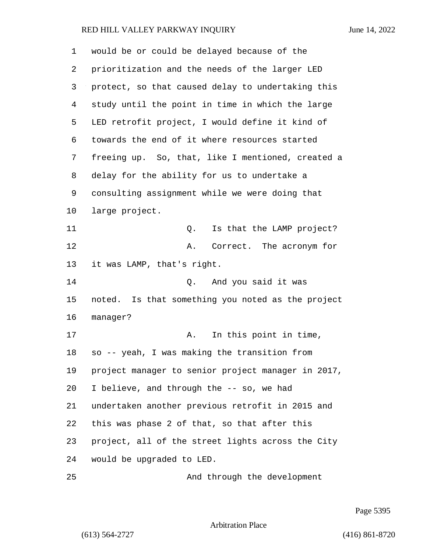| 1  | would be or could be delayed because of the        |
|----|----------------------------------------------------|
| 2  | prioritization and the needs of the larger LED     |
| 3  | protect, so that caused delay to undertaking this  |
| 4  | study until the point in time in which the large   |
| 5  | LED retrofit project, I would define it kind of    |
| 6  | towards the end of it where resources started      |
| 7  | freeing up. So, that, like I mentioned, created a  |
| 8  | delay for the ability for us to undertake a        |
| 9  | consulting assignment while we were doing that     |
| 10 | large project.                                     |
| 11 | Is that the LAMP project?<br>Q.                    |
| 12 | Correct. The acronym for<br>Α.                     |
| 13 | it was LAMP, that's right.                         |
| 14 | And you said it was<br>Q.                          |
| 15 | noted. Is that something you noted as the project  |
| 16 | manager?                                           |
| 17 | In this point in time,<br>Α.                       |
| 18 | so -- yeah, I was making the transition from       |
| 19 | project manager to senior project manager in 2017, |
| 20 | I believe, and through the -- so, we had           |
| 21 | undertaken another previous retrofit in 2015 and   |
| 22 | this was phase 2 of that, so that after this       |
| 23 | project, all of the street lights across the City  |
| 24 | would be upgraded to LED.                          |
| 25 | And through the development                        |

Page 5395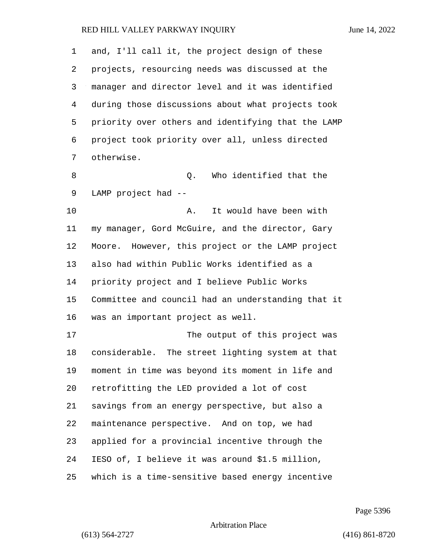| $\mathbf 1$ | and, I'll call it, the project design of these     |
|-------------|----------------------------------------------------|
| 2           | projects, resourcing needs was discussed at the    |
| 3           | manager and director level and it was identified   |
| 4           | during those discussions about what projects took  |
| 5           | priority over others and identifying that the LAMP |
| 6           | project took priority over all, unless directed    |
| 7           | otherwise.                                         |
| 8           | Who identified that the<br>Q.                      |
| 9           | LAMP project had --                                |
| 10          | It would have been with<br>Α.                      |
| 11          | my manager, Gord McGuire, and the director, Gary   |
| 12          | Moore. However, this project or the LAMP project   |
| 13          | also had within Public Works identified as a       |
| 14          | priority project and I believe Public Works        |
| 15          | Committee and council had an understanding that it |
| 16          | was an important project as well.                  |
| 17          | The output of this project was                     |
| 18          | considerable. The street lighting system at that   |
| 19          | moment in time was beyond its moment in life and   |
| 20          | retrofitting the LED provided a lot of cost        |
| 21          | savings from an energy perspective, but also a     |
| 22          | maintenance perspective. And on top, we had        |
| 23          | applied for a provincial incentive through the     |
| 24          | IESO of, I believe it was around \$1.5 million,    |
| 25          | which is a time-sensitive based energy incentive   |

Page 5396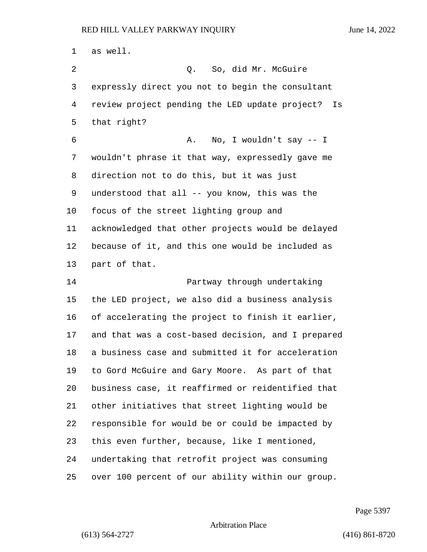as well. 2 Q. So, did Mr. McGuire expressly direct you not to begin the consultant review project pending the LED update project? Is that right? 6 A. No, I wouldn't say -- I wouldn't phrase it that way, expressedly gave me direction not to do this, but it was just understood that all -- you know, this was the focus of the street lighting group and acknowledged that other projects would be delayed because of it, and this one would be included as part of that. 14 Partway through undertaking the LED project, we also did a business analysis of accelerating the project to finish it earlier, and that was a cost-based decision, and I prepared a business case and submitted it for acceleration to Gord McGuire and Gary Moore. As part of that business case, it reaffirmed or reidentified that other initiatives that street lighting would be responsible for would be or could be impacted by this even further, because, like I mentioned, undertaking that retrofit project was consuming over 100 percent of our ability within our group.

Page 5397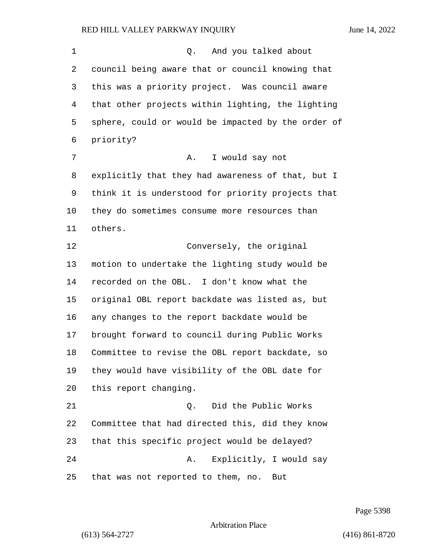1 and you talked about council being aware that or council knowing that this was a priority project. Was council aware that other projects within lighting, the lighting sphere, could or would be impacted by the order of priority? 7 A. I would say not explicitly that they had awareness of that, but I think it is understood for priority projects that they do sometimes consume more resources than others. 12 Conversely, the original motion to undertake the lighting study would be recorded on the OBL. I don't know what the original OBL report backdate was listed as, but any changes to the report backdate would be brought forward to council during Public Works Committee to revise the OBL report backdate, so they would have visibility of the OBL date for this report changing. 21 Q. Did the Public Works Committee that had directed this, did they know that this specific project would be delayed? 24 A. Explicitly, I would say that was not reported to them, no. But

Page 5398

### Arbitration Place

(613) 564-2727 (416) 861-8720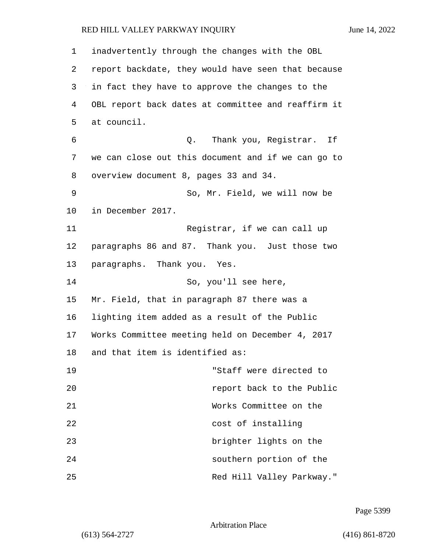| 1       | inadvertently through the changes with the OBL     |
|---------|----------------------------------------------------|
| 2       | report backdate, they would have seen that because |
| 3       | in fact they have to approve the changes to the    |
| 4       | OBL report back dates at committee and reaffirm it |
| 5       | at council.                                        |
| 6       | Q. Thank you, Registrar. If                        |
| 7       | we can close out this document and if we can go to |
| 8       | overview document 8, pages 33 and 34.              |
| 9       | So, Mr. Field, we will now be                      |
| $10 \,$ | in December 2017.                                  |
| 11      | Registrar, if we can call up                       |
| 12      | paragraphs 86 and 87. Thank you. Just those two    |
| 13      | paragraphs. Thank you. Yes.                        |
| 14      | So, you'll see here,                               |
| 15      | Mr. Field, that in paragraph 87 there was a        |
| 16      | lighting item added as a result of the Public      |
| 17      | Works Committee meeting held on December 4, 2017   |
| 18      | and that item is identified as:                    |
| 19      | "Staff were directed to                            |
| 20      | report back to the Public                          |
| 21      | Works Committee on the                             |
| 22      | cost of installing                                 |
| 23      | brighter lights on the                             |
| 24      | southern portion of the                            |
| 25      | Red Hill Valley Parkway."                          |

Page 5399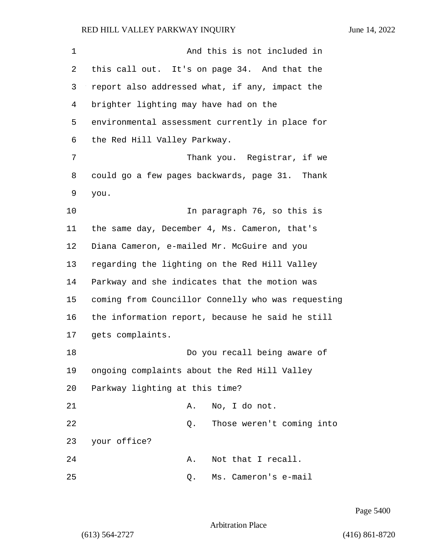| 1  | And this is not included in                        |
|----|----------------------------------------------------|
| 2  | this call out. It's on page 34. And that the       |
| 3  | report also addressed what, if any, impact the     |
| 4  | brighter lighting may have had on the              |
| 5  | environmental assessment currently in place for    |
| 6  | the Red Hill Valley Parkway.                       |
| 7  | Thank you. Registrar, if we                        |
| 8  | could go a few pages backwards, page 31. Thank     |
| 9  | you.                                               |
| 10 | In paragraph 76, so this is                        |
| 11 | the same day, December 4, Ms. Cameron, that's      |
| 12 | Diana Cameron, e-mailed Mr. McGuire and you        |
| 13 | regarding the lighting on the Red Hill Valley      |
| 14 | Parkway and she indicates that the motion was      |
| 15 | coming from Councillor Connelly who was requesting |
| 16 | the information report, because he said he still   |
| 17 | gets complaints.                                   |
| 18 | Do you recall being aware of                       |
| 19 | ongoing complaints about the Red Hill Valley       |
| 20 | Parkway lighting at this time?                     |
| 21 | No, I do not.<br>Α.                                |
| 22 | Those weren't coming into<br>Q.                    |
| 23 | your office?                                       |
| 24 | Not that I recall.<br>Α.                           |
| 25 | Ms. Cameron's e-mail<br>Q.                         |

Page 5400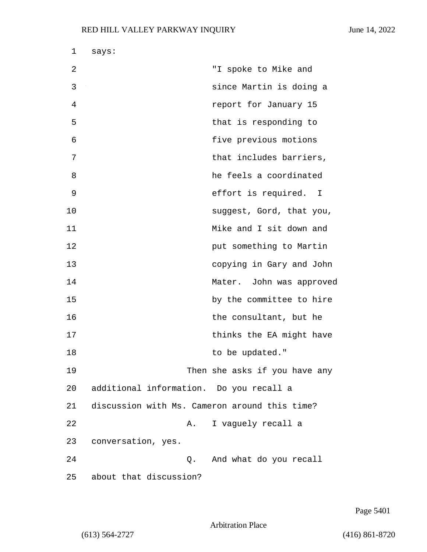| 1  | says:                                         |                               |
|----|-----------------------------------------------|-------------------------------|
| 2  |                                               | "I spoke to Mike and          |
| 3  |                                               | since Martin is doing a       |
| 4  |                                               | report for January 15         |
| 5  |                                               | that is responding to         |
| 6  |                                               | five previous motions         |
| 7  |                                               | that includes barriers,       |
| 8  |                                               | he feels a coordinated        |
| 9  |                                               | effort is required. I         |
| 10 |                                               | suggest, Gord, that you,      |
| 11 |                                               | Mike and I sit down and       |
| 12 |                                               | put something to Martin       |
| 13 |                                               | copying in Gary and John      |
| 14 |                                               | Mater. John was approved      |
| 15 |                                               | by the committee to hire      |
| 16 |                                               | the consultant, but he        |
| 17 |                                               | thinks the EA might have      |
| 18 |                                               | to be updated."               |
| 19 |                                               | Then she asks if you have any |
| 20 | additional information. Do you recall a       |                               |
| 21 | discussion with Ms. Cameron around this time? |                               |
| 22 | A.                                            | I vaguely recall a            |
| 23 | conversation, yes.                            |                               |
| 24 | $\circ$ .                                     | And what do you recall        |
| 25 | about that discussion?                        |                               |

Page 5401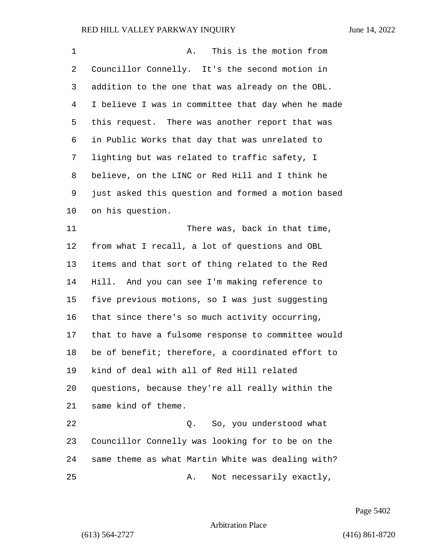| $\mathbf 1$ | This is the motion from<br>Α.                      |
|-------------|----------------------------------------------------|
| 2           | Councillor Connelly. It's the second motion in     |
| 3           | addition to the one that was already on the OBL.   |
| 4           | I believe I was in committee that day when he made |
| 5           | this request. There was another report that was    |
| 6           | in Public Works that day that was unrelated to     |
| 7           | lighting but was related to traffic safety, I      |
| 8           | believe, on the LINC or Red Hill and I think he    |
| 9           | just asked this question and formed a motion based |
| 10          | on his question.                                   |
| 11          | There was, back in that time,                      |
| 12          | from what I recall, a lot of questions and OBL     |
| 13          | items and that sort of thing related to the Red    |
| 14          | Hill. And you can see I'm making reference to      |
| 15          | five previous motions, so I was just suggesting    |
| 16          | that since there's so much activity occurring,     |
| 17          | that to have a fulsome response to committee would |
| 18          | be of benefit; therefore, a coordinated effort to  |
| 19          | kind of deal with all of Red Hill related          |
| 20          | questions, because they're all really within the   |
| 21          | same kind of theme.                                |
| 22          | Q. So, you understood what                         |
| 23          | Councillor Connelly was looking for to be on the   |
| 24          | same theme as what Martin White was dealing with?  |
| 25          | Not necessarily exactly,<br>Α.                     |

Page 5402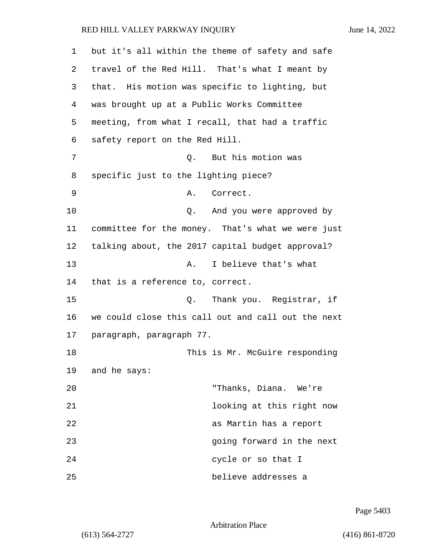| 1  | but it's all within the theme of safety and safe   |
|----|----------------------------------------------------|
| 2  | travel of the Red Hill. That's what I meant by     |
| 3  | that. His motion was specific to lighting, but     |
| 4  | was brought up at a Public Works Committee         |
| 5  | meeting, from what I recall, that had a traffic    |
| 6  | safety report on the Red Hill.                     |
| 7  | Q. But his motion was                              |
| 8  | specific just to the lighting piece?               |
| 9  | Correct.<br>Α.                                     |
| 10 | And you were approved by<br>Q.                     |
| 11 | committee for the money. That's what we were just  |
| 12 | talking about, the 2017 capital budget approval?   |
| 13 | I believe that's what<br>Α.                        |
| 14 | that is a reference to, correct.                   |
| 15 | Thank you. Registrar, if<br>Q.                     |
| 16 | we could close this call out and call out the next |
| 17 | paragraph, paragraph 77.                           |
| 18 | This is Mr. McGuire responding                     |
| 19 | and he says:                                       |
| 20 | "Thanks, Diana. We're                              |
| 21 | looking at this right now                          |
| 22 | as Martin has a report                             |
| 23 | going forward in the next                          |
| 24 | cycle or so that I                                 |
| 25 | believe addresses a                                |

Page 5403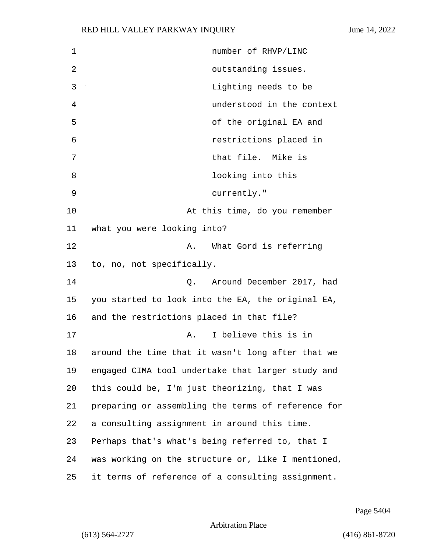| 1  | number of RHVP/LINC                                |
|----|----------------------------------------------------|
| 2  | outstanding issues.                                |
| 3  | Lighting needs to be                               |
| 4  | understood in the context                          |
| 5  | of the original EA and                             |
| 6  | restrictions placed in                             |
| 7  | that file. Mike is                                 |
| 8  | looking into this                                  |
| 9  | currently."                                        |
| 10 | At this time, do you remember                      |
| 11 | what you were looking into?                        |
| 12 | What Gord is referring<br>Α.                       |
| 13 | to, no, not specifically.                          |
| 14 | Around December 2017, had<br>Q.                    |
| 15 | you started to look into the EA, the original EA,  |
| 16 | and the restrictions placed in that file?          |
| 17 | I believe this is in<br>Α.                         |
| 18 | around the time that it wasn't long after that we  |
| 19 | engaged CIMA tool undertake that larger study and  |
| 20 | this could be, I'm just theorizing, that I was     |
| 21 | preparing or assembling the terms of reference for |
| 22 | a consulting assignment in around this time.       |
| 23 | Perhaps that's what's being referred to, that I    |
| 24 | was working on the structure or, like I mentioned, |
| 25 | it terms of reference of a consulting assignment.  |

Page 5404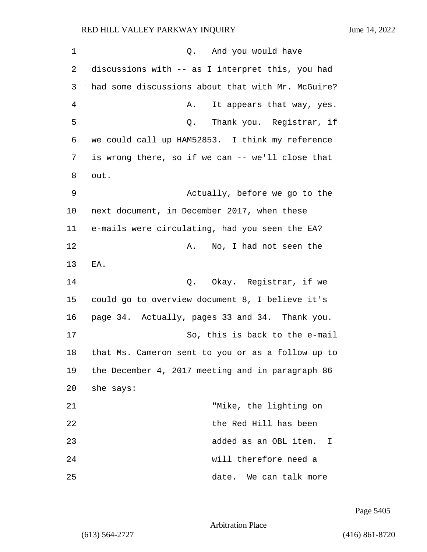| 1  | Q. And you would have                             |
|----|---------------------------------------------------|
| 2  | discussions with -- as I interpret this, you had  |
| 3  | had some discussions about that with Mr. McGuire? |
| 4  | It appears that way, yes.<br>Α.                   |
| 5  | Thank you. Registrar, if<br>Q.                    |
| 6  | we could call up HAM52853. I think my reference   |
| 7  | is wrong there, so if we can -- we'll close that  |
| 8  | out.                                              |
| 9  | Actually, before we go to the                     |
| 10 | next document, in December 2017, when these       |
| 11 | e-mails were circulating, had you seen the EA?    |
| 12 | Α.<br>No, I had not seen the                      |
| 13 | EA.                                               |
| 14 | Okay. Registrar, if we<br>Q.                      |
| 15 | could go to overview document 8, I believe it's   |
| 16 | page 34. Actually, pages 33 and 34. Thank you.    |
| 17 | So, this is back to the e-mail                    |
| 18 | that Ms. Cameron sent to you or as a follow up to |
| 19 | the December 4, 2017 meeting and in paragraph 86  |
| 20 | she says:                                         |
| 21 | "Mike, the lighting on                            |
| 22 | the Red Hill has been                             |
| 23 | added as an OBL item.<br>I                        |
| 24 | will therefore need a                             |
| 25 | date.<br>We can talk more                         |

Page 5405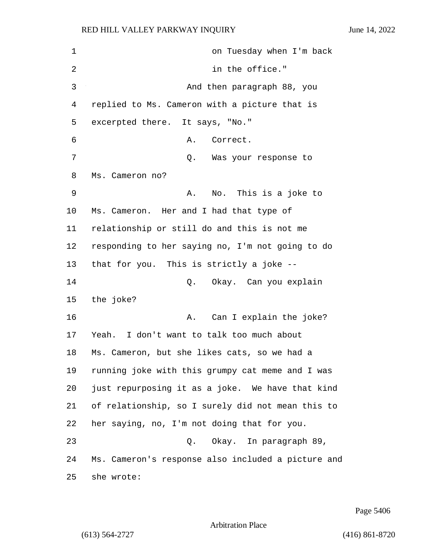| 1  | on Tuesday when I'm back                           |
|----|----------------------------------------------------|
| 2  | in the office."                                    |
| 3  | And then paragraph 88, you                         |
| 4  | replied to Ms. Cameron with a picture that is      |
| 5  | excerpted there. It says, "No."                    |
| 6  | Α.<br>Correct.                                     |
| 7  | Q. Was your response to                            |
| 8  | Ms. Cameron no?                                    |
| 9  | No. This is a joke to<br>Α.                        |
| 10 | Ms. Cameron. Her and I had that type of            |
| 11 | relationship or still do and this is not me        |
| 12 | responding to her saying no, I'm not going to do   |
| 13 | that for you. This is strictly a joke --           |
| 14 | Okay. Can you explain<br>Q.                        |
| 15 | the joke?                                          |
| 16 | Can I explain the joke?<br>Α.                      |
| 17 | Yeah. I don't want to talk too much about          |
| 18 | Ms. Cameron, but she likes cats, so we had a       |
| 19 | running joke with this grumpy cat meme and I was   |
| 20 | just repurposing it as a joke. We have that kind   |
| 21 | of relationship, so I surely did not mean this to  |
| 22 | her saying, no, I'm not doing that for you.        |
| 23 | Q. Okay. In paragraph 89,                          |
| 24 | Ms. Cameron's response also included a picture and |
| 25 | she wrote:                                         |

Page 5406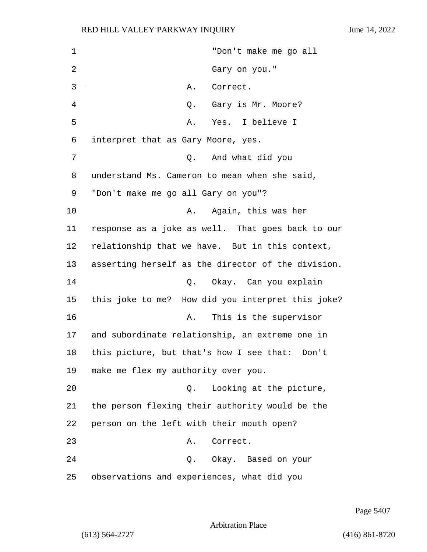1 "Don't make me go all 2 Gary on you." 3 A. Correct. 4 Q. Gary is Mr. Moore? 5 A. Yes. I believe I 6 interpret that as Gary Moore, yes. 7 Q. And what did you 8 understand Ms. Cameron to mean when she said, 9 "Don't make me go all Gary on you"? 10 A. Again, this was her 11 response as a joke as well. That goes back to our 12 relationship that we have. But in this context, 13 asserting herself as the director of the division. 14 Q. Okay. Can you explain 15 this joke to me? How did you interpret this joke? 16 A. This is the supervisor 17 and subordinate relationship, an extreme one in 18 this picture, but that's how I see that: Don't 19 make me flex my authority over you. 20 Q. Looking at the picture, 21 the person flexing their authority would be the 22 person on the left with their mouth open? 23 A. Correct. 24 Q. Okay. Based on your 25 observations and experiences, what did you

Page 5407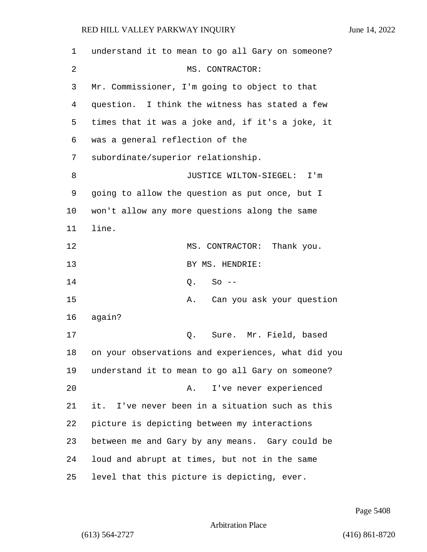| 1  | understand it to mean to go all Gary on someone?   |
|----|----------------------------------------------------|
| 2  | MS. CONTRACTOR:                                    |
| 3  | Mr. Commissioner, I'm going to object to that      |
| 4  | question. I think the witness has stated a few     |
| 5  | times that it was a joke and, if it's a joke, it   |
| 6  | was a general reflection of the                    |
| 7  | subordinate/superior relationship.                 |
| 8  | JUSTICE WILTON-SIEGEL: I'm                         |
| 9  | going to allow the question as put once, but I     |
| 10 | won't allow any more questions along the same      |
| 11 | line.                                              |
| 12 | MS. CONTRACTOR: Thank you.                         |
| 13 | BY MS. HENDRIE:                                    |
| 14 | $So --$<br>Q.                                      |
| 15 | Can you ask your question<br>Α.                    |
| 16 | again?                                             |
| 17 | Sure. Mr. Field, based<br>Q.                       |
| 18 | on your observations and experiences, what did you |
| 19 | understand it to mean to go all Gary on someone?   |
| 20 | I've never experienced<br>Α.                       |
| 21 | it. I've never been in a situation such as this    |
| 22 | picture is depicting between my interactions       |
| 23 | between me and Gary by any means. Gary could be    |
| 24 | loud and abrupt at times, but not in the same      |
| 25 | level that this picture is depicting, ever.        |

Page 5408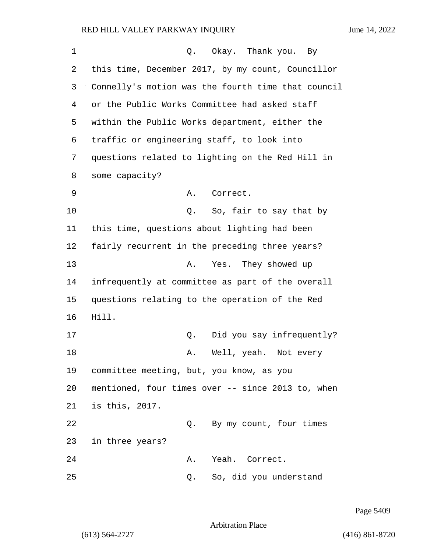| 1  | Q. Okay. Thank you. By                             |
|----|----------------------------------------------------|
| 2  | this time, December 2017, by my count, Councillor  |
| 3  | Connelly's motion was the fourth time that council |
| 4  | or the Public Works Committee had asked staff      |
| 5  | within the Public Works department, either the     |
| 6  | traffic or engineering staff, to look into         |
| 7  | questions related to lighting on the Red Hill in   |
| 8  | some capacity?                                     |
| 9  | Α.<br>Correct.                                     |
| 10 | So, fair to say that by<br>Q.                      |
| 11 | this time, questions about lighting had been       |
| 12 | fairly recurrent in the preceding three years?     |
| 13 | Yes. They showed up<br>Α.                          |
| 14 | infrequently at committee as part of the overall   |
| 15 | questions relating to the operation of the Red     |
| 16 | Hill.                                              |
| 17 | Did you say infrequently?<br>Q.                    |
| 18 | Well, yeah. Not every<br>Α.                        |
| 19 | committee meeting, but, you know, as you           |
| 20 | mentioned, four times over -- since 2013 to, when  |
| 21 | is this, 2017.                                     |
| 22 | By my count, four times<br>Q.                      |
| 23 | in three years?                                    |
| 24 | Yeah. Correct.<br>Α.                               |
| 25 | So, did you understand<br>Q.                       |

Page 5409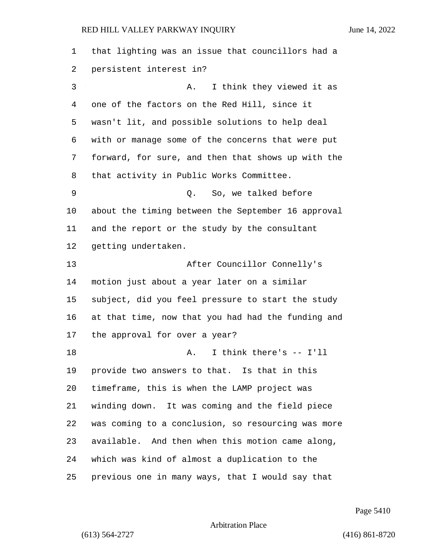that lighting was an issue that councillors had a persistent interest in? 3 A. I think they viewed it as one of the factors on the Red Hill, since it wasn't lit, and possible solutions to help deal with or manage some of the concerns that were put forward, for sure, and then that shows up with the that activity in Public Works Committee. 9 Q. So, we talked before about the timing between the September 16 approval and the report or the study by the consultant getting undertaken. 13 After Councillor Connelly's motion just about a year later on a similar subject, did you feel pressure to start the study at that time, now that you had had the funding and the approval for over a year? 18 A. I think there's -- I'll provide two answers to that. Is that in this timeframe, this is when the LAMP project was winding down. It was coming and the field piece was coming to a conclusion, so resourcing was more available. And then when this motion came along, which was kind of almost a duplication to the previous one in many ways, that I would say that

Page 5410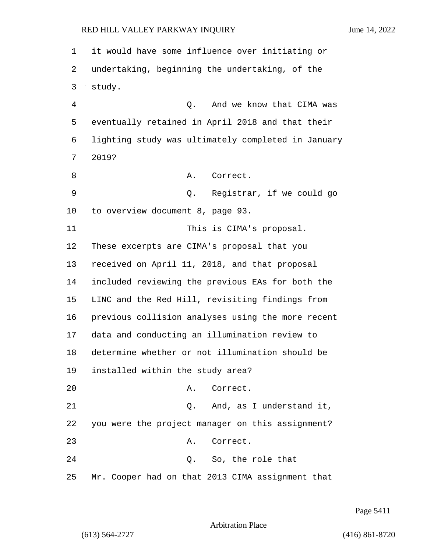1 it would have some influence over initiating or 2 undertaking, beginning the undertaking, of the 3 study. 4 Q. And we know that CIMA was 5 eventually retained in April 2018 and that their 6 lighting study was ultimately completed in January 7 2019? 8 A. Correct. 9 Q. Registrar, if we could go 10 to overview document 8, page 93. 11 This is CIMA's proposal. 12 These excerpts are CIMA's proposal that you 13 received on April 11, 2018, and that proposal 14 included reviewing the previous EAs for both the 15 LINC and the Red Hill, revisiting findings from 16 previous collision analyses using the more recent 17 data and conducting an illumination review to 18 determine whether or not illumination should be 19 installed within the study area? 20 A. Correct. 21 Q. And, as I understand it, 22 you were the project manager on this assignment? 23 A. Correct. 24 Q. So, the role that 25 Mr. Cooper had on that 2013 CIMA assignment that

Page 5411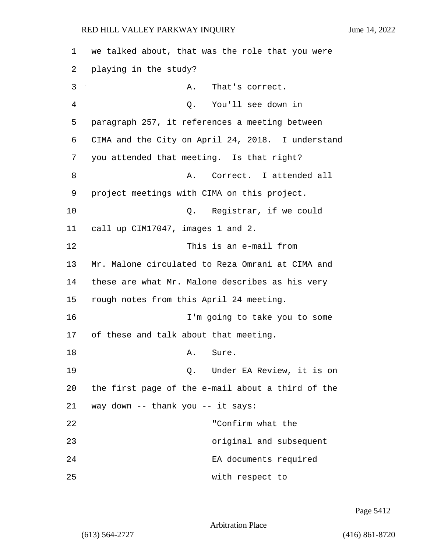| 1  | we talked about, that was the role that you were  |
|----|---------------------------------------------------|
| 2  | playing in the study?                             |
| 3  | Α.<br>That's correct.                             |
| 4  | You'll see down in<br>Q.                          |
| 5  | paragraph 257, it references a meeting between    |
| 6  | CIMA and the City on April 24, 2018. I understand |
| 7  | you attended that meeting. Is that right?         |
| 8  | Correct. I attended all<br>Α.                     |
| 9  | project meetings with CIMA on this project.       |
| 10 | Registrar, if we could<br>$\circ$ .               |
| 11 | call up CIM17047, images 1 and 2.                 |
| 12 | This is an e-mail from                            |
| 13 | Mr. Malone circulated to Reza Omrani at CIMA and  |
| 14 | these are what Mr. Malone describes as his very   |
| 15 | rough notes from this April 24 meeting.           |
| 16 | I'm going to take you to some                     |
| 17 | of these and talk about that meeting.             |
| 18 | Sure.<br>Α.                                       |
| 19 | Q. Under EA Review, it is on                      |
| 20 | the first page of the e-mail about a third of the |
| 21 | way down -- thank you -- it says:                 |
| 22 | "Confirm what the                                 |
| 23 | original and subsequent                           |
| 24 | EA documents required                             |
| 25 | with respect to                                   |

Page 5412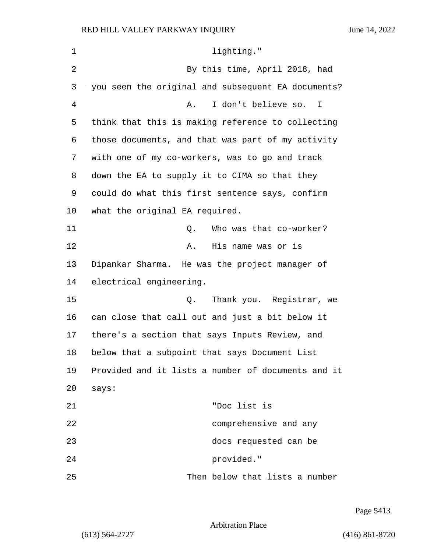| $\mathbf 1$ | lighting."                                         |
|-------------|----------------------------------------------------|
| 2           | By this time, April 2018, had                      |
| 3           | you seen the original and subsequent EA documents? |
| 4           | I don't believe so. I<br>Α.                        |
| 5           | think that this is making reference to collecting  |
| 6           | those documents, and that was part of my activity  |
| 7           | with one of my co-workers, was to go and track     |
| 8           | down the EA to supply it to CIMA so that they      |
| 9           | could do what this first sentence says, confirm    |
| 10          | what the original EA required.                     |
| 11          | Who was that co-worker?<br>Q.                      |
| 12          | His name was or is<br>Α.                           |
| 13          | Dipankar Sharma. He was the project manager of     |
| 14          | electrical engineering.                            |
| 15          | Thank you. Registrar, we<br>Q.                     |
| 16          | can close that call out and just a bit below it    |
| 17          | there's a section that says Inputs Review, and     |
| 18          | below that a subpoint that says Document List      |
| 19          | Provided and it lists a number of documents and it |
| 20          | says:                                              |
| 21          | "Doc list is                                       |
| 22          | comprehensive and any                              |
| 23          | docs requested can be                              |
| 24          | provided."                                         |
| 25          | Then below that lists a number                     |

Page 5413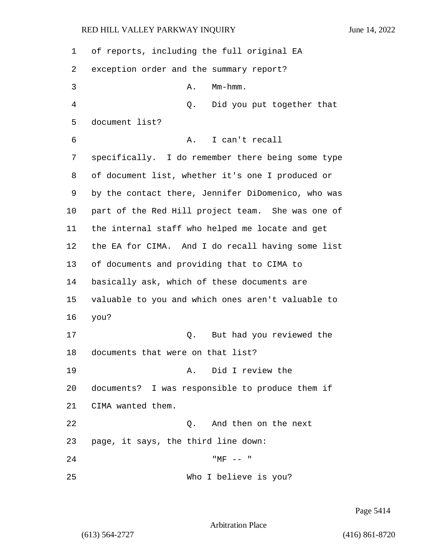| 1  | of reports, including the full original EA         |
|----|----------------------------------------------------|
| 2  | exception order and the summary report?            |
| 3  | $Mm-hmm.$<br>Α.                                    |
| 4  | Did you put together that<br>Q.                    |
| 5  | document list?                                     |
| 6  | I can't recall<br>Α.                               |
| 7  | specifically. I do remember there being some type  |
| 8  | of document list, whether it's one I produced or   |
| 9  | by the contact there, Jennifer DiDomenico, who was |
| 10 | part of the Red Hill project team. She was one of  |
| 11 | the internal staff who helped me locate and get    |
| 12 | the EA for CIMA. And I do recall having some list  |
| 13 | of documents and providing that to CIMA to         |
| 14 | basically ask, which of these documents are        |
| 15 | valuable to you and which ones aren't valuable to  |
| 16 | you?                                               |
| 17 | But had you reviewed the<br>Q.                     |
| 18 | documents that were on that list?                  |
| 19 | A. Did I review the                                |
| 20 | documents? I was responsible to produce them if    |
| 21 | CIMA wanted them.                                  |
| 22 | 0. And then on the next                            |
| 23 | page, it says, the third line down:                |
| 24 | $"MF -- "$                                         |
| 25 | Who I believe is you?                              |

Page 5414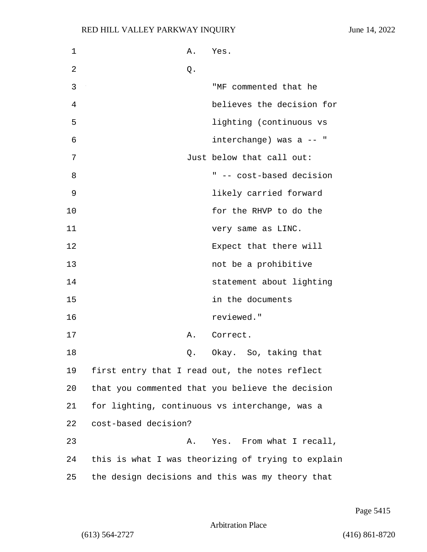| 1  |                      | Α. | Yes.                                               |
|----|----------------------|----|----------------------------------------------------|
| 2  |                      | Q. |                                                    |
| 3  |                      |    | "MF commented that he                              |
| 4  |                      |    | believes the decision for                          |
| 5  |                      |    | lighting (continuous vs                            |
| 6  |                      |    | interchange) was a -- "                            |
| 7  |                      |    | Just below that call out:                          |
| 8  |                      |    | " -- cost-based decision                           |
| 9  |                      |    | likely carried forward                             |
| 10 |                      |    | for the RHVP to do the                             |
| 11 |                      |    | very same as LINC.                                 |
| 12 |                      |    | Expect that there will                             |
| 13 |                      |    | not be a prohibitive                               |
| 14 |                      |    | statement about lighting                           |
| 15 |                      |    | in the documents                                   |
| 16 |                      |    | reviewed."                                         |
| 17 |                      | Α. | Correct.                                           |
| 18 |                      | Q. | Okay. So, taking that                              |
| 19 |                      |    | first entry that I read out, the notes reflect     |
| 20 |                      |    | that you commented that you believe the decision   |
| 21 |                      |    | for lighting, continuous vs interchange, was a     |
| 22 | cost-based decision? |    |                                                    |
| 23 |                      | Α. | Yes. From what I recall,                           |
| 24 |                      |    | this is what I was theorizing of trying to explain |
| 25 |                      |    | the design decisions and this was my theory that   |

Page 5415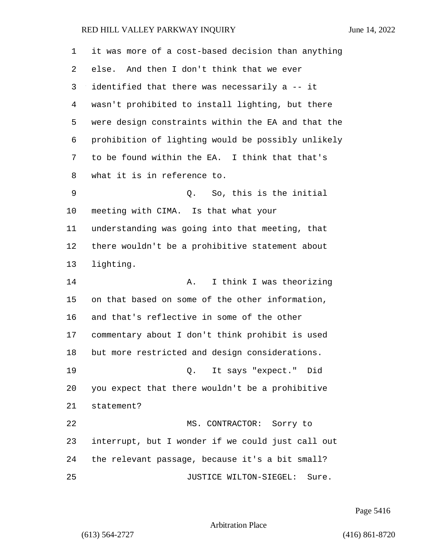| $\mathbf 1$ | it was more of a cost-based decision than anything |
|-------------|----------------------------------------------------|
| 2           | And then I don't think that we ever<br>else.       |
| 3           | identified that there was necessarily a -- it      |
| 4           | wasn't prohibited to install lighting, but there   |
| 5           | were design constraints within the EA and that the |
| 6           | prohibition of lighting would be possibly unlikely |
| 7           | to be found within the EA. I think that that's     |
| 8           | what it is in reference to.                        |
| 9           | So, this is the initial<br>Q.                      |
| 10          | meeting with CIMA. Is that what your               |
| 11          | understanding was going into that meeting, that    |
| 12          | there wouldn't be a prohibitive statement about    |
| 13          | lighting.                                          |
| 14          | I think I was theorizing<br>Α.                     |
| 15          | on that based on some of the other information,    |
| 16          | and that's reflective in some of the other         |
| 17          | commentary about I don't think prohibit is used    |
| 18          | but more restricted and design considerations.     |
| 19          | Q. It says "expect." Did                           |
| 20          | you expect that there wouldn't be a prohibitive    |
| 21          | statement?                                         |
| 22          | MS. CONTRACTOR: Sorry to                           |
| 23          | interrupt, but I wonder if we could just call out  |
| 24          | the relevant passage, because it's a bit small?    |
| 25          | JUSTICE WILTON-SIEGEL:<br>Sure.                    |

Page 5416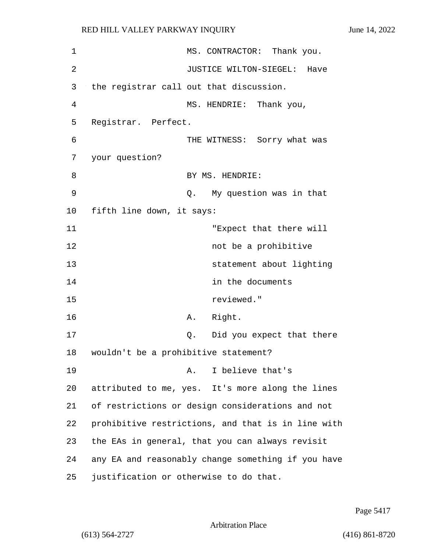| 1       |                                         |    | MS. CONTRACTOR: Thank you.                         |
|---------|-----------------------------------------|----|----------------------------------------------------|
|         |                                         |    |                                                    |
| 2       |                                         |    | JUSTICE WILTON-SIEGEL: Have                        |
| 3       | the registrar call out that discussion. |    |                                                    |
| 4       |                                         |    | MS. HENDRIE: Thank you,                            |
| 5       | Registrar. Perfect.                     |    |                                                    |
| 6       |                                         |    | THE WITNESS: Sorry what was                        |
| 7       | your question?                          |    |                                                    |
| 8       |                                         |    | BY MS. HENDRIE:                                    |
| 9       |                                         |    | Q. My question was in that                         |
| $10 \,$ | fifth line down, it says:               |    |                                                    |
| 11      |                                         |    | "Expect that there will                            |
| 12      |                                         |    | not be a prohibitive                               |
| 13      |                                         |    | statement about lighting                           |
| 14      |                                         |    | in the documents                                   |
| 15      |                                         |    | reviewed."                                         |
| 16      |                                         | Α. | Right.                                             |
| 17      |                                         | Q. | Did you expect that there                          |
| 18      | wouldn't be a prohibitive statement?    |    |                                                    |
| 19      |                                         | Α. | I believe that's                                   |
| 20      |                                         |    | attributed to me, yes. It's more along the lines   |
| 21      |                                         |    | of restrictions or design considerations and not   |
| 22      |                                         |    | prohibitive restrictions, and that is in line with |
| 23      |                                         |    | the EAs in general, that you can always revisit    |
| 24      |                                         |    | any EA and reasonably change something if you have |
| 25      | justification or otherwise to do that.  |    |                                                    |
|         |                                         |    |                                                    |

Page 5417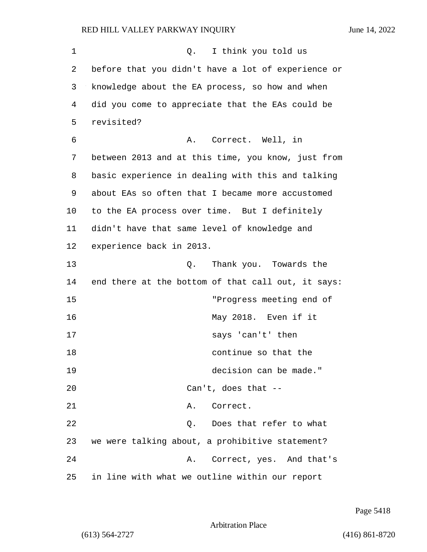1 and 1 Q. I think you told us 2 before that you didn't have a lot of experience or 3 knowledge about the EA process, so how and when 4 did you come to appreciate that the EAs could be 5 revisited? 6 A. Correct. Well, in 7 between 2013 and at this time, you know, just from 8 basic experience in dealing with this and talking 9 about EAs so often that I became more accustomed 10 to the EA process over time. But I definitely 11 didn't have that same level of knowledge and 12 experience back in 2013. 13 and 13 Q. Thank you. Towards the 14 end there at the bottom of that call out, it says: 15 "Progress meeting end of 16 May 2018. Even if it 17 says 'can't' then 18 continue so that the 19 decision can be made." 20 Can't, does that -- 21 A. Correct. 22 Q. Does that refer to what 23 we were talking about, a prohibitive statement? 24 A. Correct, yes. And that's 25 in line with what we outline within our report

Page 5418

Arbitration Place

(613) 564-2727 (416) 861-8720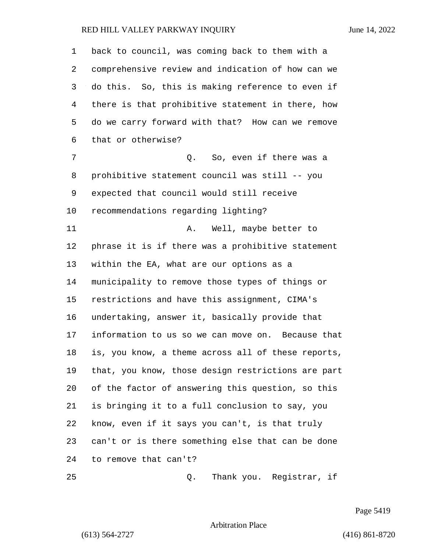| 1  | back to council, was coming back to them with a    |
|----|----------------------------------------------------|
| 2  | comprehensive review and indication of how can we  |
| 3  | do this. So, this is making reference to even if   |
| 4  | there is that prohibitive statement in there, how  |
| 5  | do we carry forward with that? How can we remove   |
| 6  | that or otherwise?                                 |
| 7  | So, even if there was a<br>Q.                      |
| 8  | prohibitive statement council was still -- you     |
| 9  | expected that council would still receive          |
| 10 | recommendations regarding lighting?                |
| 11 | Well, maybe better to<br>Α.                        |
| 12 | phrase it is if there was a prohibitive statement  |
| 13 | within the EA, what are our options as a           |
| 14 | municipality to remove those types of things or    |
| 15 | restrictions and have this assignment, CIMA's      |
| 16 | undertaking, answer it, basically provide that     |
| 17 | information to us so we can move on. Because that  |
| 18 | is, you know, a theme across all of these reports, |
| 19 | that, you know, those design restrictions are part |
| 20 | of the factor of answering this question, so this  |
| 21 | is bringing it to a full conclusion to say, you    |
| 22 | know, even if it says you can't, is that truly     |
| 23 | can't or is there something else that can be done  |
| 24 | to remove that can't?                              |
| 25 | Thank you. Registrar, if<br>Q.                     |

Page 5419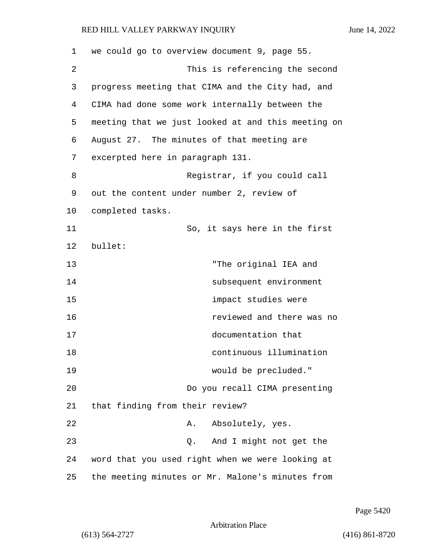| 1  | we could go to overview document 9, page 55.       |
|----|----------------------------------------------------|
| 2  | This is referencing the second                     |
| 3  | progress meeting that CIMA and the City had, and   |
| 4  | CIMA had done some work internally between the     |
| 5  | meeting that we just looked at and this meeting on |
| 6  | August 27. The minutes of that meeting are         |
| 7  | excerpted here in paragraph 131.                   |
| 8  | Registrar, if you could call                       |
| 9  | out the content under number 2, review of          |
| 10 | completed tasks.                                   |
| 11 | So, it says here in the first                      |
| 12 | bullet:                                            |
| 13 | "The original IEA and                              |
| 14 | subsequent environment                             |
| 15 | impact studies were                                |
| 16 | reviewed and there was no                          |
| 17 | documentation that                                 |
| 18 | continuous illumination                            |
| 19 | would be precluded."                               |
| 20 | Do you recall CIMA presenting                      |
| 21 | that finding from their review?                    |
| 22 | Absolutely, yes.<br>Α.                             |
| 23 | And I might not get the<br>Q.                      |
| 24 | word that you used right when we were looking at   |
| 25 | the meeting minutes or Mr. Malone's minutes from   |

Page 5420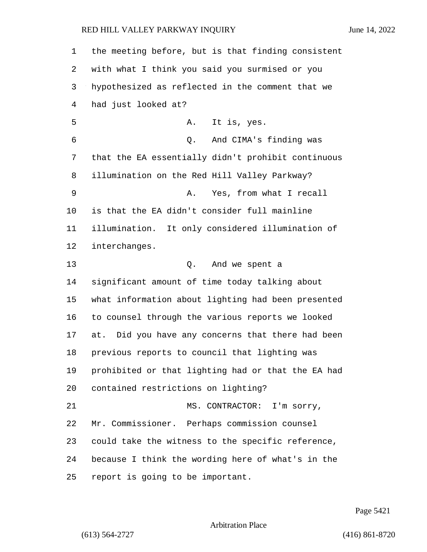| 1  | the meeting before, but is that finding consistent |
|----|----------------------------------------------------|
| 2  | with what I think you said you surmised or you     |
| 3  | hypothesized as reflected in the comment that we   |
| 4  | had just looked at?                                |
| 5  | It is, yes.<br>Α.                                  |
| 6  | Q.<br>And CIMA's finding was                       |
| 7  | that the EA essentially didn't prohibit continuous |
| 8  | illumination on the Red Hill Valley Parkway?       |
| 9  | Yes, from what I recall<br>Α.                      |
| 10 | is that the EA didn't consider full mainline       |
| 11 | illumination. It only considered illumination of   |
| 12 | interchanges.                                      |
| 13 | And we spent a<br>Q.                               |
| 14 | significant amount of time today talking about     |
| 15 | what information about lighting had been presented |
| 16 | to counsel through the various reports we looked   |
| 17 | at. Did you have any concerns that there had been  |
| 18 | previous reports to council that lighting was      |
| 19 | prohibited or that lighting had or that the EA had |
| 20 | contained restrictions on lighting?                |
| 21 | MS. CONTRACTOR: I'm sorry,                         |
| 22 | Mr. Commissioner. Perhaps commission counsel       |
| 23 | could take the witness to the specific reference,  |
| 24 | because I think the wording here of what's in the  |
| 25 | report is going to be important.                   |

Page 5421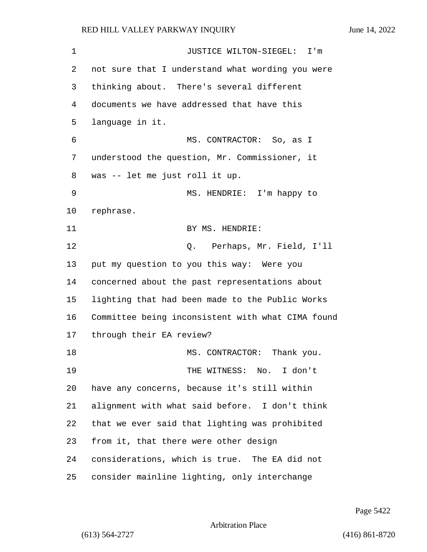| 1  | JUSTICE WILTON-SIEGEL: I'm                        |
|----|---------------------------------------------------|
| 2  | not sure that I understand what wording you were  |
| 3  | thinking about. There's several different         |
| 4  | documents we have addressed that have this        |
| 5  | language in it.                                   |
| 6  | MS. CONTRACTOR: So, as I                          |
| 7  | understood the question, Mr. Commissioner, it     |
| 8  | was -- let me just roll it up.                    |
| 9  | MS. HENDRIE: I'm happy to                         |
| 10 | rephrase.                                         |
| 11 | BY MS. HENDRIE:                                   |
| 12 | Perhaps, Mr. Field, I'll<br>Q.                    |
| 13 | put my question to you this way: Were you         |
| 14 | concerned about the past representations about    |
| 15 | lighting that had been made to the Public Works   |
| 16 | Committee being inconsistent with what CIMA found |
| 17 | through their EA review?                          |
| 18 | MS. CONTRACTOR: Thank you.                        |
| 19 | THE WITNESS: No. I don't                          |
| 20 | have any concerns, because it's still within      |
| 21 | alignment with what said before. I don't think    |
| 22 | that we ever said that lighting was prohibited    |
| 23 | from it, that there were other design             |
| 24 | considerations, which is true. The EA did not     |
| 25 | consider mainline lighting, only interchange      |

Page 5422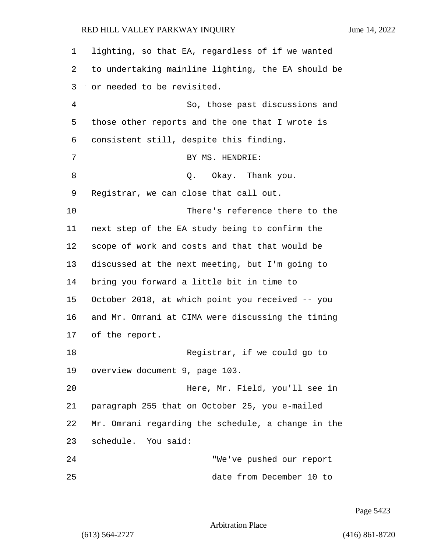| 1  | lighting, so that EA, regardless of if we wanted   |
|----|----------------------------------------------------|
| 2  | to undertaking mainline lighting, the EA should be |
| 3  | or needed to be revisited.                         |
| 4  | So, those past discussions and                     |
| 5  | those other reports and the one that I wrote is    |
| 6  | consistent still, despite this finding.            |
| 7  | BY MS. HENDRIE:                                    |
| 8  | Okay. Thank you.<br>Q.                             |
| 9  | Registrar, we can close that call out.             |
| 10 | There's reference there to the                     |
| 11 | next step of the EA study being to confirm the     |
| 12 | scope of work and costs and that that would be     |
| 13 | discussed at the next meeting, but I'm going to    |
| 14 | bring you forward a little bit in time to          |
| 15 | October 2018, at which point you received -- you   |
| 16 | and Mr. Omrani at CIMA were discussing the timing  |
| 17 | of the report.                                     |
| 18 | Registrar, if we could go to                       |
| 19 | overview document 9, page 103.                     |
| 20 | Here, Mr. Field, you'll see in                     |
| 21 | paragraph 255 that on October 25, you e-mailed     |
| 22 | Mr. Omrani regarding the schedule, a change in the |
| 23 | schedule. You said:                                |
| 24 | "We've pushed our report                           |
| 25 | date from December 10 to                           |

Page 5423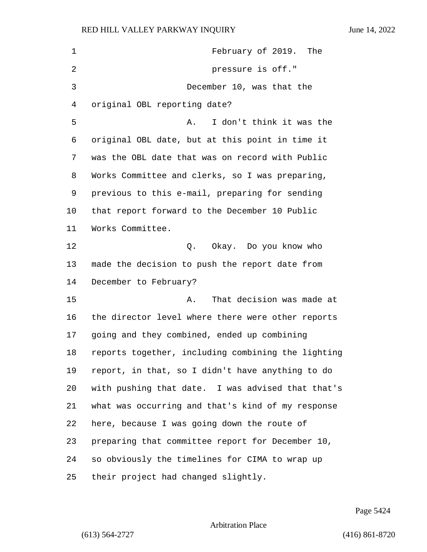| 1              | February of 2019. The                              |
|----------------|----------------------------------------------------|
| $\overline{2}$ | pressure is off."                                  |
| 3              | December 10, was that the                          |
| 4              | original OBL reporting date?                       |
| 5              | I don't think it was the<br>Α.                     |
| 6              | original OBL date, but at this point in time it    |
| 7              | was the OBL date that was on record with Public    |
| 8              | Works Committee and clerks, so I was preparing,    |
| 9              | previous to this e-mail, preparing for sending     |
| 10             | that report forward to the December 10 Public      |
| 11             | Works Committee.                                   |
| 12             | Okay. Do you know who<br>Q.                        |
| 13             | made the decision to push the report date from     |
| 14             | December to February?                              |
| 15             | That decision was made at<br>Α.                    |
| 16             | the director level where there were other reports  |
| 17             | going and they combined, ended up combining        |
| 18             | reports together, including combining the lighting |
| 19             | report, in that, so I didn't have anything to do   |
| 20             | with pushing that date. I was advised that that's  |
| 21             | what was occurring and that's kind of my response  |
| 22             | here, because I was going down the route of        |
| 23             | preparing that committee report for December 10,   |
| 24             | so obviously the timelines for CIMA to wrap up     |
| 25             | their project had changed slightly.                |

Page 5424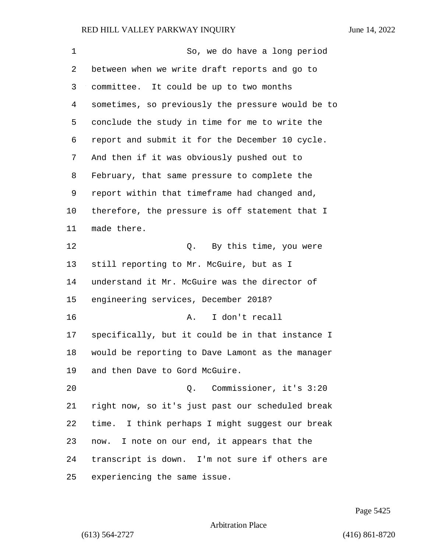| $\mathbf 1$ | So, we do have a long period                      |
|-------------|---------------------------------------------------|
| 2           | between when we write draft reports and go to     |
| 3           | committee. It could be up to two months           |
| 4           | sometimes, so previously the pressure would be to |
| 5           | conclude the study in time for me to write the    |
| 6           | report and submit it for the December 10 cycle.   |
| 7           | And then if it was obviously pushed out to        |
| 8           | February, that same pressure to complete the      |
| 9           | report within that timeframe had changed and,     |
| 10          | therefore, the pressure is off statement that I   |
| 11          | made there.                                       |
| 12          | Q. By this time, you were                         |
| 13          | still reporting to Mr. McGuire, but as I          |
| 14          | understand it Mr. McGuire was the director of     |
| 15          | engineering services, December 2018?              |
| 16          | I don't recall<br>Α.                              |
| 17          | specifically, but it could be in that instance I  |
| 18          | would be reporting to Dave Lamont as the manager  |
| 19          | and then Dave to Gord McGuire.                    |
| 20          | Q. Commissioner, it's 3:20                        |
| 21          | right now, so it's just past our scheduled break  |
| 22          | time. I think perhaps I might suggest our break   |
| 23          | now. I note on our end, it appears that the       |
| 24          | transcript is down. I'm not sure if others are    |
| 25          | experiencing the same issue.                      |

Page 5425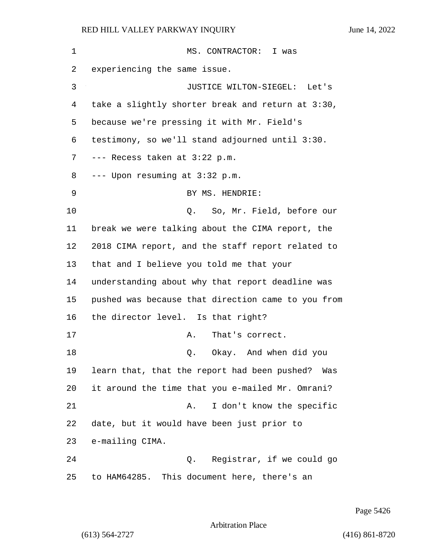# RED HILL VALLEY PARKWAY INQUIRY

|  | June 14, 2022 |
|--|---------------|
|  |               |

| 1  | MS. CONTRACTOR: I was                              |
|----|----------------------------------------------------|
| 2  | experiencing the same issue.                       |
| 3  | JUSTICE WILTON-SIEGEL: Let's                       |
| 4  | take a slightly shorter break and return at 3:30,  |
| 5  | because we're pressing it with Mr. Field's         |
| 6  | testimony, so we'll stand adjourned until 3:30.    |
| 7  | --- Recess taken at 3:22 p.m.                      |
| 8  | --- Upon resuming at 3:32 p.m.                     |
| 9  | BY MS. HENDRIE:                                    |
| 10 | So, Mr. Field, before our<br>$Q$ .                 |
| 11 | break we were talking about the CIMA report, the   |
| 12 | 2018 CIMA report, and the staff report related to  |
| 13 | that and I believe you told me that your           |
| 14 | understanding about why that report deadline was   |
| 15 | pushed was because that direction came to you from |
| 16 | the director level. Is that right?                 |
| 17 | That's correct.<br>Α.                              |
| 18 | Okay. And when did you<br>Q.                       |
| 19 | learn that, that the report had been pushed? Was   |
| 20 | it around the time that you e-mailed Mr. Omrani?   |
| 21 | I don't know the specific<br>Α.                    |
| 22 | date, but it would have been just prior to         |
| 23 | e-mailing CIMA.                                    |
| 24 | Registrar, if we could go<br>Q.                    |
| 25 | to HAM64285. This document here, there's an        |

Page 5426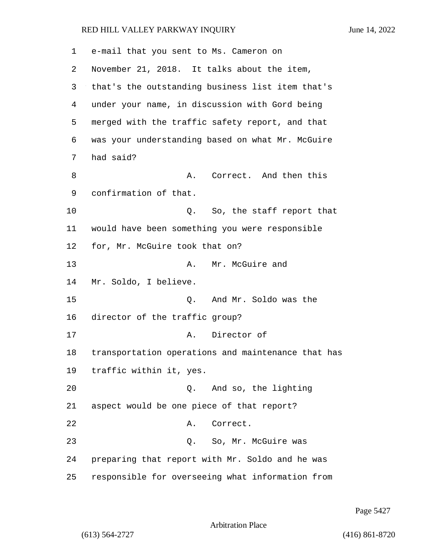| 1  | e-mail that you sent to Ms. Cameron on             |
|----|----------------------------------------------------|
| 2  | November 21, 2018. It talks about the item,        |
| 3  | that's the outstanding business list item that's   |
| 4  | under your name, in discussion with Gord being     |
| 5  | merged with the traffic safety report, and that    |
| 6  | was your understanding based on what Mr. McGuire   |
| 7  | had said?                                          |
| 8  | A. Correct. And then this                          |
| 9  | confirmation of that.                              |
| 10 | So, the staff report that<br>Q.                    |
| 11 | would have been something you were responsible     |
| 12 | for, Mr. McGuire took that on?                     |
| 13 | Mr. McGuire and<br>Α.                              |
| 14 | Mr. Soldo, I believe.                              |
| 15 | And Mr. Soldo was the<br>Q.                        |
| 16 | director of the traffic group?                     |
| 17 | Director of<br>Α.                                  |
| 18 | transportation operations and maintenance that has |
| 19 | traffic within it, yes.                            |
| 20 | And so, the lighting<br>Q.                         |
| 21 | aspect would be one piece of that report?          |
| 22 | Correct.<br>Α.                                     |
| 23 | So, Mr. McGuire was<br>Q.                          |
| 24 | preparing that report with Mr. Soldo and he was    |
| 25 | responsible for overseeing what information from   |

Page 5427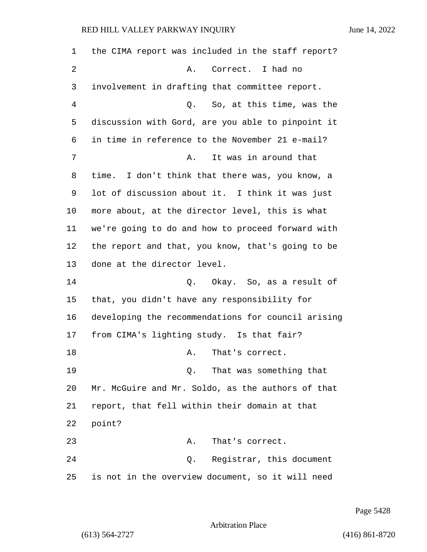the CIMA report was included in the staff report? 2 A. Correct. I had no involvement in drafting that committee report. 4 Q. So, at this time, was the discussion with Gord, are you able to pinpoint it in time in reference to the November 21 e-mail? 7 a. A. It was in around that time. I don't think that there was, you know, a lot of discussion about it. I think it was just more about, at the director level, this is what we're going to do and how to proceed forward with the report and that, you know, that's going to be done at the director level. 14 Q. Okay. So, as a result of that, you didn't have any responsibility for developing the recommendations for council arising from CIMA's lighting study. Is that fair? 18 A. That's correct. 19 Q. That was something that Mr. McGuire and Mr. Soldo, as the authors of that report, that fell within their domain at that 22 point? 23 A. That's correct. 24 Q. Registrar, this document is not in the overview document, so it will need

Page 5428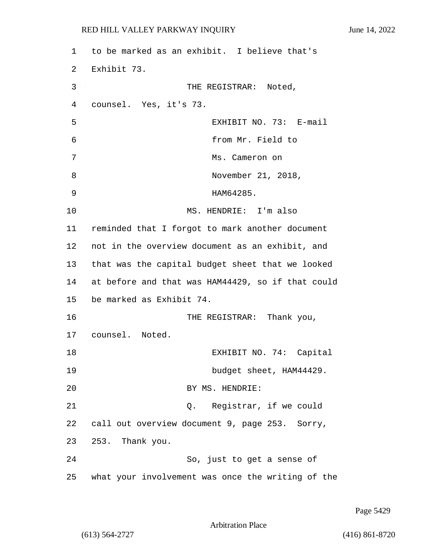| 1  | to be marked as an exhibit. I believe that's      |
|----|---------------------------------------------------|
| 2  | Exhibit 73.                                       |
| 3  | THE REGISTRAR: Noted,                             |
| 4  | counsel. Yes, it's 73.                            |
| 5  | EXHIBIT NO. 73: E-mail                            |
| 6  | from Mr. Field to                                 |
| 7  | Ms. Cameron on                                    |
| 8  | November 21, 2018,                                |
| 9  | HAM64285.                                         |
| 10 | MS. HENDRIE: I'm also                             |
| 11 | reminded that I forgot to mark another document   |
| 12 | not in the overview document as an exhibit, and   |
| 13 | that was the capital budget sheet that we looked  |
| 14 | at before and that was HAM44429, so if that could |
| 15 | be marked as Exhibit 74.                          |
| 16 | THE REGISTRAR: Thank you,                         |
| 17 | counsel. Noted.                                   |
| 18 | EXHIBIT NO. 74: Capital                           |
| 19 | budget sheet, HAM44429.                           |
| 20 | BY MS. HENDRIE:                                   |
| 21 | Q. Registrar, if we could                         |
| 22 | call out overview document 9, page 253. Sorry,    |
| 23 | 253. Thank you.                                   |
| 24 | So, just to get a sense of                        |
| 25 | what your involvement was once the writing of the |

Page 5429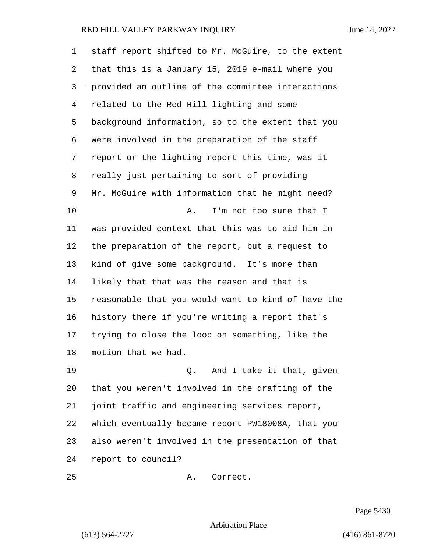| 1  | staff report shifted to Mr. McGuire, to the extent |
|----|----------------------------------------------------|
| 2  | that this is a January 15, 2019 e-mail where you   |
| 3  | provided an outline of the committee interactions  |
| 4  | related to the Red Hill lighting and some          |
| 5  | background information, so to the extent that you  |
| 6  | were involved in the preparation of the staff      |
| 7  | report or the lighting report this time, was it    |
| 8  | really just pertaining to sort of providing        |
| 9  | Mr. McGuire with information that he might need?   |
| 10 | I'm not too sure that I<br>Α.                      |
| 11 | was provided context that this was to aid him in   |
| 12 | the preparation of the report, but a request to    |
| 13 | kind of give some background. It's more than       |
| 14 | likely that that was the reason and that is        |
| 15 | reasonable that you would want to kind of have the |
| 16 | history there if you're writing a report that's    |
| 17 | trying to close the loop on something, like the    |
| 18 | motion that we had.                                |
| 19 | Q. And I take it that, given                       |
| 20 | that you weren't involved in the drafting of the   |
| 21 | joint traffic and engineering services report,     |
| 22 | which eventually became report PW18008A, that you  |
| 23 | also weren't involved in the presentation of that  |
| 24 | report to council?                                 |

25 A. Correct.

Page 5430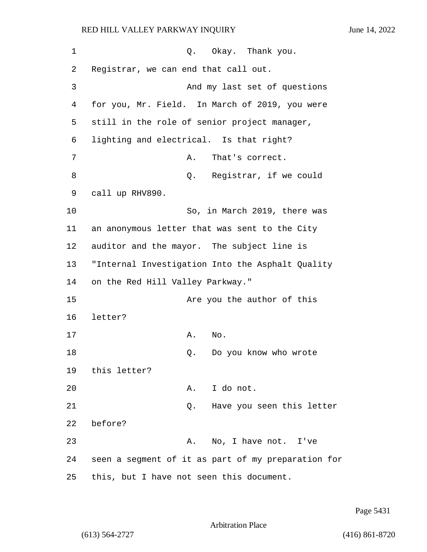# RED HILL VALLEY PARKWAY INQUIRY

| June 14, 2022 |  |  |
|---------------|--|--|
|               |  |  |

| 1  | Okay.   Thank you.<br>Q.                           |
|----|----------------------------------------------------|
| 2  | Registrar, we can end that call out.               |
| 3  | And my last set of questions                       |
| 4  | for you, Mr. Field. In March of 2019, you were     |
| 5  | still in the role of senior project manager,       |
| 6  | lighting and electrical. Is that right?            |
| 7  | That's correct.<br>Α.                              |
| 8  | Q. Registrar, if we could                          |
| 9  | call up RHV890.                                    |
| 10 | So, in March 2019, there was                       |
| 11 | an anonymous letter that was sent to the City      |
| 12 | auditor and the mayor. The subject line is         |
| 13 | "Internal Investigation Into the Asphalt Quality   |
| 14 | on the Red Hill Valley Parkway."                   |
| 15 | Are you the author of this                         |
| 16 | letter?                                            |
| 17 | Α.<br>No.                                          |
| 18 | Do you know who wrote<br>Q.                        |
|    | 19 this letter?                                    |
| 20 | A. I do not.                                       |
| 21 | Q. Have you seen this letter                       |
| 22 | before?                                            |
| 23 | No, I have not. I've<br>Α.                         |
| 24 | seen a segment of it as part of my preparation for |
| 25 | this, but I have not seen this document.           |

Page 5431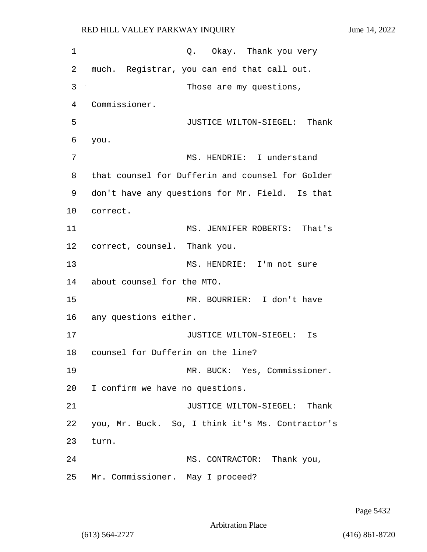1 Q. Okay. Thank you very 2 much. Registrar, you can end that call out. 3 Those are my questions, 4 Commissioner. 5 JUSTICE WILTON-SIEGEL: Thank 6 you. 7 MS. HENDRIE: I understand 8 that counsel for Dufferin and counsel for Golder 9 don't have any questions for Mr. Field. Is that 10 correct. 11 MS. JENNIFER ROBERTS: That's 12 correct, counsel. Thank you. 13 MS. HENDRIE: I'm not sure 14 about counsel for the MTO. 15 MR. BOURRIER: I don't have 16 any questions either. 17 JUSTICE WILTON-SIEGEL: Is 18 counsel for Dufferin on the line? 19 MR. BUCK: Yes, Commissioner. 20 I confirm we have no questions. 21 **JUSTICE WILTON-SIEGEL:** Thank 22 you, Mr. Buck. So, I think it's Ms. Contractor's 23 turn. 24 MS. CONTRACTOR: Thank you, 25 Mr. Commissioner. May I proceed?

Page 5432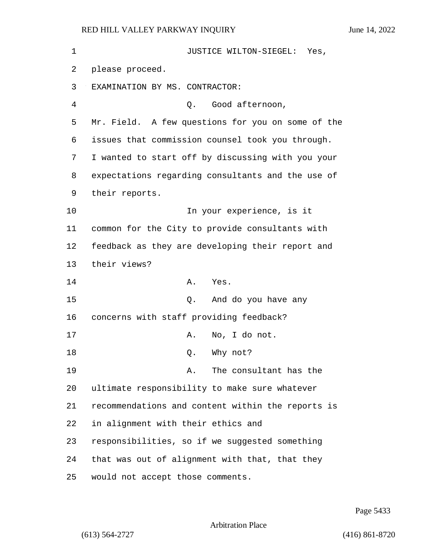| 1  | JUSTICE WILTON-SIEGEL: Yes,                       |
|----|---------------------------------------------------|
| 2  | please proceed.                                   |
| 3  | EXAMINATION BY MS. CONTRACTOR:                    |
| 4  | Good afternoon,<br>О.                             |
| 5  | Mr. Field. A few questions for you on some of the |
| 6  | issues that commission counsel took you through.  |
| 7  | I wanted to start off by discussing with you your |
| 8  | expectations regarding consultants and the use of |
| 9  | their reports.                                    |
| 10 | In your experience, is it                         |
| 11 | common for the City to provide consultants with   |
| 12 | feedback as they are developing their report and  |
| 13 | their views?                                      |
| 14 | Yes.<br>Α.                                        |
| 15 | And do you have any<br>Q.                         |
| 16 | concerns with staff providing feedback?           |
| 17 | No, I do not.<br>Α.                               |
| 18 | Why not?<br>Q.                                    |
| 19 | The consultant has the<br>Α.                      |
| 20 | ultimate responsibility to make sure whatever     |
| 21 | recommendations and content within the reports is |
| 22 | in alignment with their ethics and                |
| 23 | responsibilities, so if we suggested something    |
| 24 | that was out of alignment with that, that they    |
| 25 | would not accept those comments.                  |

Page 5433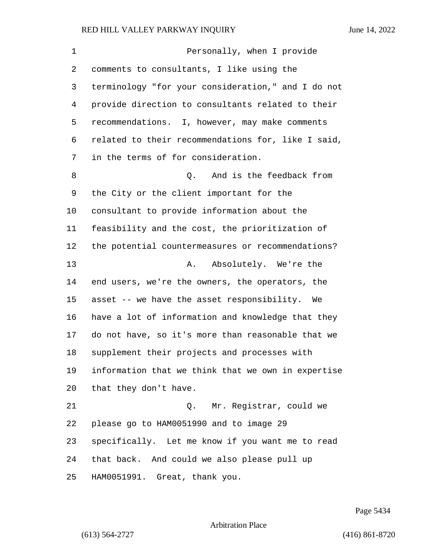| $\mathbf 1$ | Personally, when I provide                         |
|-------------|----------------------------------------------------|
| 2           | comments to consultants, I like using the          |
| 3           | terminology "for your consideration," and I do not |
| 4           | provide direction to consultants related to their  |
| 5           | recommendations. I, however, may make comments     |
| 6           | related to their recommendations for, like I said, |
| 7           | in the terms of for consideration.                 |
| 8           | Q. And is the feedback from                        |
| 9           | the City or the client important for the           |
| 10          | consultant to provide information about the        |
| 11          | feasibility and the cost, the prioritization of    |
| 12          | the potential countermeasures or recommendations?  |
| 13          | Absolutely. We're the<br>Α.                        |
| 14          | end users, we're the owners, the operators, the    |
| 15          | asset -- we have the asset responsibility. We      |
| 16          | have a lot of information and knowledge that they  |
| 17          | do not have, so it's more than reasonable that we  |
| 18          | supplement their projects and processes with       |
| 19          | information that we think that we own in expertise |
| 20          | that they don't have.                              |
| 21          | Q. Mr. Registrar, could we                         |
| 22          | please go to HAM0051990 and to image 29            |
| 23          | specifically. Let me know if you want me to read   |
| 24          | that back. And could we also please pull up        |
| 25          | HAM0051991. Great, thank you.                      |

Page 5434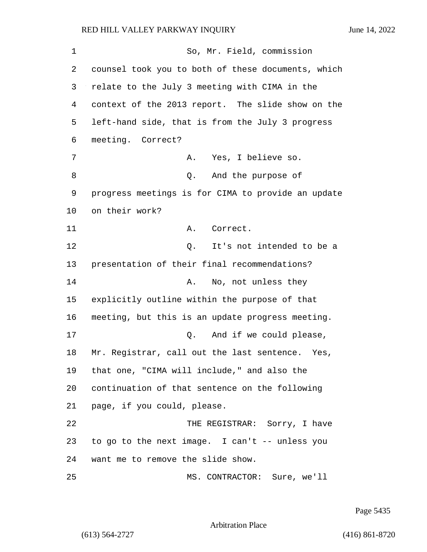1 So, Mr. Field, commission counsel took you to both of these documents, which relate to the July 3 meeting with CIMA in the context of the 2013 report. The slide show on the left-hand side, that is from the July 3 progress meeting. Correct? 7 A. Yes, I believe so. 8 and the purpose of progress meetings is for CIMA to provide an update on their work? 11 A. Correct. 12 Q. It's not intended to be a presentation of their final recommendations? 14 A. No, not unless they explicitly outline within the purpose of that meeting, but this is an update progress meeting. 17 and if we could please, Mr. Registrar, call out the last sentence. Yes, that one, "CIMA will include," and also the continuation of that sentence on the following page, if you could, please. 22 THE REGISTRAR: Sorry, I have to go to the next image. I can't -- unless you want me to remove the slide show. 25 MS. CONTRACTOR: Sure, we'll

Page 5435

Arbitration Place

(613) 564-2727 (416) 861-8720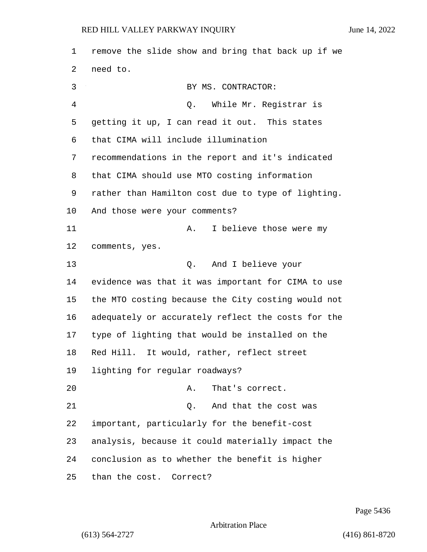remove the slide show and bring that back up if we need to. 3 BY MS. CONTRACTOR: 4 Q. While Mr. Registrar is getting it up, I can read it out. This states that CIMA will include illumination recommendations in the report and it's indicated that CIMA should use MTO costing information rather than Hamilton cost due to type of lighting. And those were your comments? 11 A. I believe those were my comments, yes. 13 Q. And I believe your evidence was that it was important for CIMA to use the MTO costing because the City costing would not adequately or accurately reflect the costs for the type of lighting that would be installed on the Red Hill. It would, rather, reflect street lighting for regular roadways? 20 A. That's correct. 21 C. And that the cost was important, particularly for the benefit-cost analysis, because it could materially impact the conclusion as to whether the benefit is higher than the cost. Correct?

Page 5436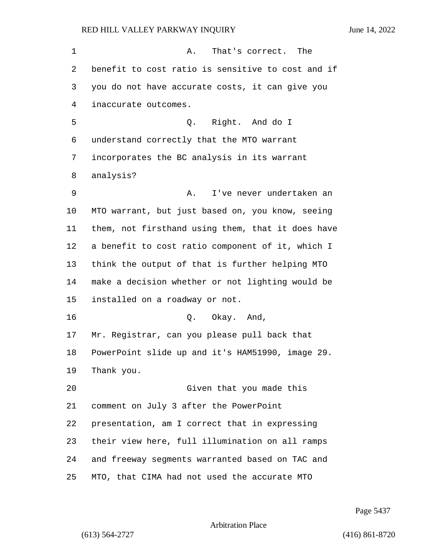| 1  | That's correct. The<br>Α.                         |
|----|---------------------------------------------------|
| 2  | benefit to cost ratio is sensitive to cost and if |
| 3  | you do not have accurate costs, it can give you   |
| 4  | inaccurate outcomes.                              |
| 5  | Q. Right. And do I                                |
| 6  | understand correctly that the MTO warrant         |
| 7  | incorporates the BC analysis in its warrant       |
| 8  | analysis?                                         |
| 9  | I've never undertaken an<br>Α.                    |
| 10 | MTO warrant, but just based on, you know, seeing  |
| 11 | them, not firsthand using them, that it does have |
| 12 | a benefit to cost ratio component of it, which I  |
| 13 | think the output of that is further helping MTO   |
| 14 | make a decision whether or not lighting would be  |
| 15 | installed on a roadway or not.                    |
| 16 | Q. Okay. And,                                     |
| 17 | Mr. Registrar, can you please pull back that      |
| 18 | PowerPoint slide up and it's HAM51990, image 29.  |
| 19 | Thank you.                                        |
| 20 | Given that you made this                          |
| 21 | comment on July 3 after the PowerPoint            |
| 22 | presentation, am I correct that in expressing     |
| 23 | their view here, full illumination on all ramps   |
| 24 | and freeway segments warranted based on TAC and   |
| 25 | MTO, that CIMA had not used the accurate MTO      |

Page 5437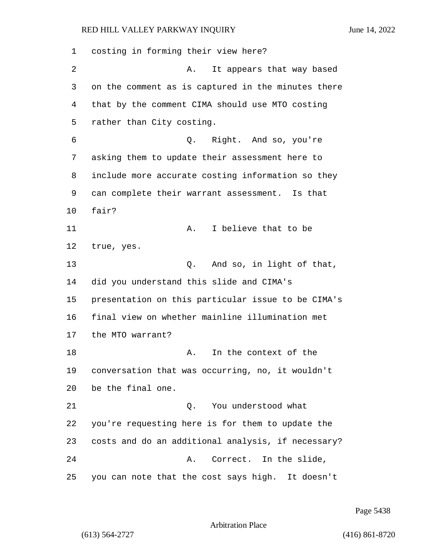costing in forming their view here? 2 A. It appears that way based on the comment as is captured in the minutes there that by the comment CIMA should use MTO costing rather than City costing. 6 Q. Right. And so, you're asking them to update their assessment here to include more accurate costing information so they can complete their warrant assessment. Is that fair? 11 A. I believe that to be true, yes. 13 Q. And so, in light of that, did you understand this slide and CIMA's presentation on this particular issue to be CIMA's final view on whether mainline illumination met the MTO warrant? 18 A. In the context of the conversation that was occurring, no, it wouldn't be the final one. 21 Q. You understood what you're requesting here is for them to update the costs and do an additional analysis, if necessary? 24 A. Correct. In the slide, you can note that the cost says high. It doesn't

Page 5438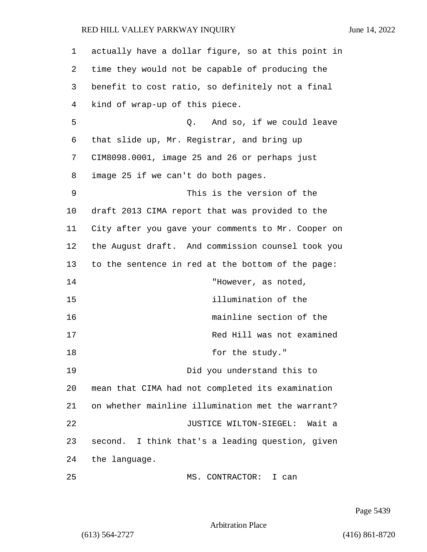| 1  | actually have a dollar figure, so at this point in |
|----|----------------------------------------------------|
| 2  | time they would not be capable of producing the    |
| 3  | benefit to cost ratio, so definitely not a final   |
| 4  | kind of wrap-up of this piece.                     |
| 5  | And so, if we could leave<br>Q.                    |
| 6  | that slide up, Mr. Registrar, and bring up         |
| 7  | CIM8098.0001, image 25 and 26 or perhaps just      |
| 8  | image 25 if we can't do both pages.                |
| 9  | This is the version of the                         |
| 10 | draft 2013 CIMA report that was provided to the    |
| 11 | City after you gave your comments to Mr. Cooper on |
| 12 | the August draft. And commission counsel took you  |
| 13 | to the sentence in red at the bottom of the page:  |
| 14 | "However, as noted,                                |
| 15 | illumination of the                                |
| 16 | mainline section of the                            |
| 17 | Red Hill was not examined                          |
| 18 | for the study."                                    |
| 19 | Did you understand this to                         |
| 20 | mean that CIMA had not completed its examination   |
| 21 | on whether mainline illumination met the warrant?  |
| 22 | JUSTICE WILTON-SIEGEL:<br>Wait a                   |
| 23 | second. I think that's a leading question, given   |
| 24 | the language.                                      |
| 25 | MS. CONTRACTOR: I can                              |

Page 5439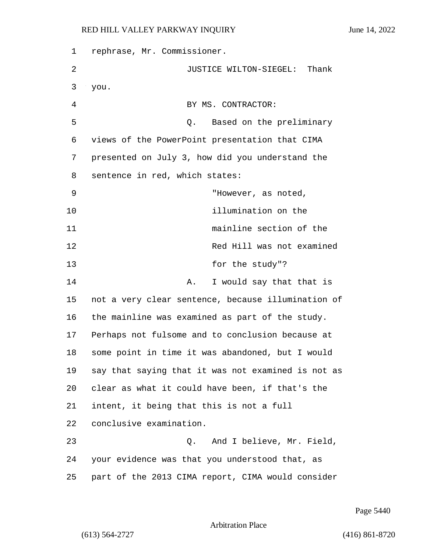| 1  | rephrase, Mr. Commissioner.                        |
|----|----------------------------------------------------|
| 2  | JUSTICE WILTON-SIEGEL: Thank                       |
| 3  | you.                                               |
| 4  | BY MS. CONTRACTOR:                                 |
| 5  | Based on the preliminary<br>Q.                     |
| 6  | views of the PowerPoint presentation that CIMA     |
| 7  | presented on July 3, how did you understand the    |
| 8  | sentence in red, which states:                     |
| 9  | "However, as noted,                                |
| 10 | illumination on the                                |
| 11 | mainline section of the                            |
| 12 | Red Hill was not examined                          |
| 13 | for the study"?                                    |
| 14 | I would say that that is<br>Α.                     |
| 15 | not a very clear sentence, because illumination of |
| 16 | the mainline was examined as part of the study.    |
| 17 | Perhaps not fulsome and to conclusion because at   |
| 18 | some point in time it was abandoned, but I would   |
| 19 | say that saying that it was not examined is not as |
| 20 | clear as what it could have been, if that's the    |
| 21 | intent, it being that this is not a full           |
| 22 | conclusive examination.                            |
| 23 | And I believe, Mr. Field,<br>Q.                    |
| 24 | your evidence was that you understood that, as     |
| 25 | part of the 2013 CIMA report, CIMA would consider  |

Page 5440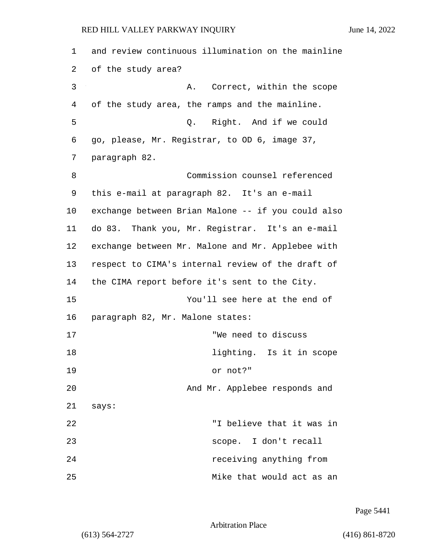| 1  | and review continuous illumination on the mainline |
|----|----------------------------------------------------|
| 2  | of the study area?                                 |
| 3  | Correct, within the scope<br>А.                    |
| 4  | of the study area, the ramps and the mainline.     |
| 5  | Q. Right. And if we could                          |
| 6  | go, please, Mr. Registrar, to OD 6, image 37,      |
| 7  | paragraph 82.                                      |
| 8  | Commission counsel referenced                      |
| 9  | this e-mail at paragraph 82. It's an e-mail        |
| 10 | exchange between Brian Malone -- if you could also |
| 11 | do 83. Thank you, Mr. Registrar. It's an e-mail    |
| 12 | exchange between Mr. Malone and Mr. Applebee with  |
| 13 | respect to CIMA's internal review of the draft of  |
| 14 | the CIMA report before it's sent to the City.      |
| 15 | You'll see here at the end of                      |
| 16 | paragraph 82, Mr. Malone states:                   |
| 17 | "We need to discuss                                |
| 18 | lighting. Is it in scope                           |
| 19 | or not?"                                           |
| 20 | And Mr. Applebee responds and                      |
| 21 | says:                                              |
| 22 | "I believe that it was in                          |
| 23 | scope. I don't recall                              |
| 24 | receiving anything from                            |
| 25 | Mike that would act as an                          |

Page 5441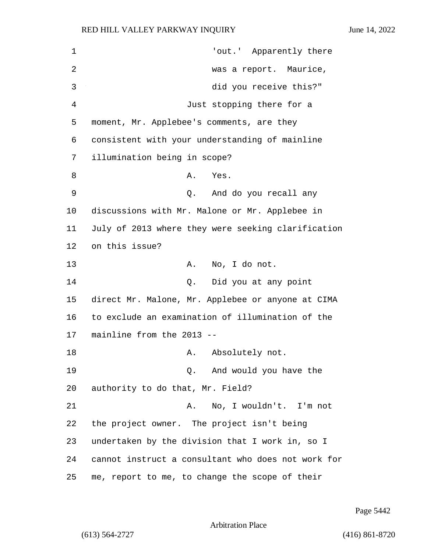1  $1$  'out.' Apparently there 2 was a report. Maurice, 3 did you receive this?" 4 Just stopping there for a 5 moment, Mr. Applebee's comments, are they 6 consistent with your understanding of mainline 7 illumination being in scope? 8 A. Yes. 9 Q. And do you recall any 10 discussions with Mr. Malone or Mr. Applebee in 11 July of 2013 where they were seeking clarification 12 on this issue? 13 A. No, I do not. 14 Q. Did you at any point 15 direct Mr. Malone, Mr. Applebee or anyone at CIMA 16 to exclude an examination of illumination of the 17 mainline from the 2013 -- 18 A. Absolutely not. 19 Q. And would you have the 20 authority to do that, Mr. Field? 21 A. No, I wouldn't. I'm not 22 the project owner. The project isn't being 23 undertaken by the division that I work in, so I 24 cannot instruct a consultant who does not work for 25 me, report to me, to change the scope of their

Page 5442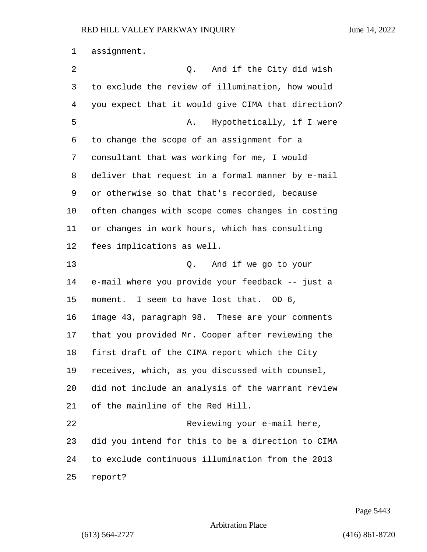assignment.

| 2  | And if the City did wish<br>Q.                     |
|----|----------------------------------------------------|
| 3  | to exclude the review of illumination, how would   |
| 4  | you expect that it would give CIMA that direction? |
| 5  | Hypothetically, if I were<br>Α.                    |
| 6  | to change the scope of an assignment for a         |
| 7  | consultant that was working for me, I would        |
| 8  | deliver that request in a formal manner by e-mail  |
| 9  | or otherwise so that that's recorded, because      |
| 10 | often changes with scope comes changes in costing  |
| 11 | or changes in work hours, which has consulting     |
| 12 | fees implications as well.                         |
| 13 | And if we go to your<br>Q.                         |
| 14 | e-mail where you provide your feedback -- just a   |
| 15 | moment. I seem to have lost that. OD 6,            |
| 16 | image 43, paragraph 98. These are your comments    |
| 17 | that you provided Mr. Cooper after reviewing the   |
| 18 | first draft of the CIMA report which the City      |
| 19 | receives, which, as you discussed with counsel,    |
| 20 | did not include an analysis of the warrant review  |
| 21 | of the mainline of the Red Hill.                   |
| 22 | Reviewing your e-mail here,                        |
| 23 | did you intend for this to be a direction to CIMA  |
| 24 | to exclude continuous illumination from the 2013   |
| 25 | report?                                            |

Page 5443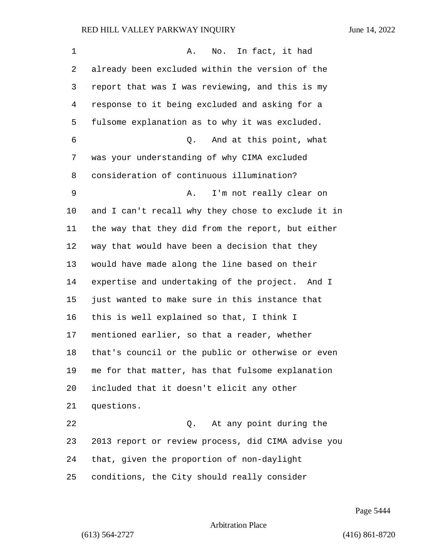| $\mathbf 1$ | In fact, it had<br>Α.<br>No.                       |
|-------------|----------------------------------------------------|
| 2           | already been excluded within the version of the    |
| 3           | report that was I was reviewing, and this is my    |
| 4           | response to it being excluded and asking for a     |
| 5           | fulsome explanation as to why it was excluded.     |
| 6           | And at this point, what<br>Q.                      |
| 7           | was your understanding of why CIMA excluded        |
| 8           | consideration of continuous illumination?          |
| 9           | I'm not really clear on<br>Α.                      |
| $10 \,$     | and I can't recall why they chose to exclude it in |
| 11          | the way that they did from the report, but either  |
| 12          | way that would have been a decision that they      |
| 13          | would have made along the line based on their      |
| 14          | expertise and undertaking of the project. And I    |
| 15          | just wanted to make sure in this instance that     |
| 16          | this is well explained so that, I think I          |
| 17          | mentioned earlier, so that a reader, whether       |
| 18          | that's council or the public or otherwise or even  |
| 19          | me for that matter, has that fulsome explanation   |
| 20          | included that it doesn't elicit any other          |
| 21          | questions.                                         |
| 22          | At any point during the<br>Q.                      |
| 23          | 2013 report or review process, did CIMA advise you |
| 24          | that, given the proportion of non-daylight         |
| 25          | conditions, the City should really consider        |

Page 5444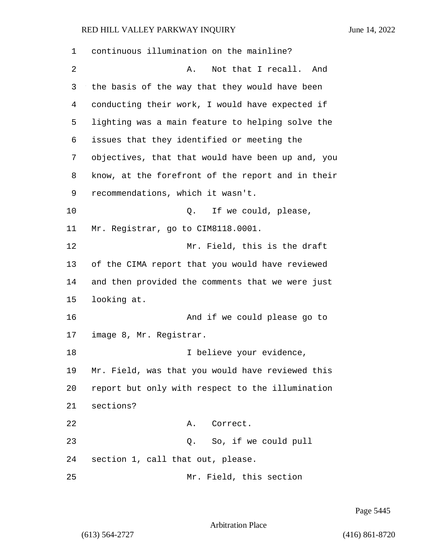| 1  | continuous illumination on the mainline?          |
|----|---------------------------------------------------|
| 2  | Not that I recall.<br>And<br>Α.                   |
| 3  | the basis of the way that they would have been    |
| 4  | conducting their work, I would have expected if   |
| 5  | lighting was a main feature to helping solve the  |
| 6  | issues that they identified or meeting the        |
| 7  | objectives, that that would have been up and, you |
| 8  | know, at the forefront of the report and in their |
| 9  | recommendations, which it wasn't.                 |
| 10 | If we could, please,<br>Q.                        |
| 11 | Mr. Registrar, go to CIM8118.0001.                |
| 12 | Mr. Field, this is the draft                      |
| 13 | of the CIMA report that you would have reviewed   |
| 14 | and then provided the comments that we were just  |
| 15 | looking at.                                       |
| 16 | And if we could please go to                      |
| 17 | image 8, Mr. Registrar.                           |
| 18 | I believe your evidence,                          |
| 19 | Mr. Field, was that you would have reviewed this  |
| 20 | report but only with respect to the illumination  |
| 21 | sections?                                         |
| 22 | Correct.<br>Α.                                    |
| 23 | So, if we could pull<br>Q.                        |
| 24 | section 1, call that out, please.                 |
| 25 | Mr. Field, this section                           |

Page 5445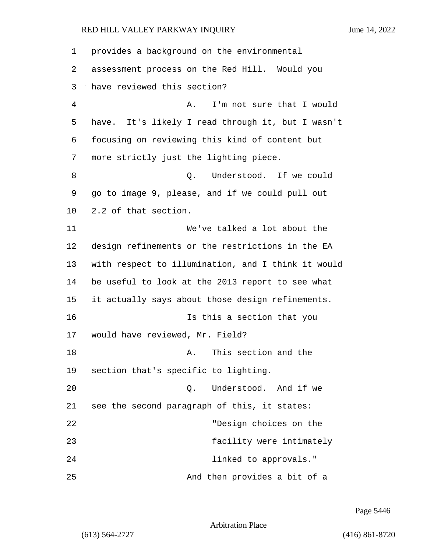| 1              | provides a background on the environmental           |
|----------------|------------------------------------------------------|
| 2              | assessment process on the Red Hill. Would you        |
| 3              | have reviewed this section?                          |
| $\overline{4}$ | I'm not sure that I would<br>Α.                      |
| 5              | It's likely I read through it, but I wasn't<br>have. |
| 6              | focusing on reviewing this kind of content but       |
| 7              | more strictly just the lighting piece.               |
| 8              | Understood. If we could<br>Q.                        |
| 9              | go to image 9, please, and if we could pull out      |
| 10             | 2.2 of that section.                                 |
| 11             | We've talked a lot about the                         |
| 12             | design refinements or the restrictions in the EA     |
| 13             | with respect to illumination, and I think it would   |
| 14             | be useful to look at the 2013 report to see what     |
| 15             | it actually says about those design refinements.     |
| 16             | Is this a section that you                           |
| 17             | would have reviewed, Mr. Field?                      |
| 18             | This section and the<br>Α.                           |
| 19             | section that's specific to lighting.                 |
| 20             | Understood. And if we<br>0.                          |
| 21             | see the second paragraph of this, it states:         |
| 22             | "Design choices on the                               |
| 23             | facility were intimately                             |
| 24             | linked to approvals."                                |
| 25             | And then provides a bit of a                         |

Page 5446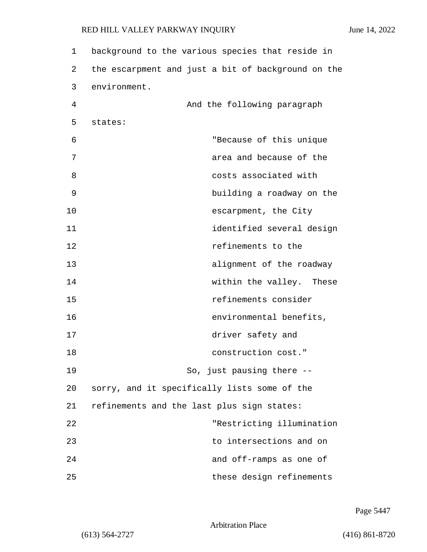| 1  | background to the various species that reside in   |
|----|----------------------------------------------------|
| 2  | the escarpment and just a bit of background on the |
| 3  | environment.                                       |
| 4  | And the following paragraph                        |
| 5  | states:                                            |
| 6  | "Because of this unique                            |
| 7  | area and because of the                            |
| 8  | costs associated with                              |
| 9  | building a roadway on the                          |
| 10 | escarpment, the City                               |
| 11 | identified several design                          |
| 12 | refinements to the                                 |
| 13 | alignment of the roadway                           |
| 14 | within the valley. These                           |
| 15 | refinements consider                               |
| 16 | environmental benefits,                            |
| 17 | driver safety and                                  |
| 18 | construction cost."                                |
| 19 | So, just pausing there --                          |
| 20 | sorry, and it specifically lists some of the       |
| 21 | refinements and the last plus sign states:         |
| 22 | "Restricting illumination                          |
| 23 | to intersections and on                            |
| 24 | and off-ramps as one of                            |
| 25 | these design refinements                           |

Page 5447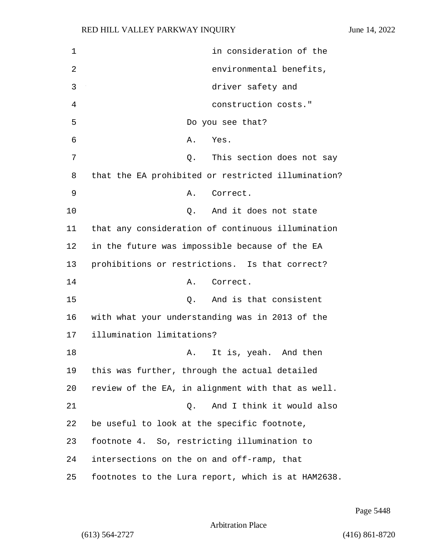1 in consideration of the 2 environmental benefits, 3 driver safety and 4 construction costs." 5 Do you see that? 6 A. Yes. 7 and 2. This section does not say 8 that the EA prohibited or restricted illumination? 9 A. Correct. 10 Q. And it does not state 11 that any consideration of continuous illumination 12 in the future was impossible because of the EA 13 prohibitions or restrictions. Is that correct? 14 A. Correct. 15 Q. And is that consistent 16 with what your understanding was in 2013 of the 17 illumination limitations? 18 A. It is, yeah. And then 19 this was further, through the actual detailed 20 review of the EA, in alignment with that as well. 21 C. And I think it would also 22 be useful to look at the specific footnote, 23 footnote 4. So, restricting illumination to 24 intersections on the on and off-ramp, that 25 footnotes to the Lura report, which is at HAM2638.

Page 5448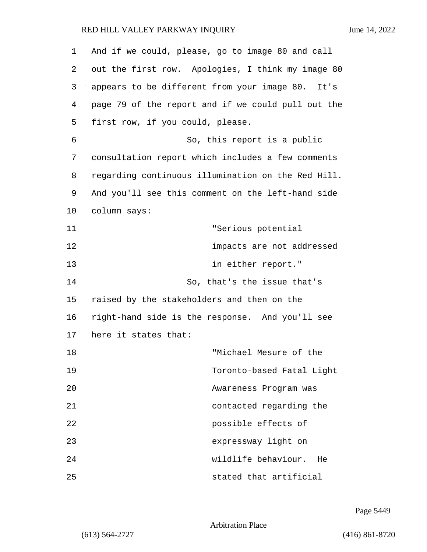| 1  | And if we could, please, go to image 80 and call    |
|----|-----------------------------------------------------|
| 2  | out the first row. Apologies, I think my image 80   |
| 3  | appears to be different from your image 80.<br>It's |
| 4  | page 79 of the report and if we could pull out the  |
| 5  | first row, if you could, please.                    |
| 6  | So, this report is a public                         |
| 7  | consultation report which includes a few comments   |
| 8  | regarding continuous illumination on the Red Hill.  |
| 9  | And you'll see this comment on the left-hand side   |
| 10 | column says:                                        |
| 11 | "Serious potential                                  |
| 12 | impacts are not addressed                           |
| 13 | in either report."                                  |
| 14 | So, that's the issue that's                         |
| 15 | raised by the stakeholders and then on the          |
| 16 | right-hand side is the response. And you'll see     |
| 17 | here it states that:                                |
| 18 | "Michael Mesure of the                              |
| 19 | Toronto-based Fatal Light                           |
| 20 | Awareness Program was                               |
| 21 | contacted regarding the                             |
| 22 | possible effects of                                 |
| 23 | expressway light on                                 |
| 24 | wildlife behaviour.<br>He                           |
| 25 | stated that artificial                              |

Page 5449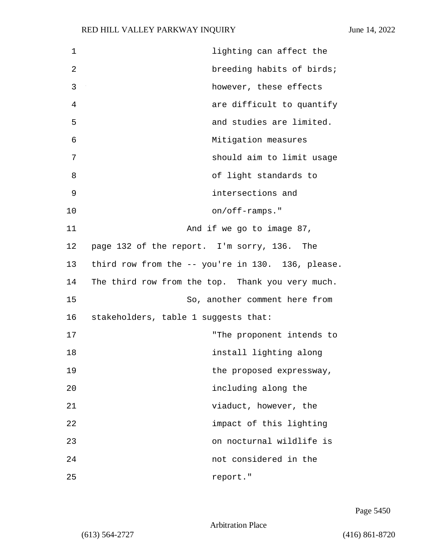| 1  | lighting can affect the                           |
|----|---------------------------------------------------|
| 2  | breeding habits of birds;                         |
| 3  | however, these effects                            |
| 4  | are difficult to quantify                         |
| 5  | and studies are limited.                          |
| 6  | Mitigation measures                               |
| 7  | should aim to limit usage                         |
| 8  | of light standards to                             |
| 9  | intersections and                                 |
| 10 | on/off-ramps."                                    |
| 11 | And if we go to image 87,                         |
| 12 | page 132 of the report. I'm sorry, 136. The       |
| 13 | third row from the -- you're in 130. 136, please. |
| 14 | The third row from the top. Thank you very much.  |
| 15 | So, another comment here from                     |
| 16 | stakeholders, table 1 suggests that:              |
| 17 | "The proponent intends to                         |
| 18 | install lighting along                            |
| 19 | the proposed expressway,                          |
| 20 | including along the                               |
| 21 | viaduct, however, the                             |
| 22 | impact of this lighting                           |
| 23 | on nocturnal wildlife is                          |
| 24 | not considered in the                             |
| 25 | report."                                          |

Page 5450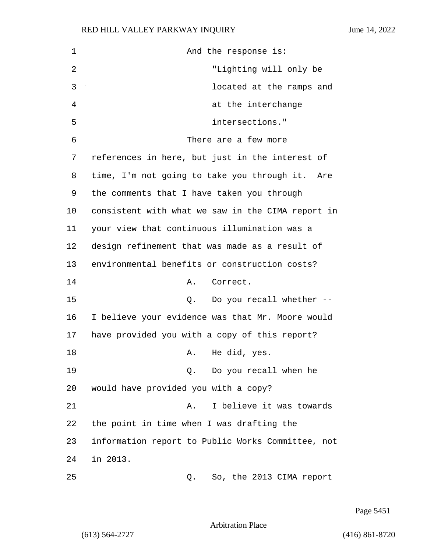1 And the response is: 2 "Lighting will only be 3 located at the ramps and 4 at the interchange 5 intersections." 6 There are a few more 7 references in here, but just in the interest of 8 time, I'm not going to take you through it. Are 9 the comments that I have taken you through 10 consistent with what we saw in the CIMA report in 11 your view that continuous illumination was a 12 design refinement that was made as a result of 13 environmental benefits or construction costs? 14 A. Correct. 15 Q. Do you recall whether -- 16 I believe your evidence was that Mr. Moore would 17 have provided you with a copy of this report? 18 A. He did, yes. 19 Q. Do you recall when he 20 would have provided you with a copy? 21 A. I believe it was towards 22 the point in time when I was drafting the 23 information report to Public Works Committee, not 24 in 2013. 25 Q. So, the 2013 CIMA report

Page 5451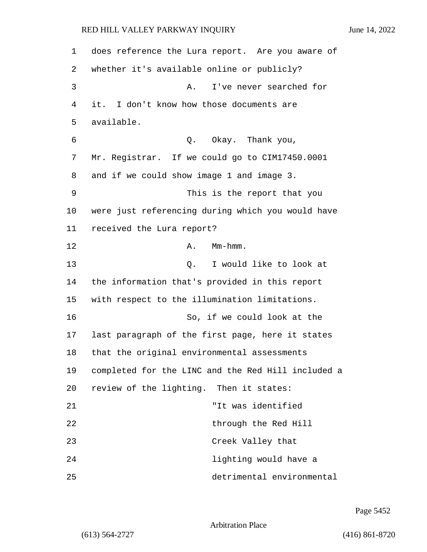1 does reference the Lura report. Are you aware of 2 whether it's available online or publicly? 3 A. I've never searched for 4 it. I don't know how those documents are 5 available. 6 Q. Okay. Thank you, 7 Mr. Registrar. If we could go to CIM17450.0001 8 and if we could show image 1 and image 3. 9 This is the report that you 10 were just referencing during which you would have 11 received the Lura report? 12 **A.** Mm-hmm. 13 C. I would like to look at 14 the information that's provided in this report 15 with respect to the illumination limitations. 16 So, if we could look at the 17 last paragraph of the first page, here it states 18 that the original environmental assessments 19 completed for the LINC and the Red Hill included a 20 review of the lighting. Then it states: 21 "It was identified 22 through the Red Hill 23 Creek Valley that 24 lighting would have a 25 detrimental environmental

Page 5452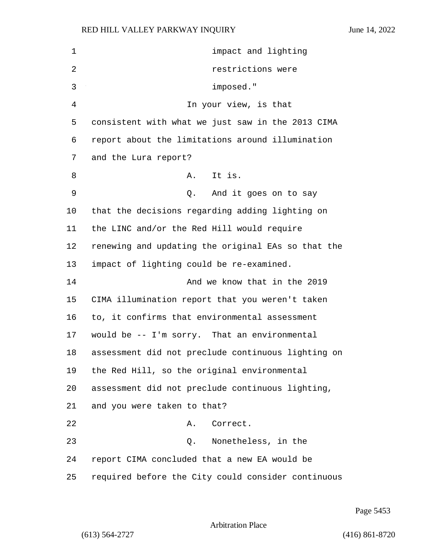1 impact and lighting 2 restrictions were 3 imposed." 4 In your view, is that consistent with what we just saw in the 2013 CIMA report about the limitations around illumination and the Lura report? 8 A. It is. 9 Q. And it goes on to say that the decisions regarding adding lighting on the LINC and/or the Red Hill would require renewing and updating the original EAs so that the impact of lighting could be re-examined. 14 And we know that in the 2019 CIMA illumination report that you weren't taken to, it confirms that environmental assessment would be -- I'm sorry. That an environmental assessment did not preclude continuous lighting on the Red Hill, so the original environmental assessment did not preclude continuous lighting, and you were taken to that? 22 A. Correct. 23 Q. Nonetheless, in the report CIMA concluded that a new EA would be required before the City could consider continuous

Page 5453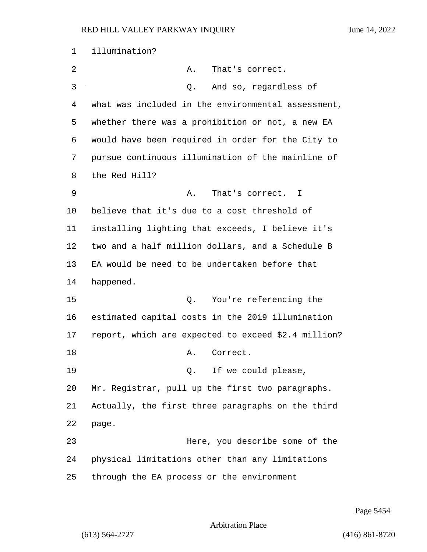illumination? 2 A. That's correct. 3 Q. And so, regardless of what was included in the environmental assessment, whether there was a prohibition or not, a new EA would have been required in order for the City to pursue continuous illumination of the mainline of the Red Hill? 9 A. That's correct. I believe that it's due to a cost threshold of installing lighting that exceeds, I believe it's two and a half million dollars, and a Schedule B EA would be need to be undertaken before that happened. 15 Q. You're referencing the estimated capital costs in the 2019 illumination report, which are expected to exceed \$2.4 million? 18 A. Correct. 19 and 2. If we could please, Mr. Registrar, pull up the first two paragraphs. Actually, the first three paragraphs on the third page. 23 Here, you describe some of the physical limitations other than any limitations through the EA process or the environment

Page 5454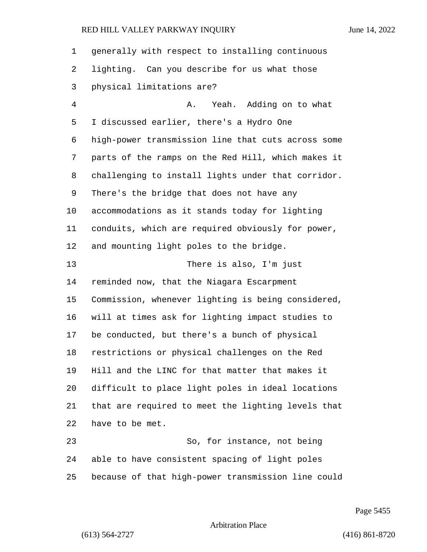| 1              | generally with respect to installing continuous    |
|----------------|----------------------------------------------------|
| 2              | lighting. Can you describe for us what those       |
| 3              | physical limitations are?                          |
| $\overline{4}$ | Yeah. Adding on to what<br>Α.                      |
| 5              | I discussed earlier, there's a Hydro One           |
| 6              | high-power transmission line that cuts across some |
| 7              | parts of the ramps on the Red Hill, which makes it |
| 8              | challenging to install lights under that corridor. |
| 9              | There's the bridge that does not have any          |
| 10             | accommodations as it stands today for lighting     |
| 11             | conduits, which are required obviously for power,  |
| 12             | and mounting light poles to the bridge.            |
| 13             | There is also, I'm just                            |
| 14             | reminded now, that the Niagara Escarpment          |
| 15             | Commission, whenever lighting is being considered, |
| 16             | will at times ask for lighting impact studies to   |
| 17             | be conducted, but there's a bunch of physical      |
| 18             | restrictions or physical challenges on the Red     |
| 19             | Hill and the LINC for that matter that makes it    |
| 20             | difficult to place light poles in ideal locations  |
| 21             | that are required to meet the lighting levels that |
| 22             | have to be met.                                    |
| 23             | So, for instance, not being                        |
| 24             | able to have consistent spacing of light poles     |
| 25             | because of that high-power transmission line could |

Page 5455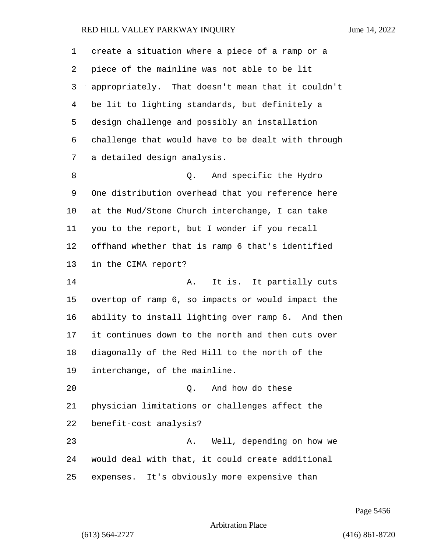create a situation where a piece of a ramp or a piece of the mainline was not able to be lit appropriately. That doesn't mean that it couldn't be lit to lighting standards, but definitely a design challenge and possibly an installation challenge that would have to be dealt with through a detailed design analysis. 8 and specific the Hydro One distribution overhead that you reference here at the Mud/Stone Church interchange, I can take you to the report, but I wonder if you recall offhand whether that is ramp 6 that's identified in the CIMA report? **A.** It is. It partially cuts overtop of ramp 6, so impacts or would impact the ability to install lighting over ramp 6. And then it continues down to the north and then cuts over diagonally of the Red Hill to the north of the interchange, of the mainline. 20 Q. And how do these physician limitations or challenges affect the benefit-cost analysis? 23 A. Well, depending on how we would deal with that, it could create additional expenses. It's obviously more expensive than

Page 5456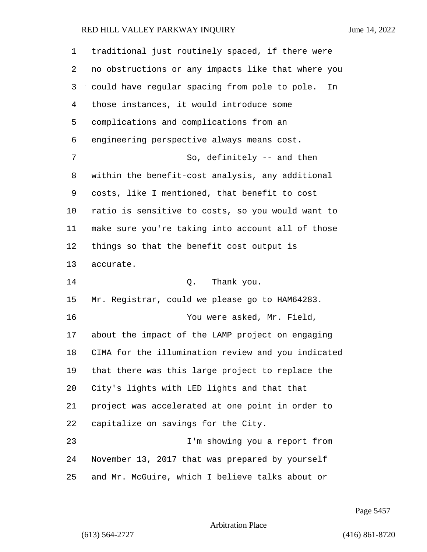| 1       | traditional just routinely spaced, if there were    |
|---------|-----------------------------------------------------|
| 2       | no obstructions or any impacts like that where you  |
| 3       | could have regular spacing from pole to pole.<br>In |
| 4       | those instances, it would introduce some            |
| 5       | complications and complications from an             |
| 6       | engineering perspective always means cost.          |
| 7       | So, definitely -- and then                          |
| 8       | within the benefit-cost analysis, any additional    |
| 9       | costs, like I mentioned, that benefit to cost       |
| $10 \,$ | ratio is sensitive to costs, so you would want to   |
| 11      | make sure you're taking into account all of those   |
| 12      | things so that the benefit cost output is           |
| 13      | accurate.                                           |
| 14      | Q.<br>Thank you.                                    |
| 15      | Mr. Registrar, could we please go to HAM64283.      |
| 16      | You were asked, Mr. Field,                          |
| 17      | about the impact of the LAMP project on engaging    |
| 18      | CIMA for the illumination review and you indicated  |
| 19      | that there was this large project to replace the    |
| 20      | City's lights with LED lights and that that         |
| 21      | project was accelerated at one point in order to    |
| 22      | capitalize on savings for the City.                 |
| 23      | I'm showing you a report from                       |
| 24      | November 13, 2017 that was prepared by yourself     |
| 25      | and Mr. McGuire, which I believe talks about or     |

Page 5457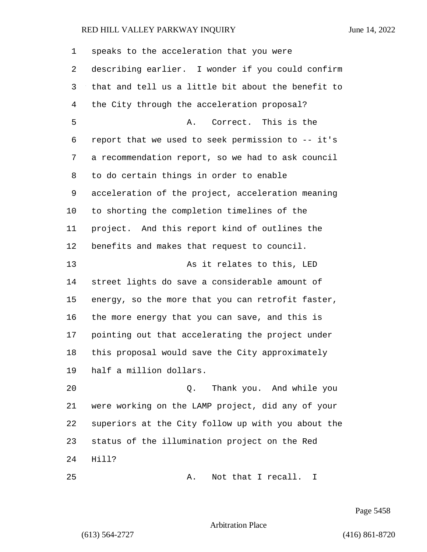| 1  | speaks to the acceleration that you were           |
|----|----------------------------------------------------|
| 2  | describing earlier. I wonder if you could confirm  |
| 3  | that and tell us a little bit about the benefit to |
| 4  | the City through the acceleration proposal?        |
| 5  | Correct. This is the<br>Α.                         |
| 6  | report that we used to seek permission to -- it's  |
| 7  | a recommendation report, so we had to ask council  |
| 8  | to do certain things in order to enable            |
| 9  | acceleration of the project, acceleration meaning  |
| 10 | to shorting the completion timelines of the        |
| 11 | project. And this report kind of outlines the      |
| 12 | benefits and makes that request to council.        |
| 13 | As it relates to this, LED                         |
| 14 | street lights do save a considerable amount of     |
| 15 | energy, so the more that you can retrofit faster,  |
| 16 | the more energy that you can save, and this is     |
| 17 | pointing out that accelerating the project under   |
| 18 | this proposal would save the City approximately    |
| 19 | half a million dollars.                            |
| 20 | Thank you. And while you<br>Q.                     |
| 21 | were working on the LAMP project, did any of your  |
| 22 | superiors at the City follow up with you about the |
| 23 | status of the illumination project on the Red      |
| 24 | Hill?                                              |
| 25 | Not that I recall.<br>Α.<br>I.                     |

Page 5458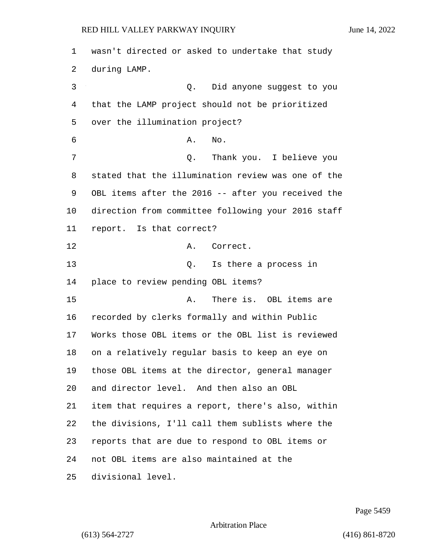| $\mathbf 1$ | wasn't directed or asked to undertake that study   |
|-------------|----------------------------------------------------|
| 2           | during LAMP.                                       |
| 3           | Did anyone suggest to you<br>Q.                    |
| 4           | that the LAMP project should not be prioritized    |
| 5           | over the illumination project?                     |
| 6           | No.<br>Α.                                          |
| 7           | Thank you. I believe you<br>Q.                     |
| 8           | stated that the illumination review was one of the |
| 9           | OBL items after the 2016 -- after you received the |
| 10          | direction from committee following your 2016 staff |
| 11          | report. Is that correct?                           |
| 12          | Correct.<br>Α.                                     |
| 13          | Q. Is there a process in                           |
| 14          | place to review pending OBL items?                 |
| 15          | There is. OBL items are<br>Α.                      |
| 16          | recorded by clerks formally and within Public      |
| 17          | Works those OBL items or the OBL list is reviewed  |
| 18          | on a relatively regular basis to keep an eye on    |
| 19          | those OBL items at the director, general manager   |
| 20          | and director level. And then also an OBL           |
| 21          | item that requires a report, there's also, within  |
| 22          | the divisions, I'll call them sublists where the   |
| 23          | reports that are due to respond to OBL items or    |
| 24          | not OBL items are also maintained at the           |
| 25          | divisional level.                                  |

Page 5459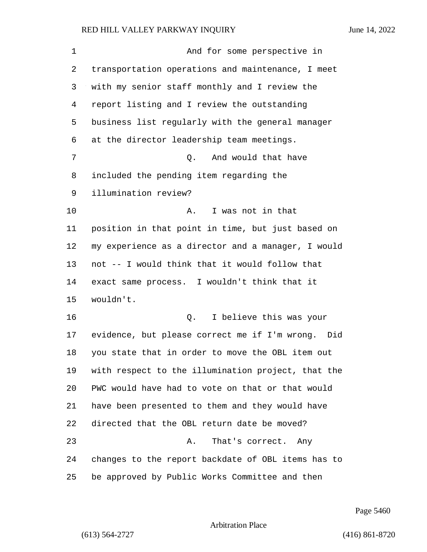1 And for some perspective in transportation operations and maintenance, I meet with my senior staff monthly and I review the report listing and I review the outstanding business list regularly with the general manager at the director leadership team meetings. 7 Q. And would that have included the pending item regarding the illumination review? 10 A. I was not in that position in that point in time, but just based on my experience as a director and a manager, I would not -- I would think that it would follow that exact same process. I wouldn't think that it wouldn't. 16 Q. I believe this was your evidence, but please correct me if I'm wrong. Did you state that in order to move the OBL item out with respect to the illumination project, that the PWC would have had to vote on that or that would have been presented to them and they would have directed that the OBL return date be moved? 23 A. That's correct. Any changes to the report backdate of OBL items has to be approved by Public Works Committee and then

Page 5460

#### Arbitration Place

(613) 564-2727 (416) 861-8720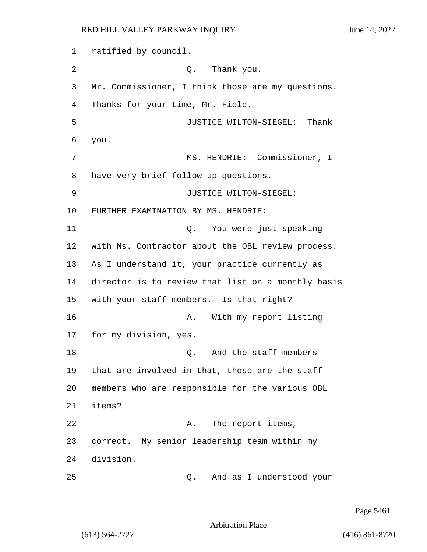1 ratified by council. 2 Q. Thank you. 3 Mr. Commissioner, I think those are my questions. 4 Thanks for your time, Mr. Field. 5 JUSTICE WILTON-SIEGEL: Thank 6 you. 7 MS. HENDRIE: Commissioner, I 8 have very brief follow-up questions. 9 JUSTICE WILTON-SIEGEL: 10 FURTHER EXAMINATION BY MS. HENDRIE: 11 Q. You were just speaking 12 with Ms. Contractor about the OBL review process. 13 As I understand it, your practice currently as 14 director is to review that list on a monthly basis 15 with your staff members. Is that right? 16 A. With my report listing 17 for my division, yes. 18 C. And the staff members 19 that are involved in that, those are the staff 20 members who are responsible for the various OBL 21 items? 22 A. The report items, 23 correct. My senior leadership team within my 24 division. 25 Q. And as I understood your

Page 5461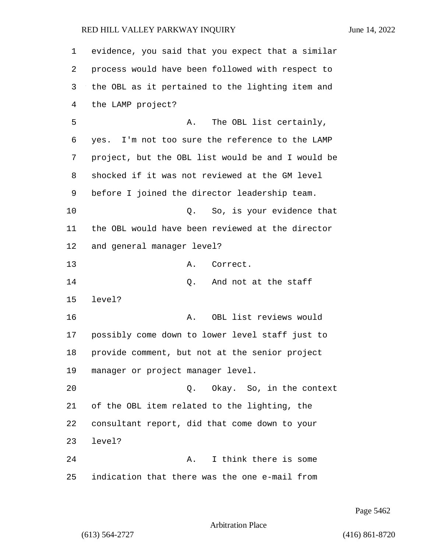| 1  | evidence, you said that you expect that a similar |
|----|---------------------------------------------------|
| 2  | process would have been followed with respect to  |
| 3  | the OBL as it pertained to the lighting item and  |
| 4  | the LAMP project?                                 |
| 5  | The OBL list certainly,<br>Α.                     |
| 6  | yes. I'm not too sure the reference to the LAMP   |
| 7  | project, but the OBL list would be and I would be |
| 8  | shocked if it was not reviewed at the GM level    |
| 9  | before I joined the director leadership team.     |
| 10 | So, is your evidence that<br>0.                   |
| 11 | the OBL would have been reviewed at the director  |
| 12 | and general manager level?                        |
| 13 | Correct.<br>Α.                                    |
| 14 | And not at the staff<br>Q.                        |
| 15 | level?                                            |
| 16 | OBL list reviews would<br>Α.                      |
| 17 | possibly come down to lower level staff just to   |
| 18 | provide comment, but not at the senior project    |
| 19 | manager or project manager level.                 |
| 20 | Okay. So, in the context<br>Q.                    |
| 21 | of the OBL item related to the lighting, the      |
| 22 | consultant report, did that come down to your     |
| 23 | level?                                            |
| 24 | I think there is some<br>Α.                       |
| 25 | indication that there was the one e-mail from     |

Page 5462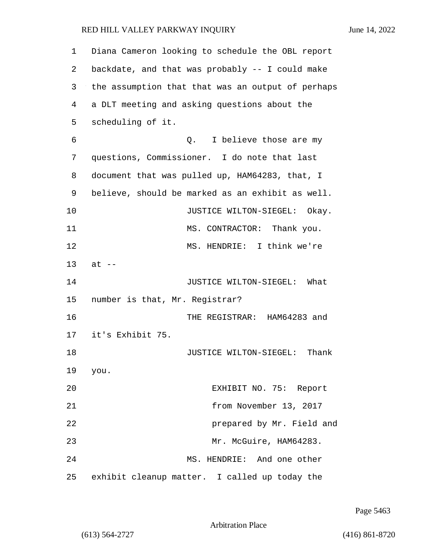| 1  | Diana Cameron looking to schedule the OBL report  |
|----|---------------------------------------------------|
| 2  | backdate, and that was probably -- I could make   |
| 3  | the assumption that that was an output of perhaps |
| 4  | a DLT meeting and asking questions about the      |
| 5  | scheduling of it.                                 |
| 6  | I believe those are my<br>Q.                      |
| 7  | questions, Commissioner. I do note that last      |
| 8  | document that was pulled up, HAM64283, that, I    |
| 9  | believe, should be marked as an exhibit as well.  |
| 10 | JUSTICE WILTON-SIEGEL: Okay.                      |
| 11 | MS. CONTRACTOR: Thank you.                        |
| 12 | MS. HENDRIE: I think we're                        |
| 13 | $at --$                                           |
| 14 | JUSTICE WILTON-SIEGEL: What                       |
| 15 | number is that, Mr. Registrar?                    |
| 16 | THE REGISTRAR: HAM64283 and                       |
| 17 | it's Exhibit 75.                                  |
| 18 | JUSTICE WILTON-SIEGEL: Thank                      |
| 19 | you.                                              |
| 20 | EXHIBIT NO. 75: Report                            |
| 21 | from November 13, 2017                            |
| 22 | prepared by Mr. Field and                         |
| 23 | Mr. McGuire, HAM64283.                            |
| 24 | MS. HENDRIE: And one other                        |
| 25 | exhibit cleanup matter. I called up today the     |

Page 5463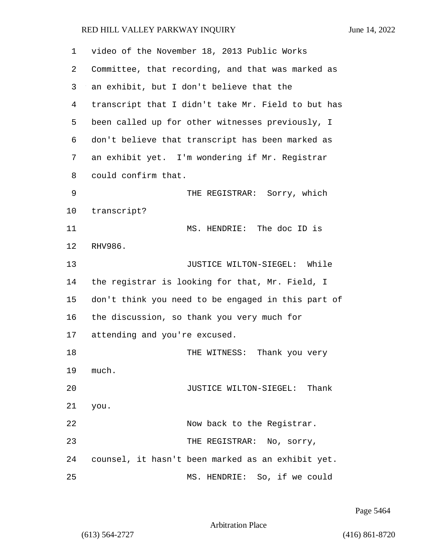| 1  | video of the November 18, 2013 Public Works        |
|----|----------------------------------------------------|
| 2  | Committee, that recording, and that was marked as  |
| 3  | an exhibit, but I don't believe that the           |
| 4  | transcript that I didn't take Mr. Field to but has |
| 5  | been called up for other witnesses previously, I   |
| 6  | don't believe that transcript has been marked as   |
| 7  | an exhibit yet. I'm wondering if Mr. Registrar     |
| 8  | could confirm that.                                |
| 9  | THE REGISTRAR: Sorry, which                        |
| 10 | transcript?                                        |
| 11 | MS. HENDRIE: The doc ID is                         |
| 12 | RHV986.                                            |
| 13 | JUSTICE WILTON-SIEGEL: While                       |
| 14 | the registrar is looking for that, Mr. Field, I    |
| 15 | don't think you need to be engaged in this part of |
| 16 | the discussion, so thank you very much for         |
| 17 | attending and you're excused.                      |
| 18 | THE WITNESS: Thank you very                        |
| 19 | much.                                              |
| 20 | JUSTICE WILTON-SIEGEL: Thank                       |
| 21 | you.                                               |
| 22 | Now back to the Registrar.                         |
| 23 | THE REGISTRAR: No, sorry,                          |
| 24 | counsel, it hasn't been marked as an exhibit yet.  |
| 25 | MS. HENDRIE: So, if we could                       |

Page 5464